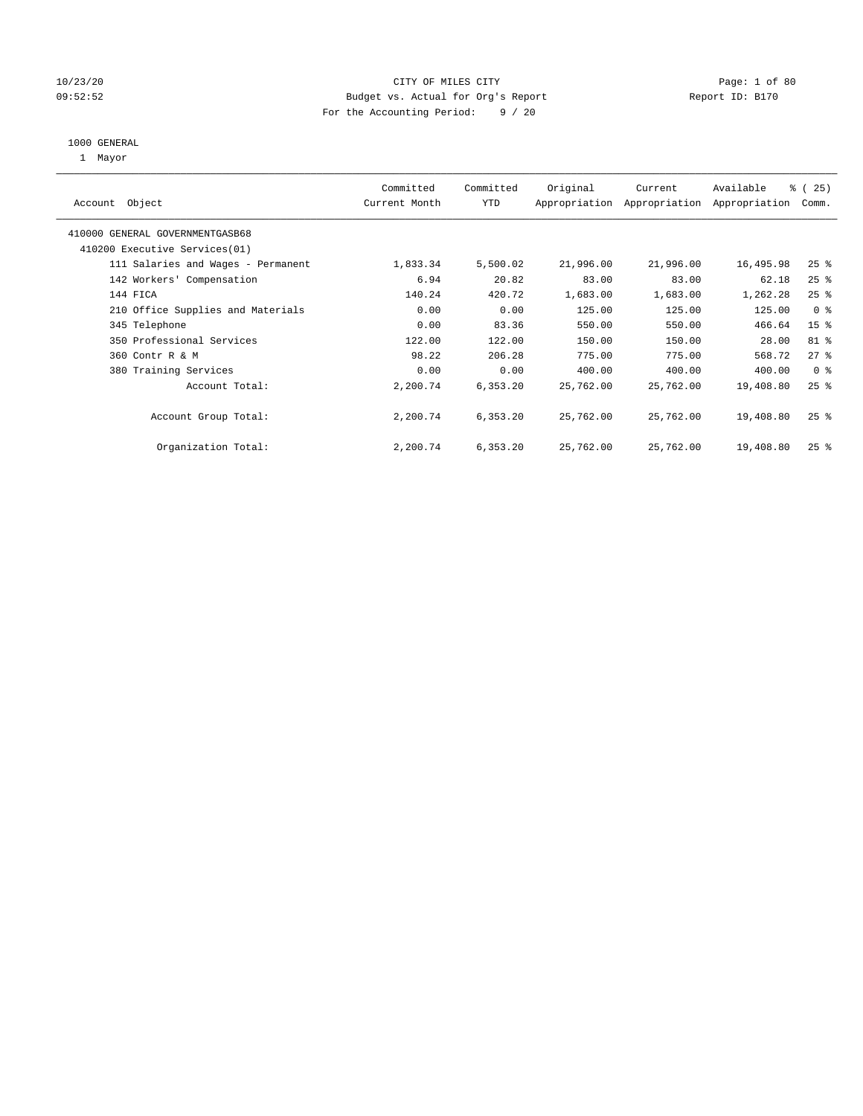## 10/23/20 CITY OF MILES CITY Page: 1 of 80 09:52:52 Budget vs. Actual for Org's Report Communication Report ID: B170 For the Accounting Period: 9 / 20

#### 1000 GENERAL

1 Mayor

| Object<br>Account                  | Committed<br>Current Month | Committed<br><b>YTD</b> | Original  | Current<br>Appropriation Appropriation | Available<br>Appropriation | % (25)<br>Comm.    |
|------------------------------------|----------------------------|-------------------------|-----------|----------------------------------------|----------------------------|--------------------|
| 410000 GENERAL GOVERNMENTGASB68    |                            |                         |           |                                        |                            |                    |
| 410200 Executive Services (01)     |                            |                         |           |                                        |                            |                    |
| 111 Salaries and Wages - Permanent | 1,833.34                   | 5,500.02                | 21,996.00 | 21,996.00                              | 16,495.98                  | $25$ $\frac{6}{5}$ |
| 142 Workers' Compensation          | 6.94                       | 20.82                   | 83.00     | 83.00                                  | 62.18                      | $25$ %             |
| 144 FICA                           | 140.24                     | 420.72                  | 1,683.00  | 1,683.00                               | 1,262.28                   | $25$ %             |
| 210 Office Supplies and Materials  | 0.00                       | 0.00                    | 125.00    | 125.00                                 | 125.00                     | 0 <sup>8</sup>     |
| 345 Telephone                      | 0.00                       | 83.36                   | 550.00    | 550.00                                 | 466.64                     | 15 <sup>8</sup>    |
| 350 Professional Services          | 122.00                     | 122.00                  | 150.00    | 150.00                                 | 28.00                      | 81 %               |
| 360 Contr R & M                    | 98.22                      | 206.28                  | 775.00    | 775.00                                 | 568.72                     | $27$ %             |
| 380 Training Services              | 0.00                       | 0.00                    | 400.00    | 400.00                                 | 400.00                     | 0 <sup>8</sup>     |
| Account Total:                     | 2,200.74                   | 6,353.20                | 25,762.00 | 25,762.00                              | 19,408.80                  | $25$ $%$           |
| Account Group Total:               | 2,200.74                   | 6,353.20                | 25,762.00 | 25,762.00                              | 19,408.80                  | $25$ %             |
| Organization Total:                | 2,200.74                   | 6,353.20                | 25,762.00 | 25,762.00                              | 19,408.80                  | $25$ $%$           |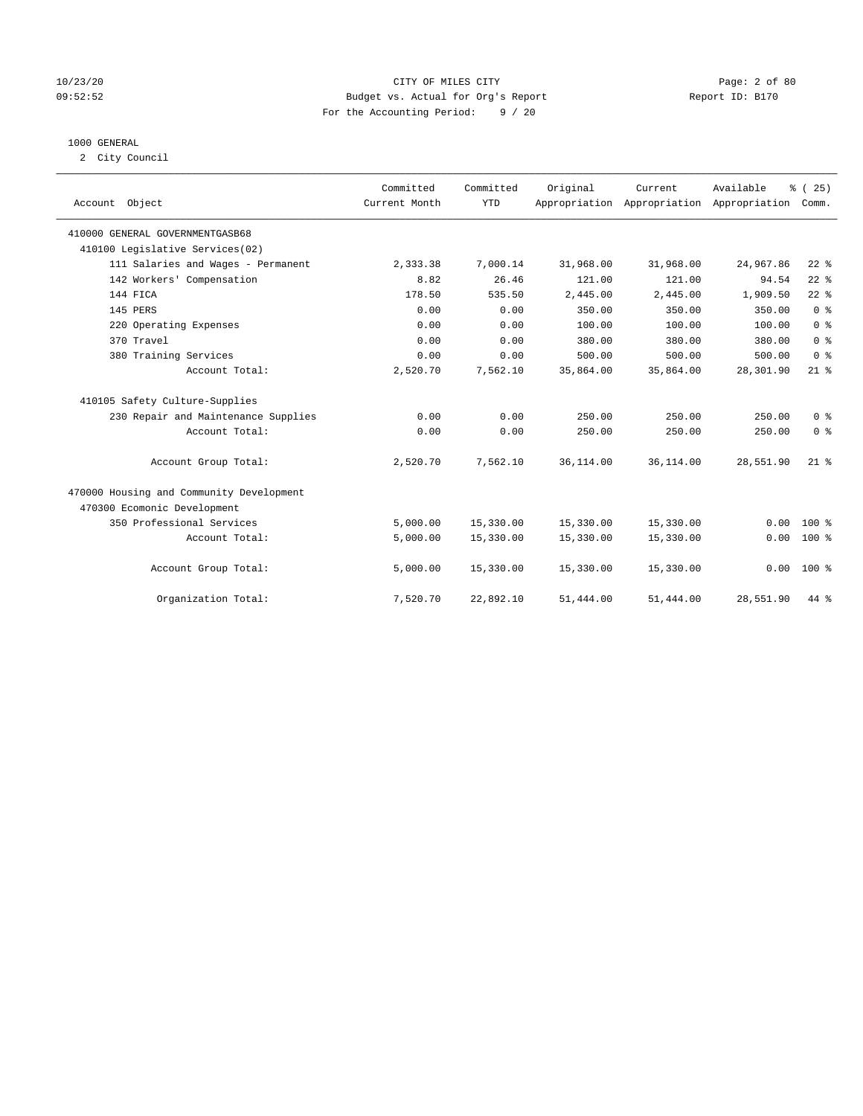## 10/23/20 CITY OF MILES CITY Page: 2 of 80 09:52:52 Budget vs. Actual for Org's Report Changer Report ID: B170 For the Accounting Period: 9 / 20

## 1000 GENERAL

2 City Council

| Account Object                           | Committed<br>Current Month | Committed<br><b>YTD</b> | Original  | Current<br>Appropriation Appropriation Appropriation | Available | % (25)<br>Comm. |
|------------------------------------------|----------------------------|-------------------------|-----------|------------------------------------------------------|-----------|-----------------|
| 410000 GENERAL GOVERNMENTGASB68          |                            |                         |           |                                                      |           |                 |
| 410100 Legislative Services(02)          |                            |                         |           |                                                      |           |                 |
| 111 Salaries and Wages - Permanent       | 2,333.38                   | 7,000.14                | 31,968.00 | 31,968.00                                            | 24,967.86 | $22$ %          |
| 142 Workers' Compensation                | 8.82                       | 26.46                   | 121.00    | 121.00                                               | 94.54     | $22$ $%$        |
| 144 FICA                                 | 178.50                     | 535.50                  | 2,445.00  | 2,445.00                                             | 1,909.50  | $22$ $%$        |
| 145 PERS                                 | 0.00                       | 0.00                    | 350.00    | 350.00                                               | 350.00    | 0 <sup>8</sup>  |
| 220 Operating Expenses                   | 0.00                       | 0.00                    | 100.00    | 100.00                                               | 100.00    | 0 <sup>8</sup>  |
| 370 Travel                               | 0.00                       | 0.00                    | 380.00    | 380.00                                               | 380.00    | 0 <sup>8</sup>  |
| 380 Training Services                    | 0.00                       | 0.00                    | 500.00    | 500.00                                               | 500.00    | 0 <sup>8</sup>  |
| Account Total:                           | 2,520.70                   | 7,562.10                | 35,864.00 | 35,864.00                                            | 28,301.90 | $21$ %          |
| 410105 Safety Culture-Supplies           |                            |                         |           |                                                      |           |                 |
| 230 Repair and Maintenance Supplies      | 0.00                       | 0.00                    | 250.00    | 250.00                                               | 250.00    | 0 <sup>8</sup>  |
| Account Total:                           | 0.00                       | 0.00                    | 250.00    | 250.00                                               | 250.00    | 0 <sup>8</sup>  |
| Account Group Total:                     | 2,520.70                   | 7,562.10                | 36,114.00 | 36,114.00                                            | 28,551.90 | $21$ %          |
| 470000 Housing and Community Development |                            |                         |           |                                                      |           |                 |
| 470300 Ecomonic Development              |                            |                         |           |                                                      |           |                 |
| 350 Professional Services                | 5,000.00                   | 15,330.00               | 15,330.00 | 15,330.00                                            | 0.00      | $100*$          |
| Account Total:                           | 5,000.00                   | 15,330.00               | 15,330.00 | 15,330.00                                            | 0.00      | $100*$          |
| Account Group Total:                     | 5,000.00                   | 15,330.00               | 15,330.00 | 15,330.00                                            |           | $0.00 100$ %    |
| Organization Total:                      | 7,520.70                   | 22,892.10               | 51,444.00 | 51,444.00                                            | 28,551.90 | 44 %            |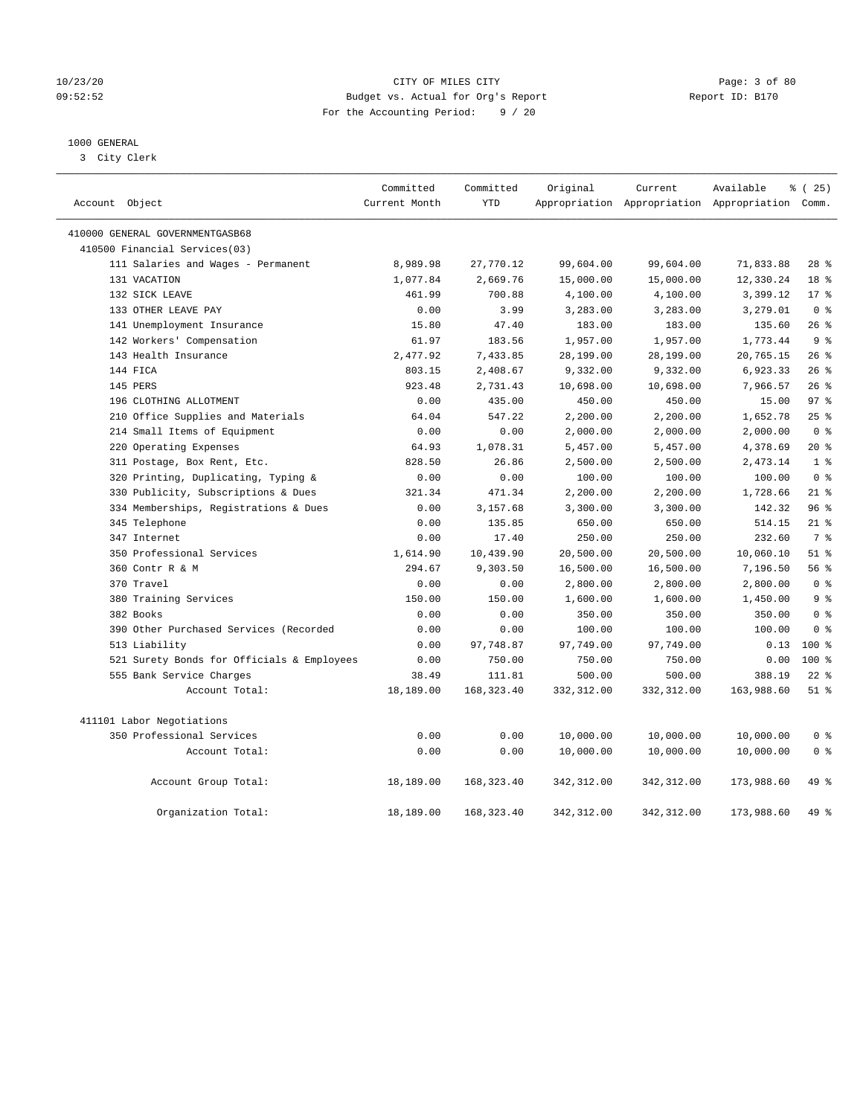## 10/23/20 CITY OF MILES CITY Page: 3 of 80 09:52:52 Budget vs. Actual for Org's Report Changer Report ID: B170 For the Accounting Period: 9 / 20

## 1000 GENERAL

3 City Clerk

| Account Object                             | Committed<br>Current Month | Committed<br><b>YTD</b> | Original    | Current     | Available<br>Appropriation Appropriation Appropriation Comm. | % (25)          |
|--------------------------------------------|----------------------------|-------------------------|-------------|-------------|--------------------------------------------------------------|-----------------|
| 410000 GENERAL GOVERNMENTGASB68            |                            |                         |             |             |                                                              |                 |
| 410500 Financial Services(03)              |                            |                         |             |             |                                                              |                 |
| 111 Salaries and Wages - Permanent         | 8,989.98                   | 27,770.12               | 99,604.00   | 99,604.00   | 71,833.88                                                    | $28$ %          |
| 131 VACATION                               | 1,077.84                   | 2,669.76                | 15,000.00   | 15,000.00   | 12,330.24                                                    | 18 %            |
| 132 SICK LEAVE                             | 461.99                     | 700.88                  | 4,100.00    | 4,100.00    | 3,399.12                                                     | $17*$           |
| 133 OTHER LEAVE PAY                        | 0.00                       | 3.99                    | 3,283.00    | 3,283.00    | 3,279.01                                                     | 0 <sup>8</sup>  |
| 141 Unemployment Insurance                 | 15.80                      | 47.40                   | 183.00      | 183.00      | 135.60                                                       | 26%             |
| 142 Workers' Compensation                  | 61.97                      | 183.56                  | 1,957.00    | 1,957.00    | 1,773.44                                                     | 9 <sup>°</sup>  |
| 143 Health Insurance                       | 2,477.92                   | 7,433.85                | 28,199.00   | 28,199.00   | 20,765.15                                                    | 26%             |
| 144 FICA                                   | 803.15                     | 2,408.67                | 9,332.00    | 9,332.00    | 6,923.33                                                     | 26%             |
| 145 PERS                                   | 923.48                     | 2,731.43                | 10,698.00   | 10,698.00   | 7,966.57                                                     | 26%             |
| 196 CLOTHING ALLOTMENT                     | 0.00                       | 435.00                  | 450.00      | 450.00      | 15.00                                                        | 97 <sub>8</sub> |
| 210 Office Supplies and Materials          | 64.04                      | 547.22                  | 2,200.00    | 2,200.00    | 1,652.78                                                     | $25$ %          |
| 214 Small Items of Equipment               | 0.00                       | 0.00                    | 2,000.00    | 2,000.00    | 2,000.00                                                     | 0 <sup>8</sup>  |
| 220 Operating Expenses                     | 64.93                      | 1,078.31                | 5,457.00    | 5,457.00    | 4,378.69                                                     | $20*$           |
| 311 Postage, Box Rent, Etc.                | 828.50                     | 26.86                   | 2,500.00    | 2,500.00    | 2,473.14                                                     | 1 <sup>8</sup>  |
| 320 Printing, Duplicating, Typing &        | 0.00                       | 0.00                    | 100.00      | 100.00      | 100.00                                                       | 0 <sup>8</sup>  |
| 330 Publicity, Subscriptions & Dues        | 321.34                     | 471.34                  | 2,200.00    | 2,200.00    | 1,728.66                                                     | $21$ %          |
| 334 Memberships, Registrations & Dues      | 0.00                       | 3,157.68                | 3,300.00    | 3,300.00    | 142.32                                                       | 96%             |
| 345 Telephone                              | 0.00                       | 135.85                  | 650.00      | 650.00      | 514.15                                                       | $21$ %          |
| 347 Internet                               | 0.00                       | 17.40                   | 250.00      | 250.00      | 232.60                                                       | 7 <sup>°</sup>  |
| 350 Professional Services                  | 1,614.90                   | 10,439.90               | 20,500.00   | 20,500.00   | 10,060.10                                                    | $51$ %          |
| 360 Contr R & M                            | 294.67                     | 9,303.50                | 16,500.00   | 16,500.00   | 7,196.50                                                     | 56%             |
| 370 Travel                                 | 0.00                       | 0.00                    | 2,800.00    | 2,800.00    | 2,800.00                                                     | 0 <sup>8</sup>  |
| 380 Training Services                      | 150.00                     | 150.00                  | 1,600.00    | 1,600.00    | 1,450.00                                                     | 9 %             |
| 382 Books                                  | 0.00                       | 0.00                    | 350.00      | 350.00      | 350.00                                                       | 0 <sup>8</sup>  |
| 390 Other Purchased Services (Recorded     | 0.00                       | 0.00                    | 100.00      | 100.00      | 100.00                                                       | 0 <sup>8</sup>  |
| 513 Liability                              | 0.00                       | 97,748.87               | 97,749.00   | 97,749.00   | 0.13                                                         | $100*$          |
| 521 Surety Bonds for Officials & Employees | 0.00                       | 750.00                  | 750.00      | 750.00      | 0.00                                                         | 100 %           |
| 555 Bank Service Charges                   | 38.49                      | 111.81                  | 500.00      | 500.00      | 388.19                                                       | $22$ %          |
| Account Total:                             | 18,189.00                  | 168, 323.40             | 332,312.00  | 332,312.00  | 163,988.60                                                   | $51$ %          |
| 411101 Labor Negotiations                  |                            |                         |             |             |                                                              |                 |
| 350 Professional Services                  | 0.00                       | 0.00                    | 10,000.00   | 10,000.00   | 10,000.00                                                    | 0 <sup>8</sup>  |
| Account Total:                             | 0.00                       | 0.00                    | 10,000.00   | 10,000.00   | 10,000.00                                                    | 0 <sup>8</sup>  |
| Account Group Total:                       | 18,189.00                  | 168, 323.40             | 342,312.00  | 342,312.00  | 173,988.60                                                   | 49 %            |
| Organization Total:                        | 18,189.00                  | 168, 323.40             | 342, 312.00 | 342, 312.00 | 173,988.60                                                   | 49 %            |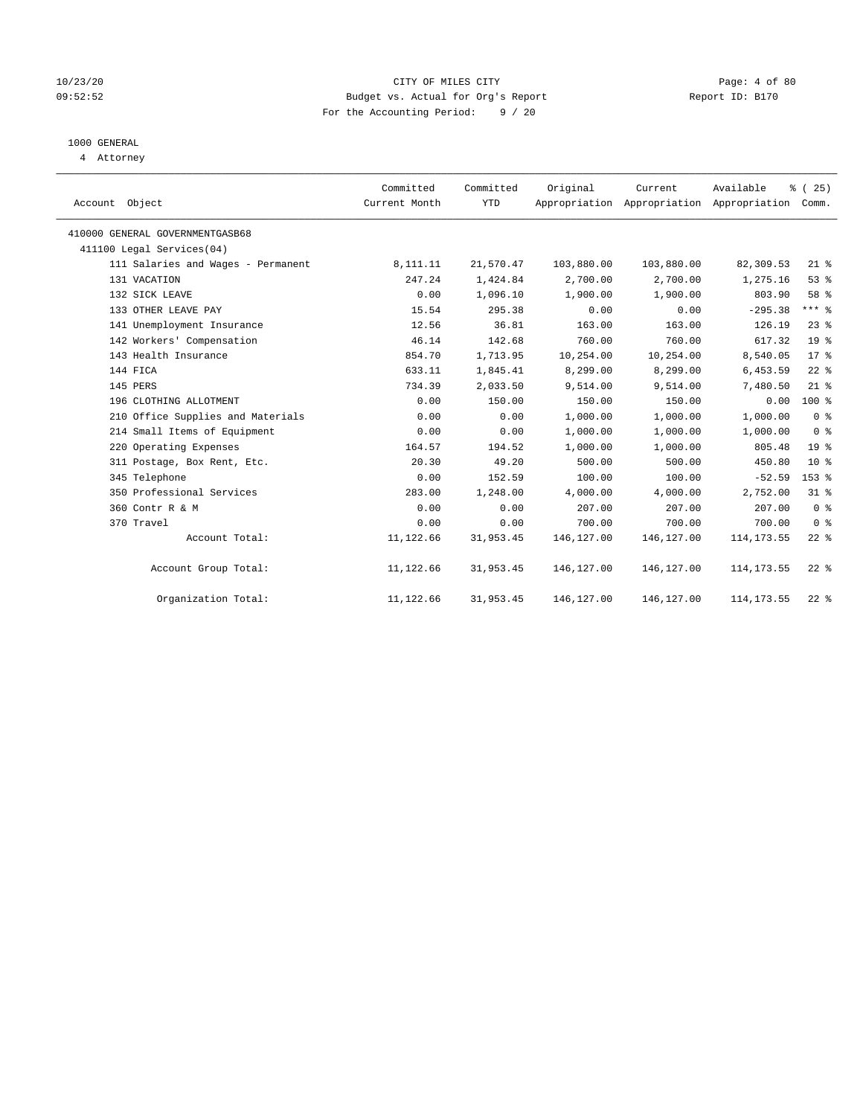## 10/23/20 CITY OF MILES CITY Page: 4 of 80 09:52:52 Budget vs. Actual for Org's Report Changer Report ID: B170 For the Accounting Period: 9 / 20

## 1000 GENERAL

4 Attorney

|                                    | Committed     | Committed  | Original   | Current                                         | Available   | % (25)          |
|------------------------------------|---------------|------------|------------|-------------------------------------------------|-------------|-----------------|
| Account Object                     | Current Month | <b>YTD</b> |            | Appropriation Appropriation Appropriation Comm. |             |                 |
| 410000 GENERAL GOVERNMENTGASB68    |               |            |            |                                                 |             |                 |
| 411100 Legal Services(04)          |               |            |            |                                                 |             |                 |
| 111 Salaries and Wages - Permanent | 8,111.11      | 21,570.47  | 103,880.00 | 103,880.00                                      | 82,309.53   | $21$ %          |
| 131 VACATION                       | 247.24        | 1,424.84   | 2,700.00   | 2,700.00                                        | 1,275.16    | 53%             |
| 132 SICK LEAVE                     | 0.00          | 1,096.10   | 1,900.00   | 1,900.00                                        | 803.90      | 58 %            |
| 133 OTHER LEAVE PAY                | 15.54         | 295.38     | 0.00       | 0.00                                            | $-295.38$   | $***$ $_{8}$    |
| 141 Unemployment Insurance         | 12.56         | 36.81      | 163.00     | 163.00                                          | 126.19      | $23$ $%$        |
| 142 Workers' Compensation          | 46.14         | 142.68     | 760.00     | 760.00                                          | 617.32      | 19 <sup>°</sup> |
| 143 Health Insurance               | 854.70        | 1,713.95   | 10,254.00  | 10,254.00                                       | 8,540.05    | $17*$           |
| 144 FICA                           | 633.11        | 1,845.41   | 8,299.00   | 8,299.00                                        | 6,453.59    | $22$ %          |
| 145 PERS                           | 734.39        | 2,033.50   | 9,514.00   | 9,514.00                                        | 7,480.50    | $21$ %          |
| 196 CLOTHING ALLOTMENT             | 0.00          | 150.00     | 150.00     | 150.00                                          | 0.00        | $100*$          |
| 210 Office Supplies and Materials  | 0.00          | 0.00       | 1,000.00   | 1,000.00                                        | 1,000.00    | 0 <sup>8</sup>  |
| 214 Small Items of Equipment       | 0.00          | 0.00       | 1,000.00   | 1,000.00                                        | 1,000.00    | 0 <sup>8</sup>  |
| 220 Operating Expenses             | 164.57        | 194.52     | 1,000.00   | 1,000.00                                        | 805.48      | 19 <sup>°</sup> |
| 311 Postage, Box Rent, Etc.        | 20.30         | 49.20      | 500.00     | 500.00                                          | 450.80      | $10*$           |
| 345 Telephone                      | 0.00          | 152.59     | 100.00     | 100.00                                          | $-52.59$    | 153 %           |
| 350 Professional Services          | 283.00        | 1,248.00   | 4,000.00   | 4,000.00                                        | 2,752.00    | 31.8            |
| 360 Contr R & M                    | 0.00          | 0.00       | 207.00     | 207.00                                          | 207.00      | 0 <sup>8</sup>  |
| 370 Travel                         | 0.00          | 0.00       | 700.00     | 700.00                                          | 700.00      | 0 <sup>8</sup>  |
| Account Total:                     | 11,122.66     | 31,953.45  | 146,127.00 | 146, 127.00                                     | 114, 173.55 | $22$ %          |
| Account Group Total:               | 11,122.66     | 31,953.45  | 146,127.00 | 146,127.00                                      | 114, 173.55 | $22*$           |
| Organization Total:                | 11,122.66     | 31,953.45  | 146,127.00 | 146,127.00                                      | 114, 173.55 | $22$ $%$        |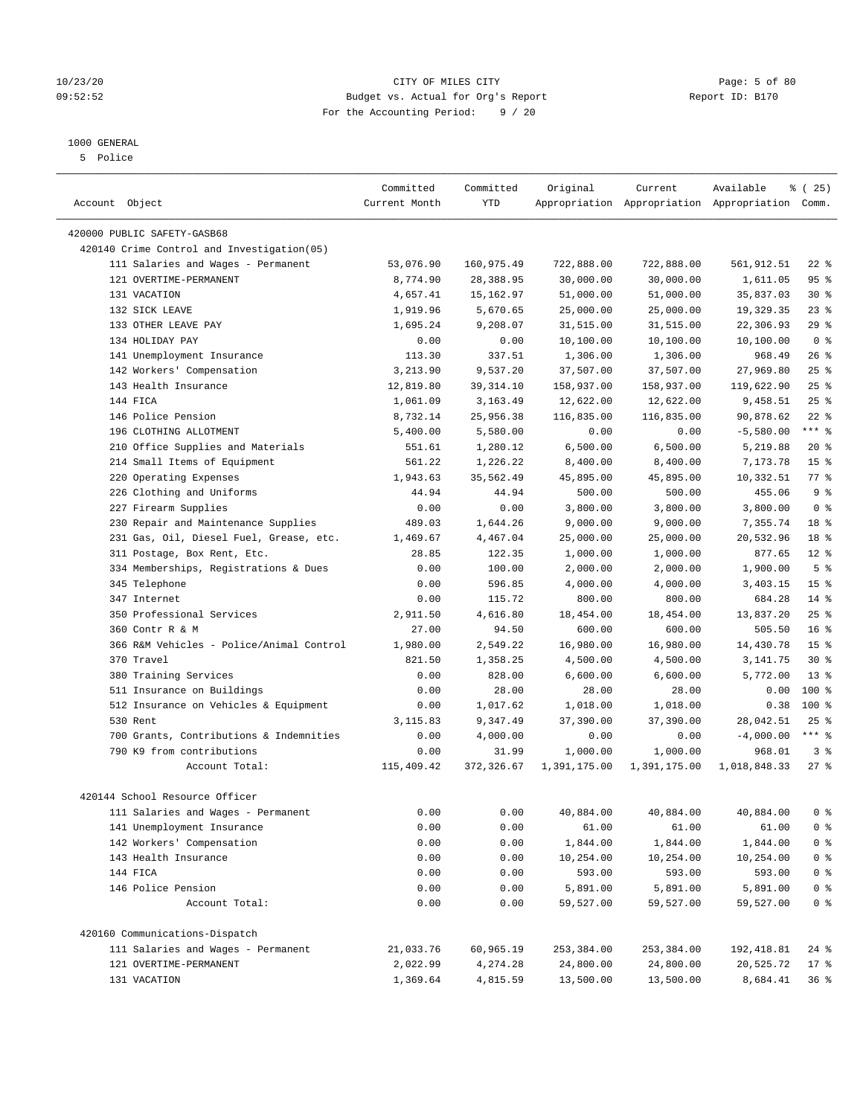## 10/23/20 CITY OF MILES CITY Page: 5 of 80 09:52:52 Budget vs. Actual for Org's Report Report ID: B170 For the Accounting Period: 9 / 20

————————————————————————————————————————————————————————————————————————————————————————————————————————————————————————————————————

## 1000 GENERAL

5 Police

|                                                                      | Committed     | Committed  | Original     | Current                                         | Available    | 8 (25)             |
|----------------------------------------------------------------------|---------------|------------|--------------|-------------------------------------------------|--------------|--------------------|
| Account Object                                                       | Current Month | YTD        |              | Appropriation Appropriation Appropriation Comm. |              |                    |
|                                                                      |               |            |              |                                                 |              |                    |
| 420000 PUBLIC SAFETY-GASB68                                          |               |            |              |                                                 |              |                    |
| 420140 Crime Control and Investigation(05)                           |               |            |              |                                                 |              |                    |
| 111 Salaries and Wages - Permanent                                   | 53,076.90     | 160,975.49 | 722,888.00   | 722,888.00                                      | 561,912.51   | $22$ %             |
| 121 OVERTIME-PERMANENT                                               | 8,774.90      | 28,388.95  | 30,000.00    | 30,000.00                                       | 1,611.05     | 95%                |
| 131 VACATION                                                         | 4,657.41      | 15,162.97  | 51,000.00    | 51,000.00                                       | 35,837.03    | $30*$              |
| 132 SICK LEAVE                                                       | 1,919.96      | 5,670.65   | 25,000.00    | 25,000.00                                       | 19,329.35    | $23$ $%$           |
| 133 OTHER LEAVE PAY                                                  | 1,695.24      | 9,208.07   | 31,515.00    | 31,515.00                                       | 22,306.93    | 29%                |
| 134 HOLIDAY PAY                                                      | 0.00          | 0.00       | 10,100.00    | 10,100.00                                       | 10,100.00    | 0 <sup>8</sup>     |
| 141 Unemployment Insurance                                           | 113.30        | 337.51     | 1,306.00     | 1,306.00                                        | 968.49       | $26$ %             |
| 142 Workers' Compensation                                            | 3,213.90      | 9,537.20   | 37,507.00    | 37,507.00                                       | 27,969.80    | $25$ %             |
| 143 Health Insurance                                                 | 12,819.80     | 39, 314.10 | 158,937.00   | 158,937.00                                      | 119,622.90   | $25$ %             |
| 144 FICA                                                             | 1,061.09      | 3,163.49   | 12,622.00    | 12,622.00                                       | 9,458.51     | 25%                |
| 146 Police Pension                                                   | 8,732.14      | 25,956.38  | 116,835.00   | 116,835.00                                      | 90,878.62    | $22$ %             |
| 196 CLOTHING ALLOTMENT                                               | 5,400.00      | 5,580.00   | 0.00         | 0.00                                            | $-5,580.00$  | $***$ $_{8}$       |
| 210 Office Supplies and Materials                                    | 551.61        | 1,280.12   | 6,500.00     | 6,500.00                                        | 5,219.88     | $20*$              |
| 214 Small Items of Equipment                                         | 561.22        | 1,226.22   | 8,400.00     | 8,400.00                                        | 7,173.78     | 15 <sup>°</sup>    |
| 220 Operating Expenses                                               | 1,943.63      | 35,562.49  | 45,895.00    | 45,895.00                                       | 10,332.51    | $77$ $\frac{6}{9}$ |
| 226 Clothing and Uniforms                                            | 44.94         | 44.94      | 500.00       | 500.00                                          | 455.06       | 9 <sup>°</sup>     |
| 227 Firearm Supplies                                                 | 0.00          | 0.00       | 3,800.00     | 3,800.00                                        | 3,800.00     | 0 <sup>8</sup>     |
| 230 Repair and Maintenance Supplies                                  | 489.03        | 1,644.26   | 9,000.00     | 9,000.00                                        | 7,355.74     | 18 %               |
| 231 Gas, Oil, Diesel Fuel, Grease, etc.                              | 1,469.67      | 4,467.04   | 25,000.00    | 25,000.00                                       | 20,532.96    | 18 %               |
| 311 Postage, Box Rent, Etc.                                          | 28.85         | 122.35     | 1,000.00     | 1,000.00                                        | 877.65       | $12*$              |
| 334 Memberships, Registrations & Dues                                | 0.00          | 100.00     | 2,000.00     | 2,000.00                                        | 1,900.00     | 5 <sup>°</sup>     |
| 345 Telephone                                                        | 0.00          | 596.85     | 4,000.00     | 4,000.00                                        | 3,403.15     | 15 <sup>°</sup>    |
| 347 Internet                                                         | 0.00          | 115.72     | 800.00       | 800.00                                          | 684.28       | $14*$              |
| 350 Professional Services                                            | 2,911.50      | 4,616.80   | 18,454.00    | 18,454.00                                       | 13,837.20    | $25$ $%$           |
| 360 Contr R & M                                                      | 27.00         | 94.50      | 600.00       | 600.00                                          | 505.50       | 16 <sup>8</sup>    |
| 366 R&M Vehicles - Police/Animal Control                             | 1,980.00      | 2,549.22   | 16,980.00    | 16,980.00                                       | 14,430.78    | 15 <sup>°</sup>    |
| 370 Travel                                                           | 821.50        | 1,358.25   | 4,500.00     | 4,500.00                                        | 3,141.75     | $30*$              |
| 380 Training Services                                                | 0.00          | 828.00     | 6,600.00     | 6,600.00                                        | 5,772.00     | $13*$              |
| 511 Insurance on Buildings                                           | 0.00          | 28.00      | 28.00        | 28.00                                           | 0.00         | 100 %              |
| 512 Insurance on Vehicles & Equipment                                | 0.00          | 1,017.62   | 1,018.00     | 1,018.00                                        | 0.38         | 100%               |
| 530 Rent                                                             | 3,115.83      | 9,347.49   | 37,390.00    | 37,390.00                                       | 28,042.51    | $25$ %             |
| 700 Grants, Contributions & Indemnities                              | 0.00          | 4,000.00   | 0.00         | 0.00                                            | $-4,000.00$  | $***$ $_{8}$       |
| 790 K9 from contributions                                            | 0.00          | 31.99      | 1,000.00     | 1,000.00                                        | 968.01       | 3%                 |
| Account Total:                                                       | 115,409.42    | 372,326.67 | 1,391,175.00 | 1,391,175.00                                    | 1,018,848.33 | $27$ %             |
|                                                                      |               |            |              |                                                 |              |                    |
| 420144 School Resource Officer<br>111 Salaries and Wages - Permanent |               |            |              |                                                 |              | 0 <sup>8</sup>     |
|                                                                      | 0.00          | 0.00       | 40,884.00    | 40,884.00                                       | 40,884.00    |                    |
| 141 Unemployment Insurance                                           | 0.00          | 0.00       | 61.00        | 61.00                                           | 61.00        | 0 <sup>8</sup>     |
| 142 Workers' Compensation                                            | 0.00          | 0.00       | 1,844.00     | 1,844.00                                        | 1,844.00     | 0 <sup>8</sup>     |
| 143 Health Insurance                                                 | 0.00          | 0.00       | 10,254.00    | 10,254.00                                       | 10,254.00    | $0$ %              |
| 144 FICA                                                             | 0.00          | 0.00       | 593.00       | 593.00                                          | 593.00       | $0$ %              |
| 146 Police Pension                                                   | 0.00          | 0.00       | 5,891.00     | 5,891.00                                        | 5,891.00     | $0$ %              |
| Account Total:                                                       | 0.00          | 0.00       | 59,527.00    | 59,527.00                                       | 59,527.00    | $0$ %              |
| 420160 Communications-Dispatch                                       |               |            |              |                                                 |              |                    |
| 111 Salaries and Wages - Permanent                                   | 21,033.76     | 60,965.19  | 253,384.00   | 253,384.00                                      | 192,418.81   | 24 %               |
| 121 OVERTIME-PERMANENT                                               | 2,022.99      | 4,274.28   | 24,800.00    | 24,800.00                                       | 20,525.72    | $17*$              |
| 131 VACATION                                                         | 1,369.64      | 4,815.59   | 13,500.00    | 13,500.00                                       | 8,684.41     | $36$ %             |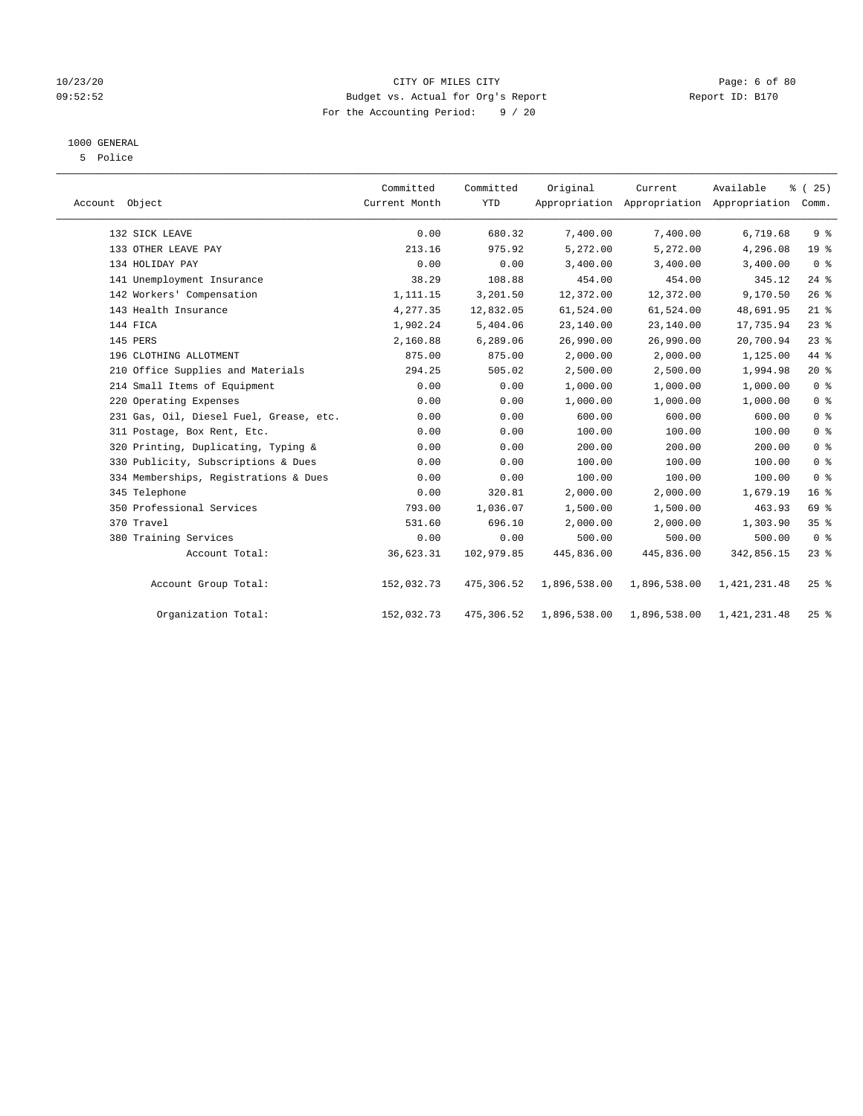## 10/23/20 CITY OF MILES CITY Page: 6 of 80 09:52:52 Budget vs. Actual for Org's Report Changer Report ID: B170 For the Accounting Period: 9 / 20

## 1000 GENERAL

5 Police

| Account Object |                                         | Committed<br>Current Month | Committed<br><b>YTD</b> | Original     | Current      | Available<br>Appropriation Appropriation Appropriation | % (25)<br>Comm. |
|----------------|-----------------------------------------|----------------------------|-------------------------|--------------|--------------|--------------------------------------------------------|-----------------|
|                | 132 SICK LEAVE                          | 0.00                       | 680.32                  | 7,400.00     | 7,400.00     | 6,719.68                                               | 9 <sup>°</sup>  |
|                | 133 OTHER LEAVE PAY                     | 213.16                     | 975.92                  | 5,272.00     | 5,272.00     | 4,296.08                                               | 19 <sup>°</sup> |
|                | 134 HOLIDAY PAY                         | 0.00                       | 0.00                    | 3,400.00     | 3,400.00     | 3,400.00                                               | 0 <sup>8</sup>  |
|                | 141 Unemployment Insurance              | 38.29                      | 108.88                  | 454.00       | 454.00       | 345.12                                                 | 24%             |
|                | 142 Workers' Compensation               | 1,111.15                   | 3,201.50                | 12,372.00    | 12,372.00    | 9,170.50                                               | $26$ %          |
|                | 143 Health Insurance                    | 4,277.35                   | 12,832.05               | 61,524.00    | 61,524.00    | 48,691.95                                              | $21$ %          |
|                | 144 FICA                                | 1,902.24                   | 5,404.06                | 23,140.00    | 23,140.00    | 17,735.94                                              | $23$ %          |
|                | 145 PERS                                | 2,160.88                   | 6,289.06                | 26,990.00    | 26,990.00    | 20,700.94                                              | $23$ %          |
|                | 196 CLOTHING ALLOTMENT                  | 875.00                     | 875.00                  | 2,000.00     | 2,000.00     | 1,125.00                                               | 44 %            |
|                | 210 Office Supplies and Materials       | 294.25                     | 505.02                  | 2,500.00     | 2,500.00     | 1,994.98                                               | $20*$           |
|                | 214 Small Items of Equipment            | 0.00                       | 0.00                    | 1,000.00     | 1,000.00     | 1,000.00                                               | 0 <sup>8</sup>  |
|                | 220 Operating Expenses                  | 0.00                       | 0.00                    | 1,000.00     | 1,000.00     | 1,000.00                                               | 0 <sup>8</sup>  |
|                | 231 Gas, Oil, Diesel Fuel, Grease, etc. | 0.00                       | 0.00                    | 600.00       | 600.00       | 600.00                                                 | 0 <sup>8</sup>  |
|                | 311 Postage, Box Rent, Etc.             | 0.00                       | 0.00                    | 100.00       | 100.00       | 100.00                                                 | 0 <sup>8</sup>  |
|                | 320 Printing, Duplicating, Typing &     | 0.00                       | 0.00                    | 200.00       | 200.00       | 200.00                                                 | 0 <sup>8</sup>  |
|                | 330 Publicity, Subscriptions & Dues     | 0.00                       | 0.00                    | 100.00       | 100.00       | 100.00                                                 | 0 <sup>8</sup>  |
|                | 334 Memberships, Registrations & Dues   | 0.00                       | 0.00                    | 100.00       | 100.00       | 100.00                                                 | 0 <sup>8</sup>  |
|                | 345 Telephone                           | 0.00                       | 320.81                  | 2,000.00     | 2,000.00     | 1,679.19                                               | 16 <sup>8</sup> |
|                | 350 Professional Services               | 793.00                     | 1,036.07                | 1,500.00     | 1,500.00     | 463.93                                                 | 69 %            |
|                | 370 Travel                              | 531.60                     | 696.10                  | 2,000.00     | 2,000.00     | 1,303.90                                               | 35%             |
|                | 380 Training Services                   | 0.00                       | 0.00                    | 500.00       | 500.00       | 500.00                                                 | 0 <sup>8</sup>  |
|                | Account Total:                          | 36,623.31                  | 102,979.85              | 445,836.00   | 445,836.00   | 342,856.15                                             | $23$ $%$        |
|                | Account Group Total:                    | 152,032.73                 | 475,306.52              | 1,896,538.00 | 1,896,538.00 | 1,421,231.48                                           | 25%             |
|                | Organization Total:                     | 152,032.73                 | 475,306.52              | 1,896,538.00 | 1,896,538.00 | 1,421,231.48                                           | $25$ %          |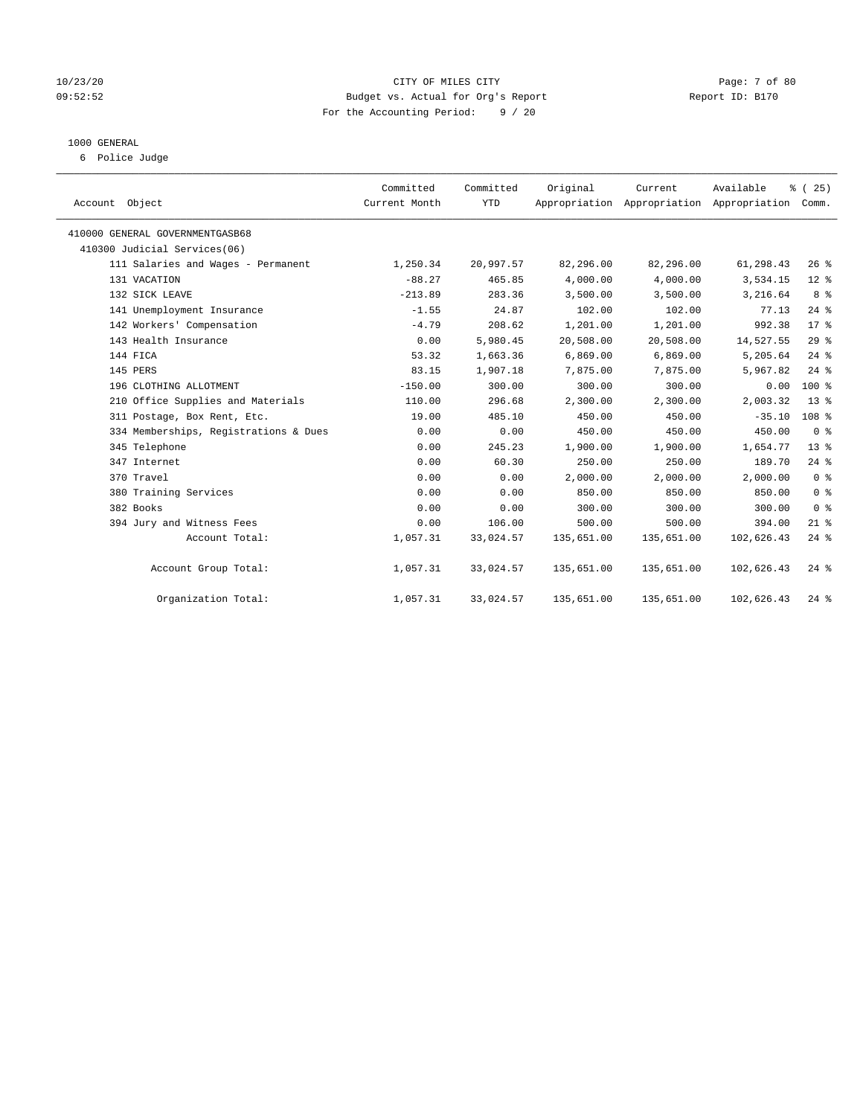## 10/23/20 CITY OF MILES CITY Page: 7 of 80 09:52:52 Budget vs. Actual for Org's Report Report ID: B170 For the Accounting Period: 9 / 20

## 1000 GENERAL

6 Police Judge

| Account Object                        | Committed<br>Current Month | Committed<br><b>YTD</b> | Original   | Current    | Available<br>Appropriation Appropriation Appropriation Comm. | % (25)          |
|---------------------------------------|----------------------------|-------------------------|------------|------------|--------------------------------------------------------------|-----------------|
| 410000 GENERAL GOVERNMENTGASB68       |                            |                         |            |            |                                                              |                 |
| 410300 Judicial Services(06)          |                            |                         |            |            |                                                              |                 |
| 111 Salaries and Wages - Permanent    | 1,250.34                   | 20,997.57               | 82,296.00  | 82,296.00  | 61,298.43                                                    | 26%             |
| 131 VACATION                          | $-88.27$                   | 465.85                  | 4,000.00   | 4,000.00   | 3,534.15                                                     | $12$ %          |
| 132 SICK LEAVE                        | $-213.89$                  | 283.36                  | 3,500.00   | 3,500.00   | 3,216.64                                                     | 8 %             |
| 141 Unemployment Insurance            | $-1.55$                    | 24.87                   | 102.00     | 102.00     | 77.13                                                        | $24$ %          |
| 142 Workers' Compensation             | $-4.79$                    | 208.62                  | 1,201.00   | 1,201.00   | 992.38                                                       | $17*$           |
| 143 Health Insurance                  | 0.00                       | 5,980.45                | 20,508.00  | 20,508.00  | 14,527.55                                                    | 29%             |
| 144 FICA                              | 53.32                      | 1,663.36                | 6,869.00   | 6,869.00   | 5,205.64                                                     | $24$ $%$        |
| 145 PERS                              | 83.15                      | 1,907.18                | 7,875.00   | 7,875.00   | 5,967.82                                                     | $24$ %          |
| 196 CLOTHING ALLOTMENT                | $-150.00$                  | 300.00                  | 300.00     | 300.00     | 0.00                                                         | $100*$          |
| 210 Office Supplies and Materials     | 110.00                     | 296.68                  | 2,300.00   | 2,300.00   | 2,003.32                                                     | $13*$           |
| 311 Postage, Box Rent, Etc.           | 19.00                      | 485.10                  | 450.00     | 450.00     | $-35.10$                                                     | 108 %           |
| 334 Memberships, Registrations & Dues | 0.00                       | 0.00                    | 450.00     | 450.00     | 450.00                                                       | 0 <sup>8</sup>  |
| 345 Telephone                         | 0.00                       | 245.23                  | 1,900.00   | 1,900.00   | 1,654.77                                                     | 13 <sup>8</sup> |
| 347 Internet                          | 0.00                       | 60.30                   | 250.00     | 250.00     | 189.70                                                       | $24$ %          |
| 370 Travel                            | 0.00                       | 0.00                    | 2,000.00   | 2,000.00   | 2,000.00                                                     | 0 <sup>8</sup>  |
| 380 Training Services                 | 0.00                       | 0.00                    | 850.00     | 850.00     | 850.00                                                       | 0 <sup>8</sup>  |
| 382 Books                             | 0.00                       | 0.00                    | 300.00     | 300.00     | 300.00                                                       | 0 <sup>8</sup>  |
| 394 Jury and Witness Fees             | 0.00                       | 106.00                  | 500.00     | 500.00     | 394.00                                                       | $21$ %          |
| Account Total:                        | 1,057.31                   | 33,024.57               | 135,651.00 | 135,651.00 | 102,626.43                                                   | $24$ %          |
| Account Group Total:                  | 1,057.31                   | 33,024.57               | 135,651.00 | 135,651.00 | 102,626.43                                                   | $24$ $%$        |
| Organization Total:                   | 1,057.31                   | 33,024.57               | 135,651.00 | 135,651.00 | 102,626.43                                                   | $24$ %          |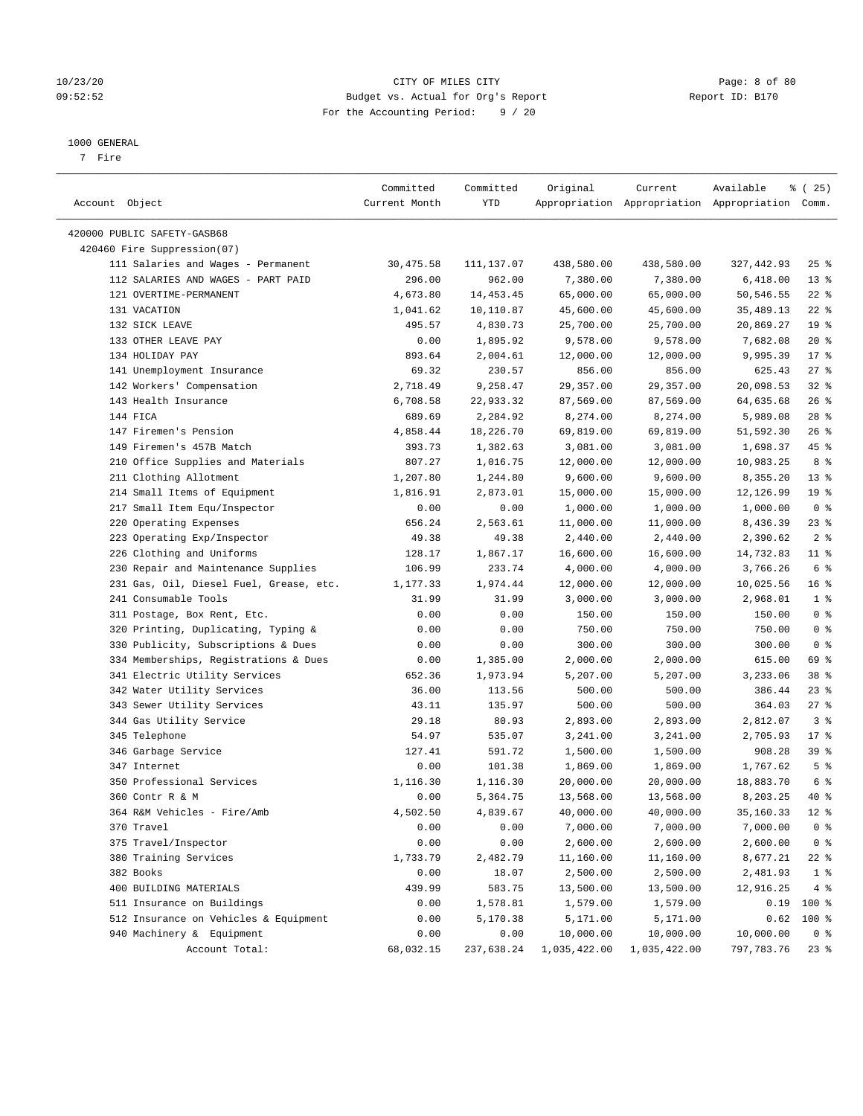## 10/23/20 CITY OF MILES CITY Page: 8 of 80 09:52:52 Budget vs. Actual for Org's Report Changer Report ID: B170 For the Accounting Period: 9 / 20

————————————————————————————————————————————————————————————————————————————————————————————————————————————————————————————————————

#### 1000 GENERAL

7 Fire

| Account Object                          | Committed<br>Current Month | Committed<br>YTD | Original     | Current      | Available<br>Appropriation Appropriation Appropriation Comm. | १ (25)          |
|-----------------------------------------|----------------------------|------------------|--------------|--------------|--------------------------------------------------------------|-----------------|
|                                         |                            |                  |              |              |                                                              |                 |
| 420000 PUBLIC SAFETY-GASB68             |                            |                  |              |              |                                                              |                 |
| 420460 Fire Suppression(07)             |                            |                  |              |              |                                                              |                 |
| 111 Salaries and Wages - Permanent      | 30,475.58                  | 111,137.07       | 438,580.00   | 438,580.00   | 327,442.93                                                   | $25$ %          |
| 112 SALARIES AND WAGES - PART PAID      | 296.00                     | 962.00           | 7,380.00     | 7,380.00     | 6,418.00                                                     | $13*$           |
| 121 OVERTIME-PERMANENT                  | 4,673.80                   | 14,453.45        | 65,000.00    | 65,000.00    | 50,546.55                                                    | $22$ %          |
| 131 VACATION                            | 1,041.62                   | 10,110.87        | 45,600.00    | 45,600.00    | 35,489.13                                                    | $22$ %          |
| 132 SICK LEAVE                          | 495.57                     | 4,830.73         | 25,700.00    | 25,700.00    | 20,869.27                                                    | 19 <sup>°</sup> |
| 133 OTHER LEAVE PAY                     | 0.00                       | 1,895.92         | 9,578.00     | 9,578.00     | 7,682.08                                                     | $20*$           |
| 134 HOLIDAY PAY                         | 893.64                     | 2,004.61         | 12,000.00    | 12,000.00    | 9,995.39                                                     | $17*$           |
| 141 Unemployment Insurance              | 69.32                      | 230.57           | 856.00       | 856.00       | 625.43                                                       | $27$ %          |
| 142 Workers' Compensation               | 2,718.49                   | 9,258.47         | 29,357.00    | 29,357.00    | 20,098.53                                                    | $32$ $%$        |
| 143 Health Insurance                    | 6,708.58                   | 22,933.32        | 87,569.00    | 87,569.00    | 64,635.68                                                    | $26$ %          |
| 144 FICA                                | 689.69                     | 2,284.92         | 8,274.00     | 8,274.00     | 5,989.08                                                     | $28$ %          |
| 147 Firemen's Pension                   | 4,858.44                   | 18,226.70        | 69,819.00    | 69,819.00    | 51,592.30                                                    | $26$ %          |
| 149 Firemen's 457B Match                | 393.73                     | 1,382.63         | 3,081.00     | 3,081.00     | 1,698.37                                                     | 45 %            |
| 210 Office Supplies and Materials       | 807.27                     | 1,016.75         | 12,000.00    | 12,000.00    | 10,983.25                                                    | 8 %             |
| 211 Clothing Allotment                  | 1,207.80                   | 1,244.80         | 9,600.00     | 9,600.00     | 8,355.20                                                     | $13*$           |
| 214 Small Items of Equipment            | 1,816.91                   | 2,873.01         | 15,000.00    | 15,000.00    | 12,126.99                                                    | 19 <sup>°</sup> |
| 217 Small Item Equ/Inspector            | 0.00                       | 0.00             | 1,000.00     | 1,000.00     | 1,000.00                                                     | 0 <sup>8</sup>  |
| 220 Operating Expenses                  | 656.24                     | 2,563.61         | 11,000.00    | 11,000.00    | 8,436.39                                                     | $23$ %          |
| 223 Operating Exp/Inspector             | 49.38                      | 49.38            | 2,440.00     | 2,440.00     | 2,390.62                                                     | 2 <sup>8</sup>  |
| 226 Clothing and Uniforms               | 128.17                     | 1,867.17         | 16,600.00    | 16,600.00    | 14,732.83                                                    | $11$ %          |
| 230 Repair and Maintenance Supplies     | 106.99                     | 233.74           | 4,000.00     | 4,000.00     | 3,766.26                                                     | 6 %             |
| 231 Gas, Oil, Diesel Fuel, Grease, etc. | 1,177.33                   | 1,974.44         | 12,000.00    | 12,000.00    | 10,025.56                                                    | 16 <sup>°</sup> |
| 241 Consumable Tools                    | 31.99                      | 31.99            | 3,000.00     | 3,000.00     | 2,968.01                                                     | 1 <sup>8</sup>  |
| 311 Postage, Box Rent, Etc.             | 0.00                       | 0.00             | 150.00       | 150.00       | 150.00                                                       | 0 <sup>8</sup>  |
| 320 Printing, Duplicating, Typing &     | 0.00                       | 0.00             | 750.00       | 750.00       | 750.00                                                       | 0 <sup>8</sup>  |
| 330 Publicity, Subscriptions & Dues     | 0.00                       | 0.00             | 300.00       | 300.00       | 300.00                                                       | 0 <sup>8</sup>  |
| 334 Memberships, Registrations & Dues   | 0.00                       | 1,385.00         | 2,000.00     | 2,000.00     | 615.00                                                       | 69 %            |
| 341 Electric Utility Services           | 652.36                     | 1,973.94         | 5,207.00     | 5,207.00     | 3,233.06                                                     | 38 <sup>8</sup> |
| 342 Water Utility Services              | 36.00                      | 113.56           | 500.00       | 500.00       | 386.44                                                       | $23$ $%$        |
| 343 Sewer Utility Services              | 43.11                      | 135.97           | 500.00       | 500.00       | 364.03                                                       | $27$ %          |
| 344 Gas Utility Service                 | 29.18                      | 80.93            | 2,893.00     | 2,893.00     | 2,812.07                                                     | 3 <sup>8</sup>  |
| 345 Telephone                           | 54.97                      | 535.07           | 3,241.00     | 3,241.00     | 2,705.93                                                     | $17*$           |
| 346 Garbage Service                     | 127.41                     | 591.72           | 1,500.00     | 1,500.00     | 908.28                                                       | 39 %            |
| 347 Internet                            | 0.00                       | 101.38           | 1,869.00     | 1,869.00     | 1,767.62                                                     | 5 <sup>8</sup>  |
| 350 Professional Services               | 1,116.30                   | 1,116.30         | 20,000.00    | 20,000.00    | 18,883.70                                                    | 6 %             |
| 360 Contr R & M                         | 0.00                       | 5,364.75         | 13,568.00    | 13,568.00    | 8,203.25                                                     | 40 %            |
| 364 R&M Vehicles - Fire/Amb             | 4,502.50                   | 4,839.67         | 40,000.00    | 40,000.00    | 35,160.33                                                    | $12*$           |
| 370 Travel                              | 0.00                       | 0.00             | 7,000.00     | 7,000.00     | 7,000.00                                                     | 0 <sup>8</sup>  |
| 375 Travel/Inspector                    | 0.00                       | 0.00             | 2,600.00     | 2,600.00     | 2,600.00                                                     | 0 <sup>8</sup>  |
| 380 Training Services                   | 1,733.79                   | 2,482.79         | 11,160.00    | 11,160.00    | 8,677.21                                                     | $22$ %          |
| 382 Books                               | 0.00                       | 18.07            | 2,500.00     | 2,500.00     | 2,481.93                                                     | 1 <sup>8</sup>  |
| 400 BUILDING MATERIALS                  | 439.99                     | 583.75           | 13,500.00    | 13,500.00    | 12,916.25                                                    | 4%              |
| 511 Insurance on Buildings              | 0.00                       | 1,578.81         | 1,579.00     | 1,579.00     | 0.19                                                         | 100 %           |
| 512 Insurance on Vehicles & Equipment   | 0.00                       | 5,170.38         | 5,171.00     | 5,171.00     | 0.62                                                         | $100*$          |
| 940 Machinery & Equipment               | 0.00                       | 0.00             | 10,000.00    | 10,000.00    | 10,000.00                                                    | 0 <sup>8</sup>  |
| Account Total:                          | 68,032.15                  | 237,638.24       | 1,035,422.00 | 1,035,422.00 | 797,783.76                                                   | $23$ $%$        |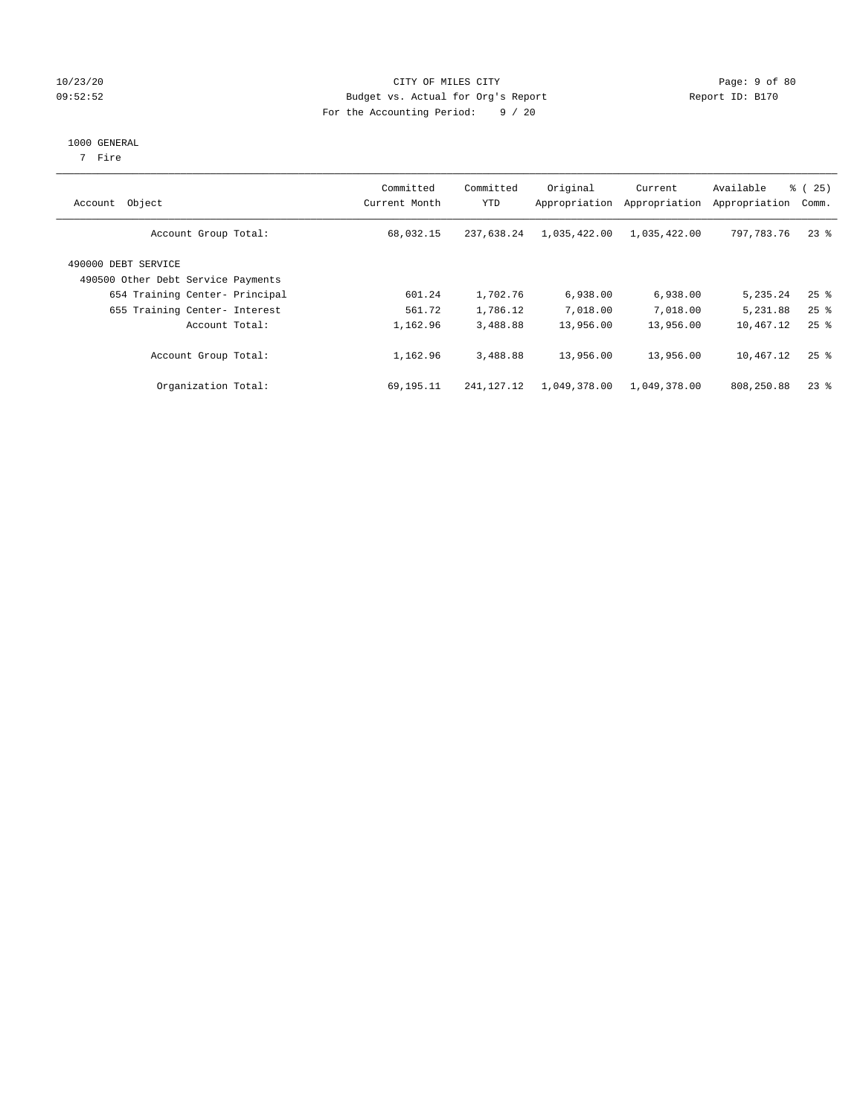## 10/23/20 CITY OF MILES CITY Page: 9 of 80 09:52:52 Budget vs. Actual for Org's Report Changer Report ID: B170 For the Accounting Period: 9 / 20

#### 1000 GENERAL

7 Fire

| Account Object                                            | Committed<br>Current Month | Committed<br>YTD | Original<br>Appropriation | Current<br>Appropriation | Available<br>Appropriation | ී (<br>25)<br>Comm. |
|-----------------------------------------------------------|----------------------------|------------------|---------------------------|--------------------------|----------------------------|---------------------|
| Account Group Total:                                      | 68,032.15                  | 237,638.24       | 1,035,422.00              | 1,035,422.00             | 797,783.76                 | $23$ %              |
| 490000 DEBT SERVICE<br>490500 Other Debt Service Payments |                            |                  |                           |                          |                            |                     |
| 654 Training Center- Principal                            | 601.24                     | 1,702.76         | 6,938.00                  | 6,938.00                 | 5,235.24                   | $25$ $\frac{6}{5}$  |
| 655 Training Center- Interest                             | 561.72                     | 1,786.12         | 7,018.00                  | 7,018.00                 | 5,231.88                   | $25$ $\frac{6}{5}$  |
| Account Total:                                            | 1,162.96                   | 3,488.88         | 13,956.00                 | 13,956.00                | 10,467.12                  | $25$ $\frac{6}{5}$  |
| Account Group Total:                                      | 1,162.96                   | 3,488.88         | 13,956.00                 | 13,956.00                | 10,467.12                  | $25$ $%$            |
| Organization Total:                                       | 69,195.11                  | 241, 127. 12     | 1,049,378.00              | 1,049,378.00             | 808,250.88                 | $23$ $%$            |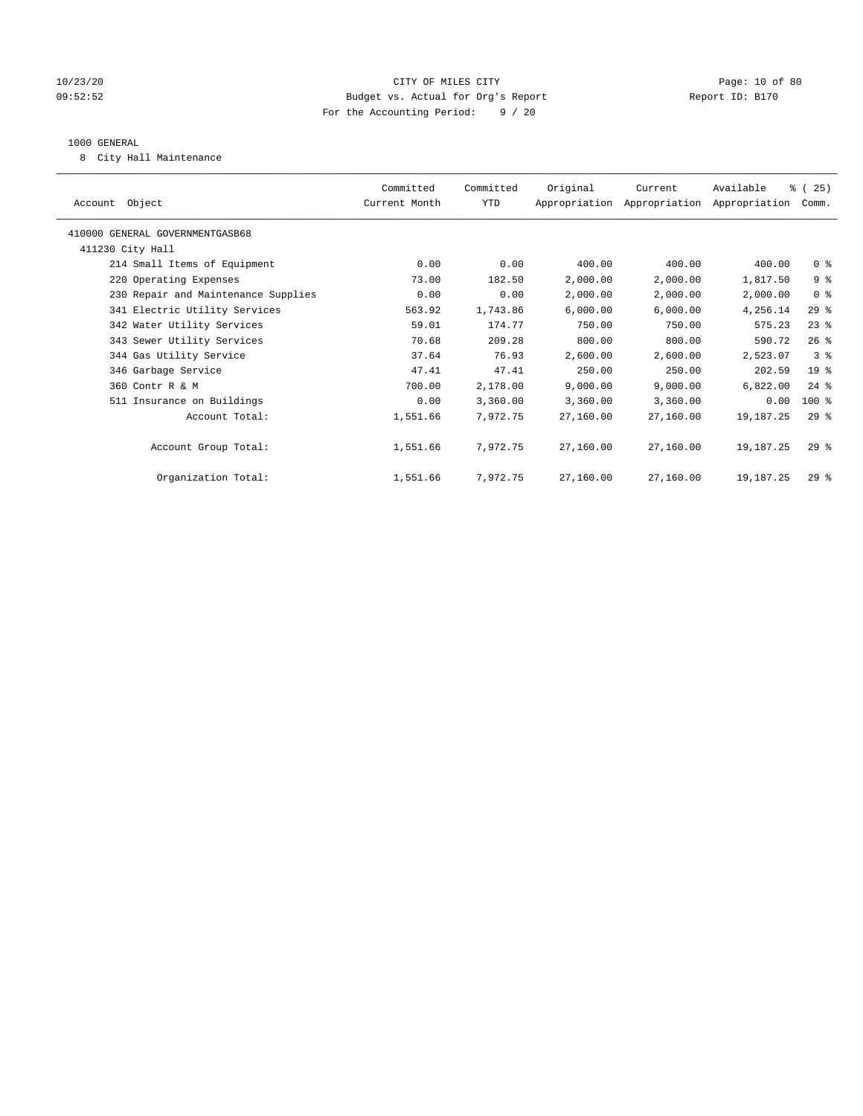## 10/23/20 Page: 10 of 80 09:52:52 Budget vs. Actual for Org's Report Report ID: B170 For the Accounting Period: 9 / 20

## 1000 GENERAL

8 City Hall Maintenance

| Account Object                      | Committed<br>Current Month | Committed<br>YTD | Original  | Current<br>Appropriation Appropriation Appropriation | Available   | % (25)<br>Comm. |
|-------------------------------------|----------------------------|------------------|-----------|------------------------------------------------------|-------------|-----------------|
| 410000 GENERAL GOVERNMENTGASB68     |                            |                  |           |                                                      |             |                 |
| 411230 City Hall                    |                            |                  |           |                                                      |             |                 |
| 214 Small Items of Equipment        | 0.00                       | 0.00             | 400.00    | 400.00                                               | 400.00      | 0 <sup>8</sup>  |
| 220 Operating Expenses              | 73.00                      | 182.50           | 2,000.00  | 2,000.00                                             | 1,817.50    | 9%              |
| 230 Repair and Maintenance Supplies | 0.00                       | 0.00             | 2,000.00  | 2,000.00                                             | 2,000.00    | 0 <sup>8</sup>  |
| 341 Electric Utility Services       | 563.92                     | 1,743.86         | 6,000.00  | 6,000.00                                             | 4,256.14    | $29$ %          |
| 342 Water Utility Services          | 59.01                      | 174.77           | 750.00    | 750.00                                               | 575.23      | $23$ %          |
| 343 Sewer Utility Services          | 70.68                      | 209.28           | 800.00    | 800.00                                               | 590.72      | $26$ %          |
| 344 Gas Utility Service             | 37.64                      | 76.93            | 2,600.00  | 2,600.00                                             | 2,523.07    | 3%              |
| 346 Garbage Service                 | 47.41                      | 47.41            | 250.00    | 250.00                                               | 202.59      | $19*$           |
| 360 Contr R & M                     | 700.00                     | 2,178.00         | 9.000.00  | 9,000.00                                             | 6,822.00    | $24$ $%$        |
| 511 Insurance on Buildings          | 0.00                       | 3,360.00         | 3,360.00  | 3,360.00                                             | 0.00        | $100$ %         |
| Account Total:                      | 1,551.66                   | 7.972.75         | 27,160.00 | 27,160.00                                            | 19,187.25   | $29*$           |
|                                     |                            |                  |           |                                                      |             |                 |
| Account Group Total:                | 1,551.66                   | 7,972.75         | 27,160.00 | 27,160.00                                            | 19,187.25   | $29*$           |
|                                     |                            |                  |           |                                                      |             |                 |
| Organization Total:                 | 1,551.66                   | 7.972.75         | 27,160.00 | 27,160.00                                            | 19, 187. 25 | $29*$           |
|                                     |                            |                  |           |                                                      |             |                 |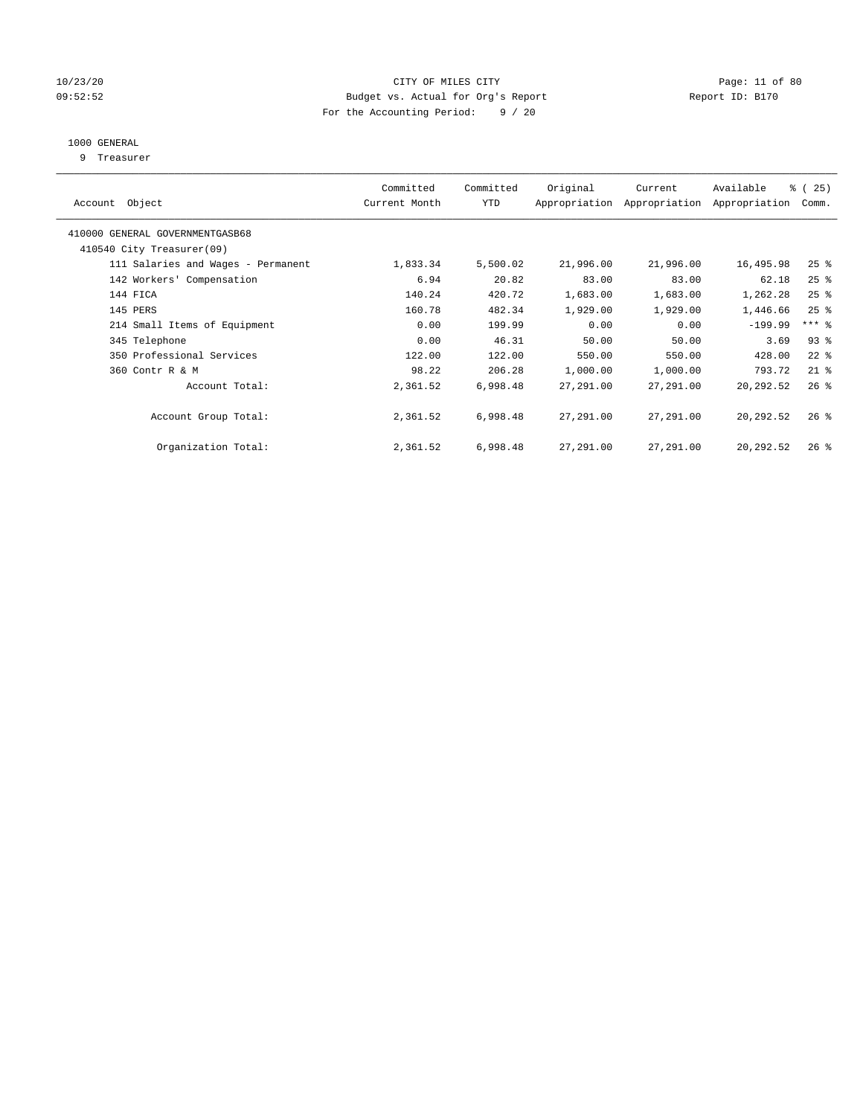## 10/23/20 Page: 11 of 80 09:52:52 Budget vs. Actual for Org's Report Changer Report ID: B170 For the Accounting Period: 9 / 20

## 1000 GENERAL

9 Treasurer

| Object<br>Account                  | Committed<br>Current Month | Committed<br><b>YTD</b> | Original  | Current<br>Appropriation Appropriation | Available<br>Appropriation | % (25)<br>Comm.     |
|------------------------------------|----------------------------|-------------------------|-----------|----------------------------------------|----------------------------|---------------------|
| 410000 GENERAL GOVERNMENTGASB68    |                            |                         |           |                                        |                            |                     |
| 410540 City Treasurer(09)          |                            |                         |           |                                        |                            |                     |
| 111 Salaries and Wages - Permanent | 1,833.34                   | 5,500.02                | 21,996.00 | 21,996.00                              | 16,495.98                  | $25$ %              |
| 142 Workers' Compensation          | 6.94                       | 20.82                   | 83.00     | 83.00                                  | 62.18                      | $25$ %              |
| 144 FICA                           | 140.24                     | 420.72                  | 1,683.00  | 1,683.00                               | 1,262.28                   | $25$ %              |
| 145 PERS                           | 160.78                     | 482.34                  | 1,929.00  | 1,929.00                               | 1,446.66                   | $25$ %              |
| 214 Small Items of Equipment       | 0.00                       | 199.99                  | 0.00      | 0.00                                   | $-199.99$                  | $***$ $\frac{6}{5}$ |
| 345 Telephone                      | 0.00                       | 46.31                   | 50.00     | 50.00                                  | 3.69                       | $93$ $%$            |
| 350 Professional Services          | 122.00                     | 122.00                  | 550.00    | 550.00                                 | 428.00                     | $22$ %              |
| 360 Contr R & M                    | 98.22                      | 206.28                  | 1,000.00  | 1,000.00                               | 793.72                     | $21$ %              |
| Account Total:                     | 2,361.52                   | 6,998.48                | 27,291.00 | 27,291.00                              | 20,292.52                  | $26$ %              |
| Account Group Total:               | 2,361.52                   | 6,998.48                | 27,291.00 | 27,291.00                              | 20,292.52                  | $26$ %              |
| Organization Total:                | 2,361.52                   | 6,998.48                | 27,291.00 | 27,291.00                              | 20,292.52                  | $26$ %              |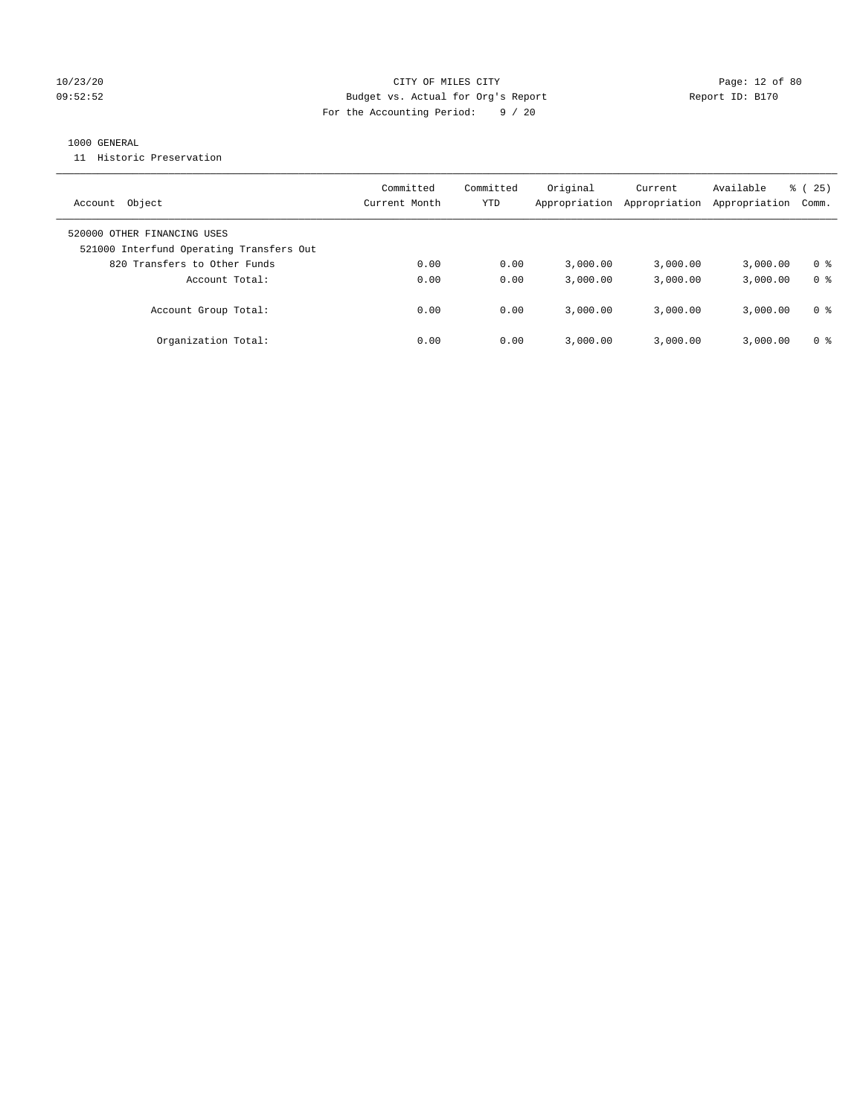## 10/23/20 Page: 12 of 80 09:52:52 Budget vs. Actual for Org's Report Report ID: B170 For the Accounting Period: 9 / 20

## 1000 GENERAL

11 Historic Preservation

| Object<br>Account                                                       | Committed<br>Current Month | Committed<br>YTD | Original<br>Appropriation | Current<br>Appropriation | Available<br>Appropriation | 25)<br>ී (<br>Comm. |
|-------------------------------------------------------------------------|----------------------------|------------------|---------------------------|--------------------------|----------------------------|---------------------|
| 520000 OTHER FINANCING USES<br>521000 Interfund Operating Transfers Out |                            |                  |                           |                          |                            |                     |
| 820 Transfers to Other Funds                                            | 0.00                       | 0.00             | 3.000.00                  | 3,000.00                 | 3,000.00                   | 0 %                 |
| Account Total:                                                          | 0.00                       | 0.00             | 3,000.00                  | 3,000.00                 | 3,000.00                   | 0 <sup>8</sup>      |
| Account Group Total:                                                    | 0.00                       | 0.00             | 3.000.00                  | 3,000.00                 | 3,000.00                   | 0 %                 |
| Organization Total:                                                     | 0.00                       | 0.00             | 3.000.00                  | 3,000.00                 | 3,000.00                   | 0 %                 |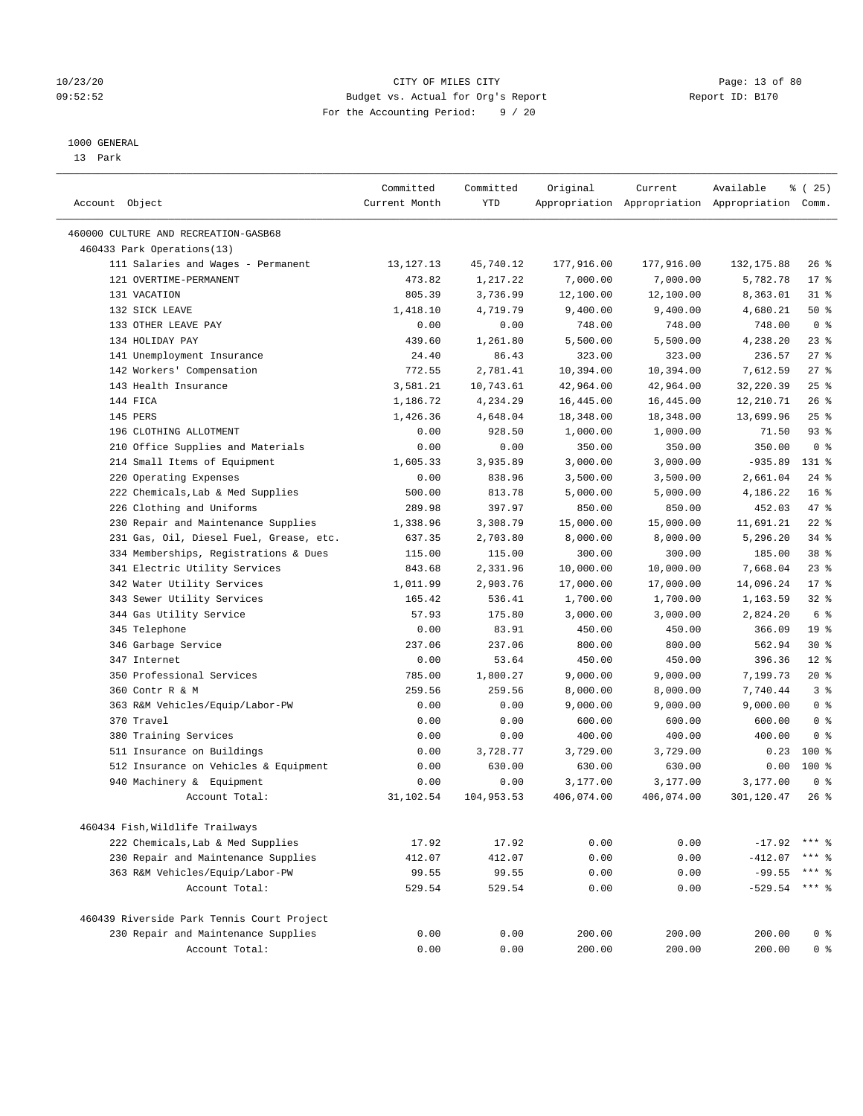## 10/23/20 Page: 13 of 80 09:52:52 Budget vs. Actual for Org's Report Report ID: B170 For the Accounting Period: 9 / 20

————————————————————————————————————————————————————————————————————————————————————————————————————————————————————————————————————

#### 1000 GENERAL

13 Park

|                                            | Committed     | Committed  | Original   | Current    | Available                                       | % (25)          |
|--------------------------------------------|---------------|------------|------------|------------|-------------------------------------------------|-----------------|
| Account Object                             | Current Month | YTD        |            |            | Appropriation Appropriation Appropriation Comm. |                 |
| 460000 CULTURE AND RECREATION-GASB68       |               |            |            |            |                                                 |                 |
| 460433 Park Operations(13)                 |               |            |            |            |                                                 |                 |
| 111 Salaries and Wages - Permanent         | 13, 127. 13   | 45,740.12  | 177,916.00 | 177,916.00 | 132, 175.88                                     | $26$ %          |
| 121 OVERTIME-PERMANENT                     | 473.82        | 1,217.22   | 7,000.00   | 7,000.00   | 5,782.78                                        | $17*$           |
| 131 VACATION                               | 805.39        | 3,736.99   | 12,100.00  | 12,100.00  | 8,363.01                                        | $31$ %          |
| 132 SICK LEAVE                             | 1,418.10      | 4,719.79   | 9,400.00   | 9,400.00   | 4,680.21                                        | 50%             |
| 133 OTHER LEAVE PAY                        | 0.00          | 0.00       | 748.00     | 748.00     | 748.00                                          | 0 <sup>8</sup>  |
| 134 HOLIDAY PAY                            | 439.60        | 1,261.80   | 5,500.00   | 5,500.00   | 4,238.20                                        | 23%             |
| 141 Unemployment Insurance                 | 24.40         | 86.43      | 323.00     | 323.00     | 236.57                                          | $27$ %          |
| 142 Workers' Compensation                  | 772.55        | 2,781.41   | 10,394.00  | 10,394.00  | 7,612.59                                        | 27%             |
| 143 Health Insurance                       | 3,581.21      | 10,743.61  | 42,964.00  | 42,964.00  | 32,220.39                                       | $25$ %          |
| 144 FICA                                   | 1,186.72      | 4,234.29   | 16,445.00  | 16,445.00  | 12,210.71                                       | 26%             |
| 145 PERS                                   | 1,426.36      | 4,648.04   | 18,348.00  | 18,348.00  | 13,699.96                                       | 25%             |
| 196 CLOTHING ALLOTMENT                     | 0.00          | 928.50     | 1,000.00   | 1,000.00   | 71.50                                           | $93$ $%$        |
| 210 Office Supplies and Materials          | 0.00          | 0.00       | 350.00     | 350.00     | 350.00                                          | 0 <sup>8</sup>  |
| 214 Small Items of Equipment               | 1,605.33      | 3,935.89   | 3,000.00   | 3,000.00   | $-935.89$                                       | 131 %           |
| 220 Operating Expenses                     | 0.00          | 838.96     | 3,500.00   | 3,500.00   | 2,661.04                                        | $24$ %          |
| 222 Chemicals, Lab & Med Supplies          | 500.00        | 813.78     | 5,000.00   | 5,000.00   | 4,186.22                                        | 16 <sup>°</sup> |
| 226 Clothing and Uniforms                  | 289.98        | 397.97     | 850.00     | 850.00     | 452.03                                          | 47 %            |
| 230 Repair and Maintenance Supplies        | 1,338.96      | 3,308.79   | 15,000.00  | 15,000.00  | 11,691.21                                       | $22$ %          |
| 231 Gas, Oil, Diesel Fuel, Grease, etc.    | 637.35        | 2,703.80   | 8,000.00   | 8,000.00   | 5,296.20                                        | $34$ $%$        |
| 334 Memberships, Registrations & Dues      | 115.00        | 115.00     | 300.00     | 300.00     | 185.00                                          | 38 %            |
| 341 Electric Utility Services              | 843.68        | 2,331.96   | 10,000.00  | 10,000.00  | 7,668.04                                        | 23%             |
| 342 Water Utility Services                 | 1,011.99      | 2,903.76   | 17,000.00  | 17,000.00  | 14,096.24                                       | $17*$           |
| 343 Sewer Utility Services                 | 165.42        | 536.41     | 1,700.00   | 1,700.00   | 1,163.59                                        | $32$ $%$        |
| 344 Gas Utility Service                    | 57.93         | 175.80     | 3,000.00   | 3,000.00   | 2,824.20                                        | 6 %             |
| 345 Telephone                              | 0.00          | 83.91      | 450.00     | 450.00     | 366.09                                          | 19 <sup>°</sup> |
| 346 Garbage Service                        | 237.06        | 237.06     | 800.00     | 800.00     | 562.94                                          | $30*$           |
| 347 Internet                               | 0.00          | 53.64      | 450.00     | 450.00     | 396.36                                          | $12*$           |
| 350 Professional Services                  | 785.00        | 1,800.27   | 9,000.00   | 9,000.00   | 7,199.73                                        | 20%             |
| 360 Contr R & M                            | 259.56        | 259.56     | 8,000.00   | 8,000.00   | 7,740.44                                        | 3 <sup>°</sup>  |
| 363 R&M Vehicles/Equip/Labor-PW            | 0.00          | 0.00       | 9,000.00   | 9,000.00   | 9,000.00                                        | 0 <sup>8</sup>  |
| 370 Travel                                 | 0.00          | 0.00       | 600.00     | 600.00     | 600.00                                          | 0 <sup>8</sup>  |
| 380 Training Services                      | 0.00          | 0.00       | 400.00     | 400.00     | 400.00                                          | 0 <sup>8</sup>  |
| 511 Insurance on Buildings                 | 0.00          | 3,728.77   | 3,729.00   | 3,729.00   | 0.23                                            | $100*$          |
| 512 Insurance on Vehicles & Equipment      | 0.00          | 630.00     | 630.00     | 630.00     | 0.00                                            | $100*$          |
| 940 Machinery & Equipment                  | 0.00          | 0.00       | 3,177.00   | 3,177.00   | 3,177.00                                        | 0 <sup>8</sup>  |
| Account Total:                             | 31,102.54     | 104,953.53 | 406,074.00 | 406,074.00 | 301,120.47                                      | $26$ %          |
|                                            |               |            |            |            |                                                 |                 |
| 460434 Fish, Wildlife Trailways            |               |            |            |            |                                                 |                 |
| 222 Chemicals, Lab & Med Supplies          | 17.92         | 17.92      | 0.00       | 0.00       | $-17.92$                                        |                 |
| 230 Repair and Maintenance Supplies        | 412.07        | 412.07     | 0.00       | 0.00       | $-412.07$                                       | ** 응            |
| 363 R&M Vehicles/Equip/Labor-PW            | 99.55         | 99.55      | 0.00       | 0.00       | $-99.55$                                        | *** 응           |
| Account Total:                             | 529.54        | 529.54     | 0.00       | 0.00       | $-529.54$                                       | $***$ $%$       |
| 460439 Riverside Park Tennis Court Project |               |            |            |            |                                                 |                 |
| 230 Repair and Maintenance Supplies        | 0.00          | 0.00       | 200.00     | 200.00     | 200.00                                          | 0 <sup>8</sup>  |
| Account Total:                             | 0.00          | 0.00       | 200.00     | 200.00     | 200.00                                          | 0 <sup>8</sup>  |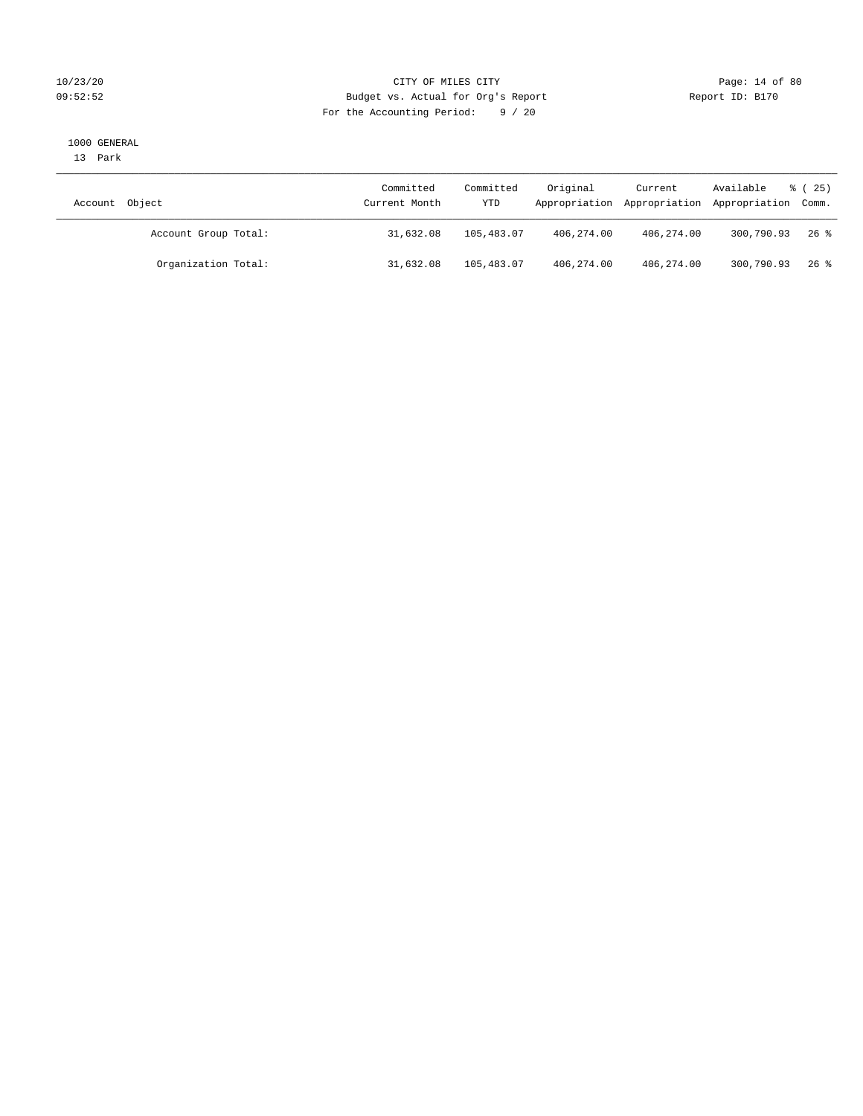## 10/23/20 Page: 14 of 80 09:52:52 Budget vs. Actual for Org's Report Report ID: B170 For the Accounting Period: 9 / 20

#### 1000 GENERAL

13 Park

| Account Object       | Committed<br>Current Month | Committed<br>YTD | Original   | Current    | Available<br>Appropriation Appropriation Appropriation Comm. | $\frac{25}{25}$ |
|----------------------|----------------------------|------------------|------------|------------|--------------------------------------------------------------|-----------------|
| Account Group Total: | 31,632.08                  | 105,483.07       | 406,274.00 | 406,274.00 | 300,790.93                                                   | $26$ %          |
| Organization Total:  | 31,632.08                  | 105,483.07       | 406,274.00 | 406,274.00 | 300,790.93                                                   | 26 %            |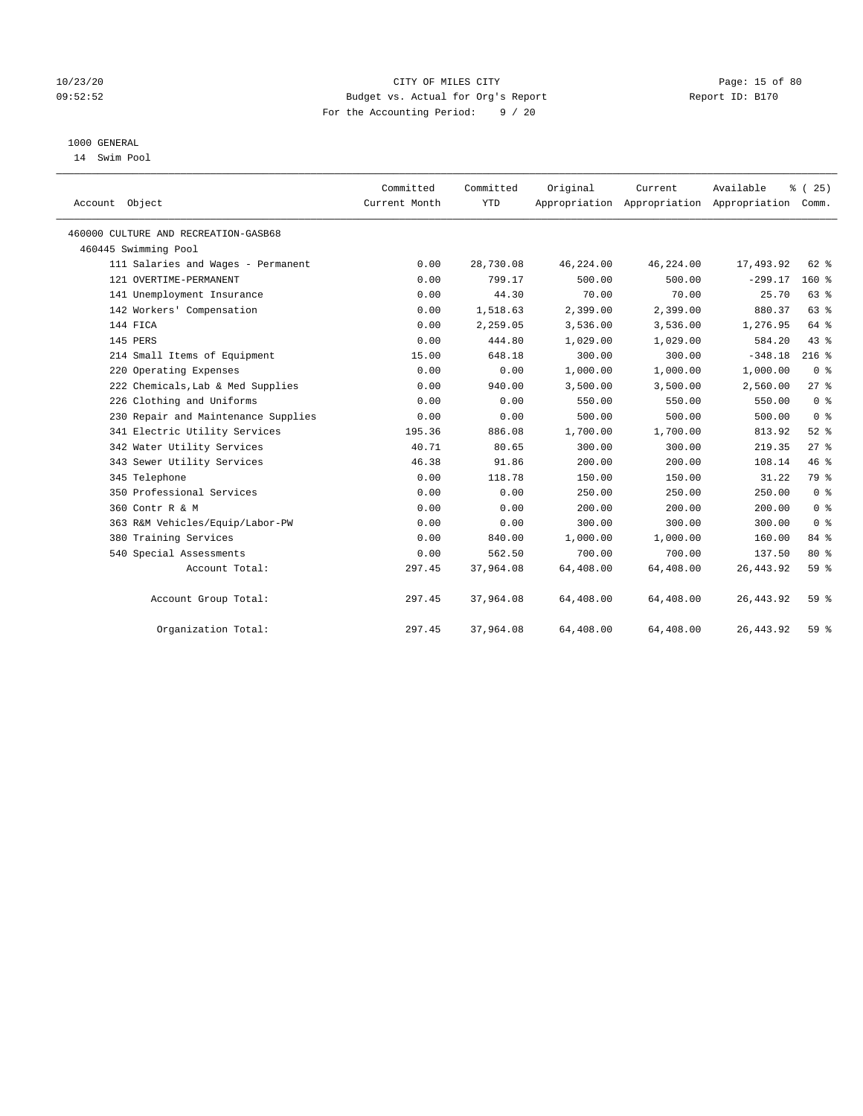## 10/23/20 Page: 15 of 80 09:52:52 Budget vs. Actual for Org's Report Report ID: B170 For the Accounting Period: 9 / 20

## 1000 GENERAL

14 Swim Pool

| Account Object                       | Committed<br>Current Month | Committed<br><b>YTD</b> | Original  | Current   | Available<br>Appropriation Appropriation Appropriation | % (25)<br>Comm. |
|--------------------------------------|----------------------------|-------------------------|-----------|-----------|--------------------------------------------------------|-----------------|
| 460000 CULTURE AND RECREATION-GASB68 |                            |                         |           |           |                                                        |                 |
| 460445 Swimming Pool                 |                            |                         |           |           |                                                        |                 |
| 111 Salaries and Wages - Permanent   | 0.00                       | 28,730.08               | 46,224.00 | 46,224.00 | 17,493.92                                              | 62 %            |
| 121 OVERTIME-PERMANENT               | 0.00                       | 799.17                  | 500.00    | 500.00    | $-299.17$                                              | 160%            |
| 141 Unemployment Insurance           | 0.00                       | 44.30                   | 70.00     | 70.00     | 25.70                                                  | 63%             |
| 142 Workers' Compensation            | 0.00                       | 1,518.63                | 2,399.00  | 2,399.00  | 880.37                                                 | 63 %            |
| 144 FICA                             | 0.00                       | 2,259.05                | 3,536.00  | 3,536.00  | 1,276.95                                               | 64 %            |
| 145 PERS                             | 0.00                       | 444.80                  | 1,029.00  | 1,029.00  | 584.20                                                 | 43 %            |
| 214 Small Items of Equipment         | 15.00                      | 648.18                  | 300.00    | 300.00    | $-348.18$                                              | $216$ %         |
| 220 Operating Expenses               | 0.00                       | 0.00                    | 1,000.00  | 1,000.00  | 1,000.00                                               | 0 <sup>8</sup>  |
| 222 Chemicals, Lab & Med Supplies    | 0.00                       | 940.00                  | 3,500.00  | 3,500.00  | 2,560.00                                               | 27%             |
| 226 Clothing and Uniforms            | 0.00                       | 0.00                    | 550.00    | 550.00    | 550.00                                                 | 0 <sup>8</sup>  |
| 230 Repair and Maintenance Supplies  | 0.00                       | 0.00                    | 500.00    | 500.00    | 500.00                                                 | 0 <sup>8</sup>  |
| 341 Electric Utility Services        | 195.36                     | 886.08                  | 1,700.00  | 1,700.00  | 813.92                                                 | $52$ $%$        |
| 342 Water Utility Services           | 40.71                      | 80.65                   | 300.00    | 300.00    | 219.35                                                 | 27%             |
| 343 Sewer Utility Services           | 46.38                      | 91.86                   | 200.00    | 200.00    | 108.14                                                 | 46%             |
| 345 Telephone                        | 0.00                       | 118.78                  | 150.00    | 150.00    | 31.22                                                  | 79 %            |
| 350 Professional Services            | 0.00                       | 0.00                    | 250.00    | 250.00    | 250.00                                                 | 0 <sup>8</sup>  |
| 360 Contr R & M                      | 0.00                       | 0.00                    | 200.00    | 200.00    | 200.00                                                 | 0 <sup>8</sup>  |
| 363 R&M Vehicles/Equip/Labor-PW      | 0.00                       | 0.00                    | 300.00    | 300.00    | 300.00                                                 | 0 <sup>8</sup>  |
| 380 Training Services                | 0.00                       | 840.00                  | 1,000.00  | 1,000.00  | 160.00                                                 | 84 %            |
| 540 Special Assessments              | 0.00                       | 562.50                  | 700.00    | 700.00    | 137.50                                                 | $80*$           |
| Account Total:                       | 297.45                     | 37,964.08               | 64,408.00 | 64,408.00 | 26, 443.92                                             | 59 <sub>8</sub> |
| Account Group Total:                 | 297.45                     | 37,964.08               | 64,408.00 | 64,408.00 | 26, 443.92                                             | 59 <sub>8</sub> |
| Organization Total:                  | 297.45                     | 37,964.08               | 64,408.00 | 64,408.00 | 26, 443.92                                             | 59%             |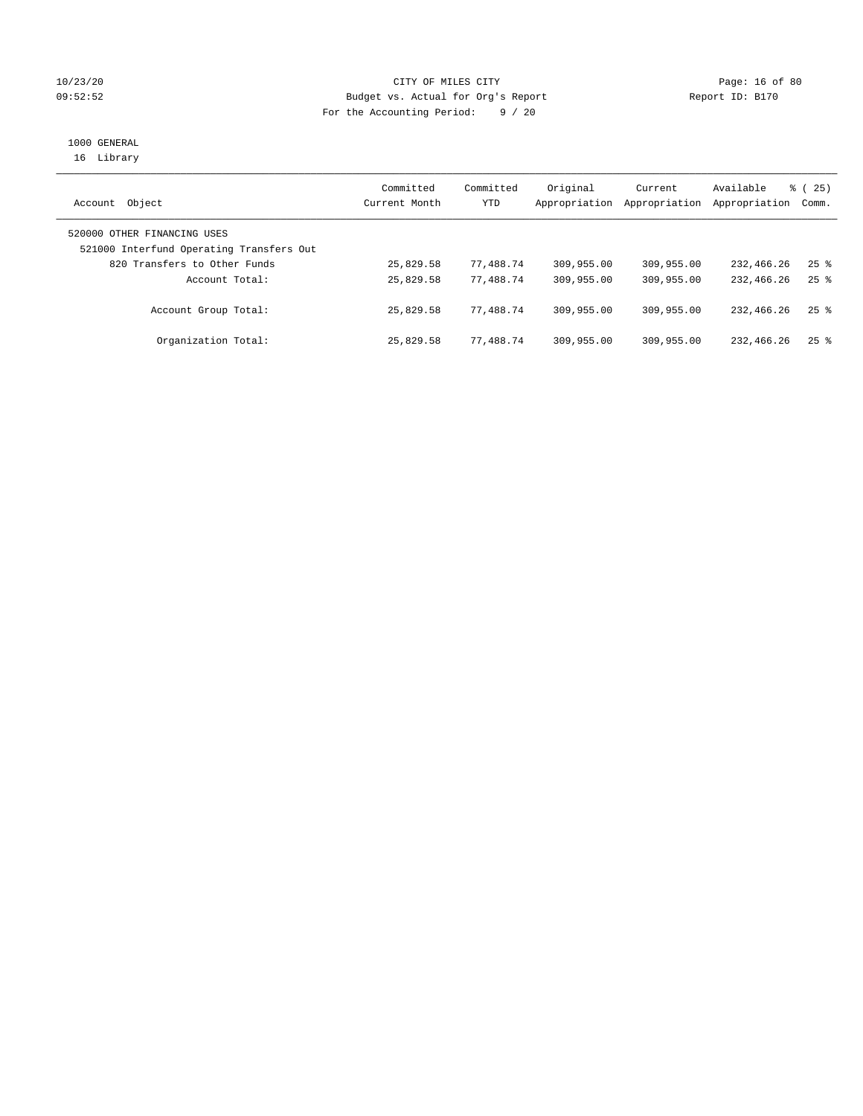## 10/23/20 Page: 16 of 80 09:52:52 Budget vs. Actual for Org's Report Changer Report ID: B170 For the Accounting Period: 9 / 20

# 1000 GENERAL

16 Library

| Object<br>Account                                                       | Committed<br>Current Month | Committed<br>YTD | Original<br>Appropriation | Current<br>Appropriation | Available<br>Appropriation | 8 (25)<br>Comm.    |
|-------------------------------------------------------------------------|----------------------------|------------------|---------------------------|--------------------------|----------------------------|--------------------|
| 520000 OTHER FINANCING USES<br>521000 Interfund Operating Transfers Out |                            |                  |                           |                          |                            |                    |
| 820 Transfers to Other Funds                                            | 25,829.58                  | 77,488.74        | 309,955.00                | 309,955.00               | 232,466.26                 | $25$ $\frac{6}{5}$ |
| Account Total:                                                          | 25,829.58                  | 77,488.74        | 309,955.00                | 309,955.00               | 232,466.26                 | $25$ $\frac{6}{5}$ |
| Account Group Total:                                                    | 25,829.58                  | 77.488.74        | 309,955.00                | 309,955.00               | 232,466.26                 | $25$ $\frac{6}{5}$ |
| Organization Total:                                                     | 25,829.58                  | 77.488.74        | 309,955.00                | 309,955.00               | 232,466.26                 | $25$ $%$           |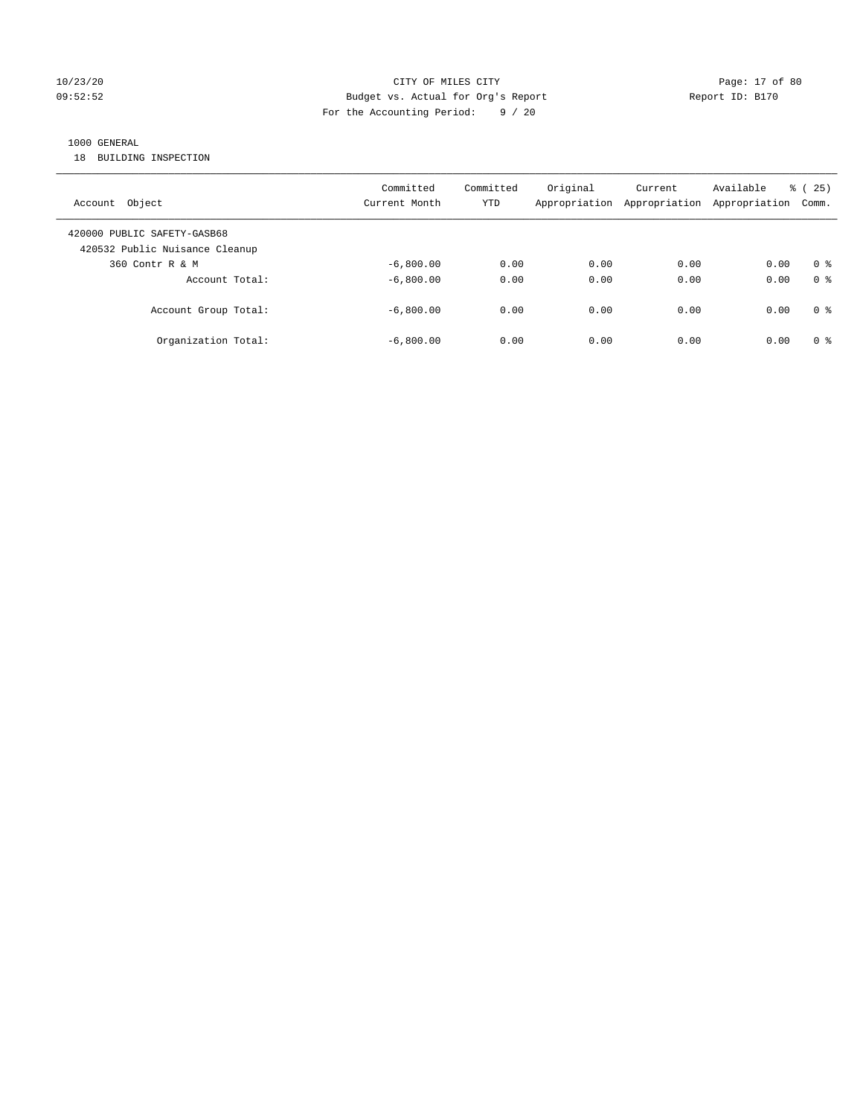## 10/23/20 Page: 17 of 80 09:52:52 Budget vs. Actual for Org's Report Changer Report ID: B170 For the Accounting Period: 9 / 20

## 1000 GENERAL

18 BUILDING INSPECTION

| Account Object                                                | Committed<br>Current Month | Committed<br>YTD | Original<br>Appropriation | Current<br>Appropriation | Available<br>Appropriation | 25)<br>ී (<br>Comm. |
|---------------------------------------------------------------|----------------------------|------------------|---------------------------|--------------------------|----------------------------|---------------------|
| 420000 PUBLIC SAFETY-GASB68<br>420532 Public Nuisance Cleanup |                            |                  |                           |                          |                            |                     |
| 360 Contr R & M                                               | $-6.800.00$                | 0.00             | 0.00                      | 0.00                     | 0.00                       | 0 <sup>8</sup>      |
| Account Total:                                                | $-6.800.00$                | 0.00             | 0.00                      | 0.00                     | 0.00                       | 0 <sup>8</sup>      |
| Account Group Total:                                          | $-6.800.00$                | 0.00             | 0.00                      | 0.00                     | 0.00                       | 0 <sup>8</sup>      |
| Organization Total:                                           | $-6,800.00$                | 0.00             | 0.00                      | 0.00                     | 0.00                       | 0 <sup>8</sup>      |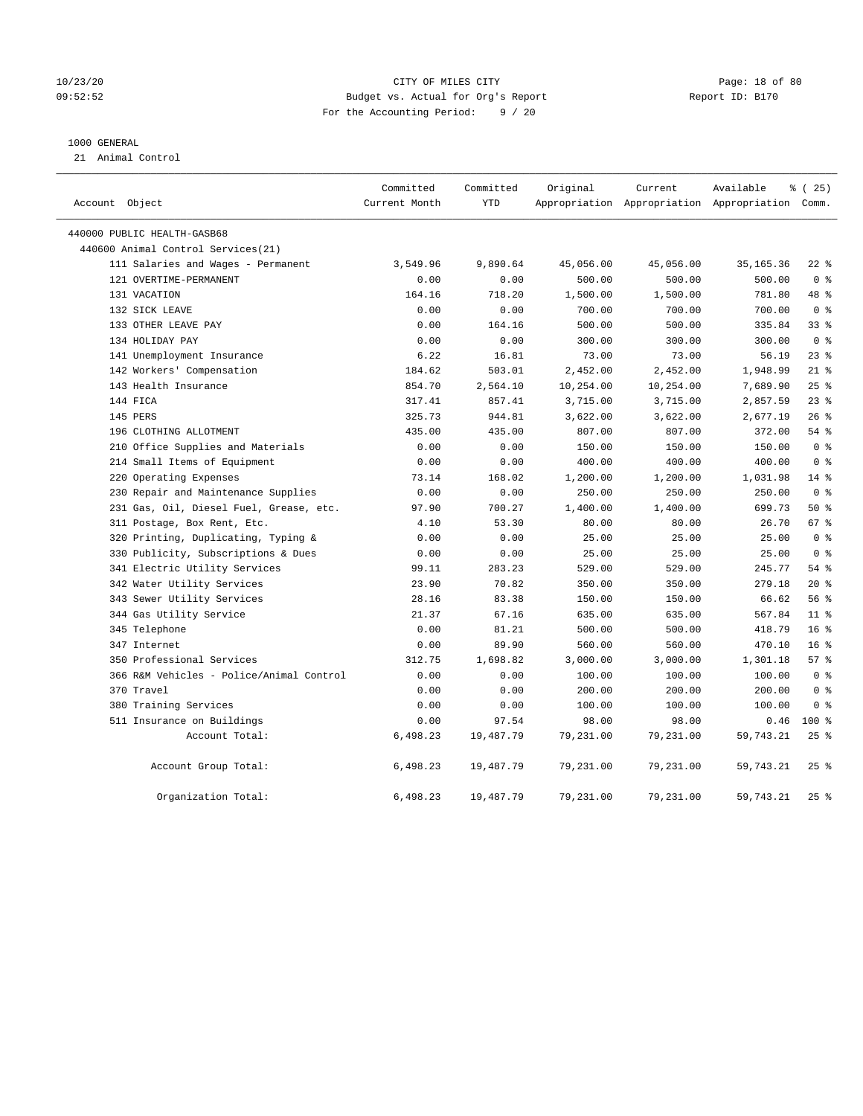## 10/23/20 Page: 18 of 80 09:52:52 Budget vs. Actual for Org's Report Report ID: B170 For the Accounting Period: 9 / 20

## 1000 GENERAL

21 Animal Control

| Account Object                           | Committed<br>Current Month | Committed<br><b>YTD</b> | Original  | Current   | Available<br>Appropriation Appropriation Appropriation Comm. | 8 (25)          |
|------------------------------------------|----------------------------|-------------------------|-----------|-----------|--------------------------------------------------------------|-----------------|
| 440000 PUBLIC HEALTH-GASB68              |                            |                         |           |           |                                                              |                 |
| 440600 Animal Control Services (21)      |                            |                         |           |           |                                                              |                 |
| 111 Salaries and Wages - Permanent       | 3,549.96                   | 9,890.64                | 45,056.00 | 45,056.00 | 35, 165. 36                                                  | $22$ %          |
| 121 OVERTIME-PERMANENT                   | 0.00                       | 0.00                    | 500.00    | 500.00    | 500.00                                                       | 0 <sup>8</sup>  |
| 131 VACATION                             | 164.16                     | 718.20                  | 1,500.00  | 1,500.00  | 781.80                                                       | 48 %            |
| 132 SICK LEAVE                           | 0.00                       | 0.00                    | 700.00    | 700.00    | 700.00                                                       | 0 <sup>8</sup>  |
| 133 OTHER LEAVE PAY                      | 0.00                       | 164.16                  | 500.00    | 500.00    | 335.84                                                       | 338             |
| 134 HOLIDAY PAY                          | 0.00                       | 0.00                    | 300.00    | 300.00    | 300.00                                                       | 0 <sup>8</sup>  |
| 141 Unemployment Insurance               | 6.22                       | 16.81                   | 73.00     | 73.00     | 56.19                                                        | $23$ $%$        |
| 142 Workers' Compensation                | 184.62                     | 503.01                  | 2,452.00  | 2,452.00  | 1,948.99                                                     | $21$ %          |
| 143 Health Insurance                     | 854.70                     | 2,564.10                | 10,254.00 | 10,254.00 | 7,689.90                                                     | 25%             |
| 144 FICA                                 | 317.41                     | 857.41                  | 3,715.00  | 3,715.00  | 2,857.59                                                     | $23$ $%$        |
| 145 PERS                                 | 325.73                     | 944.81                  | 3,622.00  | 3,622.00  | 2,677.19                                                     | $26$ $%$        |
| 196 CLOTHING ALLOTMENT                   | 435.00                     | 435.00                  | 807.00    | 807.00    | 372.00                                                       | $54$ $%$        |
| 210 Office Supplies and Materials        | 0.00                       | 0.00                    | 150.00    | 150.00    | 150.00                                                       | 0 <sup>8</sup>  |
| 214 Small Items of Equipment             | 0.00                       | 0.00                    | 400.00    | 400.00    | 400.00                                                       | 0 <sup>8</sup>  |
| 220 Operating Expenses                   | 73.14                      | 168.02                  | 1,200.00  | 1,200.00  | 1,031.98                                                     | $14*$           |
| 230 Repair and Maintenance Supplies      | 0.00                       | 0.00                    | 250.00    | 250.00    | 250.00                                                       | 0 <sup>8</sup>  |
| 231 Gas, Oil, Diesel Fuel, Grease, etc.  | 97.90                      | 700.27                  | 1,400.00  | 1,400.00  | 699.73                                                       | 50%             |
| 311 Postage, Box Rent, Etc.              | 4.10                       | 53.30                   | 80.00     | 80.00     | 26.70                                                        | 67 <sup>8</sup> |
| 320 Printing, Duplicating, Typing &      | 0.00                       | 0.00                    | 25.00     | 25.00     | 25.00                                                        | 0 <sup>8</sup>  |
| 330 Publicity, Subscriptions & Dues      | 0.00                       | 0.00                    | 25.00     | 25.00     | 25.00                                                        | 0 <sup>8</sup>  |
| 341 Electric Utility Services            | 99.11                      | 283.23                  | 529.00    | 529.00    | 245.77                                                       | 54 %            |
| 342 Water Utility Services               | 23.90                      | 70.82                   | 350.00    | 350.00    | 279.18                                                       | $20*$           |
| 343 Sewer Utility Services               | 28.16                      | 83.38                   | 150.00    | 150.00    | 66.62                                                        | 56%             |
| 344 Gas Utility Service                  | 21.37                      | 67.16                   | 635.00    | 635.00    | 567.84                                                       | 11 <sup>8</sup> |
| 345 Telephone                            | 0.00                       | 81.21                   | 500.00    | 500.00    | 418.79                                                       | 16%             |
| 347 Internet                             | 0.00                       | 89.90                   | 560.00    | 560.00    | 470.10                                                       | 16 <sup>8</sup> |
| 350 Professional Services                | 312.75                     | 1,698.82                | 3,000.00  | 3,000.00  | 1,301.18                                                     | 57%             |
| 366 R&M Vehicles - Police/Animal Control | 0.00                       | 0.00                    | 100.00    | 100.00    | 100.00                                                       | 0 <sup>8</sup>  |
| 370 Travel                               | 0.00                       | 0.00                    | 200.00    | 200.00    | 200.00                                                       | 0 <sup>8</sup>  |
| 380 Training Services                    | 0.00                       | 0.00                    | 100.00    | 100.00    | 100.00                                                       | 0 <sup>8</sup>  |
| 511 Insurance on Buildings               | 0.00                       | 97.54                   | 98.00     | 98.00     | 0.46                                                         | $100*$          |
| Account Total:                           | 6,498.23                   | 19,487.79               | 79,231.00 | 79,231.00 | 59,743.21                                                    | 25%             |
| Account Group Total:                     | 6,498.23                   | 19,487.79               | 79,231.00 | 79,231.00 | 59,743.21                                                    | 25%             |
| Organization Total:                      | 6,498.23                   | 19,487.79               | 79,231.00 | 79,231.00 | 59, 743. 21                                                  | 25%             |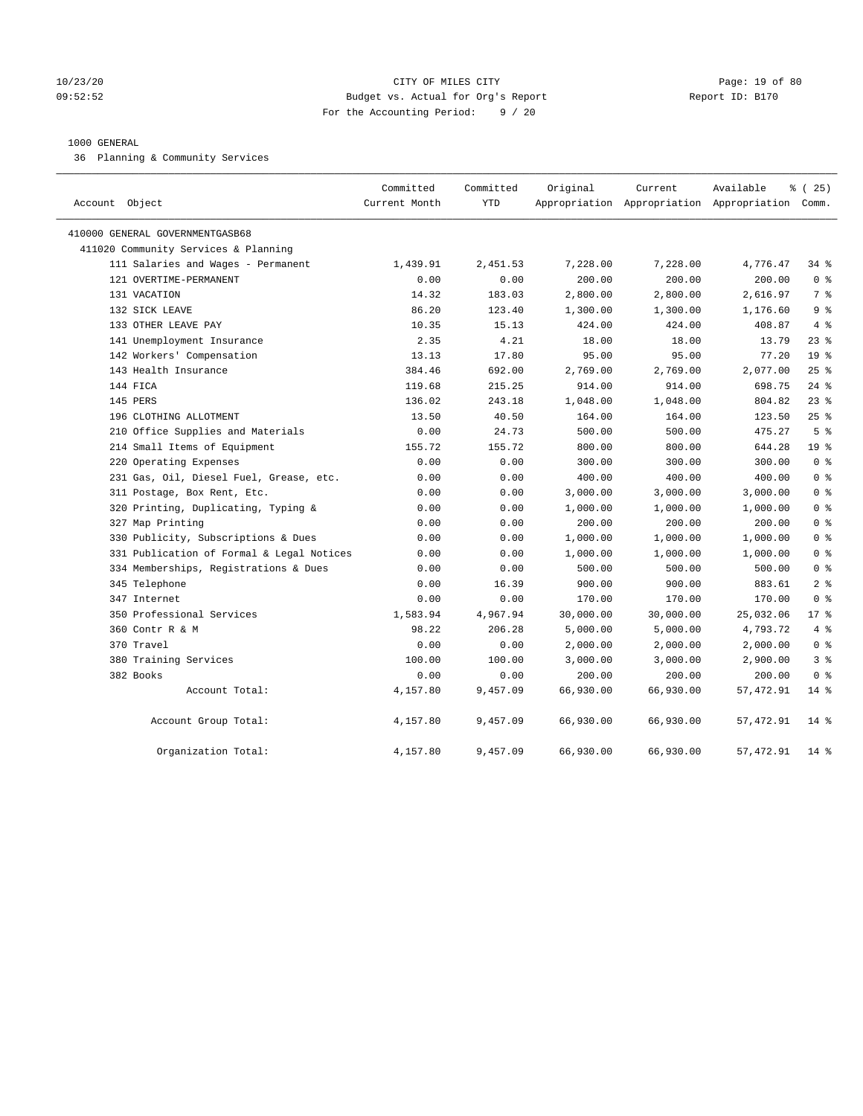## 10/23/20 Page: 19 of 80 09:52:52 Budget vs. Actual for Org's Report Report ID: B170 For the Accounting Period: 9 / 20

## 1000 GENERAL

36 Planning & Community Services

| Account Object                            | Committed<br>Current Month | Committed<br><b>YTD</b> | Original  | Current   | Available<br>Appropriation Appropriation Appropriation Comm. | 8 (25)          |
|-------------------------------------------|----------------------------|-------------------------|-----------|-----------|--------------------------------------------------------------|-----------------|
| 410000 GENERAL GOVERNMENTGASB68           |                            |                         |           |           |                                                              |                 |
| 411020 Community Services & Planning      |                            |                         |           |           |                                                              |                 |
| 111 Salaries and Wages - Permanent        | 1,439.91                   | 2,451.53                | 7,228.00  | 7,228.00  | 4,776.47                                                     | 34 %            |
| 121 OVERTIME-PERMANENT                    | 0.00                       | 0.00                    | 200.00    | 200.00    | 200.00                                                       | 0 <sup>8</sup>  |
| 131 VACATION                              | 14.32                      | 183.03                  | 2,800.00  | 2,800.00  | 2,616.97                                                     | 7 <sup>°</sup>  |
| 132 SICK LEAVE                            | 86.20                      | 123.40                  | 1,300.00  | 1,300.00  | 1,176.60                                                     | 9 <sup>8</sup>  |
| 133 OTHER LEAVE PAY                       | 10.35                      | 15.13                   | 424.00    | 424.00    | 408.87                                                       | 4%              |
| 141 Unemployment Insurance                | 2.35                       | 4.21                    | 18.00     | 18.00     | 13.79                                                        | $23$ %          |
| 142 Workers' Compensation                 | 13.13                      | 17.80                   | 95.00     | 95.00     | 77.20                                                        | 19 <sup>°</sup> |
| 143 Health Insurance                      | 384.46                     | 692.00                  | 2,769.00  | 2,769.00  | 2,077.00                                                     | 25%             |
| 144 FICA                                  | 119.68                     | 215.25                  | 914.00    | 914.00    | 698.75                                                       | $24$ %          |
| 145 PERS                                  | 136.02                     | 243.18                  | 1,048.00  | 1,048.00  | 804.82                                                       | $23$ %          |
| 196 CLOTHING ALLOTMENT                    | 13.50                      | 40.50                   | 164.00    | 164.00    | 123.50                                                       | $25$ %          |
| 210 Office Supplies and Materials         | 0.00                       | 24.73                   | 500.00    | 500.00    | 475.27                                                       | 5 <sup>8</sup>  |
| 214 Small Items of Equipment              | 155.72                     | 155.72                  | 800.00    | 800.00    | 644.28                                                       | 19 <sup>°</sup> |
| 220 Operating Expenses                    | 0.00                       | 0.00                    | 300.00    | 300.00    | 300.00                                                       | 0 <sup>8</sup>  |
| 231 Gas, Oil, Diesel Fuel, Grease, etc.   | 0.00                       | 0.00                    | 400.00    | 400.00    | 400.00                                                       | 0 <sup>8</sup>  |
| 311 Postage, Box Rent, Etc.               | 0.00                       | 0.00                    | 3,000.00  | 3,000.00  | 3,000.00                                                     | 0 <sup>8</sup>  |
| 320 Printing, Duplicating, Typing &       | 0.00                       | 0.00                    | 1,000.00  | 1,000.00  | 1,000.00                                                     | 0 <sup>8</sup>  |
| 327 Map Printing                          | 0.00                       | 0.00                    | 200.00    | 200.00    | 200.00                                                       | 0 <sup>8</sup>  |
| 330 Publicity, Subscriptions & Dues       | 0.00                       | 0.00                    | 1,000.00  | 1,000.00  | 1,000.00                                                     | 0 <sup>8</sup>  |
| 331 Publication of Formal & Legal Notices | 0.00                       | 0.00                    | 1,000.00  | 1,000.00  | 1,000.00                                                     | 0 <sup>8</sup>  |
| 334 Memberships, Registrations & Dues     | 0.00                       | 0.00                    | 500.00    | 500.00    | 500.00                                                       | 0 <sup>8</sup>  |
| 345 Telephone                             | 0.00                       | 16.39                   | 900.00    | 900.00    | 883.61                                                       | 2 <sup>8</sup>  |
| 347 Internet                              | 0.00                       | 0.00                    | 170.00    | 170.00    | 170.00                                                       | 0 <sup>8</sup>  |
| 350 Professional Services                 | 1,583.94                   | 4,967.94                | 30,000.00 | 30,000.00 | 25,032.06                                                    | $17*$           |
| 360 Contr R & M                           | 98.22                      | 206.28                  | 5,000.00  | 5,000.00  | 4,793.72                                                     | 4%              |
| 370 Travel                                | 0.00                       | 0.00                    | 2,000.00  | 2,000.00  | 2,000.00                                                     | 0 <sup>8</sup>  |
| 380 Training Services                     | 100.00                     | 100.00                  | 3,000.00  | 3,000.00  | 2,900.00                                                     | 3 <sup>°</sup>  |
| 382 Books                                 | 0.00                       | 0.00                    | 200.00    | 200.00    | 200.00                                                       | 0 <sup>8</sup>  |
| Account Total:                            | 4,157.80                   | 9,457.09                | 66,930.00 | 66,930.00 | 57,472.91                                                    | $14$ %          |
| Account Group Total:                      | 4,157.80                   | 9,457.09                | 66,930.00 | 66,930.00 | 57,472.91                                                    | $14*$           |
| Organization Total:                       | 4,157.80                   | 9,457.09                | 66,930.00 | 66,930.00 | 57, 472.91                                                   | $14*$           |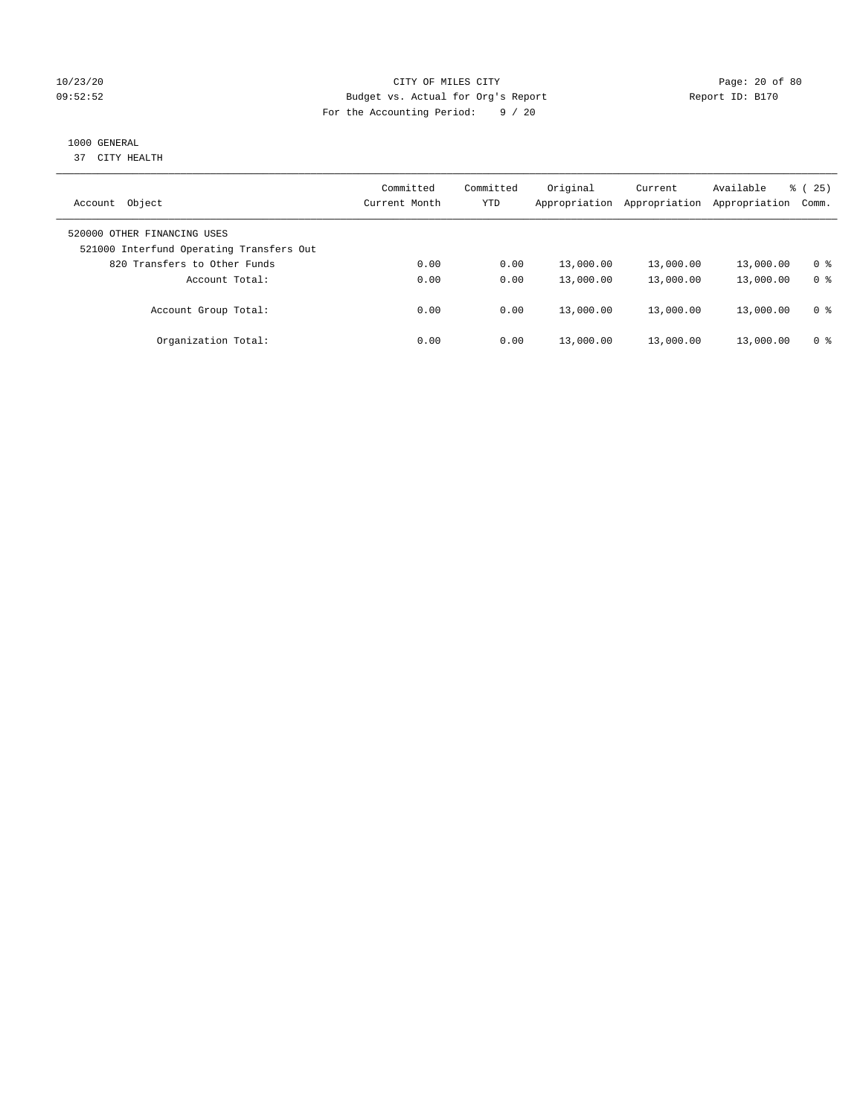## 10/23/20 Page: 20 of 80 09:52:52 Budget vs. Actual for Org's Report Report ID: B170 For the Accounting Period: 9 / 20

## 1000 GENERAL

37 CITY HEALTH

| Object<br>Account                                                       | Committed<br>Current Month | Committed<br>YTD | Original<br>Appropriation | Current<br>Appropriation | Available<br>Appropriation | 25)<br>ී (<br>Comm. |
|-------------------------------------------------------------------------|----------------------------|------------------|---------------------------|--------------------------|----------------------------|---------------------|
| 520000 OTHER FINANCING USES<br>521000 Interfund Operating Transfers Out |                            |                  |                           |                          |                            |                     |
| 820 Transfers to Other Funds                                            | 0.00                       | 0.00             | 13,000.00                 | 13,000.00                | 13,000.00                  | 0 %                 |
| Account Total:                                                          | 0.00                       | 0.00             | 13,000.00                 | 13,000.00                | 13,000.00                  | 0 <sup>8</sup>      |
| Account Group Total:                                                    | 0.00                       | 0.00             | 13,000.00                 | 13,000.00                | 13,000.00                  | 0 %                 |
| Organization Total:                                                     | 0.00                       | 0.00             | 13,000.00                 | 13,000.00                | 13,000.00                  | 0 %                 |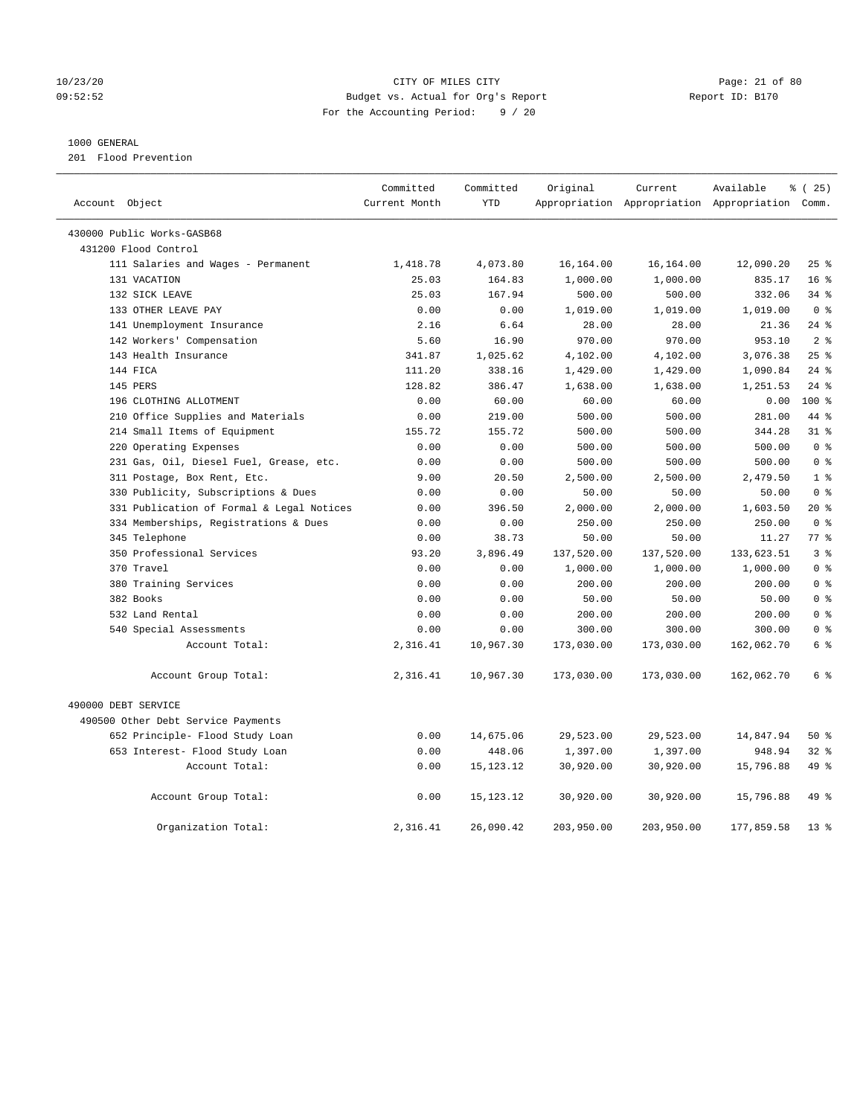## 10/23/20 Page: 21 of 80 09:52:52 Budget vs. Actual for Org's Report Report ID: B170 For the Accounting Period: 9 / 20

## 1000 GENERAL

201 Flood Prevention

| Account Object                            | Committed<br>Current Month | Committed<br><b>YTD</b> | Original   | Current    | Available<br>Appropriation Appropriation Appropriation Comm. | % (25)          |
|-------------------------------------------|----------------------------|-------------------------|------------|------------|--------------------------------------------------------------|-----------------|
|                                           |                            |                         |            |            |                                                              |                 |
| 430000 Public Works-GASB68                |                            |                         |            |            |                                                              |                 |
| 431200 Flood Control                      |                            |                         |            |            |                                                              |                 |
| 111 Salaries and Wages - Permanent        | 1,418.78                   | 4,073.80                | 16,164.00  | 16,164.00  | 12,090.20                                                    | 25%             |
| 131 VACATION                              | 25.03                      | 164.83                  | 1,000.00   | 1,000.00   | 835.17                                                       | 16 <sup>8</sup> |
| 132 SICK LEAVE                            | 25.03                      | 167.94                  | 500.00     | 500.00     | 332.06                                                       | $34$ $%$        |
| 133 OTHER LEAVE PAY                       | 0.00                       | 0.00                    | 1,019.00   | 1,019.00   | 1,019.00                                                     | 0 <sup>8</sup>  |
| 141 Unemployment Insurance                | 2.16                       | 6.64                    | 28.00      | 28.00      | 21.36                                                        | $24$ %          |
| 142 Workers' Compensation                 | 5.60                       | 16.90                   | 970.00     | 970.00     | 953.10                                                       | 2 <sup>8</sup>  |
| 143 Health Insurance                      | 341.87                     | 1,025.62                | 4,102.00   | 4,102.00   | 3,076.38                                                     | 25%             |
| 144 FICA                                  | 111.20                     | 338.16                  | 1,429.00   | 1,429.00   | 1,090.84                                                     | $24$ %          |
| 145 PERS                                  | 128.82                     | 386.47                  | 1,638.00   | 1,638.00   | 1,251.53                                                     | $24$ %          |
| 196 CLOTHING ALLOTMENT                    | 0.00                       | 60.00                   | 60.00      | 60.00      | 0.00                                                         | $100*$          |
| 210 Office Supplies and Materials         | 0.00                       | 219.00                  | 500.00     | 500.00     | 281.00                                                       | 44 %            |
| 214 Small Items of Equipment              | 155.72                     | 155.72                  | 500.00     | 500.00     | 344.28                                                       | 31.8            |
| 220 Operating Expenses                    | 0.00                       | 0.00                    | 500.00     | 500.00     | 500.00                                                       | 0 <sup>8</sup>  |
| 231 Gas, Oil, Diesel Fuel, Grease, etc.   | 0.00                       | 0.00                    | 500.00     | 500.00     | 500.00                                                       | 0 <sup>8</sup>  |
| 311 Postage, Box Rent, Etc.               | 9.00                       | 20.50                   | 2,500.00   | 2,500.00   | 2,479.50                                                     | 1 <sup>8</sup>  |
| 330 Publicity, Subscriptions & Dues       | 0.00                       | 0.00                    | 50.00      | 50.00      | 50.00                                                        | 0 <sup>8</sup>  |
| 331 Publication of Formal & Legal Notices | 0.00                       | 396.50                  | 2,000.00   | 2,000.00   | 1,603.50                                                     | $20*$           |
| 334 Memberships, Registrations & Dues     | 0.00                       | 0.00                    | 250.00     | 250.00     | 250.00                                                       | 0 <sup>8</sup>  |
| 345 Telephone                             | 0.00                       | 38.73                   | 50.00      | 50.00      | 11.27                                                        | 77.8            |
| 350 Professional Services                 | 93.20                      | 3,896.49                | 137,520.00 | 137,520.00 | 133,623.51                                                   | 3 <sup>8</sup>  |
| 370 Travel                                | 0.00                       | 0.00                    | 1,000.00   | 1,000.00   | 1,000.00                                                     | 0 <sup>8</sup>  |
| 380 Training Services                     | 0.00                       | 0.00                    | 200.00     | 200.00     | 200.00                                                       | 0 <sup>8</sup>  |
| 382 Books                                 | 0.00                       | 0.00                    | 50.00      | 50.00      | 50.00                                                        | 0 <sup>8</sup>  |
| 532 Land Rental                           | 0.00                       | 0.00                    | 200.00     | 200.00     | 200.00                                                       | 0 <sup>8</sup>  |
| 540 Special Assessments                   | 0.00                       | 0.00                    | 300.00     | 300.00     | 300.00                                                       | 0 <sup>8</sup>  |
| Account Total:                            | 2,316.41                   | 10,967.30               | 173,030.00 | 173,030.00 | 162,062.70                                                   | 6 %             |
| Account Group Total:                      | 2,316.41                   | 10,967.30               | 173,030.00 | 173,030.00 | 162,062.70                                                   | 6 %             |
| 490000 DEBT SERVICE                       |                            |                         |            |            |                                                              |                 |
| 490500 Other Debt Service Payments        |                            |                         |            |            |                                                              |                 |
| 652 Principle- Flood Study Loan           | 0.00                       | 14,675.06               | 29,523.00  | 29,523.00  | 14,847.94                                                    | 50%             |
| 653 Interest- Flood Study Loan            | 0.00                       | 448.06                  | 1,397.00   | 1,397.00   | 948.94                                                       | 32%             |
| Account Total:                            | 0.00                       | 15, 123. 12             | 30,920.00  | 30,920.00  | 15,796.88                                                    | 49 %            |
| Account Group Total:                      | 0.00                       | 15, 123. 12             | 30,920.00  | 30,920.00  | 15,796.88                                                    | 49 %            |
| Organization Total:                       | 2,316.41                   | 26,090.42               | 203,950.00 | 203,950.00 | 177,859.58                                                   | $13*$           |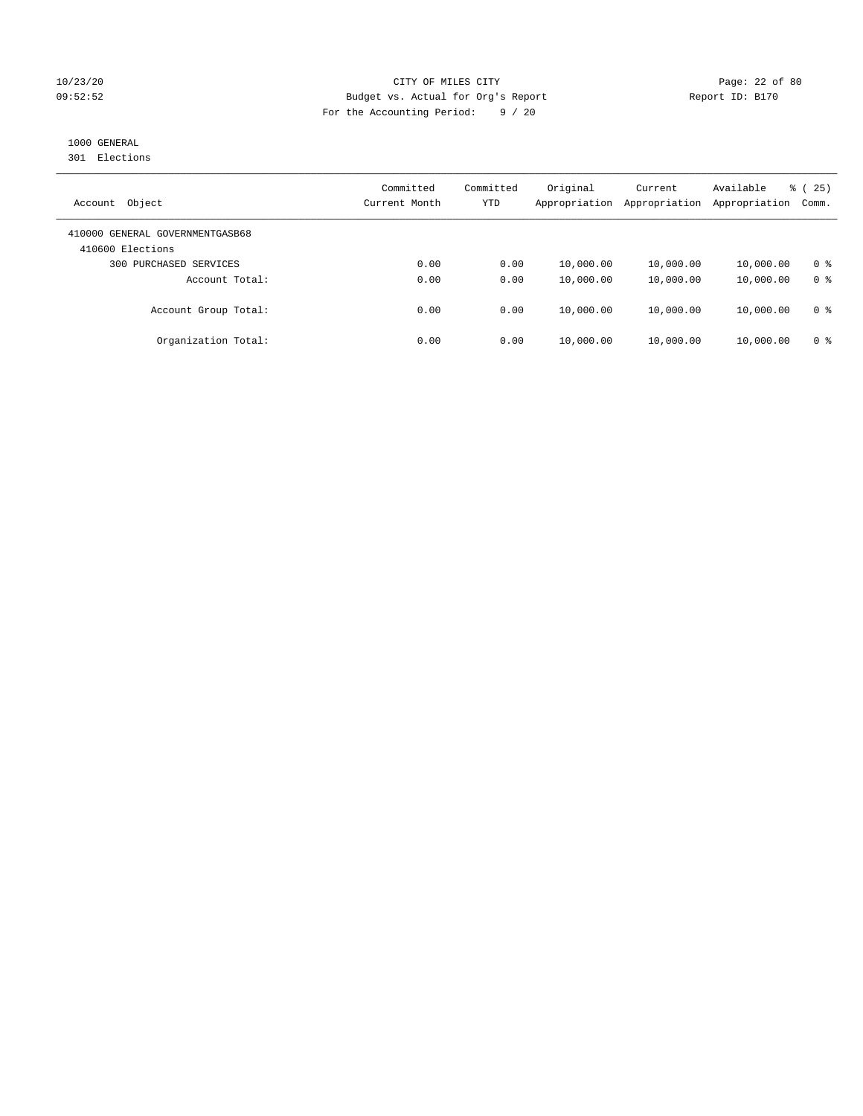## 10/23/20 Page: 22 of 80 09:52:52 Budget vs. Actual for Org's Report Report ID: B170 For the Accounting Period: 9 / 20

## 1000 GENERAL

301 Elections

| Object<br>Account                                   | Committed<br>Current Month | Committed<br>YTD | Original<br>Appropriation | Current<br>Appropriation | Available<br>Appropriation | 25)<br>ී (<br>Comm. |
|-----------------------------------------------------|----------------------------|------------------|---------------------------|--------------------------|----------------------------|---------------------|
| 410000 GENERAL GOVERNMENTGASB68<br>410600 Elections |                            |                  |                           |                          |                            |                     |
| 300 PURCHASED SERVICES                              | 0.00                       | 0.00             | 10,000.00                 | 10,000.00                | 10,000.00                  | 0 <sup>8</sup>      |
| Account Total:                                      | 0.00                       | 0.00             | 10,000.00                 | 10,000.00                | 10,000.00                  | 0 <sup>8</sup>      |
| Account Group Total:                                | 0.00                       | 0.00             | 10,000.00                 | 10,000.00                | 10,000.00                  | 0 <sup>8</sup>      |
| Organization Total:                                 | 0.00                       | 0.00             | 10,000.00                 | 10,000.00                | 10,000.00                  | 0 <sup>8</sup>      |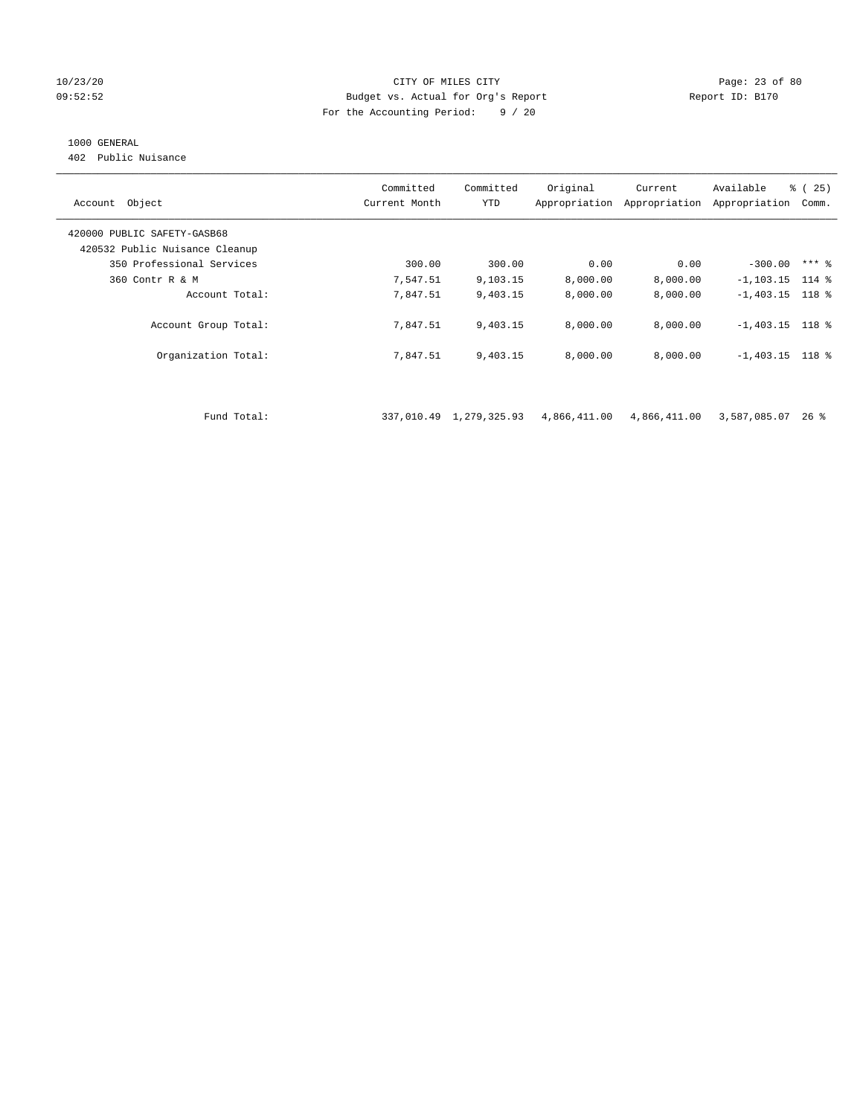## 10/23/20 Page: 23 of 80 09:52:52 Budget vs. Actual for Org's Report Report ID: B170 For the Accounting Period: 9 / 20

## 1000 GENERAL

402 Public Nuisance

| Account Object                 | Committed<br>Current Month | Committed<br>YTD        | Original     | Current<br>Appropriation Appropriation | Available<br>Appropriation | % (25)<br>Comm. |
|--------------------------------|----------------------------|-------------------------|--------------|----------------------------------------|----------------------------|-----------------|
| 420000 PUBLIC SAFETY-GASB68    |                            |                         |              |                                        |                            |                 |
| 420532 Public Nuisance Cleanup |                            |                         |              |                                        |                            |                 |
| 350 Professional Services      | 300.00                     | 300.00                  | 0.00         | 0.00                                   | $-300.00$                  | $***$ 8         |
| 360 Contr R & M                | 7,547.51                   | 9,103.15                | 8,000.00     | 8,000.00                               | $-1, 103.15$               | $114$ %         |
| Account Total:                 | 7,847.51                   | 9,403.15                | 8,000.00     | 8,000.00                               | $-1,403.15$ 118 %          |                 |
| Account Group Total:           | 7,847.51                   | 9,403.15                | 8,000.00     | 8,000.00                               | $-1,403.15$ 118 %          |                 |
| Organization Total:            | 7,847.51                   | 9,403.15                | 8,000.00     | 8,000.00                               | $-1,403.15$ 118 %          |                 |
|                                |                            |                         |              |                                        |                            |                 |
| Fund Total:                    |                            | 337,010.49 1,279,325.93 | 4,866,411.00 | 4,866,411.00                           | 3,587,085.07               | $26$ %          |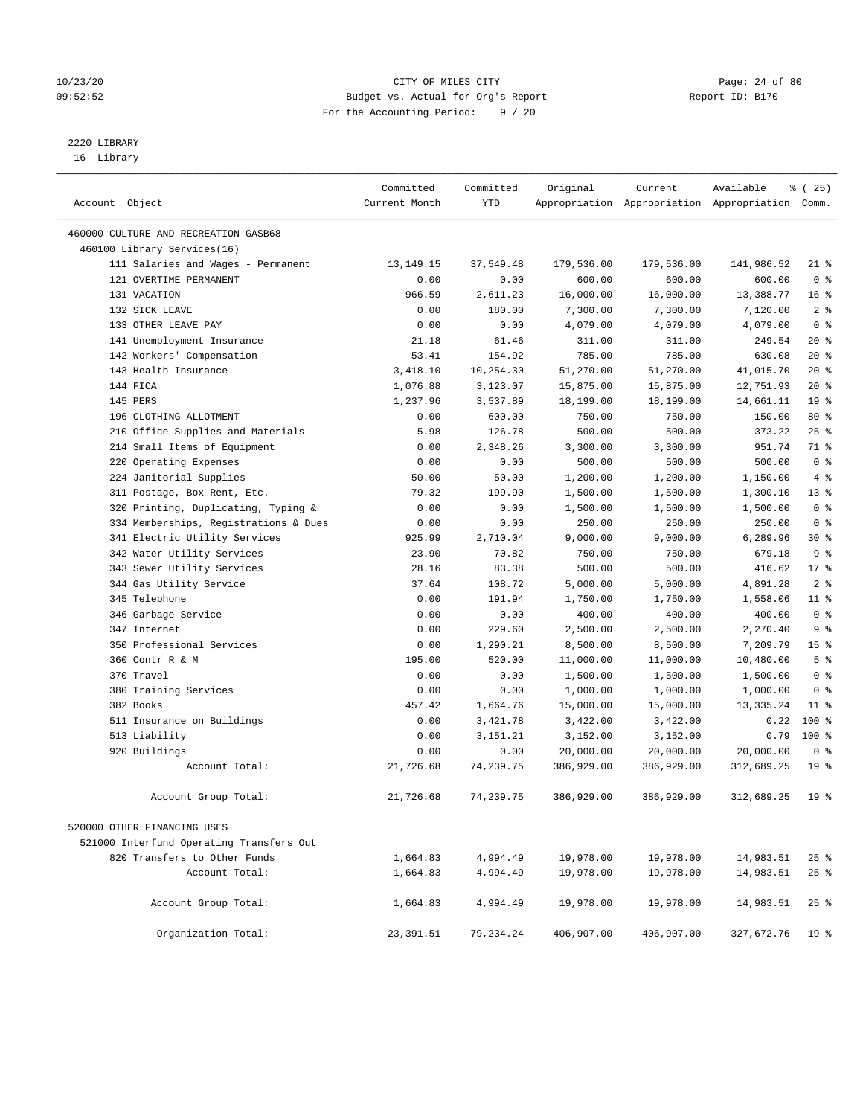## 10/23/20 Page: 24 of 80 09:52:52 Budget vs. Actual for Org's Report Changer Report ID: B170 For the Accounting Period: 9 / 20

————————————————————————————————————————————————————————————————————————————————————————————————————————————————————————————————————

# 2220 LIBRARY

16 Library

|                |                                          | Committed     | Committed  | Original   | Current    | Available                                       | $*(25)$         |
|----------------|------------------------------------------|---------------|------------|------------|------------|-------------------------------------------------|-----------------|
| Account Object |                                          | Current Month | <b>YTD</b> |            |            | Appropriation Appropriation Appropriation Comm. |                 |
|                | 460000 CULTURE AND RECREATION-GASB68     |               |            |            |            |                                                 |                 |
|                | 460100 Library Services(16)              |               |            |            |            |                                                 |                 |
|                | 111 Salaries and Wages - Permanent       | 13, 149. 15   | 37,549.48  | 179,536.00 | 179,536.00 | 141,986.52                                      | $21$ %          |
|                | 121 OVERTIME-PERMANENT                   | 0.00          | 0.00       | 600.00     | 600.00     | 600.00                                          | 0 <sup>8</sup>  |
|                | 131 VACATION                             | 966.59        | 2,611.23   | 16,000.00  | 16,000.00  | 13,388.77                                       | $16*$           |
|                | 132 SICK LEAVE                           | 0.00          | 180.00     | 7,300.00   | 7,300.00   | 7,120.00                                        | 2 <sup>°</sup>  |
|                | 133 OTHER LEAVE PAY                      | 0.00          | 0.00       | 4,079.00   | 4,079.00   | 4,079.00                                        | 0 <sup>8</sup>  |
|                | 141 Unemployment Insurance               | 21.18         | 61.46      | 311.00     | 311.00     | 249.54                                          | $20*$           |
|                | 142 Workers' Compensation                | 53.41         | 154.92     | 785.00     | 785.00     | 630.08                                          | $20*$           |
|                | 143 Health Insurance                     | 3,418.10      | 10,254.30  | 51,270.00  | 51,270.00  | 41,015.70                                       | $20*$           |
|                | 144 FICA                                 | 1,076.88      | 3,123.07   | 15,875.00  | 15,875.00  | 12,751.93                                       | $20*$           |
|                | 145 PERS                                 | 1,237.96      | 3,537.89   | 18,199.00  | 18,199.00  | 14,661.11                                       | 19 <sup>°</sup> |
|                | 196 CLOTHING ALLOTMENT                   | 0.00          | 600.00     | 750.00     | 750.00     | 150.00                                          | 80 %            |
|                | 210 Office Supplies and Materials        | 5.98          | 126.78     | 500.00     | 500.00     | 373.22                                          | 25%             |
|                | 214 Small Items of Equipment             | 0.00          | 2,348.26   | 3,300.00   | 3,300.00   | 951.74                                          | 71 %            |
|                | 220 Operating Expenses                   | 0.00          | 0.00       | 500.00     | 500.00     | 500.00                                          | 0 <sup>8</sup>  |
|                | 224 Janitorial Supplies                  | 50.00         | 50.00      | 1,200.00   | 1,200.00   | 1,150.00                                        | $4\degree$      |
|                | 311 Postage, Box Rent, Etc.              | 79.32         | 199.90     | 1,500.00   | 1,500.00   | 1,300.10                                        | $13*$           |
|                | 320 Printing, Duplicating, Typing &      | 0.00          | 0.00       | 1,500.00   | 1,500.00   | 1,500.00                                        | 0 <sup>8</sup>  |
|                | 334 Memberships, Registrations & Dues    | 0.00          | 0.00       | 250.00     | 250.00     | 250.00                                          | 0 <sup>8</sup>  |
|                | 341 Electric Utility Services            | 925.99        | 2,710.04   | 9,000.00   | 9,000.00   | 6,289.96                                        | $30*$           |
|                | 342 Water Utility Services               | 23.90         | 70.82      | 750.00     | 750.00     | 679.18                                          | 9 <sup>°</sup>  |
|                | 343 Sewer Utility Services               | 28.16         | 83.38      | 500.00     | 500.00     | 416.62                                          | $17*$           |
|                | 344 Gas Utility Service                  | 37.64         | 108.72     | 5,000.00   | 5,000.00   | 4,891.28                                        | 2 <sup>°</sup>  |
|                | 345 Telephone                            | 0.00          | 191.94     | 1,750.00   | 1,750.00   | 1,558.06                                        | $11*$           |
|                | 346 Garbage Service                      | 0.00          | 0.00       | 400.00     | 400.00     | 400.00                                          | 0 <sup>8</sup>  |
|                | 347 Internet                             | 0.00          | 229.60     | 2,500.00   | 2,500.00   | 2,270.40                                        | 9 <sup>8</sup>  |
|                | 350 Professional Services                | 0.00          | 1,290.21   | 8,500.00   | 8,500.00   | 7,209.79                                        | 15 <sup>°</sup> |
|                | 360 Contr R & M                          | 195.00        | 520.00     | 11,000.00  | 11,000.00  | 10,480.00                                       | 5 <sup>°</sup>  |
|                | 370 Travel                               | 0.00          | 0.00       | 1,500.00   | 1,500.00   | 1,500.00                                        | 0 <sup>8</sup>  |
|                | 380 Training Services                    | 0.00          | 0.00       | 1,000.00   | 1,000.00   | 1,000.00                                        | 0 <sup>8</sup>  |
|                | 382 Books                                | 457.42        | 1,664.76   | 15,000.00  | 15,000.00  | 13, 335. 24                                     | $11$ %          |
|                | 511 Insurance on Buildings               | 0.00          | 3,421.78   | 3,422.00   | 3,422.00   | 0.22                                            | 100 %           |
|                | 513 Liability                            | 0.00          | 3, 151. 21 | 3,152.00   | 3,152.00   | 0.79                                            | $100*$          |
|                | 920 Buildings                            | 0.00          | 0.00       | 20,000.00  | 20,000.00  | 20,000.00                                       | 0 <sup>8</sup>  |
|                | Account Total:                           | 21,726.68     | 74,239.75  | 386,929.00 | 386,929.00 | 312,689.25                                      | 19 <sup>°</sup> |
|                | Account Group Total:                     | 21,726.68     | 74,239.75  | 386,929.00 | 386,929.00 | 312,689.25                                      | 19 <sup>°</sup> |
|                | 520000 OTHER FINANCING USES              |               |            |            |            |                                                 |                 |
|                | 521000 Interfund Operating Transfers Out |               |            |            |            |                                                 |                 |
|                | 820 Transfers to Other Funds             | 1,664.83      | 4,994.49   | 19,978.00  | 19,978.00  | 14,983.51                                       | $25$ %          |
|                | Account Total:                           | 1,664.83      | 4,994.49   | 19,978.00  | 19,978.00  | 14,983.51                                       | $25$ %          |
|                |                                          |               |            |            |            |                                                 |                 |
|                | Account Group Total:                     | 1,664.83      | 4,994.49   | 19,978.00  | 19,978.00  | 14,983.51                                       | $25$ %          |
|                | Organization Total:                      | 23,391.51     | 79,234.24  | 406,907.00 | 406,907.00 | 327,672.76                                      | 19 %            |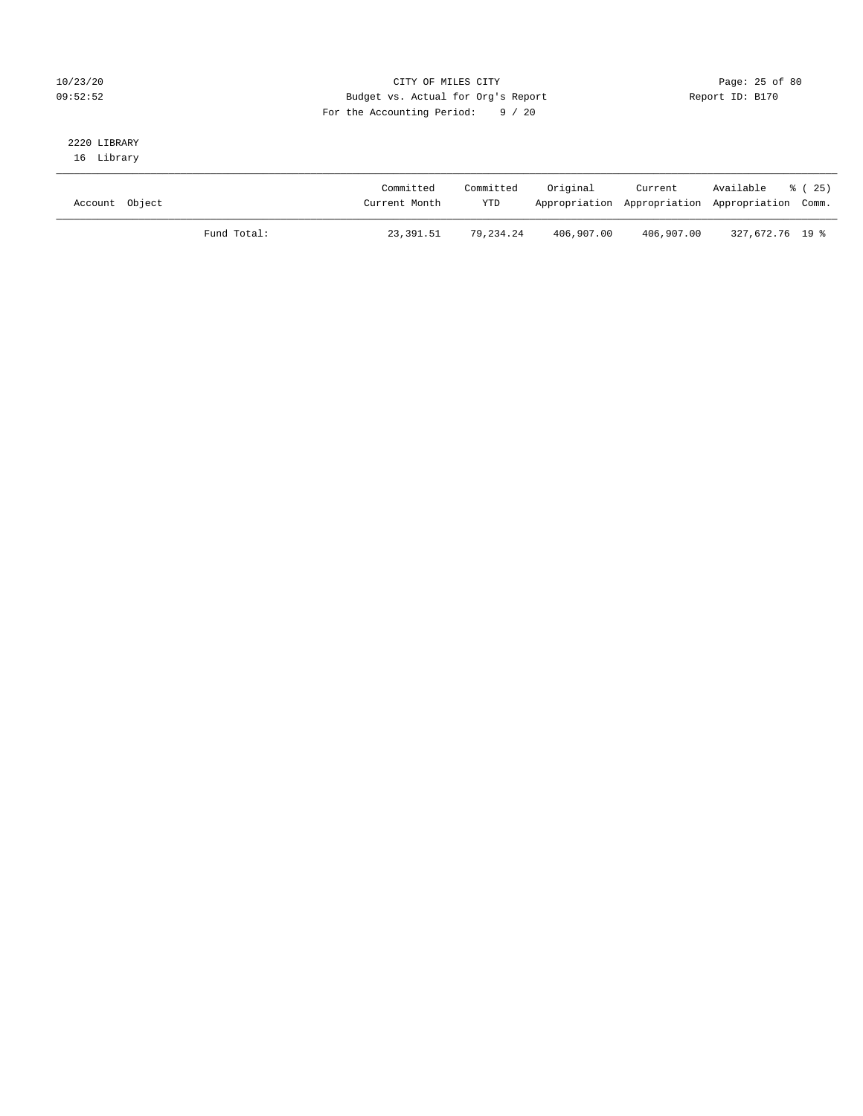## 10/23/20 Page: 25 of 80 09:52:52 Budget vs. Actual for Org's Report Report ID: B170 For the Accounting Period: 9 / 20

# 2220 LIBRARY

16 Library

| Account Object |             | Committed<br>Current Month | Committed<br><b>YTD</b> | Original   | Current    | Available<br>Appropriation Appropriation Appropriation Comm. | 8 (25) |
|----------------|-------------|----------------------------|-------------------------|------------|------------|--------------------------------------------------------------|--------|
|                | Fund Total: | 23,391.51                  | 79.234.24               | 406,907.00 | 406,907.00 | 327,672.76 19 %                                              |        |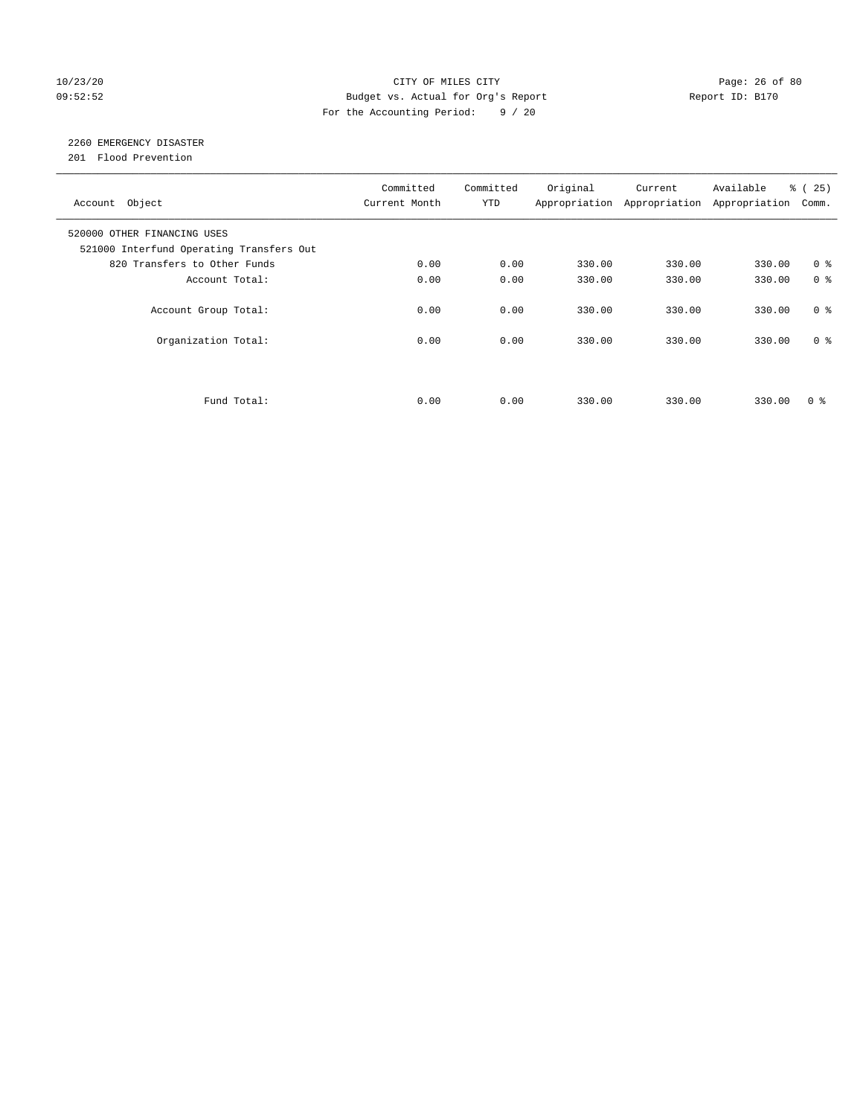## 10/23/20 Page: 26 of 80 09:52:52 Budget vs. Actual for Org's Report Changer Report ID: B170 For the Accounting Period: 9 / 20

## 2260 EMERGENCY DISASTER

201 Flood Prevention

| Account Object                                                          | Committed<br>Current Month | Committed<br><b>YTD</b> | Original | Current<br>Appropriation Appropriation | Available<br>Appropriation | % (25)<br>Comm. |
|-------------------------------------------------------------------------|----------------------------|-------------------------|----------|----------------------------------------|----------------------------|-----------------|
| 520000 OTHER FINANCING USES<br>521000 Interfund Operating Transfers Out |                            |                         |          |                                        |                            |                 |
| 820 Transfers to Other Funds                                            | 0.00                       | 0.00                    | 330.00   | 330.00                                 | 330.00                     | 0 <sup>8</sup>  |
| Account Total:                                                          | 0.00                       | 0.00                    | 330.00   | 330.00                                 | 330.00                     | 0 <sup>8</sup>  |
| Account Group Total:                                                    | 0.00                       | 0.00                    | 330.00   | 330.00                                 | 330.00                     | 0 <sup>8</sup>  |
| Organization Total:                                                     | 0.00                       | 0.00                    | 330.00   | 330.00                                 | 330.00                     | 0 <sup>8</sup>  |
|                                                                         |                            |                         |          |                                        |                            |                 |
| Fund Total:                                                             | 0.00                       | 0.00                    | 330.00   | 330.00                                 | 330.00                     | 0 ៖             |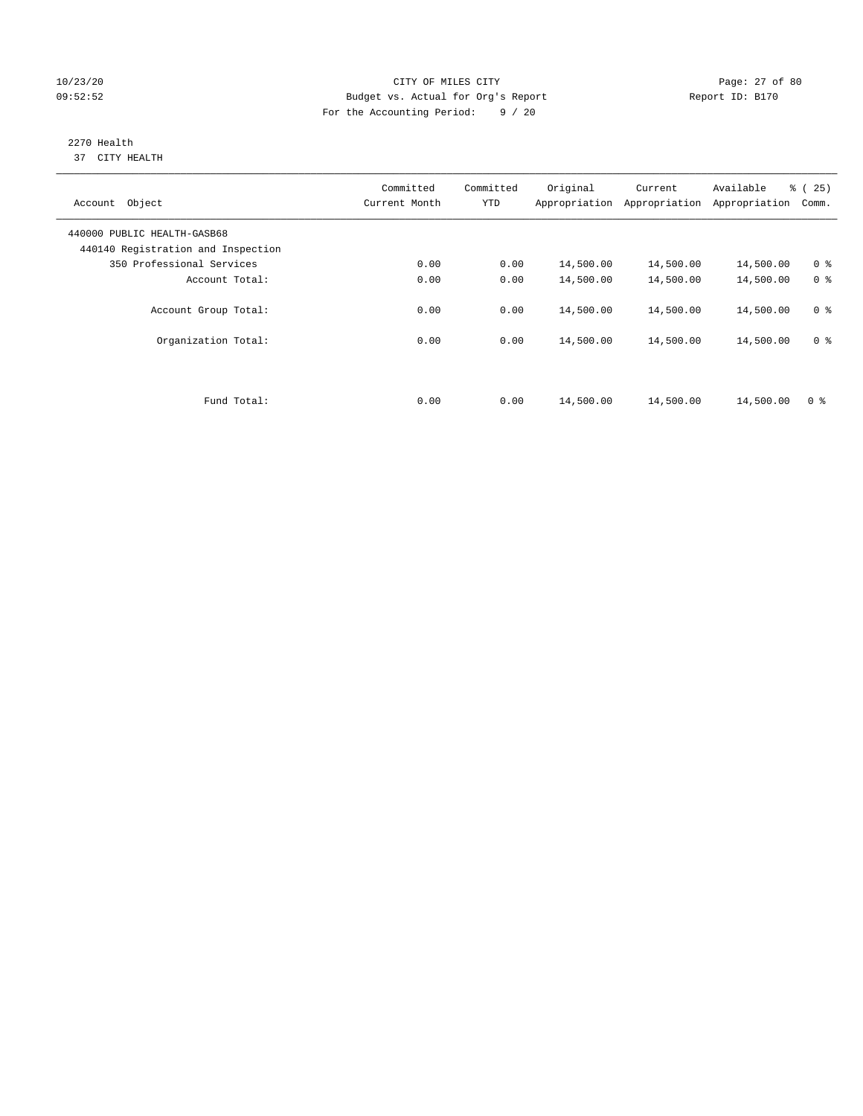## 10/23/20 Page: 27 of 80 09:52:52 Budget vs. Actual for Org's Report Changer Report ID: B170 For the Accounting Period: 9 / 20

#### 2270 Health 37 CITY HEALTH

| Object<br>Account                                                 | Committed<br>Current Month | Committed<br><b>YTD</b> | Original<br>Appropriation | Current<br>Appropriation | Available<br>Appropriation | % (25)<br>Comm. |
|-------------------------------------------------------------------|----------------------------|-------------------------|---------------------------|--------------------------|----------------------------|-----------------|
| 440000 PUBLIC HEALTH-GASB68<br>440140 Registration and Inspection |                            |                         |                           |                          |                            |                 |
| 350 Professional Services                                         | 0.00                       | 0.00                    | 14,500.00                 | 14,500.00                | 14,500.00                  | 0 <sup>8</sup>  |
| Account Total:                                                    | 0.00                       | 0.00                    | 14,500.00                 | 14,500.00                | 14,500.00                  | 0 <sup>8</sup>  |
| Account Group Total:                                              | 0.00                       | 0.00                    | 14,500.00                 | 14,500.00                | 14,500.00                  | 0 <sup>8</sup>  |
| Organization Total:                                               | 0.00                       | 0.00                    | 14,500.00                 | 14,500.00                | 14,500.00                  | 0 <sup>8</sup>  |
|                                                                   |                            |                         |                           |                          |                            |                 |
| Fund Total:                                                       | 0.00                       | 0.00                    | 14,500.00                 | 14,500.00                | 14,500.00                  | 0 <sup>8</sup>  |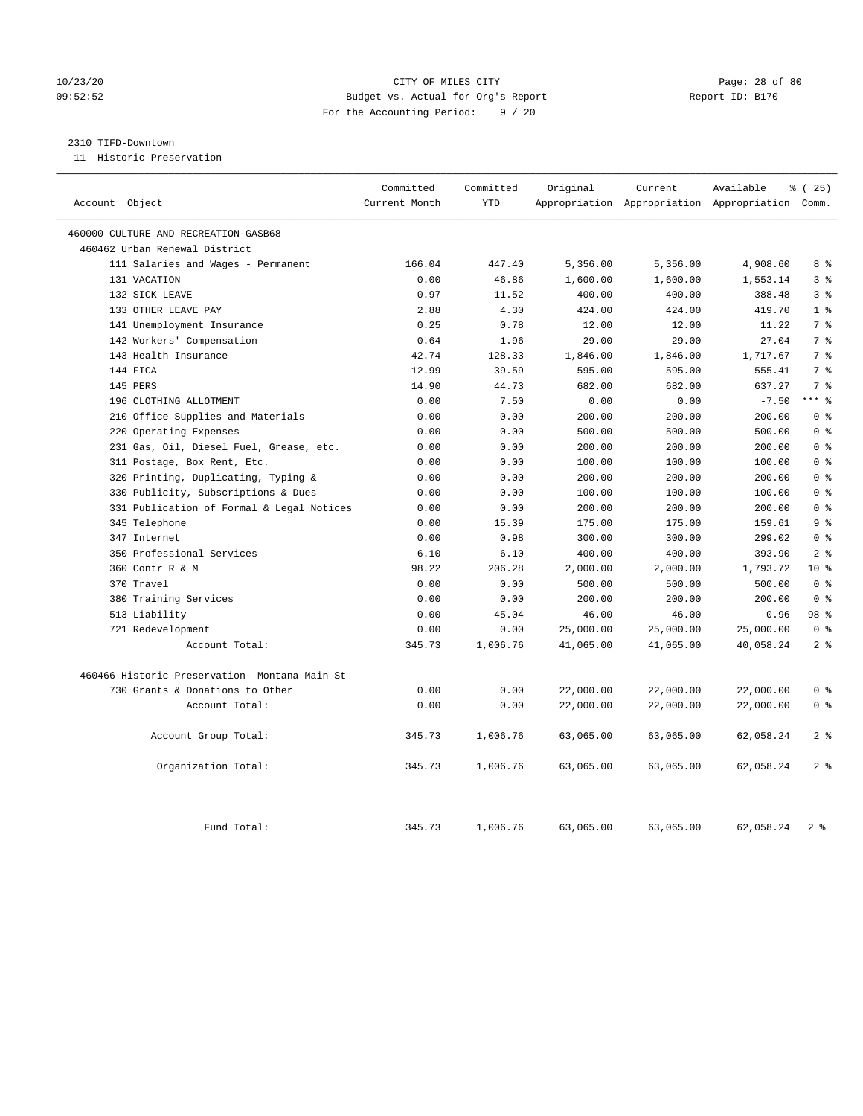## 10/23/20 Page: 28 of 80 09:52:52 Budget vs. Actual for Org's Report Report ID: B170 For the Accounting Period: 9 / 20

## 2310 TIFD-Downtown

11 Historic Preservation

| Account Object                                     | Committed<br>Current Month | Committed<br><b>YTD</b> | Original             | Current              | Available<br>Appropriation Appropriation Appropriation Comm. | % (25)         |
|----------------------------------------------------|----------------------------|-------------------------|----------------------|----------------------|--------------------------------------------------------------|----------------|
|                                                    |                            |                         |                      |                      |                                                              |                |
| 460000 CULTURE AND RECREATION-GASB68               |                            |                         |                      |                      |                                                              |                |
| 460462 Urban Renewal District                      | 166.04                     | 447.40                  |                      |                      |                                                              | 8 %            |
| 111 Salaries and Wages - Permanent<br>131 VACATION | 0.00                       | 46.86                   | 5,356.00<br>1,600.00 | 5,356.00<br>1,600.00 | 4,908.60<br>1,553.14                                         | 3 <sup>8</sup> |
| 132 SICK LEAVE                                     | 0.97                       | 11.52                   | 400.00               | 400.00               | 388.48                                                       | 3 <sup>8</sup> |
| 133 OTHER LEAVE PAY                                | 2.88                       | 4.30                    | 424.00               | 424.00               | 419.70                                                       | 1 <sup>8</sup> |
| 141 Unemployment Insurance                         | 0.25                       | 0.78                    | 12.00                | 12.00                | 11.22                                                        | 7 <sup>°</sup> |
| 142 Workers' Compensation                          | 0.64                       | 1.96                    | 29.00                | 29.00                | 27.04                                                        | 7 <sup>°</sup> |
| 143 Health Insurance                               | 42.74                      | 128.33                  | 1,846.00             | 1,846.00             | 1,717.67                                                     | 7 <sup>8</sup> |
| 144 FICA                                           | 12.99                      | 39.59                   | 595.00               | 595.00               | 555.41                                                       | 7%             |
| 145 PERS                                           | 14.90                      | 44.73                   | 682.00               | 682.00               | 637.27                                                       | 7 <sup>°</sup> |
| 196 CLOTHING ALLOTMENT                             | 0.00                       | 7.50                    | 0.00                 | 0.00                 | $-7.50$                                                      | $***$ 8        |
| 210 Office Supplies and Materials                  | 0.00                       | 0.00                    | 200.00               | 200.00               | 200.00                                                       | 0 <sup>8</sup> |
| 220 Operating Expenses                             | 0.00                       | 0.00                    | 500.00               | 500.00               | 500.00                                                       | 0 <sup>8</sup> |
| 231 Gas, Oil, Diesel Fuel, Grease, etc.            | 0.00                       | 0.00                    | 200.00               | 200.00               | 200.00                                                       | 0 <sup>8</sup> |
| 311 Postage, Box Rent, Etc.                        | 0.00                       | 0.00                    | 100.00               | 100.00               | 100.00                                                       | 0 <sup>8</sup> |
| 320 Printing, Duplicating, Typing &                | 0.00                       | 0.00                    | 200.00               | 200.00               | 200.00                                                       | 0 <sup>8</sup> |
| 330 Publicity, Subscriptions & Dues                | 0.00                       | 0.00                    | 100.00               | 100.00               | 100.00                                                       | 0 <sup>8</sup> |
| 331 Publication of Formal & Legal Notices          | 0.00                       | 0.00                    | 200.00               | 200.00               | 200.00                                                       | 0 <sup>8</sup> |
| 345 Telephone                                      | 0.00                       | 15.39                   | 175.00               | 175.00               | 159.61                                                       | 9 <sup>°</sup> |
| 347 Internet                                       | 0.00                       | 0.98                    | 300.00               | 300.00               | 299.02                                                       | 0 <sup>8</sup> |
| 350 Professional Services                          | 6.10                       | 6.10                    | 400.00               | 400.00               | 393.90                                                       | 2 <sup>8</sup> |
| 360 Contr R & M                                    | 98.22                      | 206.28                  | 2,000.00             | 2,000.00             | 1,793.72                                                     | $10*$          |
| 370 Travel                                         | 0.00                       | 0.00                    | 500.00               | 500.00               | 500.00                                                       | 0 <sup>8</sup> |
| 380 Training Services                              | 0.00                       | 0.00                    | 200.00               | 200.00               | 200.00                                                       | 0 <sup>8</sup> |
| 513 Liability                                      | 0.00                       | 45.04                   | 46.00                | 46.00                | 0.96                                                         | 98 %           |
| 721 Redevelopment                                  | 0.00                       | 0.00                    | 25,000.00            | 25,000.00            | 25,000.00                                                    | 0 <sup>8</sup> |
| Account Total:                                     | 345.73                     | 1,006.76                | 41,065.00            | 41,065.00            | 40,058.24                                                    | 2 <sup>8</sup> |
| 460466 Historic Preservation- Montana Main St      |                            |                         |                      |                      |                                                              |                |
| 730 Grants & Donations to Other                    | 0.00                       | 0.00                    | 22,000.00            | 22,000.00            | 22,000.00                                                    | 0 <sup>8</sup> |
| Account Total:                                     | 0.00                       | 0.00                    | 22,000.00            | 22,000.00            | 22,000.00                                                    | 0 <sup>8</sup> |
| Account Group Total:                               | 345.73                     | 1,006.76                | 63,065.00            | 63,065.00            | 62,058.24                                                    | 2 <sub>8</sub> |
| Organization Total:                                | 345.73                     | 1,006.76                | 63,065.00            | 63,065.00            | 62,058.24                                                    | 2 <sup>°</sup> |
| Fund Total:                                        | 345.73                     | 1,006.76                | 63,065.00            | 63,065.00            | 62,058.24                                                    | 2 <sup>8</sup> |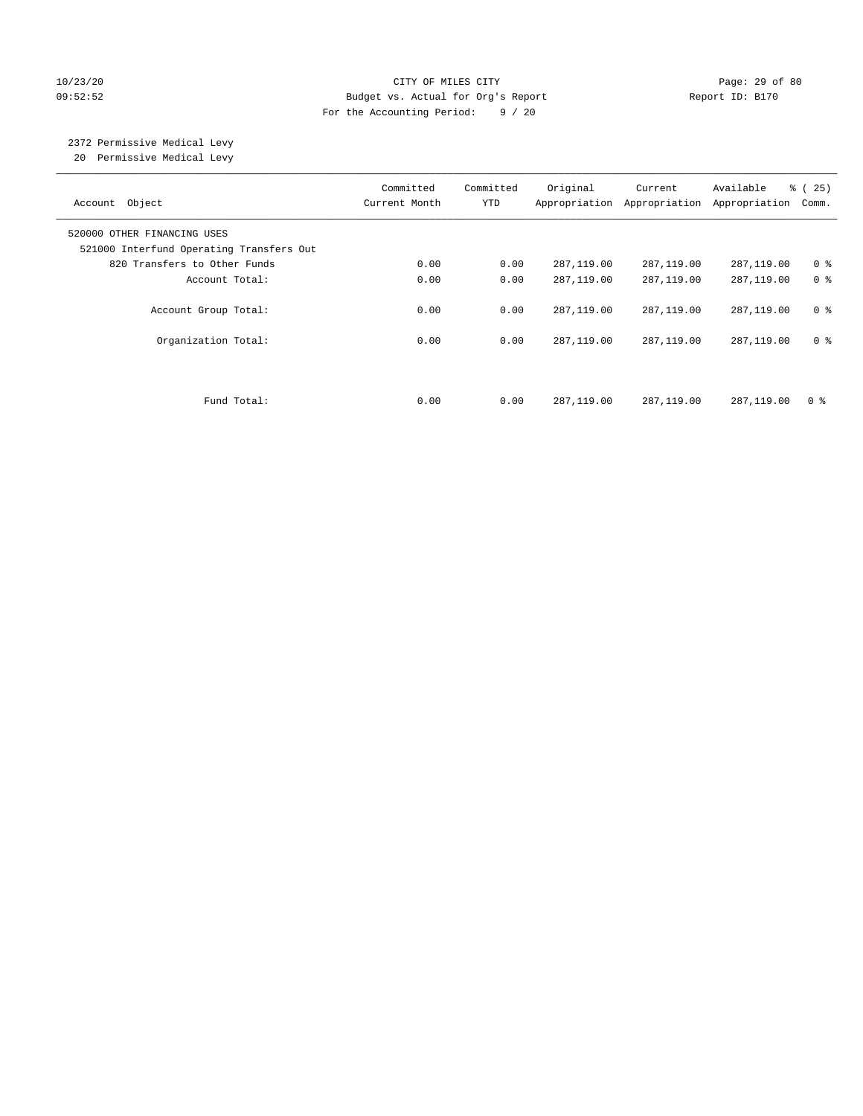## 10/23/20 Page: 29 of 80 09:52:52 Budget vs. Actual for Org's Report Report ID: B170 For the Accounting Period: 9 / 20

# 2372 Permissive Medical Levy

20 Permissive Medical Levy

| Account Object                                                          | Committed<br>Current Month | Committed<br><b>YTD</b> | Original     | Current<br>Appropriation Appropriation | Available<br>Appropriation | % (25)<br>Comm. |
|-------------------------------------------------------------------------|----------------------------|-------------------------|--------------|----------------------------------------|----------------------------|-----------------|
| 520000 OTHER FINANCING USES<br>521000 Interfund Operating Transfers Out |                            |                         |              |                                        |                            |                 |
| 820 Transfers to Other Funds                                            | 0.00                       | 0.00                    | 287,119.00   | 287,119.00                             | 287,119.00                 | 0 <sup>8</sup>  |
| Account Total:                                                          | 0.00                       | 0.00                    | 287,119.00   | 287,119.00                             | 287,119.00                 | 0 <sup>8</sup>  |
| Account Group Total:                                                    | 0.00                       | 0.00                    | 287,119.00   | 287,119.00                             | 287,119.00                 | 0 <sup>8</sup>  |
| Organization Total:                                                     | 0.00                       | 0.00                    | 287,119.00   | 287,119.00                             | 287,119.00                 | 0 <sup>8</sup>  |
|                                                                         |                            |                         |              |                                        |                            |                 |
| Fund Total:                                                             | 0.00                       | 0.00                    | 287, 119, 00 | 287, 119, 00                           | 287,119.00                 | 0 <sup>8</sup>  |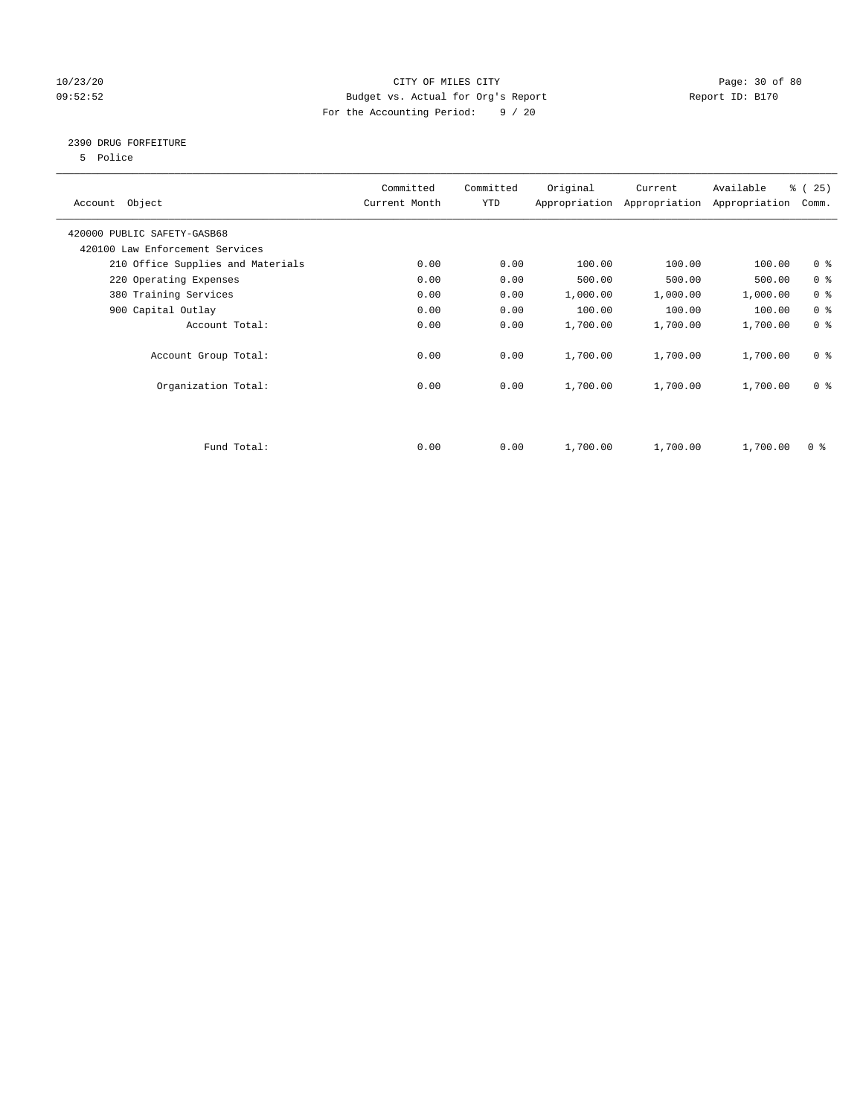## 10/23/20 Page: 30 of 80 09:52:52 Budget vs. Actual for Org's Report Changer Report ID: B170 For the Accounting Period: 9 / 20

## 2390 DRUG FORFEITURE

5 Police

| Account Object                    | Committed<br>Current Month | Committed<br>YTD | Original | Current<br>Appropriation Appropriation | Available<br>Appropriation | % (25)<br>Comm. |
|-----------------------------------|----------------------------|------------------|----------|----------------------------------------|----------------------------|-----------------|
| 420000 PUBLIC SAFETY-GASB68       |                            |                  |          |                                        |                            |                 |
| 420100 Law Enforcement Services   |                            |                  |          |                                        |                            |                 |
| 210 Office Supplies and Materials | 0.00                       | 0.00             | 100.00   | 100.00                                 | 100.00                     | 0 <sub>8</sub>  |
| 220 Operating Expenses            | 0.00                       | 0.00             | 500.00   | 500.00                                 | 500.00                     | 0 <sup>8</sup>  |
| 380 Training Services             | 0.00                       | 0.00             | 1,000.00 | 1,000.00                               | 1,000.00                   | 0 <sup>8</sup>  |
| 900 Capital Outlay                | 0.00                       | 0.00             | 100.00   | 100.00                                 | 100.00                     | 0 <sup>8</sup>  |
| Account Total:                    | 0.00                       | 0.00             | 1,700.00 | 1,700.00                               | 1,700.00                   | 0 <sup>8</sup>  |
| Account Group Total:              | 0.00                       | 0.00             | 1,700.00 | 1,700.00                               | 1,700.00                   | 0 <sup>8</sup>  |
| Organization Total:               | 0.00                       | 0.00             | 1,700.00 | 1,700.00                               | 1,700.00                   | 0 <sup>8</sup>  |
|                                   |                            |                  |          |                                        |                            |                 |
| Fund Total:                       | 0.00                       | 0.00             | 1,700.00 | 1,700.00                               | 1,700.00                   | 0 %             |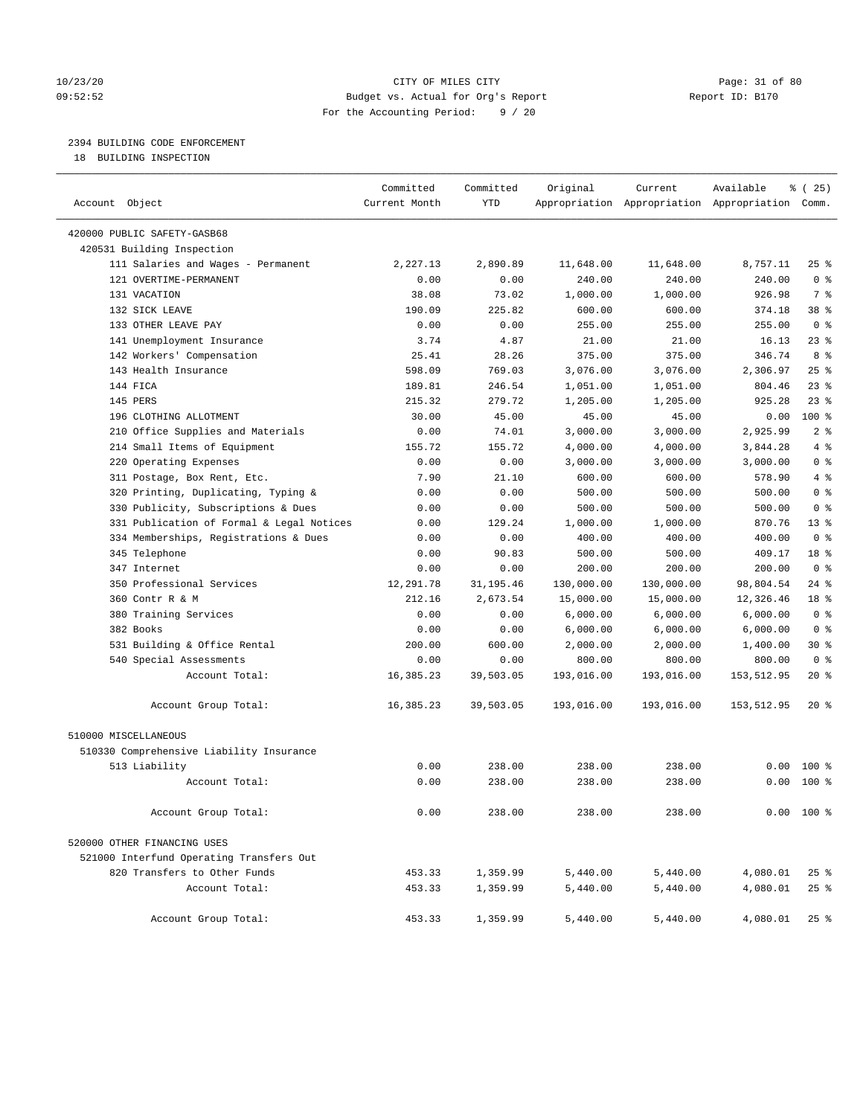## 10/23/20 Page: 31 of 80 09:52:52 Budget vs. Actual for Org's Report Report ID: B170 For the Accounting Period: 9 / 20

————————————————————————————————————————————————————————————————————————————————————————————————————————————————————————————————————

## 2394 BUILDING CODE ENFORCEMENT

18 BUILDING INSPECTION

|                                           | Committed     | Committed  | Original   | Current    | Available                                       | १ (25)         |  |
|-------------------------------------------|---------------|------------|------------|------------|-------------------------------------------------|----------------|--|
| Account Object                            | Current Month | <b>YTD</b> |            |            | Appropriation Appropriation Appropriation Comm. |                |  |
| 420000 PUBLIC SAFETY-GASB68               |               |            |            |            |                                                 |                |  |
| 420531 Building Inspection                |               |            |            |            |                                                 |                |  |
| 111 Salaries and Wages - Permanent        | 2,227.13      | 2,890.89   | 11,648.00  | 11,648.00  | 8,757.11                                        | $25$ %         |  |
| 121 OVERTIME-PERMANENT                    | 0.00          | 0.00       | 240.00     | 240.00     | 240.00                                          | 0 <sup>8</sup> |  |
| 131 VACATION                              | 38.08         | 73.02      | 1,000.00   | 1,000.00   | 926.98                                          | 7 %            |  |
| 132 SICK LEAVE                            | 190.09        | 225.82     | 600.00     | 600.00     | 374.18                                          | 38 %           |  |
| 133 OTHER LEAVE PAY                       | 0.00          | 0.00       | 255.00     | 255.00     | 255.00                                          | 0 <sup>8</sup> |  |
| 141 Unemployment Insurance                | 3.74          | 4.87       | 21.00      | 21.00      | 16.13                                           | $23$ %         |  |
| 142 Workers' Compensation                 | 25.41         | 28.26      | 375.00     | 375.00     | 346.74                                          | 8 %            |  |
| 143 Health Insurance                      | 598.09        | 769.03     | 3,076.00   | 3,076.00   | 2,306.97                                        | $25$ %         |  |
| 144 FICA                                  | 189.81        | 246.54     | 1,051.00   | 1,051.00   | 804.46                                          | $23$ %         |  |
| 145 PERS                                  | 215.32        | 279.72     | 1,205.00   | 1,205.00   | 925.28                                          | $23$ %         |  |
| 196 CLOTHING ALLOTMENT                    | 30.00         | 45.00      | 45.00      | 45.00      | 0.00                                            | 100%           |  |
| 210 Office Supplies and Materials         | 0.00          | 74.01      | 3,000.00   | 3,000.00   | 2,925.99                                        | 2 <sup>8</sup> |  |
| 214 Small Items of Equipment              | 155.72        | 155.72     | 4,000.00   | 4,000.00   | 3,844.28                                        | 4%             |  |
| 220 Operating Expenses                    | 0.00          | 0.00       | 3,000.00   | 3,000.00   | 3,000.00                                        | 0 <sup>8</sup> |  |
| 311 Postage, Box Rent, Etc.               | 7.90          | 21.10      | 600.00     | 600.00     | 578.90                                          | 4%             |  |
| 320 Printing, Duplicating, Typing &       | 0.00          | 0.00       | 500.00     | 500.00     | 500.00                                          | 0 <sup>8</sup> |  |
| 330 Publicity, Subscriptions & Dues       | 0.00          | 0.00       | 500.00     | 500.00     | 500.00                                          | 0 <sup>8</sup> |  |
| 331 Publication of Formal & Legal Notices | 0.00          | 129.24     | 1,000.00   | 1,000.00   | 870.76                                          | $13*$          |  |
| 334 Memberships, Registrations & Dues     | 0.00          | 0.00       | 400.00     | 400.00     | 400.00                                          | 0 <sup>8</sup> |  |
| 345 Telephone                             | 0.00          | 90.83      | 500.00     | 500.00     | 409.17                                          | 18 %           |  |
| 347 Internet                              | 0.00          | 0.00       | 200.00     | 200.00     | 200.00                                          | 0 <sup>8</sup> |  |
| 350 Professional Services                 | 12,291.78     | 31,195.46  | 130,000.00 | 130,000.00 | 98,804.54                                       | $24$ %         |  |
| 360 Contr R & M                           | 212.16        | 2,673.54   | 15,000.00  | 15,000.00  | 12,326.46                                       | 18 %           |  |
| 380 Training Services                     | 0.00          | 0.00       | 6,000.00   | 6,000.00   | 6,000.00                                        | 0 <sup>8</sup> |  |
| 382 Books                                 | 0.00          | 0.00       | 6,000.00   | 6,000.00   | 6,000.00                                        | 0 <sup>8</sup> |  |
| 531 Building & Office Rental              | 200.00        | 600.00     | 2,000.00   | 2,000.00   | 1,400.00                                        | 30 %           |  |
| 540 Special Assessments                   | 0.00          | 0.00       | 800.00     | 800.00     | 800.00                                          | 0 <sup>8</sup> |  |
| Account Total:                            | 16,385.23     | 39,503.05  | 193,016.00 | 193,016.00 | 153,512.95                                      | $20*$          |  |
| Account Group Total:                      | 16,385.23     | 39,503.05  | 193,016.00 | 193,016.00 | 153,512.95                                      | $20*$          |  |
| 510000 MISCELLANEOUS                      |               |            |            |            |                                                 |                |  |
| 510330 Comprehensive Liability Insurance  |               |            |            |            |                                                 |                |  |
| 513 Liability                             | 0.00          | 238.00     | 238.00     | 238.00     |                                                 | $0.00$ 100 %   |  |
| Account Total:                            | 0.00          | 238.00     | 238.00     | 238.00     |                                                 | $0.00$ 100 %   |  |
| Account Group Total:                      | 0.00          | 238.00     | 238.00     | 238.00     |                                                 | $0.00 100$ %   |  |
| 520000 OTHER FINANCING USES               |               |            |            |            |                                                 |                |  |
| 521000 Interfund Operating Transfers Out  |               |            |            |            |                                                 |                |  |
| 820 Transfers to Other Funds              | 453.33        | 1,359.99   | 5,440.00   | 5,440.00   | 4,080.01                                        | $25$ %         |  |
| Account Total:                            | 453.33        | 1,359.99   | 5,440.00   | 5,440.00   | 4,080.01                                        | $25$ %         |  |
| Account Group Total:                      | 453.33        | 1,359.99   | 5,440.00   | 5,440.00   | 4,080.01                                        | $25$ %         |  |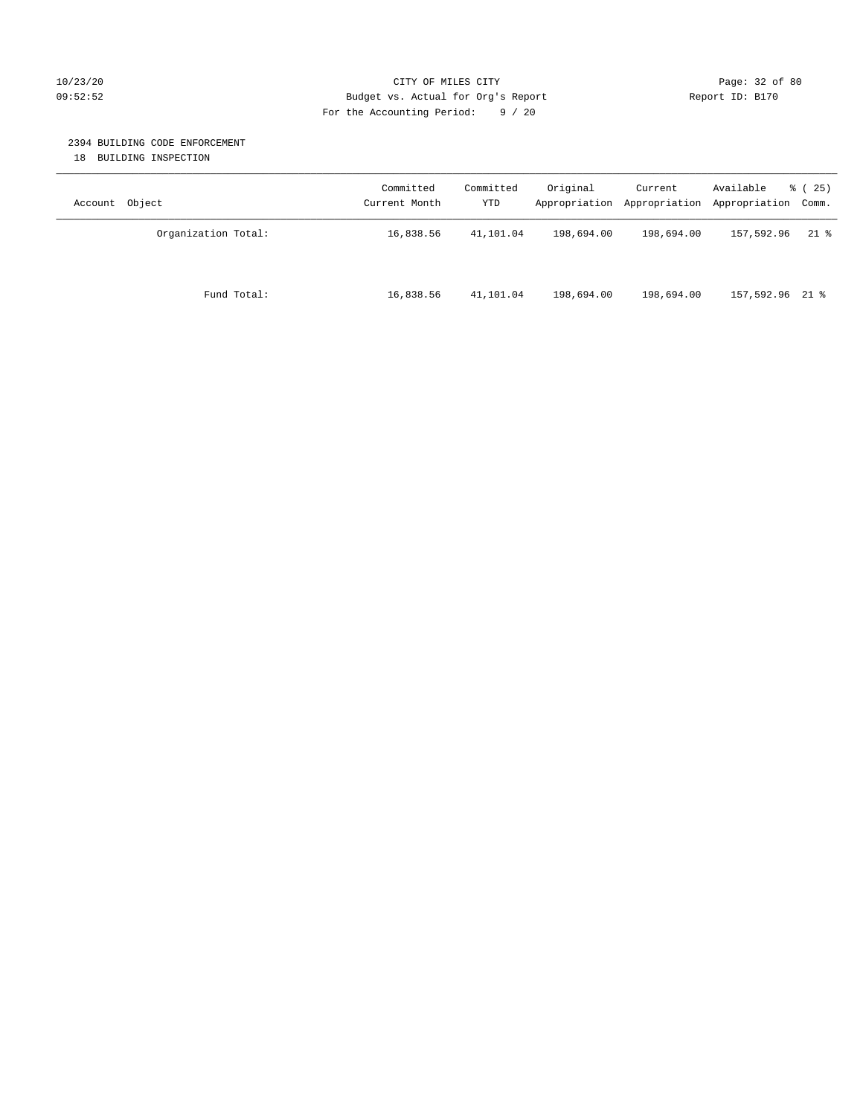## 10/23/20 Page: 32 of 80 09:52:52 Budget vs. Actual for Org's Report Report ID: B170 For the Accounting Period: 9 / 20

## 2394 BUILDING CODE ENFORCEMENT

18 BUILDING INSPECTION

| Account Object      | Committed<br>Current Month | Committed<br>YTD | Original   | Current<br>Appropriation Appropriation | Available<br>Appropriation Comm. | % (25) |
|---------------------|----------------------------|------------------|------------|----------------------------------------|----------------------------------|--------|
| Organization Total: | 16,838.56                  | 41,101.04        | 198,694.00 | 198,694.00                             | 157,592.96                       | $21$ % |
| Fund Total:         | 16,838.56                  | 41,101.04        | 198,694.00 | 198,694.00                             | 157,592.96 21 %                  |        |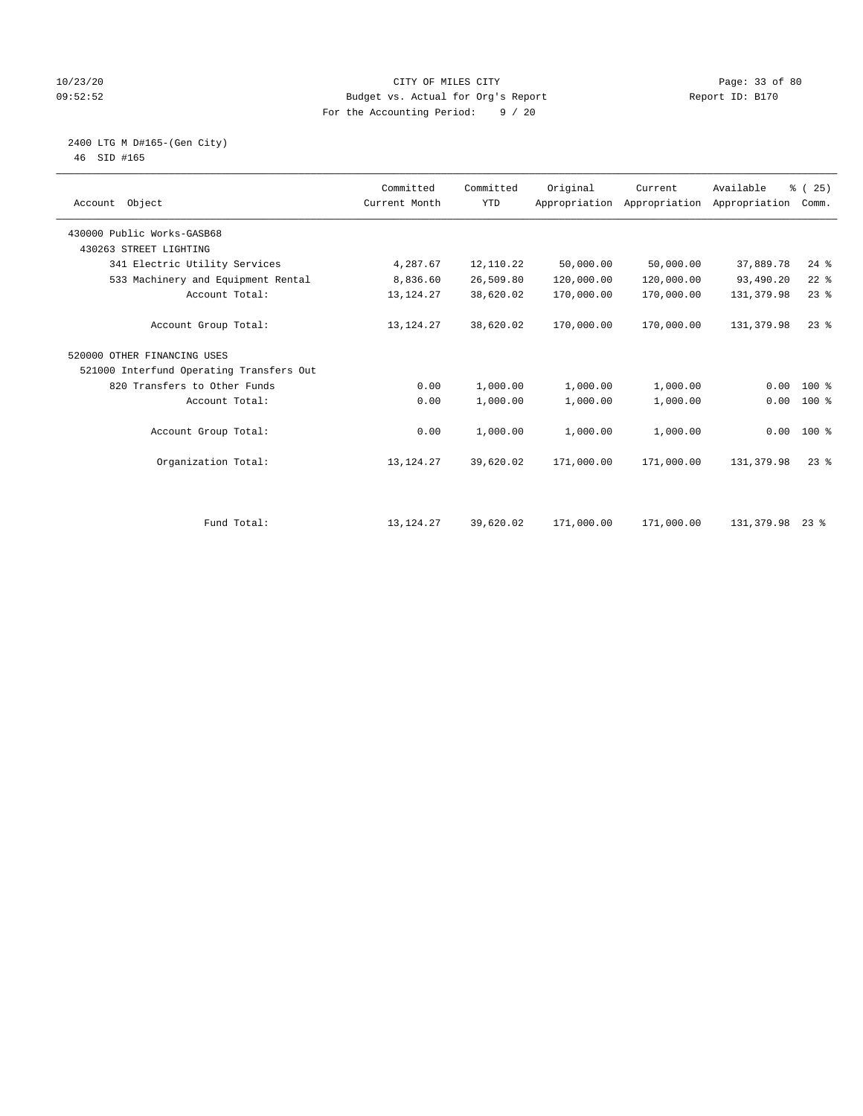## 10/23/20 Page: 33 of 80 09:52:52 Budget vs. Actual for Org's Report Report ID: B170 For the Accounting Period: 9 / 20

 2400 LTG M D#165-(Gen City) 46 SID #165

| Object<br>Account                        | Committed<br>Current Month | Committed<br><b>YTD</b> | Original   | Current<br>Appropriation Appropriation | Available<br>Appropriation | % (25)<br>Comm. |  |
|------------------------------------------|----------------------------|-------------------------|------------|----------------------------------------|----------------------------|-----------------|--|
| 430000 Public Works-GASB68               |                            |                         |            |                                        |                            |                 |  |
| 430263 STREET LIGHTING                   |                            |                         |            |                                        |                            |                 |  |
| 341 Electric Utility Services            | 4,287.67                   | 12,110.22               | 50,000.00  | 50,000.00                              | 37,889.78                  | $24$ $%$        |  |
| 533 Machinery and Equipment Rental       | 8,836.60                   | 26,509.80               | 120,000.00 | 120,000.00                             | 93,490.20                  | $22$ %          |  |
| Account Total:                           | 13, 124. 27                | 38,620.02               | 170,000.00 | 170,000.00                             | 131,379.98                 | $23$ $%$        |  |
| Account Group Total:                     | 13, 124. 27                | 38,620.02               | 170,000.00 | 170,000.00                             | 131,379.98                 | $23$ $%$        |  |
| 520000 OTHER FINANCING USES              |                            |                         |            |                                        |                            |                 |  |
| 521000 Interfund Operating Transfers Out |                            |                         |            |                                        |                            |                 |  |
| 820 Transfers to Other Funds             | 0.00                       | 1,000.00                | 1,000.00   | 1,000.00                               | 0.00                       | 100 %           |  |
| Account Total:                           | 0.00                       | 1,000.00                | 1,000.00   | 1,000.00                               | 0.00                       | 100 %           |  |
| Account Group Total:                     | 0.00                       | 1,000.00                | 1,000.00   | 1,000.00                               |                            | $0.00 100$ %    |  |
| Organization Total:                      | 13, 124. 27                | 39,620.02               | 171,000.00 | 171,000.00                             | 131,379.98                 | $23$ $%$        |  |
|                                          |                            |                         |            |                                        |                            |                 |  |
| Fund Total:                              | 13, 124. 27                | 39,620.02               | 171,000.00 | 171,000.00                             | 131,379.98                 | $23$ %          |  |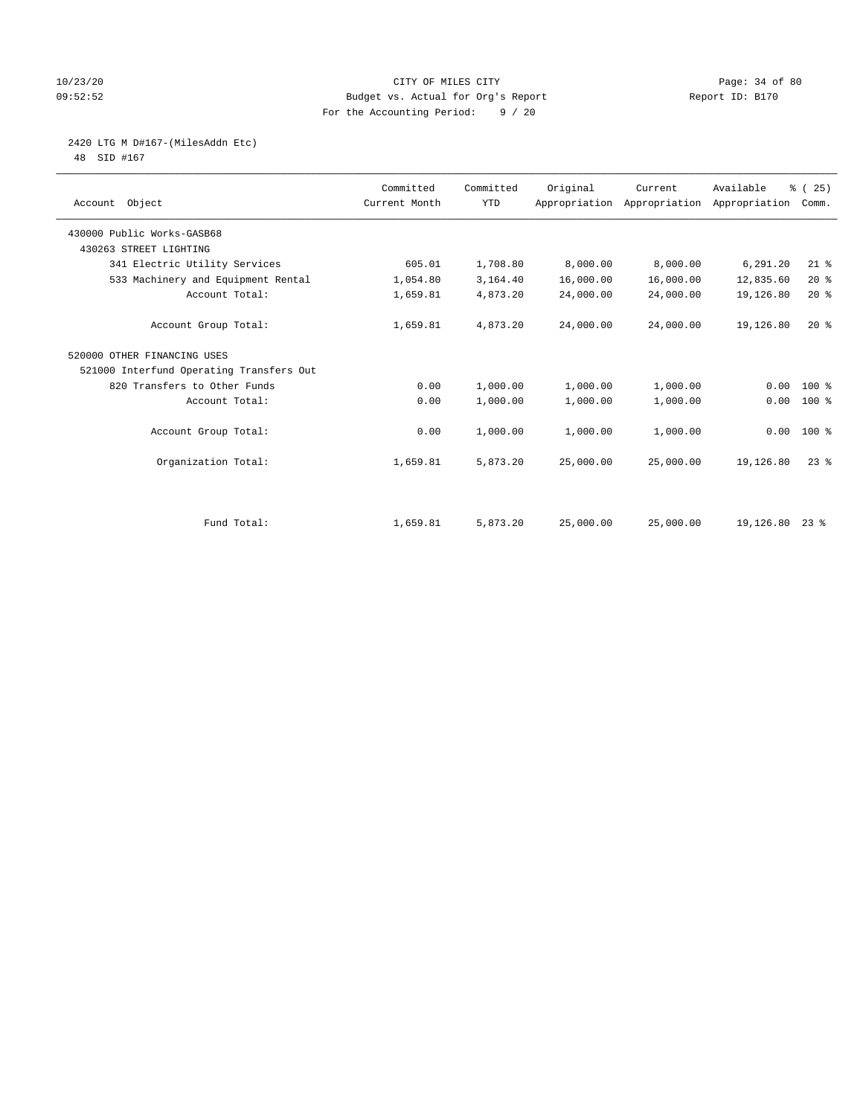## 10/23/20 Page: 34 of 80 09:52:52 Budget vs. Actual for Org's Report Report ID: B170 For the Accounting Period: 9 / 20

# 2420 LTG M D#167-(MilesAddn Etc)

48 SID #167

| Account Object                           | Committed<br>Current Month | Committed<br><b>YTD</b> | Original  | Current<br>Appropriation Appropriation | Available<br>Appropriation | % (25)<br>Comm. |
|------------------------------------------|----------------------------|-------------------------|-----------|----------------------------------------|----------------------------|-----------------|
| 430000 Public Works-GASB68               |                            |                         |           |                                        |                            |                 |
| 430263 STREET LIGHTING                   |                            |                         |           |                                        |                            |                 |
| 341 Electric Utility Services            | 605.01                     | 1,708.80                | 8,000.00  | 8,000.00                               | 6,291.20                   | $21$ %          |
| 533 Machinery and Equipment Rental       | 1,054.80                   | 3,164.40                | 16,000.00 | 16,000.00                              | 12,835.60                  | 20%             |
| Account Total:                           | 1,659.81                   | 4,873.20                | 24,000.00 | 24,000.00                              | 19,126.80                  | $20*$           |
| Account Group Total:                     | 1,659.81                   | 4,873.20                | 24,000.00 | 24,000.00                              | 19,126.80                  | $20*$           |
| 520000 OTHER FINANCING USES              |                            |                         |           |                                        |                            |                 |
| 521000 Interfund Operating Transfers Out |                            |                         |           |                                        |                            |                 |
| 820 Transfers to Other Funds             | 0.00                       | 1,000.00                | 1,000.00  | 1,000.00                               | 0.00                       | 100 %           |
| Account Total:                           | 0.00                       | 1,000.00                | 1,000.00  | 1,000.00                               | 0.00                       | 100 %           |
| Account Group Total:                     | 0.00                       | 1,000.00                | 1,000.00  | 1,000.00                               | 0.00                       | $100*$          |
| Organization Total:                      | 1,659.81                   | 5,873.20                | 25,000.00 | 25,000.00                              | 19,126.80                  | $23$ $%$        |
|                                          |                            |                         |           |                                        |                            |                 |
| Fund Total:                              | 1,659.81                   | 5,873.20                | 25,000.00 | 25,000.00                              | 19, 126.80 23 %            |                 |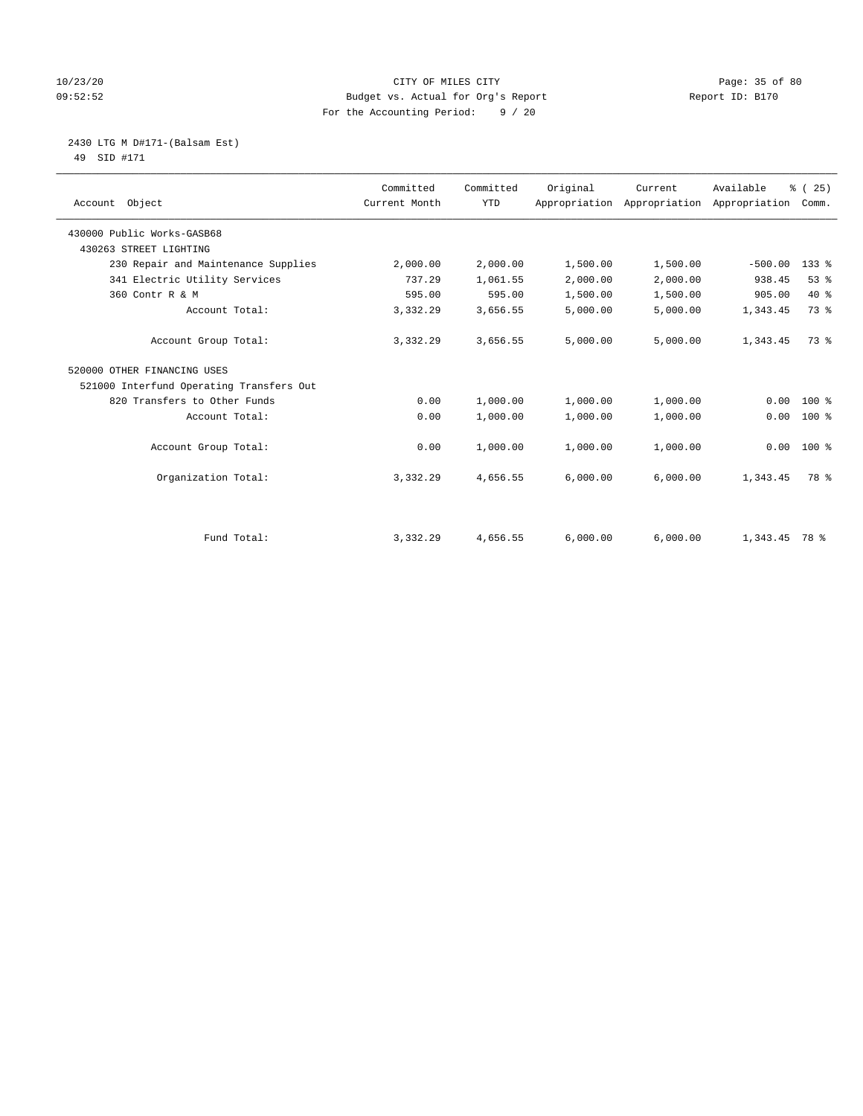## 10/23/20 Page: 35 of 80 09:52:52 Budget vs. Actual for Org's Report Report ID: B170 For the Accounting Period: 9 / 20

#### 2430 LTG M D#171-(Balsam Est) 49 SID #171

| Account Object                           | Committed<br>Current Month | Committed<br><b>YTD</b> | Original | Current<br>Appropriation Appropriation Appropriation | Available       | % (25)<br>Comm. |
|------------------------------------------|----------------------------|-------------------------|----------|------------------------------------------------------|-----------------|-----------------|
| 430000 Public Works-GASB68               |                            |                         |          |                                                      |                 |                 |
| 430263 STREET LIGHTING                   |                            |                         |          |                                                      |                 |                 |
| 230 Repair and Maintenance Supplies      | 2,000.00                   | 2,000.00                | 1,500.00 | 1,500.00                                             | $-500.00$       | $133$ $%$       |
| 341 Electric Utility Services            | 737.29                     | 1,061.55                | 2,000.00 | 2,000.00                                             | 938.45          | 53%             |
| 360 Contr R & M                          | 595.00                     | 595.00                  | 1,500.00 | 1,500.00                                             | 905.00          | $40*$           |
| Account Total:                           | 3,332.29                   | 3,656.55                | 5,000.00 | 5,000.00                                             | 1,343.45        | 73 %            |
| Account Group Total:                     | 3,332.29                   | 3,656.55                | 5,000.00 | 5,000.00                                             | 1,343.45        | 73 %            |
| 520000 OTHER FINANCING USES              |                            |                         |          |                                                      |                 |                 |
| 521000 Interfund Operating Transfers Out |                            |                         |          |                                                      |                 |                 |
| 820 Transfers to Other Funds             | 0.00                       | 1,000.00                | 1,000.00 | 1,000.00                                             | 0.00            | $100*$          |
| Account Total:                           | 0.00                       | 1,000.00                | 1,000.00 | 1,000.00                                             | 0.00            | 100 %           |
| Account Group Total:                     | 0.00                       | 1,000.00                | 1,000.00 | 1,000.00                                             | 0.00            | 100 %           |
| Organization Total:                      | 3,332.29                   | 4,656.55                | 6,000.00 | 6,000.00                                             | 1,343.45        | 78 %            |
|                                          |                            |                         |          |                                                      |                 |                 |
| Fund Total:                              | 3,332.29                   | 4,656.55                | 6,000.00 | 6,000.00                                             | $1.343.45$ 78 % |                 |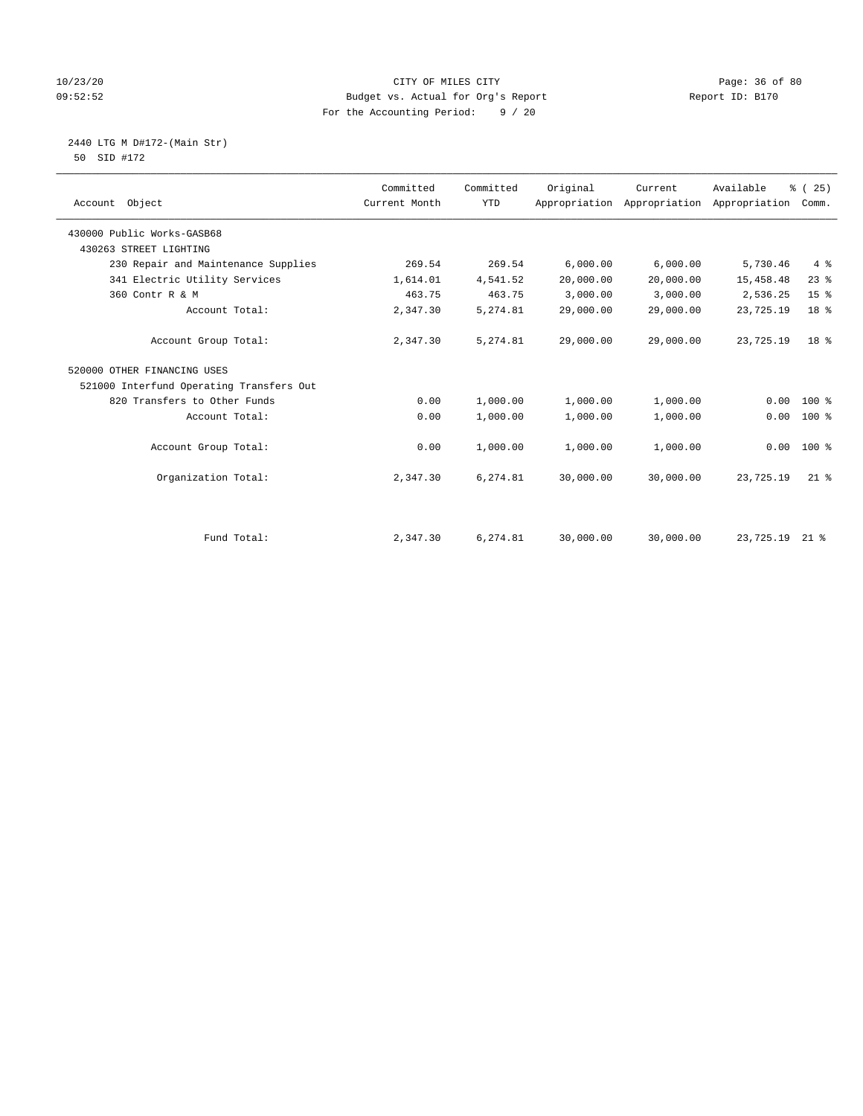## 10/23/20 Page: 36 of 80 09:52:52 Budget vs. Actual for Org's Report Changer Report ID: B170 For the Accounting Period: 9 / 20

2440 LTG M D#172-(Main Str)

| 50 SID #172 |  |
|-------------|--|
|             |  |
|             |  |

| Account Object                           | Committed<br>Current Month | Committed<br><b>YTD</b> | Original  | Current<br>Appropriation Appropriation Appropriation | Available | % (25)<br>Comm. |
|------------------------------------------|----------------------------|-------------------------|-----------|------------------------------------------------------|-----------|-----------------|
| 430000 Public Works-GASB68               |                            |                         |           |                                                      |           |                 |
| 430263 STREET LIGHTING                   |                            |                         |           |                                                      |           |                 |
| 230 Repair and Maintenance Supplies      | 269.54                     | 269.54                  | 6,000.00  | 6,000.00                                             | 5,730.46  | 4%              |
| 341 Electric Utility Services            | 1,614.01                   | 4,541.52                | 20,000.00 | 20,000.00                                            | 15,458.48 | $23$ $%$        |
| 360 Contr R & M                          | 463.75                     | 463.75                  | 3,000.00  | 3,000.00                                             | 2,536.25  | 15 <sup>°</sup> |
| Account Total:                           | 2,347.30                   | 5,274.81                | 29,000.00 | 29,000.00                                            | 23,725.19 | 18 <sup>8</sup> |
| Account Group Total:                     | 2,347.30                   | 5,274.81                | 29,000.00 | 29,000.00                                            | 23,725.19 | 18 <sup>8</sup> |
| 520000 OTHER FINANCING USES              |                            |                         |           |                                                      |           |                 |
| 521000 Interfund Operating Transfers Out |                            |                         |           |                                                      |           |                 |
| 820 Transfers to Other Funds             | 0.00                       | 1,000.00                | 1,000.00  | 1,000.00                                             | 0.00      | $100*$          |
| Account Total:                           | 0.00                       | 1,000.00                | 1,000.00  | 1,000.00                                             | 0.00      | $100*$          |
| Account Group Total:                     | 0.00                       | 1,000.00                | 1,000.00  | 1,000.00                                             |           | $0.00 100$ %    |
| Organization Total:                      | 2,347.30                   | 6,274.81                | 30,000.00 | 30,000.00                                            | 23,725.19 | $21$ $%$        |
|                                          |                            |                         |           |                                                      |           |                 |
| Fund Total:                              | 2,347.30                   | 6,274.81                | 30,000.00 | 30,000.00                                            | 23,725.19 | $21$ %          |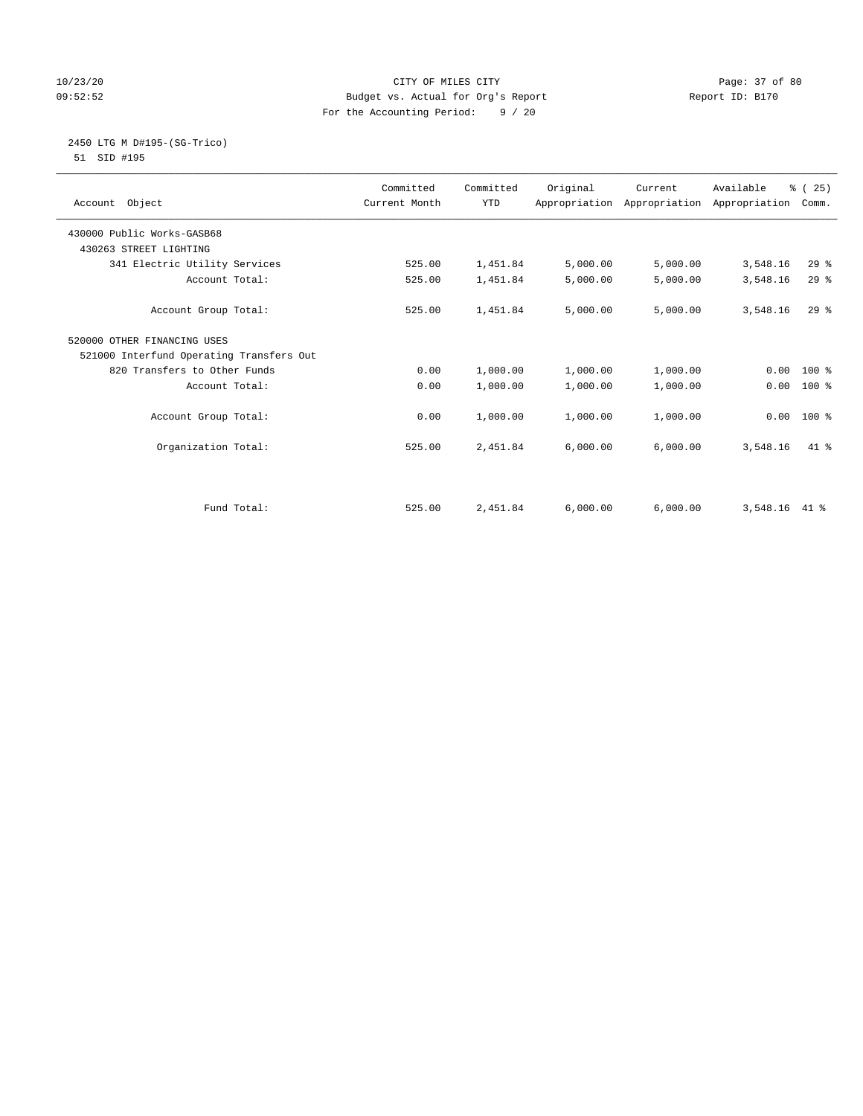## 10/23/20 Page: 37 of 80 09:52:52 Budget vs. Actual for Org's Report Report ID: B170 For the Accounting Period: 9 / 20

#### 2450 LTG M D#195-(SG-Trico) 51 SID #195

|                                          | Committed     | Committed  | Original | Current                                   | Available | % (25)   |  |
|------------------------------------------|---------------|------------|----------|-------------------------------------------|-----------|----------|--|
| Account Object                           | Current Month | <b>YTD</b> |          | Appropriation Appropriation Appropriation |           | Comm.    |  |
| 430000 Public Works-GASB68               |               |            |          |                                           |           |          |  |
| 430263 STREET LIGHTING                   |               |            |          |                                           |           |          |  |
| 341 Electric Utility Services            | 525.00        | 1,451.84   | 5,000.00 | 5,000.00                                  | 3,548.16  | $29$ $%$ |  |
| Account Total:                           | 525.00        | 1,451.84   | 5,000.00 | 5,000.00                                  | 3,548.16  | 29%      |  |
| Account Group Total:                     | 525.00        | 1,451.84   | 5,000.00 | 5,000.00                                  | 3,548.16  | $29$ $%$ |  |
| 520000 OTHER FINANCING USES              |               |            |          |                                           |           |          |  |
| 521000 Interfund Operating Transfers Out |               |            |          |                                           |           |          |  |
| 820 Transfers to Other Funds             | 0.00          | 1,000.00   | 1,000.00 | 1,000.00                                  | 0.00      | $100*$   |  |
| Account Total:                           | 0.00          | 1,000.00   | 1,000.00 | 1,000.00                                  | 0.00      | $100*$   |  |
| Account Group Total:                     | 0.00          | 1,000.00   | 1,000.00 | 1,000.00                                  | 0.00      | $100*$   |  |
| Organization Total:                      | 525.00        | 2,451.84   | 6,000.00 | 6,000.00                                  | 3,548.16  | $41*$    |  |
|                                          |               |            |          |                                           |           |          |  |
| Fund Total:                              | 525.00        | 2,451.84   | 6,000.00 | 6,000.00                                  | 3,548.16  | 41 %     |  |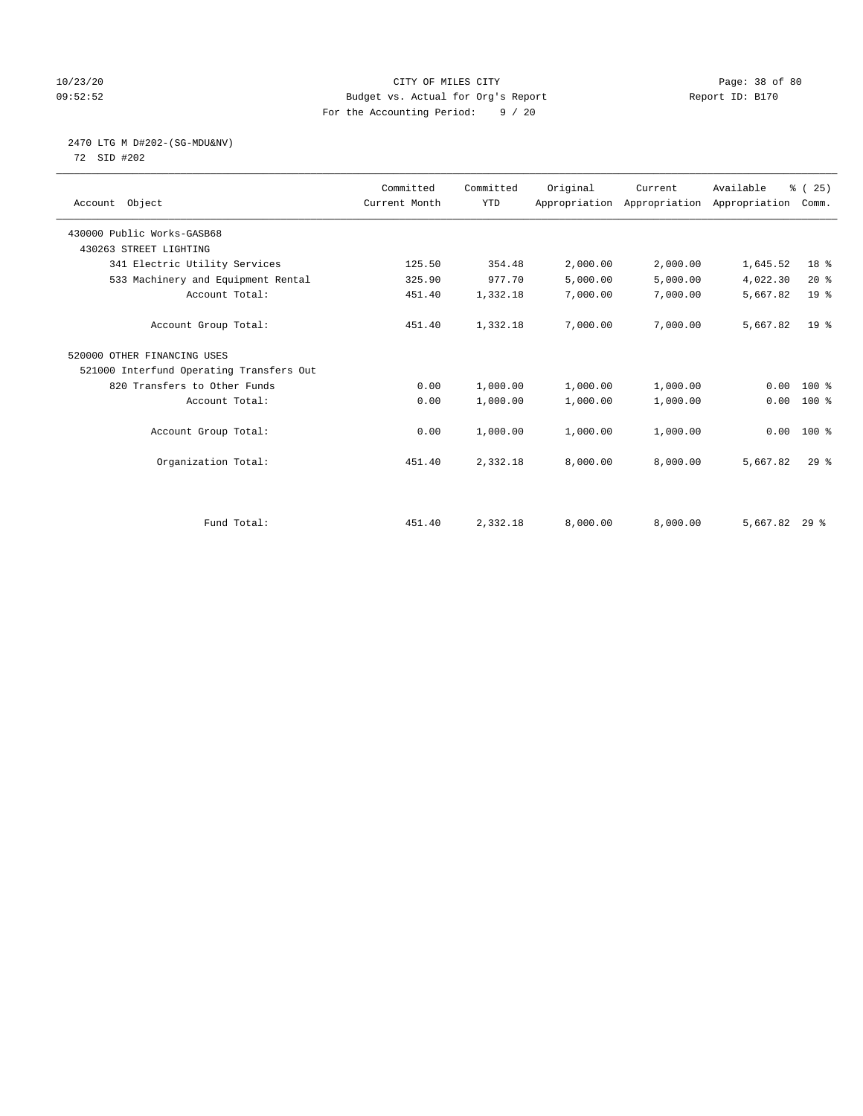## 10/23/20 Page: 38 of 80 09:52:52 Budget vs. Actual for Org's Report Report ID: B170 For the Accounting Period: 9 / 20

# 2470 LTG M D#202-(SG-MDU&NV)

72 SID #202

| Account Object                           | Committed<br>Current Month | Committed<br><b>YTD</b> | Original | Current<br>Appropriation Appropriation Appropriation | Available       | % (25)<br>Comm. |  |
|------------------------------------------|----------------------------|-------------------------|----------|------------------------------------------------------|-----------------|-----------------|--|
| 430000 Public Works-GASB68               |                            |                         |          |                                                      |                 |                 |  |
| 430263 STREET LIGHTING                   |                            |                         |          |                                                      |                 |                 |  |
| 341 Electric Utility Services            | 125.50                     | 354.48                  | 2,000.00 | 2,000.00                                             | 1,645.52        | 18 %            |  |
| 533 Machinery and Equipment Rental       | 325.90                     | 977.70                  | 5,000.00 | 5,000.00                                             | 4,022.30        | 20%             |  |
| Account Total:                           | 451.40                     | 1,332.18                | 7,000.00 | 7,000.00                                             | 5,667.82        | 19 <sup>8</sup> |  |
| Account Group Total:                     | 451.40                     | 1,332.18                | 7,000.00 | 7,000.00                                             | 5,667.82        | 19 <sup>°</sup> |  |
| 520000 OTHER FINANCING USES              |                            |                         |          |                                                      |                 |                 |  |
| 521000 Interfund Operating Transfers Out |                            |                         |          |                                                      |                 |                 |  |
| 820 Transfers to Other Funds             | 0.00                       | 1,000.00                | 1,000.00 | 1,000.00                                             | 0.00            | 100 %           |  |
| Account Total:                           | 0.00                       | 1,000.00                | 1,000.00 | 1,000.00                                             | 0.00            | $100$ %         |  |
| Account Group Total:                     | 0.00                       | 1,000.00                | 1,000.00 | 1,000.00                                             | 0.00            | 100 %           |  |
| Organization Total:                      | 451.40                     | 2,332.18                | 8,000.00 | 8,000.00                                             | 5,667.82        | $29$ $%$        |  |
|                                          |                            |                         |          |                                                      |                 |                 |  |
| Fund Total:                              | 451.40                     | 2,332.18                | 8,000.00 | 8,000.00                                             | $5,667.82$ 29 % |                 |  |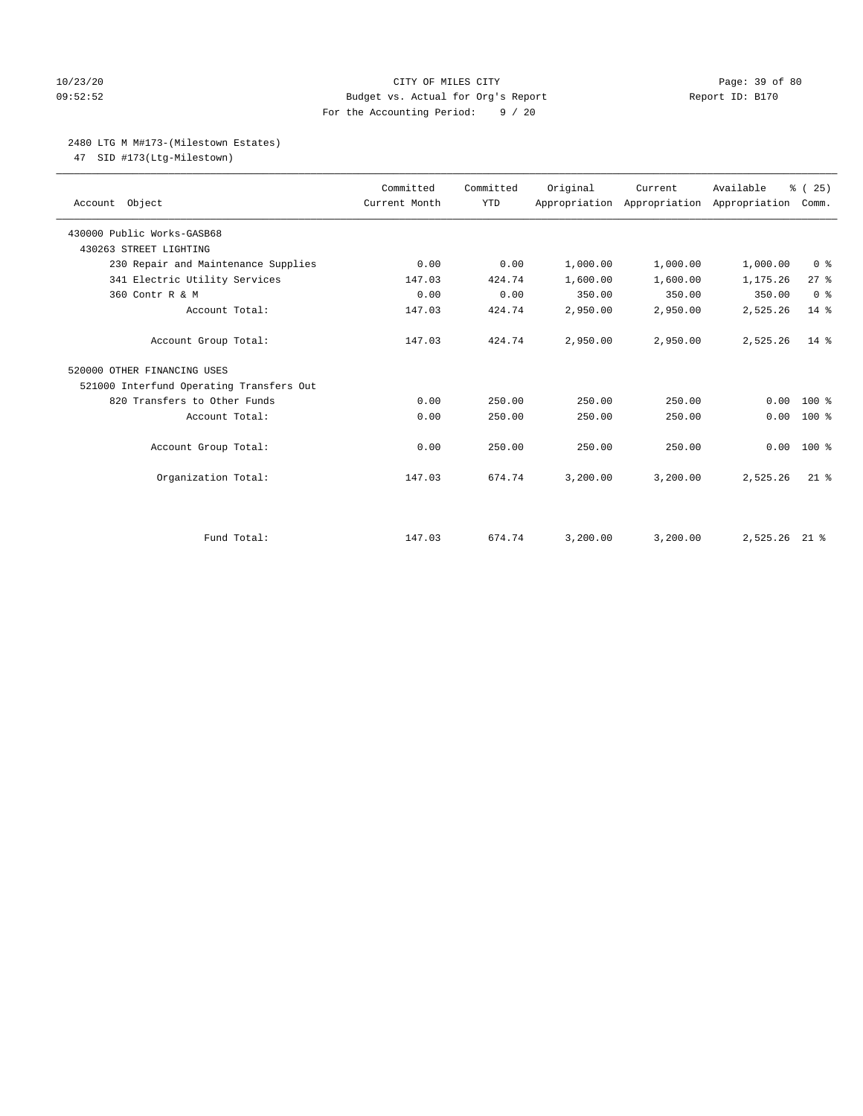## 10/23/20 Page: 39 of 80 09:52:52 Budget vs. Actual for Org's Report Report ID: B170 For the Accounting Period: 9 / 20

## 2480 LTG M M#173-(Milestown Estates)

47 SID #173(Ltg-Milestown)

| Account Object                           | Committed<br>Current Month | Committed<br><b>YTD</b> | Original | Current<br>Appropriation Appropriation Appropriation | Available | % (25)<br>Comm. |
|------------------------------------------|----------------------------|-------------------------|----------|------------------------------------------------------|-----------|-----------------|
| 430000 Public Works-GASB68               |                            |                         |          |                                                      |           |                 |
| 430263 STREET LIGHTING                   |                            |                         |          |                                                      |           |                 |
| 230 Repair and Maintenance Supplies      | 0.00                       | 0.00                    | 1,000.00 | 1,000.00                                             | 1,000.00  | 0 <sup>8</sup>  |
| 341 Electric Utility Services            | 147.03                     | 424.74                  | 1,600.00 | 1,600.00                                             | 1,175.26  | $27$ $%$        |
| 360 Contr R & M                          | 0.00                       | 0.00                    | 350.00   | 350.00                                               | 350.00    | 0 <sup>8</sup>  |
| Account Total:                           | 147.03                     | 424.74                  | 2,950.00 | 2,950.00                                             | 2,525.26  | 14 %            |
| Account Group Total:                     | 147.03                     | 424.74                  | 2,950.00 | 2,950.00                                             | 2,525.26  | $14*$           |
| 520000 OTHER FINANCING USES              |                            |                         |          |                                                      |           |                 |
| 521000 Interfund Operating Transfers Out |                            |                         |          |                                                      |           |                 |
| 820 Transfers to Other Funds             | 0.00                       | 250.00                  | 250.00   | 250.00                                               | 0.00      | $100$ %         |
| Account Total:                           | 0.00                       | 250.00                  | 250.00   | 250.00                                               | 0.00      | $100*$          |
| Account Group Total:                     | 0.00                       | 250.00                  | 250.00   | 250.00                                               | 0.00      | $100*$          |
| Organization Total:                      | 147.03                     | 674.74                  | 3,200.00 | 3.200.00                                             | 2,525.26  | $21$ %          |
|                                          |                            |                         |          |                                                      |           |                 |
| Fund Total:                              | 147.03                     | 674.74                  | 3,200.00 | 3,200.00                                             | 2,525.26  | $21$ %          |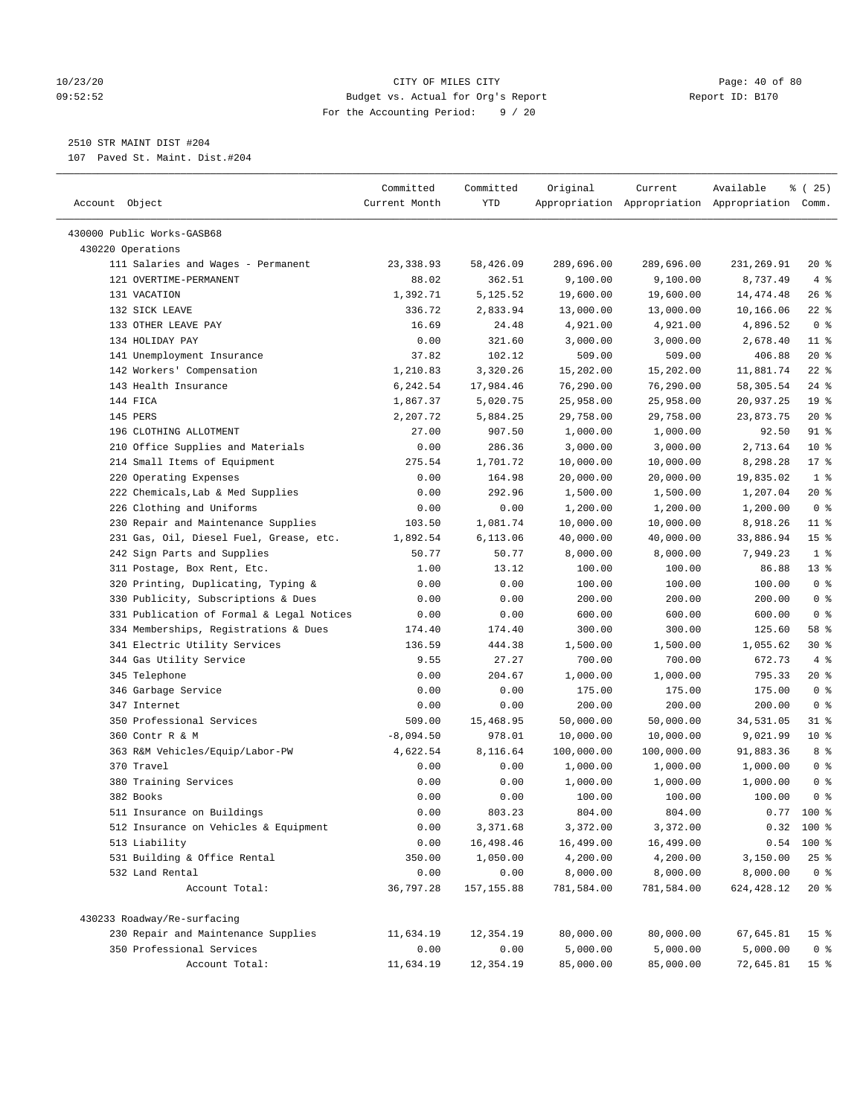#### 10/23/20 Page: 40 of 80 09:52:52 Budget vs. Actual for Org's Report Report ID: B170 For the Accounting Period: 9 / 20

————————————————————————————————————————————————————————————————————————————————————————————————————————————————————————————————————

# 2510 STR MAINT DIST #204

107 Paved St. Maint. Dist.#204

|                                                              | Committed     | Committed   | Original   | Current    | Available                                       | ៖ (25)          |
|--------------------------------------------------------------|---------------|-------------|------------|------------|-------------------------------------------------|-----------------|
| Account Object                                               | Current Month | YTD         |            |            | Appropriation Appropriation Appropriation Comm. |                 |
|                                                              |               |             |            |            |                                                 |                 |
| 430000 Public Works-GASB68<br>430220 Operations              |               |             |            |            |                                                 |                 |
|                                                              | 23, 338.93    | 58,426.09   | 289,696.00 | 289,696.00 | 231,269.91                                      | $20*$           |
| 111 Salaries and Wages - Permanent<br>121 OVERTIME-PERMANENT | 88.02         | 362.51      | 9,100.00   | 9,100.00   | 8,737.49                                        | 4%              |
| 131 VACATION                                                 | 1,392.71      | 5,125.52    | 19,600.00  | 19,600.00  | 14,474.48                                       | $26$ %          |
| 132 SICK LEAVE                                               | 336.72        | 2,833.94    | 13,000.00  | 13,000.00  | 10,166.06                                       | $22$ %          |
| 133 OTHER LEAVE PAY                                          | 16.69         | 24.48       | 4,921.00   | 4,921.00   | 4,896.52                                        | 0 <sup>8</sup>  |
| 134 HOLIDAY PAY                                              | 0.00          | 321.60      | 3,000.00   | 3,000.00   | 2,678.40                                        | $11$ %          |
| 141 Unemployment Insurance                                   | 37.82         | 102.12      | 509.00     | 509.00     | 406.88                                          | $20*$           |
| 142 Workers' Compensation                                    | 1,210.83      | 3,320.26    | 15,202.00  | 15,202.00  | 11,881.74                                       | $22$ %          |
| 143 Health Insurance                                         | 6,242.54      | 17,984.46   | 76,290.00  | 76,290.00  | 58,305.54                                       | $24$ %          |
| 144 FICA                                                     | 1,867.37      | 5,020.75    | 25,958.00  | 25,958.00  | 20,937.25                                       | 19 <sup>°</sup> |
| 145 PERS                                                     | 2,207.72      | 5,884.25    | 29,758.00  | 29,758.00  | 23,873.75                                       | $20*$           |
| 196 CLOTHING ALLOTMENT                                       | 27.00         | 907.50      | 1,000.00   | 1,000.00   | 92.50                                           | 91 %            |
| 210 Office Supplies and Materials                            | 0.00          | 286.36      | 3,000.00   | 3,000.00   | 2,713.64                                        | $10*$           |
| 214 Small Items of Equipment                                 | 275.54        | 1,701.72    | 10,000.00  | 10,000.00  | 8,298.28                                        | 17.8            |
| 220 Operating Expenses                                       | 0.00          | 164.98      | 20,000.00  | 20,000.00  | 19,835.02                                       | 1 <sup>°</sup>  |
| 222 Chemicals, Lab & Med Supplies                            | 0.00          | 292.96      | 1,500.00   | 1,500.00   | 1,207.04                                        | $20*$           |
| 226 Clothing and Uniforms                                    | 0.00          | 0.00        | 1,200.00   | 1,200.00   | 1,200.00                                        | 0 <sup>8</sup>  |
| 230 Repair and Maintenance Supplies                          | 103.50        | 1,081.74    | 10,000.00  | 10,000.00  | 8,918.26                                        | $11$ %          |
| 231 Gas, Oil, Diesel Fuel, Grease, etc.                      | 1,892.54      | 6,113.06    | 40,000.00  | 40,000.00  | 33,886.94                                       | 15 %            |
| 242 Sign Parts and Supplies                                  | 50.77         | 50.77       | 8,000.00   | 8,000.00   | 7,949.23                                        | 1 <sup>8</sup>  |
| 311 Postage, Box Rent, Etc.                                  | 1.00          | 13.12       | 100.00     | 100.00     | 86.88                                           | $13*$           |
| 320 Printing, Duplicating, Typing &                          | 0.00          | 0.00        | 100.00     | 100.00     | 100.00                                          | 0 <sup>8</sup>  |
| 330 Publicity, Subscriptions & Dues                          | 0.00          | 0.00        | 200.00     | 200.00     | 200.00                                          | 0 <sup>8</sup>  |
| 331 Publication of Formal & Legal Notices                    | 0.00          | 0.00        | 600.00     | 600.00     | 600.00                                          | 0 <sup>8</sup>  |
| 334 Memberships, Registrations & Dues                        | 174.40        | 174.40      | 300.00     | 300.00     | 125.60                                          | 58 %            |
| 341 Electric Utility Services                                | 136.59        | 444.38      | 1,500.00   | 1,500.00   | 1,055.62                                        | $30*$           |
| 344 Gas Utility Service                                      | 9.55          | 27.27       | 700.00     | 700.00     | 672.73                                          | 4%              |
| 345 Telephone                                                | 0.00          | 204.67      | 1,000.00   | 1,000.00   | 795.33                                          | 20 %            |
| 346 Garbage Service                                          | 0.00          | 0.00        | 175.00     | 175.00     | 175.00                                          | 0 <sup>8</sup>  |
| 347 Internet                                                 | 0.00          | 0.00        | 200.00     | 200.00     | 200.00                                          | 0 <sup>8</sup>  |
| 350 Professional Services                                    | 509.00        | 15,468.95   | 50,000.00  | 50,000.00  | 34,531.05                                       | $31$ %          |
| 360 Contr R & M                                              | $-8,094.50$   | 978.01      | 10,000.00  | 10,000.00  | 9,021.99                                        | $10*$           |
| 363 R&M Vehicles/Equip/Labor-PW                              | 4,622.54      | 8,116.64    | 100,000.00 | 100,000.00 | 91,883.36                                       | 8 %             |
| 370 Travel                                                   | 0.00          | 0.00        | 1,000.00   | 1,000.00   | 1,000.00                                        | 0 <sup>8</sup>  |
| 380 Training Services                                        | 0.00          | 0.00        | 1,000.00   | 1,000.00   | 1,000.00                                        | 0 <sup>8</sup>  |
| 382 Books                                                    | 0.00          | 0.00        | 100.00     | 100.00     | 100.00                                          | 0 <sup>8</sup>  |
| 511 Insurance on Buildings                                   | 0.00          | 803.23      | 804.00     | 804.00     |                                                 | $0.77$ 100 %    |
| 512 Insurance on Vehicles & Equipment                        | 0.00          | 3,371.68    | 3,372.00   | 3,372.00   |                                                 | $0.32$ 100 %    |
| 513 Liability                                                | 0.00          | 16,498.46   | 16,499.00  | 16,499.00  | 0.54                                            | 100 %           |
| 531 Building & Office Rental                                 | 350.00        | 1,050.00    | 4,200.00   | 4,200.00   | 3,150.00                                        | 25%             |
| 532 Land Rental                                              | 0.00          | 0.00        | 8,000.00   | 8,000.00   | 8,000.00                                        | 0 <sup>8</sup>  |
| Account Total:                                               | 36,797.28     | 157, 155.88 | 781,584.00 | 781,584.00 | 624,428.12                                      | $20*$           |
| 430233 Roadway/Re-surfacing                                  |               |             |            |            |                                                 |                 |
| 230 Repair and Maintenance Supplies                          | 11,634.19     | 12,354.19   | 80,000.00  | 80,000.00  | 67,645.81                                       | 15 <sup>°</sup> |
| 350 Professional Services                                    | 0.00          | 0.00        | 5,000.00   | 5,000.00   | 5,000.00                                        | 0 <sup>8</sup>  |
| Account Total:                                               | 11,634.19     | 12,354.19   | 85,000.00  | 85,000.00  | 72,645.81                                       | 15 <sup>°</sup> |
|                                                              |               |             |            |            |                                                 |                 |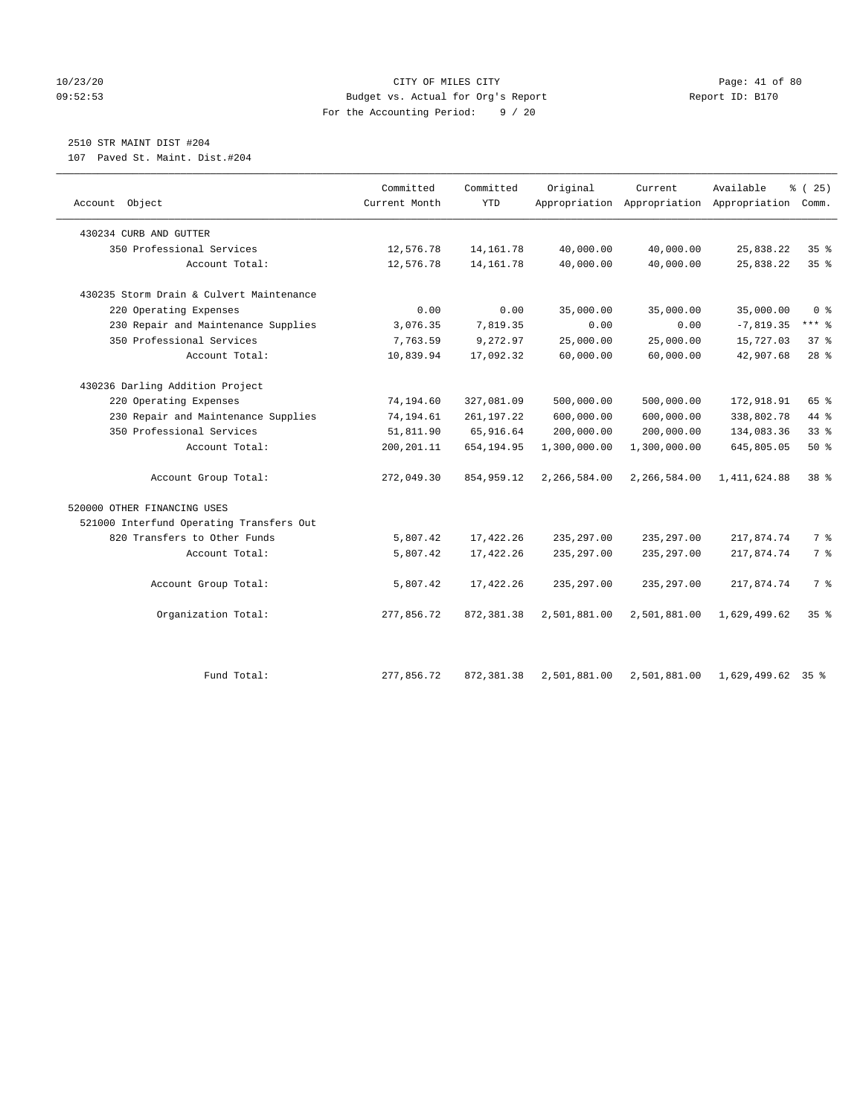#### 10/23/20 Page: 41 of 80 09:52:53 Budget vs. Actual for Org's Report Changer Report ID: B170 For the Accounting Period: 9 / 20

## 2510 STR MAINT DIST #204

107 Paved St. Maint. Dist.#204

| Account Object                           | Committed<br>Current Month | Committed<br><b>YTD</b> | Original     | Current      | Available<br>Appropriation Appropriation Appropriation | % (25)<br>Comm. |
|------------------------------------------|----------------------------|-------------------------|--------------|--------------|--------------------------------------------------------|-----------------|
| 430234 CURB AND GUTTER                   |                            |                         |              |              |                                                        |                 |
| 350 Professional Services                | 12,576.78                  | 14, 161.78              | 40,000.00    | 40,000.00    | 25,838.22                                              | 35%             |
| Account Total:                           | 12,576.78                  | 14,161.78               | 40,000.00    | 40,000.00    | 25,838.22                                              | 35%             |
| 430235 Storm Drain & Culvert Maintenance |                            |                         |              |              |                                                        |                 |
| 220 Operating Expenses                   | 0.00                       | 0.00                    | 35,000.00    | 35,000.00    | 35,000.00                                              | 0 <sup>8</sup>  |
| 230 Repair and Maintenance Supplies      | 3,076.35                   | 7,819.35                | 0.00         | 0.00         | $-7,819.35$                                            | $***$ $-$       |
| 350 Professional Services                | 7,763.59                   | 9,272.97                | 25,000.00    | 25,000.00    | 15,727.03                                              | 37%             |
| Account Total:                           | 10,839.94                  | 17,092.32               | 60,000.00    | 60,000.00    | 42,907.68                                              | $28$ %          |
| 430236 Darling Addition Project          |                            |                         |              |              |                                                        |                 |
| 220 Operating Expenses                   | 74,194.60                  | 327,081.09              | 500,000.00   | 500,000.00   | 172,918.91                                             | 65 %            |
| 230 Repair and Maintenance Supplies      | 74,194.61                  | 261, 197. 22            | 600,000.00   | 600,000.00   | 338,802.78                                             | 44 %            |
| 350 Professional Services                | 51,811.90                  | 65,916.64               | 200,000.00   | 200,000.00   | 134,083.36                                             | 33%             |
| Account Total:                           | 200, 201.11                | 654,194.95              | 1,300,000.00 | 1,300,000.00 | 645,805.05                                             | 50%             |
| Account Group Total:                     | 272,049.30                 | 854,959.12              | 2,266,584.00 | 2,266,584.00 | 1, 411, 624.88                                         | 38 <sup>8</sup> |
| 520000 OTHER FINANCING USES              |                            |                         |              |              |                                                        |                 |
| 521000 Interfund Operating Transfers Out |                            |                         |              |              |                                                        |                 |
| 820 Transfers to Other Funds             | 5,807.42                   | 17,422.26               | 235, 297.00  | 235, 297.00  | 217,874.74                                             | 7 %             |
| Account Total:                           | 5,807.42                   | 17,422.26               | 235, 297.00  | 235, 297.00  | 217,874.74                                             | 7 %             |
| Account Group Total:                     | 5,807.42                   | 17,422.26               | 235, 297.00  | 235,297.00   | 217,874.74                                             | 7 <sup>°</sup>  |
| Organization Total:                      | 277,856.72                 | 872, 381.38             | 2,501,881.00 | 2,501,881.00 | 1,629,499.62                                           | 35%             |
| Fund Total:                              | 277,856.72                 | 872, 381.38             | 2,501,881.00 | 2,501,881.00 | 1,629,499.62                                           | $35$ %          |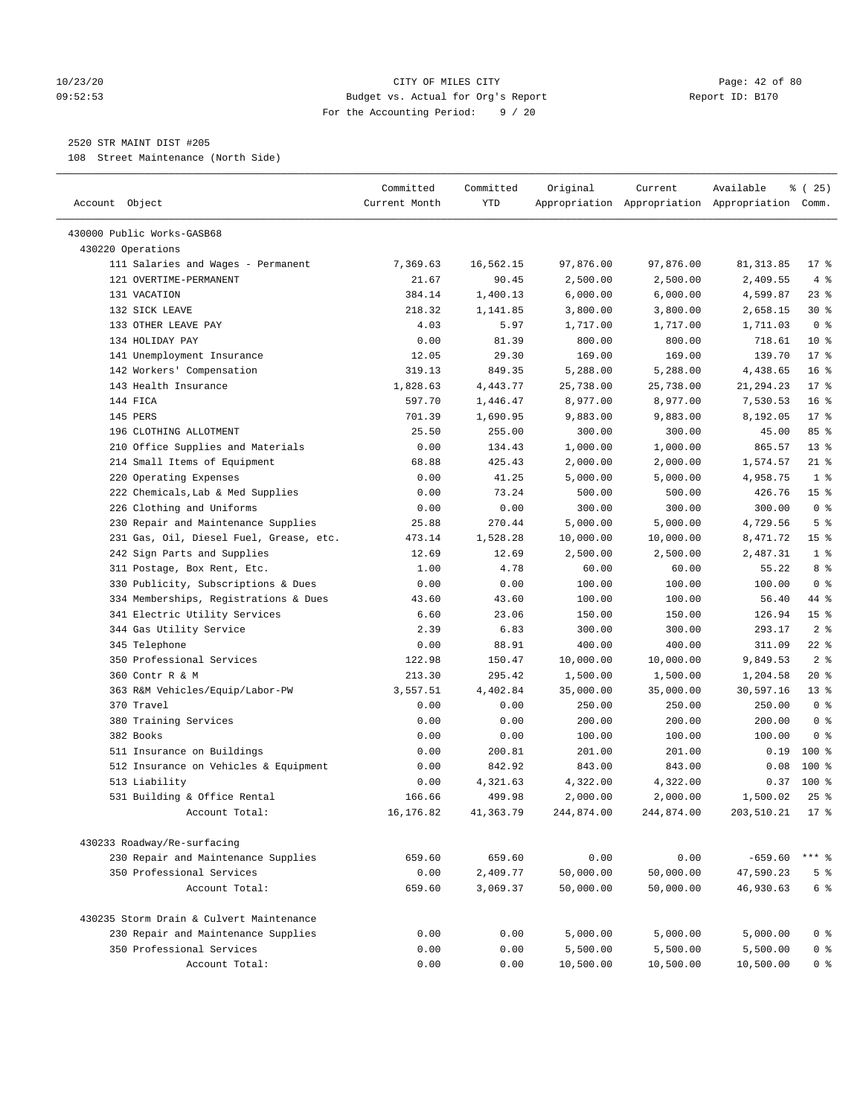#### 10/23/20 Page: 42 of 80 09:52:53 Budget vs. Actual for Org's Report Report ID: B170 For the Accounting Period: 9 / 20

————————————————————————————————————————————————————————————————————————————————————————————————————————————————————————————————————

## 2520 STR MAINT DIST #205

108 Street Maintenance (North Side)

|                                                 | Committed     | Committed | Original   | Current    | Available                                       | ៖ (25)          |
|-------------------------------------------------|---------------|-----------|------------|------------|-------------------------------------------------|-----------------|
| Account Object                                  | Current Month | YTD       |            |            | Appropriation Appropriation Appropriation Comm. |                 |
|                                                 |               |           |            |            |                                                 |                 |
| 430000 Public Works-GASB68<br>430220 Operations |               |           |            |            |                                                 |                 |
| 111 Salaries and Wages - Permanent              | 7,369.63      | 16,562.15 | 97,876.00  | 97,876.00  | 81, 313.85                                      | $17*$           |
| 121 OVERTIME-PERMANENT                          | 21.67         | 90.45     | 2,500.00   | 2,500.00   | 2,409.55                                        | 4%              |
| 131 VACATION                                    | 384.14        | 1,400.13  | 6,000.00   | 6,000.00   | 4,599.87                                        | $23$ %          |
| 132 SICK LEAVE                                  | 218.32        | 1,141.85  | 3,800.00   | 3,800.00   | 2,658.15                                        | $30*$           |
| 133 OTHER LEAVE PAY                             | 4.03          | 5.97      | 1,717.00   | 1,717.00   | 1,711.03                                        | 0 <sup>8</sup>  |
| 134 HOLIDAY PAY                                 | 0.00          | 81.39     | 800.00     | 800.00     | 718.61                                          | $10*$           |
| 141 Unemployment Insurance                      | 12.05         | 29.30     | 169.00     | 169.00     | 139.70                                          | $17*$           |
| 142 Workers' Compensation                       | 319.13        | 849.35    | 5,288.00   | 5,288.00   | 4,438.65                                        | 16 <sup>°</sup> |
| 143 Health Insurance                            | 1,828.63      | 4,443.77  | 25,738.00  | 25,738.00  | 21, 294. 23                                     | $17*$           |
| 144 FICA                                        | 597.70        | 1,446.47  | 8,977.00   | 8,977.00   | 7,530.53                                        | 16 <sup>°</sup> |
| 145 PERS                                        | 701.39        | 1,690.95  | 9,883.00   | 9,883.00   | 8,192.05                                        | $17*$           |
| 196 CLOTHING ALLOTMENT                          | 25.50         | 255.00    | 300.00     | 300.00     | 45.00                                           | 85%             |
| 210 Office Supplies and Materials               | 0.00          | 134.43    | 1,000.00   | 1,000.00   | 865.57                                          | $13*$           |
| 214 Small Items of Equipment                    | 68.88         | 425.43    | 2,000.00   | 2,000.00   | 1,574.57                                        | $21$ %          |
| 220 Operating Expenses                          | 0.00          | 41.25     | 5,000.00   | 5,000.00   | 4,958.75                                        | 1 <sup>°</sup>  |
| 222 Chemicals, Lab & Med Supplies               | 0.00          | 73.24     | 500.00     | 500.00     | 426.76                                          | 15 <sup>°</sup> |
| 226 Clothing and Uniforms                       | 0.00          | 0.00      | 300.00     | 300.00     | 300.00                                          | 0 <sup>8</sup>  |
| 230 Repair and Maintenance Supplies             | 25.88         | 270.44    | 5,000.00   | 5,000.00   | 4,729.56                                        | 5 <sup>°</sup>  |
| 231 Gas, Oil, Diesel Fuel, Grease, etc.         | 473.14        | 1,528.28  | 10,000.00  | 10,000.00  | 8,471.72                                        | 15 <sup>°</sup> |
| 242 Sign Parts and Supplies                     | 12.69         | 12.69     | 2,500.00   | 2,500.00   | 2,487.31                                        | 1 <sup>°</sup>  |
| 311 Postage, Box Rent, Etc.                     | 1.00          | 4.78      | 60.00      | 60.00      | 55.22                                           | 8 %             |
| 330 Publicity, Subscriptions & Dues             | 0.00          | 0.00      | 100.00     | 100.00     | 100.00                                          | 0 <sup>8</sup>  |
| 334 Memberships, Registrations & Dues           | 43.60         | 43.60     | 100.00     | 100.00     | 56.40                                           | 44 %            |
| 341 Electric Utility Services                   | 6.60          | 23.06     | 150.00     | 150.00     | 126.94                                          | 15 <sup>°</sup> |
| 344 Gas Utility Service                         | 2.39          | 6.83      | 300.00     | 300.00     | 293.17                                          | 2 <sup>°</sup>  |
| 345 Telephone                                   | 0.00          | 88.91     | 400.00     | 400.00     | 311.09                                          | $22$ %          |
| 350 Professional Services                       | 122.98        | 150.47    | 10,000.00  | 10,000.00  | 9,849.53                                        | 2 <sup>°</sup>  |
| 360 Contr R & M                                 | 213.30        | 295.42    | 1,500.00   | 1,500.00   | 1,204.58                                        | $20*$           |
| 363 R&M Vehicles/Equip/Labor-PW                 | 3,557.51      | 4,402.84  | 35,000.00  | 35,000.00  | 30,597.16                                       | $13*$           |
| 370 Travel                                      | 0.00          | 0.00      | 250.00     | 250.00     | 250.00                                          | 0 <sup>8</sup>  |
| 380 Training Services                           | 0.00          | 0.00      | 200.00     | 200.00     | 200.00                                          | 0 <sup>8</sup>  |
| 382 Books                                       | 0.00          | 0.00      | 100.00     | 100.00     | 100.00                                          | 0 <sup>8</sup>  |
| 511 Insurance on Buildings                      | 0.00          | 200.81    | 201.00     | 201.00     | 0.19                                            | $100*$          |
| 512 Insurance on Vehicles & Equipment           | 0.00          | 842.92    | 843.00     | 843.00     | 0.08                                            | $100$ %         |
| 513 Liability                                   | 0.00          | 4,321.63  | 4,322.00   | 4,322.00   | 0.37                                            | $100$ %         |
| 531 Building & Office Rental                    | 166.66        | 499.98    | 2,000.00   | 2,000.00   | 1,500.02                                        | $25$ %          |
| Account Total:                                  | 16,176.82     | 41,363.79 | 244,874.00 | 244,874.00 | 203,510.21                                      | $17*$           |
|                                                 |               |           |            |            |                                                 |                 |
| 430233 Roadway/Re-surfacing                     |               |           |            |            |                                                 |                 |
| 230 Repair and Maintenance Supplies             | 659.60        | 659.60    | 0.00       | 0.00       | $-659.60$                                       | $***$ $%$       |
| 350 Professional Services                       | 0.00          | 2,409.77  | 50,000.00  | 50,000.00  | 47,590.23                                       | 5 <sup>°</sup>  |
| Account Total:                                  | 659.60        | 3,069.37  | 50,000.00  | 50,000.00  | 46,930.63                                       | 6 <sup>°</sup>  |
| 430235 Storm Drain & Culvert Maintenance        |               |           |            |            |                                                 |                 |
| 230 Repair and Maintenance Supplies             | 0.00          | 0.00      | 5,000.00   | 5,000.00   | 5,000.00                                        | 0 <sup>8</sup>  |
| 350 Professional Services                       | 0.00          | 0.00      | 5,500.00   | 5,500.00   |                                                 | 0 <sup>8</sup>  |
| Account Total:                                  | 0.00          | 0.00      | 10,500.00  | 10,500.00  | 5,500.00<br>10,500.00                           | 0 <sup>8</sup>  |
|                                                 |               |           |            |            |                                                 |                 |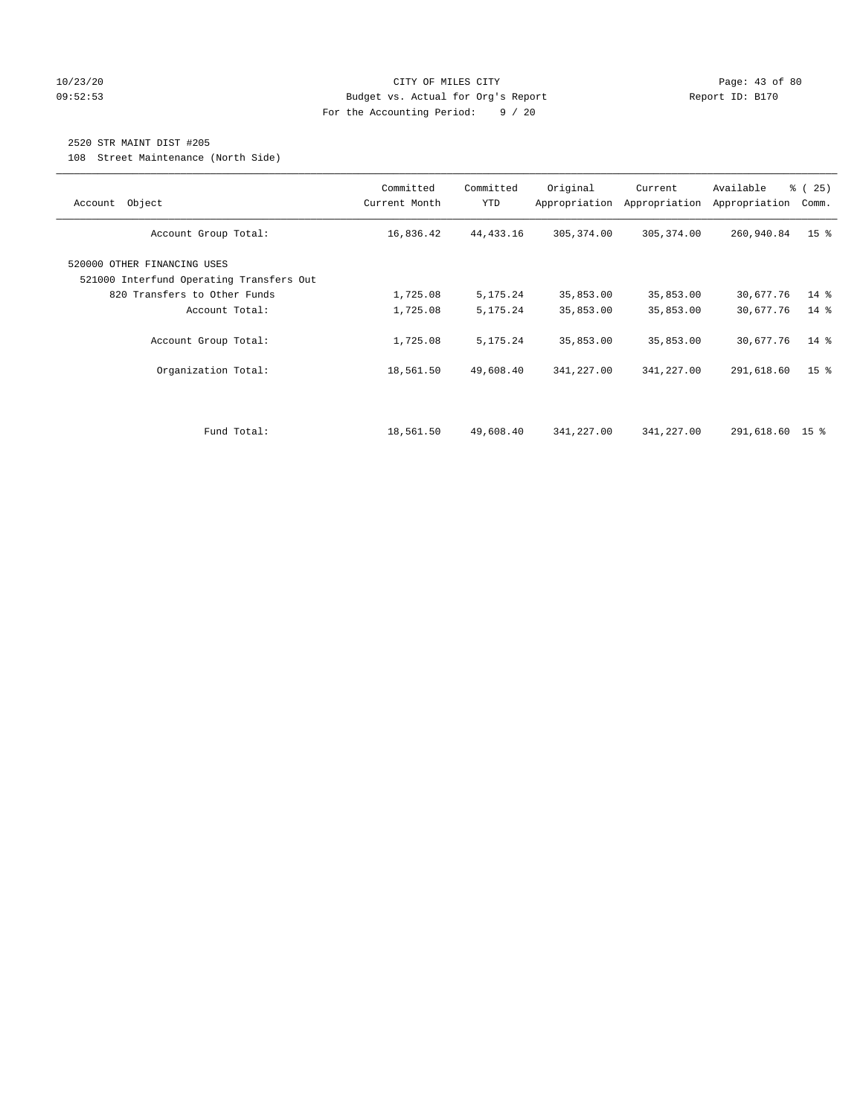## 10/23/20 Page: 43 of 80 09:52:53 Budget vs. Actual for Org's Report Report ID: B170 For the Accounting Period: 9 / 20

## 2520 STR MAINT DIST #205

108 Street Maintenance (North Side)

| Account Object                                                          | Committed<br>Current Month | Committed<br><b>YTD</b> | Original<br>Appropriation | Current<br>Appropriation | Available<br>Appropriation | % (25)<br>Comm. |
|-------------------------------------------------------------------------|----------------------------|-------------------------|---------------------------|--------------------------|----------------------------|-----------------|
| Account Group Total:                                                    | 16,836.42                  | 44, 433. 16             | 305, 374.00               | 305, 374.00              | 260,940.84                 | 15 <sup>°</sup> |
| 520000 OTHER FINANCING USES<br>521000 Interfund Operating Transfers Out |                            |                         |                           |                          |                            |                 |
| 820 Transfers to Other Funds                                            | 1,725.08                   | 5,175.24                | 35,853.00                 | 35,853.00                | 30,677.76                  | $14*$           |
| Account Total:                                                          | 1,725.08                   | 5,175.24                | 35,853.00                 | 35,853.00                | 30,677.76                  | 14 %            |
| Account Group Total:                                                    | 1,725.08                   | 5,175.24                | 35,853.00                 | 35,853.00                | 30,677.76                  | $14*$           |
| Organization Total:                                                     | 18,561.50                  | 49,608.40               | 341,227.00                | 341,227.00               | 291,618.60                 | 15 <sup>8</sup> |
|                                                                         |                            |                         |                           |                          |                            |                 |
| Fund Total:                                                             | 18,561.50                  | 49,608.40               | 341,227.00                | 341,227.00               | 291,618.60 15 %            |                 |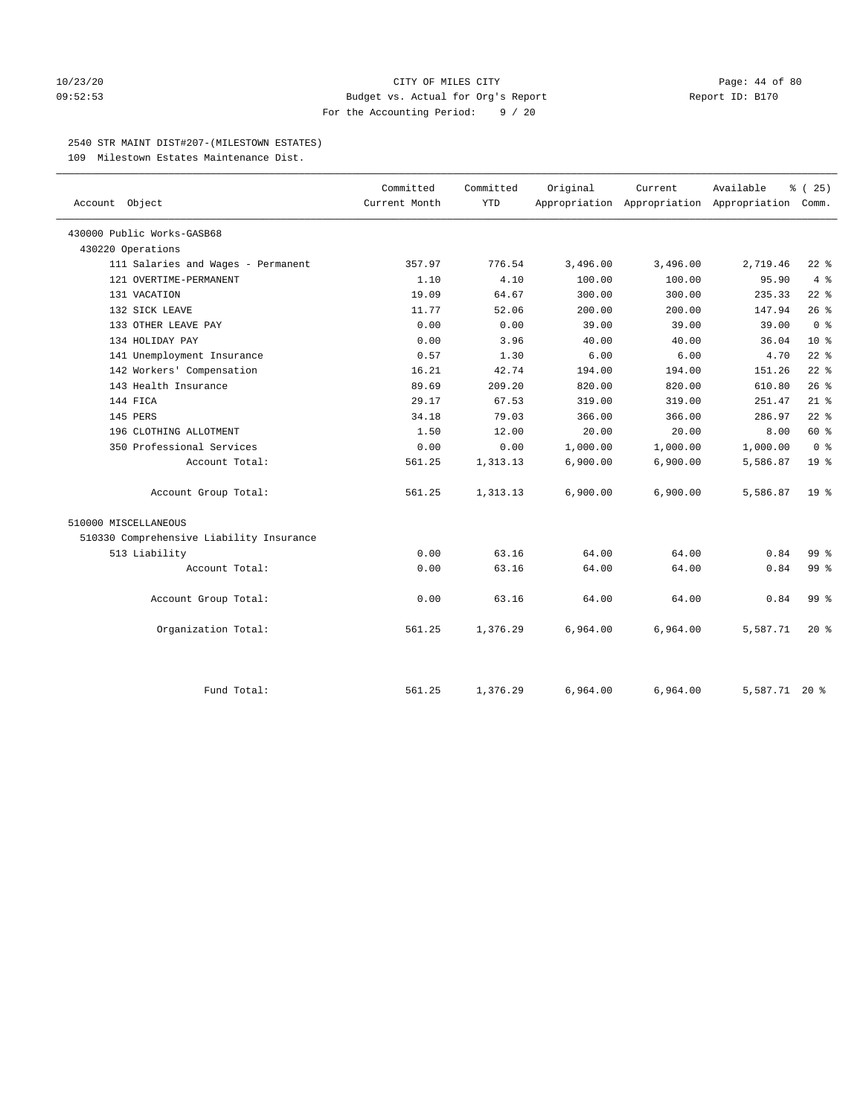#### $10/23/20$  Page: 44 of 80 09:52:53 Budget vs. Actual for Org's Report Report ID: B170 For the Accounting Period: 9 / 20

#### 2540 STR MAINT DIST#207-(MILESTOWN ESTATES)

109 Milestown Estates Maintenance Dist.

| Account Object                           | Committed<br>Current Month | Committed<br><b>YTD</b> | Original | Current  | Available<br>Appropriation Appropriation Appropriation Comm. | % (25)          |
|------------------------------------------|----------------------------|-------------------------|----------|----------|--------------------------------------------------------------|-----------------|
| 430000 Public Works-GASB68               |                            |                         |          |          |                                                              |                 |
| 430220 Operations                        |                            |                         |          |          |                                                              |                 |
| 111 Salaries and Wages - Permanent       | 357.97                     | 776.54                  | 3,496.00 | 3,496.00 | 2,719.46                                                     | $22$ %          |
| 121 OVERTIME-PERMANENT                   | 1.10                       | 4.10                    | 100.00   | 100.00   | 95.90                                                        | $4\degree$      |
| 131 VACATION                             | 19.09                      | 64.67                   | 300.00   | 300.00   | 235.33                                                       | $22$ %          |
| 132 SICK LEAVE                           | 11.77                      | 52.06                   | 200.00   | 200.00   | 147.94                                                       | 26%             |
| 133 OTHER LEAVE PAY                      | 0.00                       | 0.00                    | 39.00    | 39.00    | 39.00                                                        | 0 <sup>8</sup>  |
| 134 HOLIDAY PAY                          | 0.00                       | 3.96                    | 40.00    | 40.00    | 36.04                                                        | $10*$           |
| 141 Unemployment Insurance               | 0.57                       | 1.30                    | 6.00     | 6.00     | 4.70                                                         | $22$ %          |
| 142 Workers' Compensation                | 16.21                      | 42.74                   | 194.00   | 194.00   | 151.26                                                       | $22$ %          |
| 143 Health Insurance                     | 89.69                      | 209.20                  | 820.00   | 820.00   | 610.80                                                       | 26%             |
| 144 FICA                                 | 29.17                      | 67.53                   | 319.00   | 319.00   | 251.47                                                       | $21$ %          |
| 145 PERS                                 | 34.18                      | 79.03                   | 366.00   | 366.00   | 286.97                                                       | $22$ %          |
| 196 CLOTHING ALLOTMENT                   | 1.50                       | 12.00                   | 20.00    | 20.00    | 8.00                                                         | 60 %            |
| 350 Professional Services                | 0.00                       | 0.00                    | 1,000.00 | 1,000.00 | 1,000.00                                                     | 0 <sup>8</sup>  |
| Account Total:                           | 561.25                     | 1,313.13                | 6,900.00 | 6,900.00 | 5,586.87                                                     | 19 <sup>°</sup> |
| Account Group Total:                     | 561.25                     | 1,313.13                | 6,900.00 | 6,900.00 | 5,586.87                                                     | $19*$           |
| 510000 MISCELLANEOUS                     |                            |                         |          |          |                                                              |                 |
| 510330 Comprehensive Liability Insurance |                            |                         |          |          |                                                              |                 |
| 513 Liability                            | 0.00                       | 63.16                   | 64.00    | 64.00    | 0.84                                                         | 99.8            |
| Account Total:                           | 0.00                       | 63.16                   | 64.00    | 64.00    | 0.84                                                         | 99 <sub>8</sub> |
| Account Group Total:                     | 0.00                       | 63.16                   | 64.00    | 64.00    | 0.84                                                         | 99 <sub>8</sub> |
| Organization Total:                      | 561.25                     | 1,376.29                | 6,964.00 | 6,964.00 | 5,587.71                                                     | $20*$           |
| Fund Total:                              | 561.25                     | 1,376.29                | 6,964.00 | 6,964.00 | 5,587.71 20 %                                                |                 |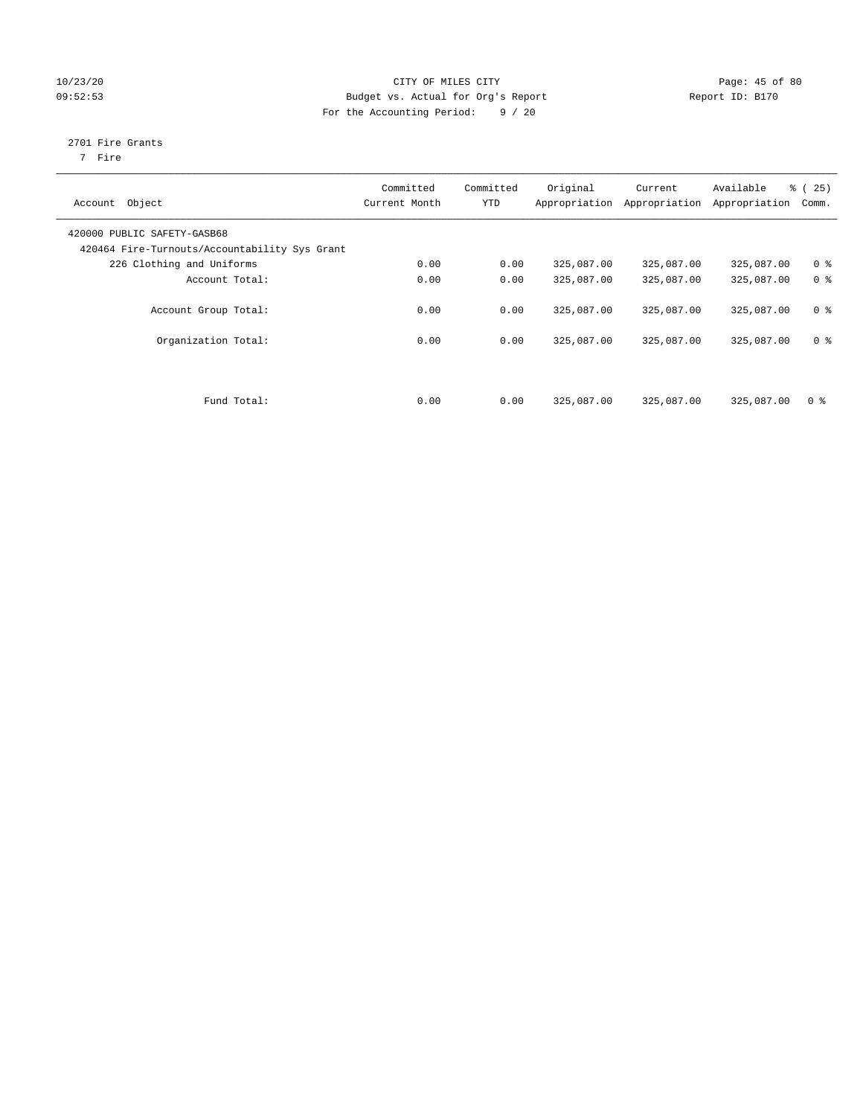## 10/23/20 Page: 45 of 80 09:52:53 Budget vs. Actual for Org's Report Changer Report ID: B170 For the Accounting Period: 9 / 20

## 2701 Fire Grants

7 Fire

| Object<br>Account                                                            | Committed<br>Current Month | Committed<br><b>YTD</b> | Original<br>Appropriation | Current<br>Appropriation | Available<br>Appropriation | % (25)<br>Comm. |
|------------------------------------------------------------------------------|----------------------------|-------------------------|---------------------------|--------------------------|----------------------------|-----------------|
| 420000 PUBLIC SAFETY-GASB68<br>420464 Fire-Turnouts/Accountability Sys Grant |                            |                         |                           |                          |                            |                 |
| 226 Clothing and Uniforms                                                    | 0.00                       | 0.00                    | 325,087.00                | 325,087.00               | 325,087.00                 | 0 <sup>8</sup>  |
| Account Total:                                                               | 0.00                       | 0.00                    | 325,087.00                | 325,087.00               | 325,087.00                 | 0 <sup>8</sup>  |
| Account Group Total:                                                         | 0.00                       | 0.00                    | 325,087.00                | 325,087.00               | 325,087.00                 | 0 <sup>8</sup>  |
| Organization Total:                                                          | 0.00                       | 0.00                    | 325,087.00                | 325,087.00               | 325,087.00                 | 0 <sup>8</sup>  |
|                                                                              |                            |                         |                           |                          |                            |                 |
| Fund Total:                                                                  | 0.00                       | 0.00                    | 325,087.00                | 325,087.00               | 325,087.00                 | 0 <sup>8</sup>  |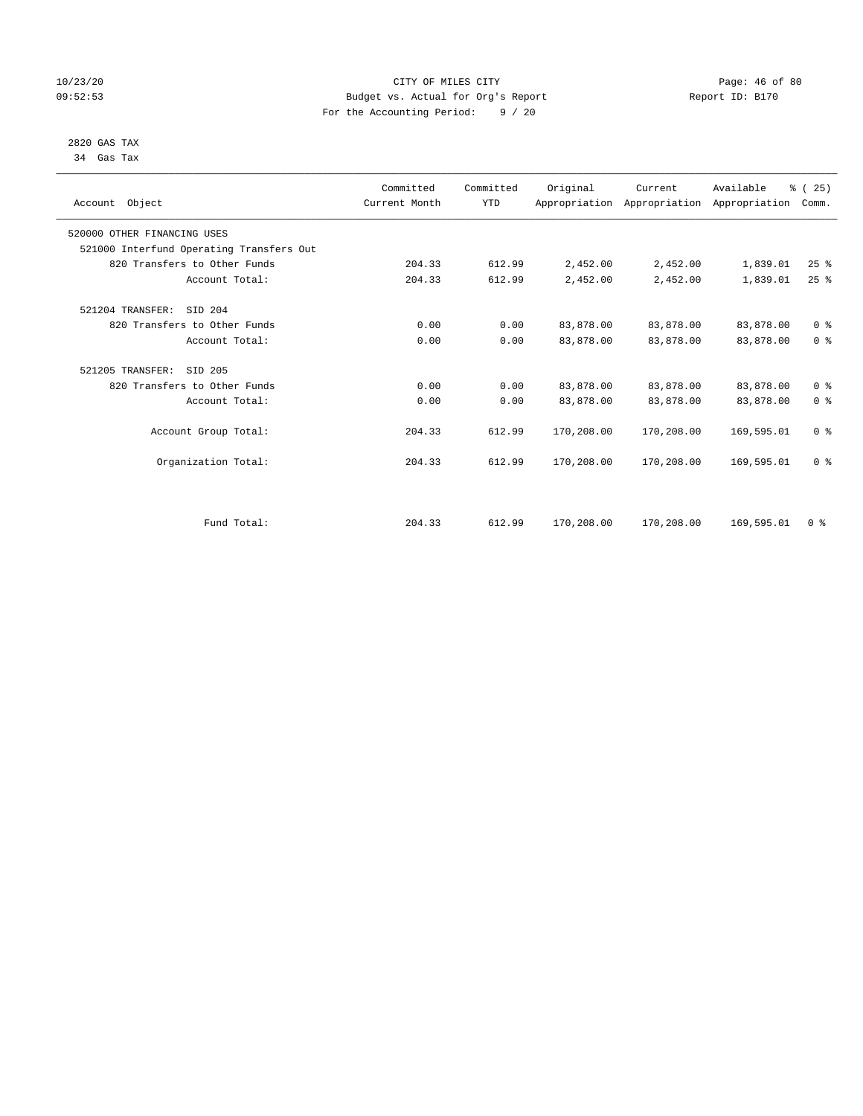## 10/23/20 Page: 46 of 80 09:52:53 Budget vs. Actual for Org's Report Report ID: B170 For the Accounting Period: 9 / 20

#### 2820 GAS TAX 34 Gas Tax

| Account Object              |                                          | Committed<br>Current Month | Committed<br><b>YTD</b> | Original   | Current<br>Appropriation Appropriation Appropriation | Available  | % (25)<br>Comm.                    |  |
|-----------------------------|------------------------------------------|----------------------------|-------------------------|------------|------------------------------------------------------|------------|------------------------------------|--|
| 520000 OTHER FINANCING USES |                                          |                            |                         |            |                                                      |            |                                    |  |
|                             | 521000 Interfund Operating Transfers Out |                            |                         |            |                                                      |            |                                    |  |
|                             | 820 Transfers to Other Funds             | 204.33                     | 612.99                  | 2,452.00   | 2,452.00                                             | 1,839.01   | $25$ $%$                           |  |
|                             | Account Total:                           | 204.33                     | 612.99                  | 2,452.00   | 2,452.00                                             | 1,839.01   | 25%                                |  |
| 521204 TRANSFER:            | SID 204                                  |                            |                         |            |                                                      |            |                                    |  |
|                             | 820 Transfers to Other Funds             | 0.00                       | 0.00                    | 83,878.00  | 83,878.00                                            | 83,878.00  | 0 <sup>8</sup>                     |  |
|                             | Account Total:                           | 0.00                       | 0.00                    | 83,878.00  | 83,878.00                                            | 83,878.00  | 0 <sup>8</sup>                     |  |
| 521205 TRANSFER:            | SID 205                                  |                            |                         |            |                                                      |            |                                    |  |
|                             | 820 Transfers to Other Funds             | 0.00                       | 0.00                    | 83,878.00  | 83,878.00                                            | 83,878.00  | 0 <sup>8</sup>                     |  |
|                             | Account Total:                           | 0.00                       | 0.00                    | 83,878.00  | 83,878.00                                            | 83,878.00  | 0 <sup>8</sup>                     |  |
|                             | Account Group Total:                     | 204.33                     | 612.99                  | 170,208.00 | 170,208.00                                           | 169,595.01 | 0 <sup>8</sup>                     |  |
|                             | Organization Total:                      | 204.33                     | 612.99                  | 170,208.00 | 170,208.00                                           | 169,595.01 | 0 <sup>8</sup>                     |  |
|                             |                                          |                            |                         |            |                                                      |            |                                    |  |
|                             | Fund Total:                              | 204.33                     | 612.99                  | 170,208.00 | 170,208.00                                           | 169,595.01 | $0 \text{ }$ $\text{ }$ $\text{ }$ |  |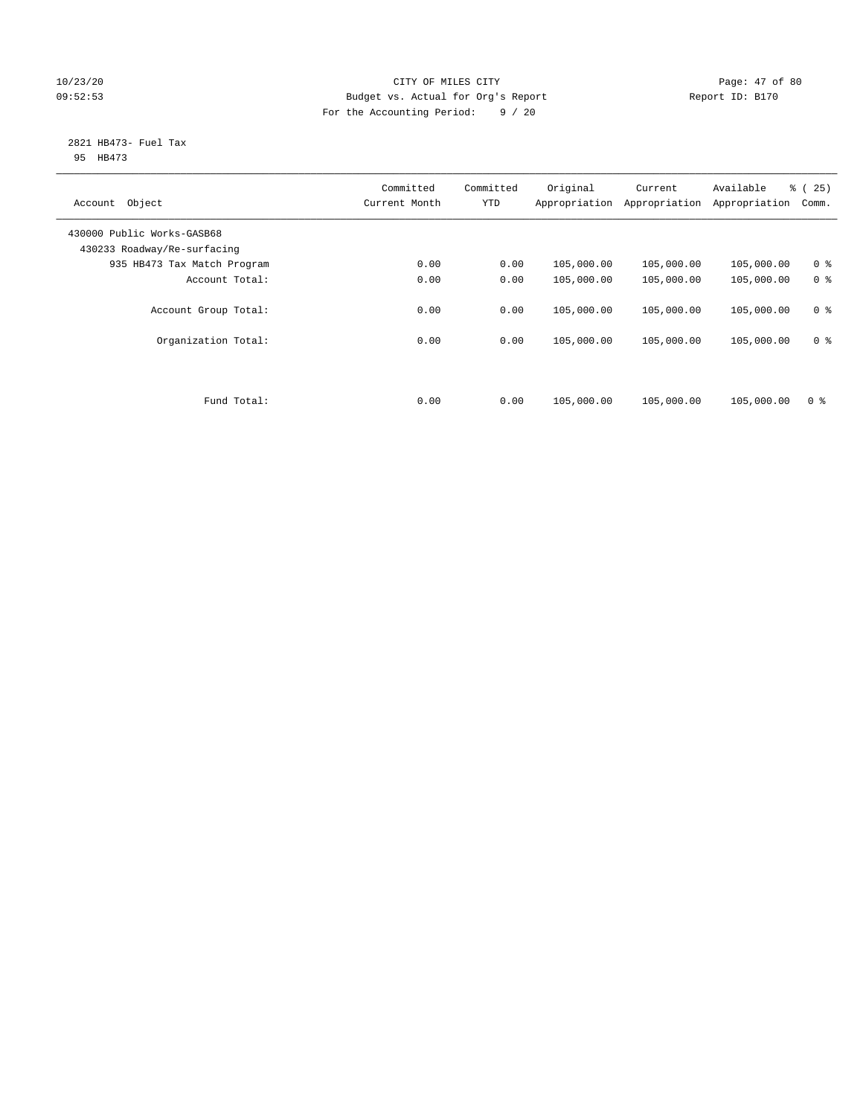## 10/23/20 Page: 47 of 80 09:52:53 Budget vs. Actual for Org's Report Changer Report ID: B170 For the Accounting Period: 9 / 20

#### 2821 HB473- Fuel Tax 95 HB473

| Object<br>Account                                         | Committed<br>Current Month | Committed<br><b>YTD</b> | Original<br>Appropriation | Current<br>Appropriation | Available<br>Appropriation | % (25)<br>Comm. |
|-----------------------------------------------------------|----------------------------|-------------------------|---------------------------|--------------------------|----------------------------|-----------------|
| 430000 Public Works-GASB68<br>430233 Roadway/Re-surfacing |                            |                         |                           |                          |                            |                 |
| 935 HB473 Tax Match Program                               | 0.00                       | 0.00                    | 105,000.00                | 105,000.00               | 105,000.00                 | 0 <sup>8</sup>  |
| Account Total:                                            | 0.00                       | 0.00                    | 105,000.00                | 105,000.00               | 105,000.00                 | 0 <sup>8</sup>  |
| Account Group Total:                                      | 0.00                       | 0.00                    | 105,000.00                | 105,000.00               | 105,000.00                 | 0 <sup>8</sup>  |
| Organization Total:                                       | 0.00                       | 0.00                    | 105,000.00                | 105,000.00               | 105,000.00                 | 0 <sup>8</sup>  |
|                                                           |                            |                         |                           |                          |                            |                 |
| Fund Total:                                               | 0.00                       | 0.00                    | 105,000.00                | 105,000.00               | 105,000.00                 | 0 <sup>8</sup>  |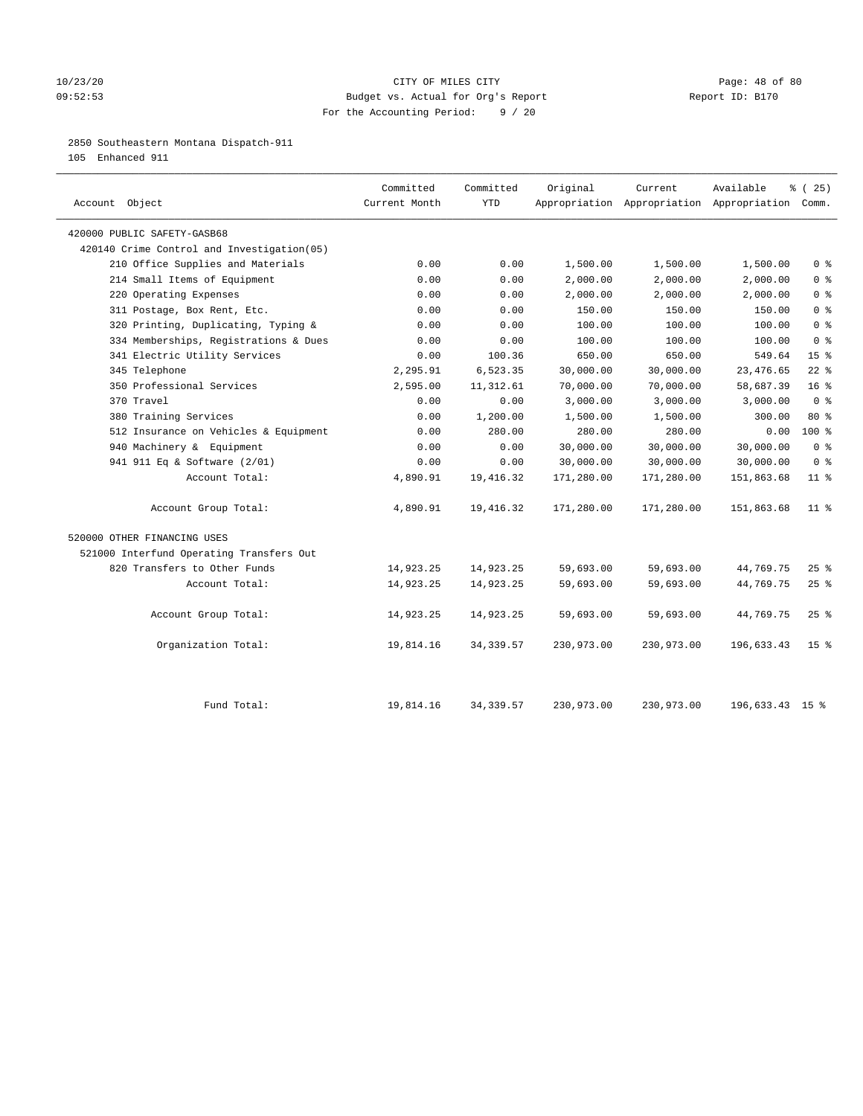## $10/23/20$  Page: 48 of 80 09:52:53 Budget vs. Actual for Org's Report Report ID: B170 For the Accounting Period: 9 / 20

## 2850 Southeastern Montana Dispatch-911

105 Enhanced 911

| Account Object                             | Committed<br>Current Month | Committed<br><b>YTD</b> | Original   | Current    | Available<br>Appropriation Appropriation Appropriation Comm. | 8 (25)          |
|--------------------------------------------|----------------------------|-------------------------|------------|------------|--------------------------------------------------------------|-----------------|
| 420000 PUBLIC SAFETY-GASB68                |                            |                         |            |            |                                                              |                 |
| 420140 Crime Control and Investigation(05) |                            |                         |            |            |                                                              |                 |
| 210 Office Supplies and Materials          | 0.00                       | 0.00                    | 1,500.00   | 1,500.00   | 1,500.00                                                     | 0 <sup>8</sup>  |
| 214 Small Items of Equipment               | 0.00                       | 0.00                    | 2,000.00   | 2,000.00   | 2,000.00                                                     | 0 <sup>8</sup>  |
| 220 Operating Expenses                     | 0.00                       | 0.00                    | 2,000.00   | 2,000.00   | 2,000.00                                                     | 0 <sup>8</sup>  |
| 311 Postage, Box Rent, Etc.                | 0.00                       | 0.00                    | 150.00     | 150.00     | 150.00                                                       | 0 <sup>8</sup>  |
| 320 Printing, Duplicating, Typing &        | 0.00                       | 0.00                    | 100.00     | 100.00     | 100.00                                                       | 0 <sup>8</sup>  |
| 334 Memberships, Registrations & Dues      | 0.00                       | 0.00                    | 100.00     | 100.00     | 100.00                                                       | 0 <sup>8</sup>  |
| 341 Electric Utility Services              | 0.00                       | 100.36                  | 650.00     | 650.00     | 549.64                                                       | 15 <sup>°</sup> |
| 345 Telephone                              | 2,295.91                   | 6,523.35                | 30,000.00  | 30,000.00  | 23, 476.65                                                   | $22$ %          |
| 350 Professional Services                  | 2,595.00                   | 11, 312.61              | 70,000.00  | 70,000.00  | 58,687.39                                                    | 16 <sup>8</sup> |
| 370 Travel                                 | 0.00                       | 0.00                    | 3,000.00   | 3,000.00   | 3,000.00                                                     | 0 <sup>8</sup>  |
| 380 Training Services                      | 0.00                       | 1,200.00                | 1,500.00   | 1,500.00   | 300.00                                                       | 80 %            |
| 512 Insurance on Vehicles & Equipment      | 0.00                       | 280.00                  | 280.00     | 280.00     | 0.00                                                         | $100*$          |
| 940 Machinery & Equipment                  | 0.00                       | 0.00                    | 30,000.00  | 30,000.00  | 30,000.00                                                    | 0 <sup>8</sup>  |
| 941 911 Eq & Software (2/01)               | 0.00                       | 0.00                    | 30,000.00  | 30,000.00  | 30,000.00                                                    | 0 <sup>8</sup>  |
| Account Total:                             | 4,890.91                   | 19,416.32               | 171,280.00 | 171,280.00 | 151,863.68                                                   | $11$ %          |
| Account Group Total:                       | 4,890.91                   | 19,416.32               | 171,280.00 | 171,280.00 | 151,863.68                                                   | $11$ %          |
| 520000 OTHER FINANCING USES                |                            |                         |            |            |                                                              |                 |
| 521000 Interfund Operating Transfers Out   |                            |                         |            |            |                                                              |                 |
| 820 Transfers to Other Funds               | 14,923.25                  | 14,923.25               | 59,693.00  | 59,693.00  | 44,769.75                                                    | $25$ %          |
| Account Total:                             | 14,923.25                  | 14,923.25               | 59,693.00  | 59,693.00  | 44,769.75                                                    | $25$ %          |
| Account Group Total:                       | 14,923.25                  | 14,923.25               | 59,693.00  | 59,693.00  | 44,769.75                                                    | $25$ %          |
| Organization Total:                        | 19,814.16                  | 34, 339.57              | 230,973.00 | 230,973.00 | 196,633.43                                                   | 15 <sup>8</sup> |
| Fund Total:                                | 19,814.16                  | 34, 339.57              | 230,973.00 | 230,973.00 | 196,633.43 15 %                                              |                 |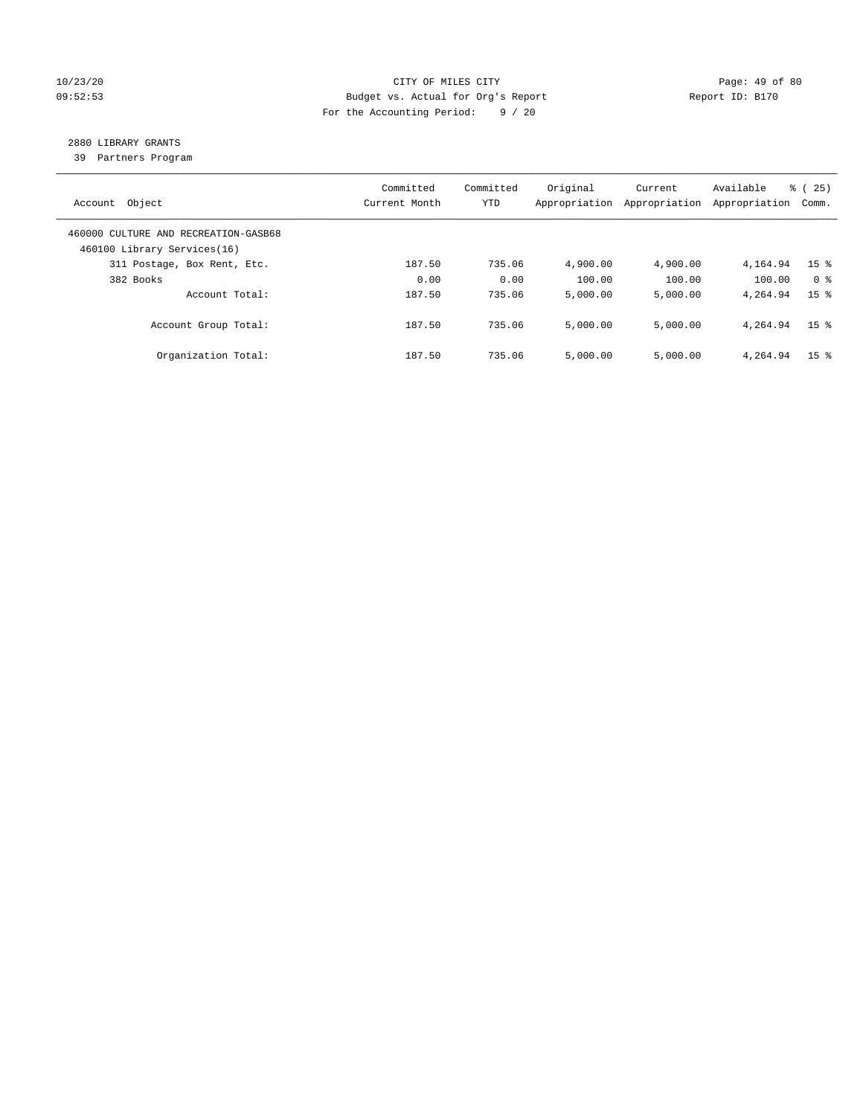## 10/23/20 Page: 49 of 80 09:52:53 Budget vs. Actual for Org's Report Changer Report ID: B170 For the Accounting Period: 9 / 20

## 2880 LIBRARY GRANTS

39 Partners Program

| Account Object                                                      | Committed<br>Current Month | Committed<br><b>YTD</b> | Original<br>Appropriation | Current<br>Appropriation | Available<br>Appropriation | % (25)<br>Comm. |
|---------------------------------------------------------------------|----------------------------|-------------------------|---------------------------|--------------------------|----------------------------|-----------------|
| 460000 CULTURE AND RECREATION-GASB68<br>460100 Library Services(16) |                            |                         |                           |                          |                            |                 |
| 311 Postage, Box Rent, Etc.                                         | 187.50                     | 735.06                  | 4,900.00                  | 4,900.00                 | 4,164.94                   | 15 <sup>8</sup> |
| 382 Books                                                           | 0.00                       | 0.00                    | 100.00                    | 100.00                   | 100.00                     | 0 <sup>8</sup>  |
| Account Total:                                                      | 187.50                     | 735.06                  | 5,000.00                  | 5,000.00                 | 4,264.94                   | 15 <sup>8</sup> |
| Account Group Total:                                                | 187.50                     | 735.06                  | 5,000.00                  | 5,000.00                 | 4,264.94                   | 15 <sup>8</sup> |
| Organization Total:                                                 | 187.50                     | 735.06                  | 5.000.00                  | 5,000.00                 | 4,264.94                   | 15 <sup>8</sup> |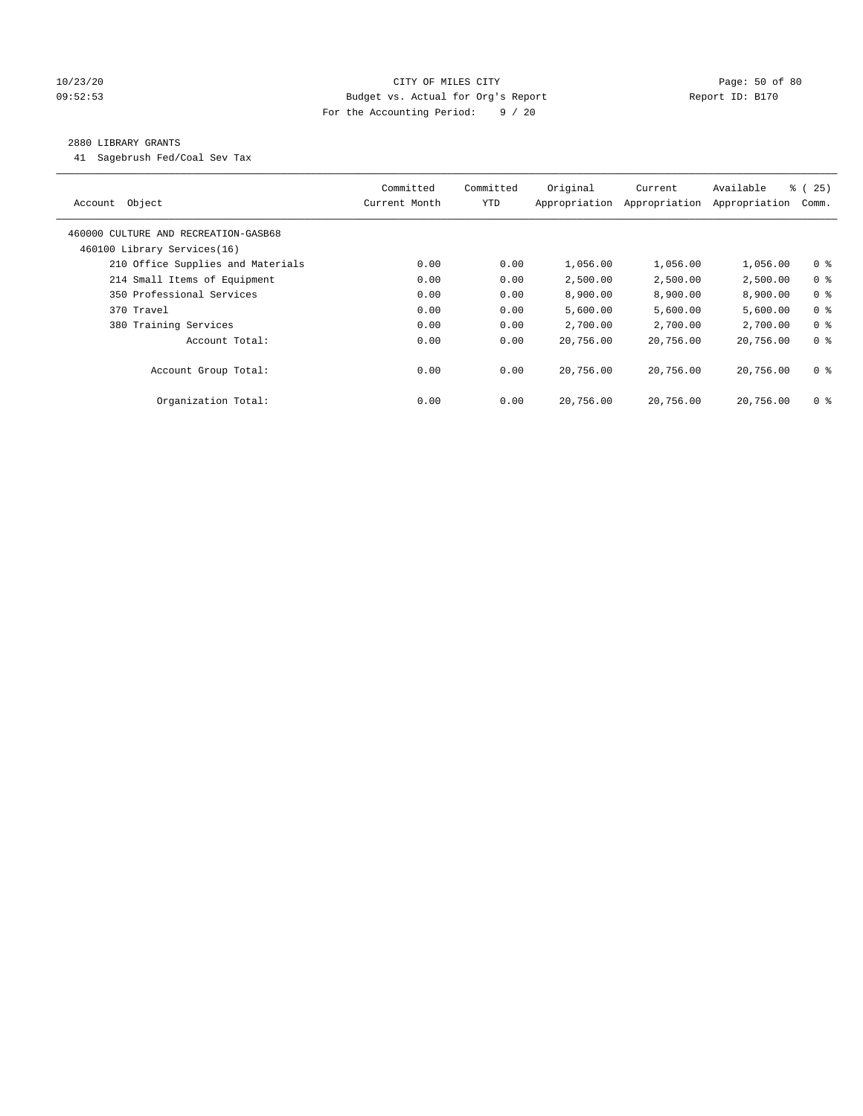## 10/23/20 Page: 50 of 80 09:52:53 Budget vs. Actual for Org's Report Changer Report ID: B170 For the Accounting Period: 9 / 20

## 2880 LIBRARY GRANTS

41 Sagebrush Fed/Coal Sev Tax

| Object<br>Account                    | Committed<br>Current Month | Committed<br><b>YTD</b> | Original<br>Appropriation | Current<br>Appropriation | Available<br>Appropriation | 8 (25)<br>Comm. |
|--------------------------------------|----------------------------|-------------------------|---------------------------|--------------------------|----------------------------|-----------------|
| 460000 CULTURE AND RECREATION-GASB68 |                            |                         |                           |                          |                            |                 |
| 460100 Library Services(16)          |                            |                         |                           |                          |                            |                 |
| 210 Office Supplies and Materials    | 0.00                       | 0.00                    | 1,056.00                  | 1,056.00                 | 1,056.00                   | 0 <sub>8</sub>  |
| 214 Small Items of Equipment         | 0.00                       | 0.00                    | 2,500.00                  | 2,500.00                 | 2,500.00                   | 0 <sup>8</sup>  |
| 350 Professional Services            | 0.00                       | 0.00                    | 8,900.00                  | 8,900.00                 | 8,900.00                   | 0 <sup>8</sup>  |
| 370 Travel                           | 0.00                       | 0.00                    | 5,600.00                  | 5,600.00                 | 5,600.00                   | 0 <sup>8</sup>  |
| 380 Training Services                | 0.00                       | 0.00                    | 2,700.00                  | 2,700.00                 | 2,700.00                   | 0 <sup>8</sup>  |
| Account Total:                       | 0.00                       | 0.00                    | 20,756.00                 | 20,756.00                | 20,756.00                  | 0 <sup>8</sup>  |
| Account Group Total:                 | 0.00                       | 0.00                    | 20,756.00                 | 20,756.00                | 20,756.00                  | 0 <sup>8</sup>  |
| Organization Total:                  | 0.00                       | 0.00                    | 20,756.00                 | 20,756.00                | 20,756.00                  | 0 %             |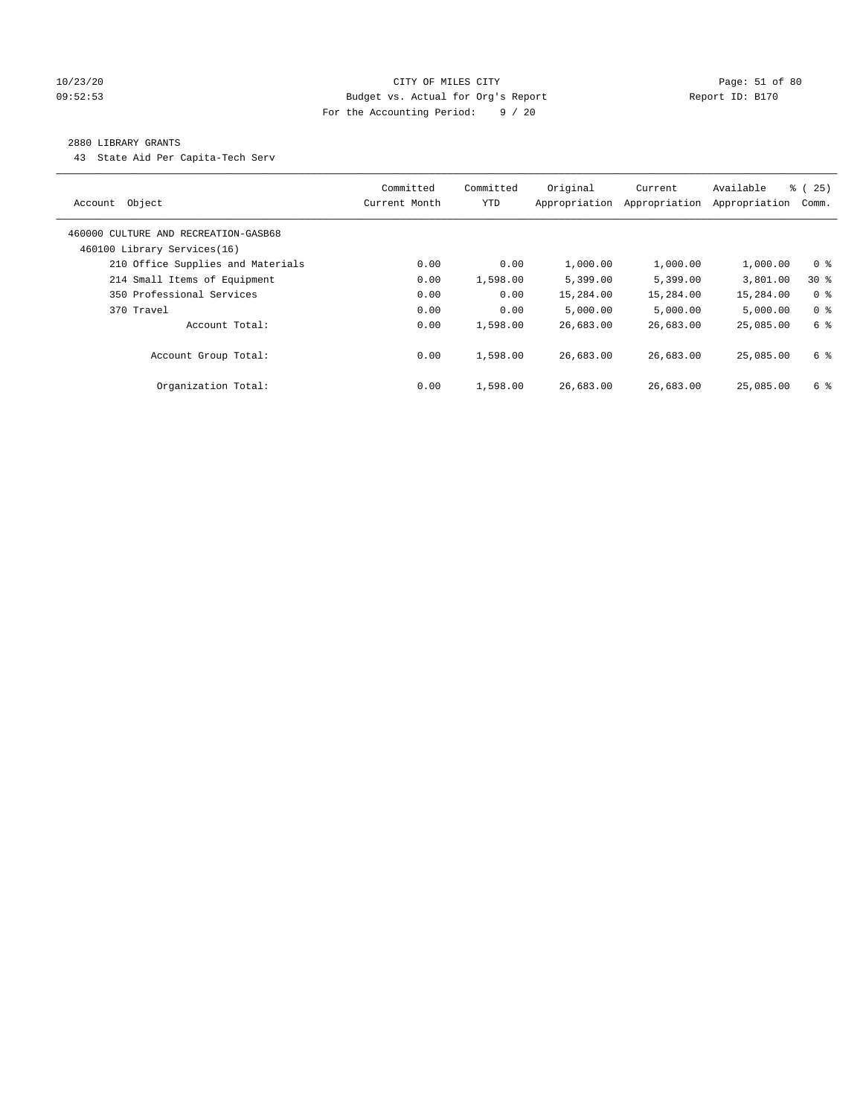## 10/23/20 Page: 51 of 80 09:52:53 Budget vs. Actual for Org's Report Report ID: B170 For the Accounting Period: 9 / 20

## 2880 LIBRARY GRANTS

43 State Aid Per Capita-Tech Serv

| Object<br>Account                                                   | Committed<br>Current Month | Committed<br><b>YTD</b> | Original<br>Appropriation | Current<br>Appropriation | Available<br>Appropriation | $\frac{8}{6}$ (<br>25)<br>Comm. |
|---------------------------------------------------------------------|----------------------------|-------------------------|---------------------------|--------------------------|----------------------------|---------------------------------|
| 460000 CULTURE AND RECREATION-GASB68<br>460100 Library Services(16) |                            |                         |                           |                          |                            |                                 |
| 210 Office Supplies and Materials                                   | 0.00                       | 0.00                    | 1,000.00                  | 1,000.00                 | 1,000.00                   | 0 <sup>8</sup>                  |
| 214 Small Items of Equipment                                        | 0.00                       | 1,598.00                | 5,399.00                  | 5,399.00                 | 3,801.00                   | $30*$                           |
| 350 Professional Services                                           | 0.00                       | 0.00                    | 15,284.00                 | 15,284.00                | 15,284.00                  | 0 <sup>8</sup>                  |
| 370 Travel                                                          | 0.00                       | 0.00                    | 5.000.00                  | 5,000.00                 | 5.000.00                   | 0 <sup>8</sup>                  |
| Account Total:                                                      | 0.00                       | 1,598.00                | 26,683.00                 | 26,683.00                | 25,085.00                  | 6 %                             |
| Account Group Total:                                                | 0.00                       | 1,598.00                | 26,683.00                 | 26,683.00                | 25,085,00                  | 6 %                             |
| Organization Total:                                                 | 0.00                       | 1,598.00                | 26,683.00                 | 26,683.00                | 25,085,00                  | 6 %                             |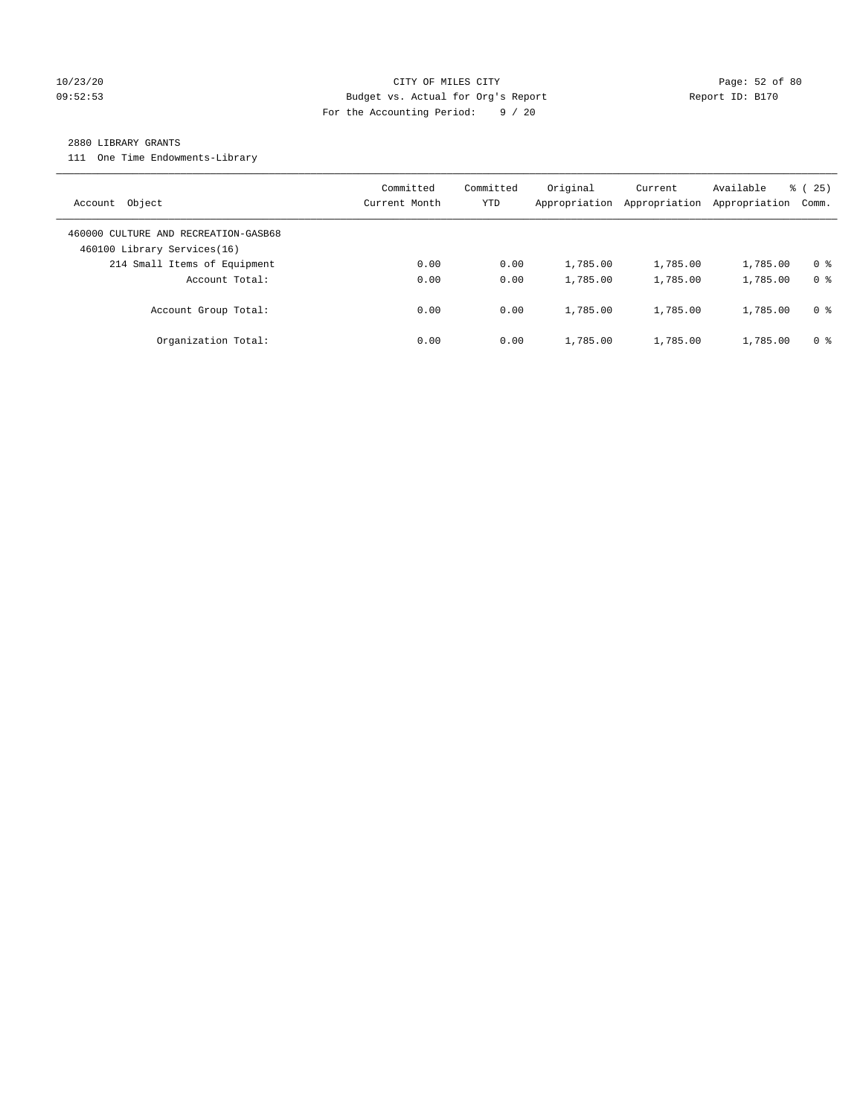## 10/23/20 Page: 52 of 80 09:52:53 Budget vs. Actual for Org's Report Report ID: B170 For the Accounting Period: 9 / 20

#### 2880 LIBRARY GRANTS

111 One Time Endowments-Library

| Object<br>Account                                                   | Committed<br>Current Month | Committed<br>YTD | Original<br>Appropriation | Current<br>Appropriation | Available<br>Appropriation | 25)<br>ී (<br>Comm. |
|---------------------------------------------------------------------|----------------------------|------------------|---------------------------|--------------------------|----------------------------|---------------------|
| 460000 CULTURE AND RECREATION-GASB68<br>460100 Library Services(16) |                            |                  |                           |                          |                            |                     |
| 214 Small Items of Equipment                                        | 0.00                       | 0.00             | 1,785.00                  | 1,785.00                 | 1,785.00                   | 0 <sup>8</sup>      |
| Account Total:                                                      | 0.00                       | 0.00             | 1,785.00                  | 1,785.00                 | 1,785.00                   | 0 <sup>8</sup>      |
| Account Group Total:                                                | 0.00                       | 0.00             | 1,785.00                  | 1,785.00                 | 1,785.00                   | 0 %                 |
| Organization Total:                                                 | 0.00                       | 0.00             | 1,785.00                  | 1,785.00                 | 1,785.00                   | 0 %                 |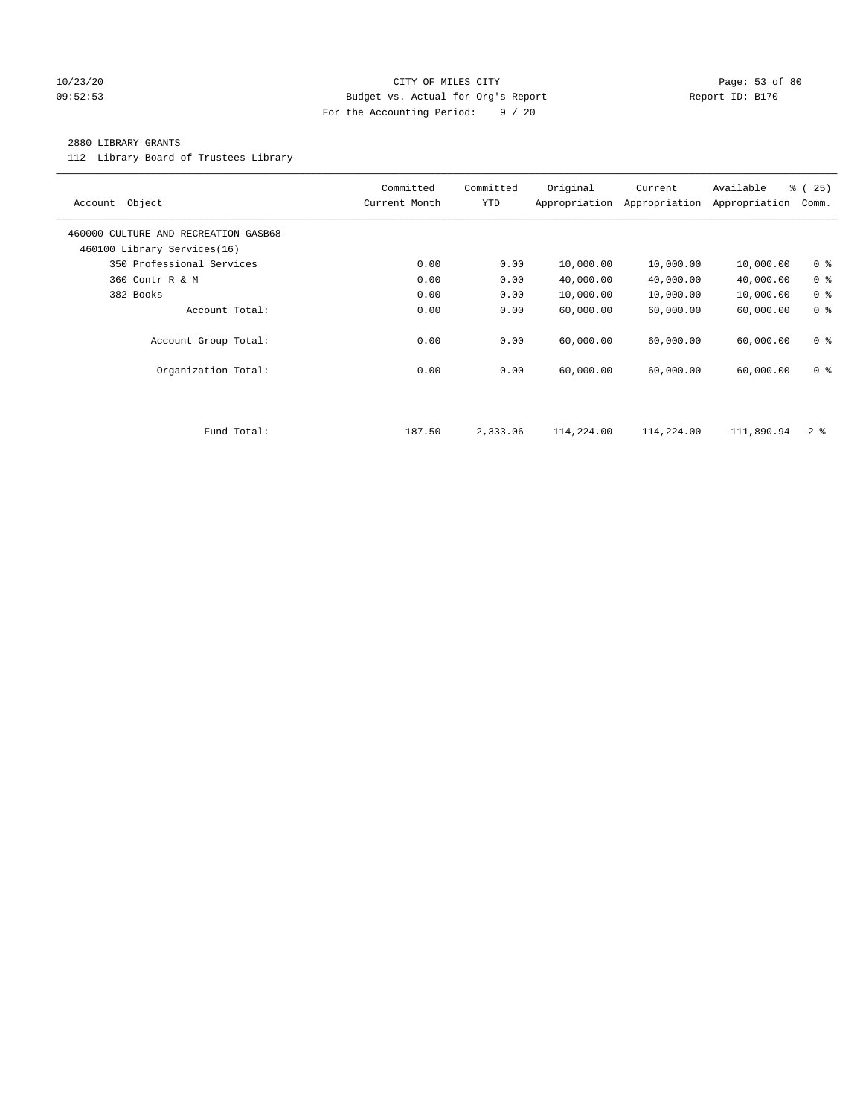#### 10/23/20 Page: 53 of 80 09:52:53 Budget vs. Actual for Org's Report Report ID: B170 For the Accounting Period: 9 / 20

## 2880 LIBRARY GRANTS

112 Library Board of Trustees-Library

| Object<br>Account                                                   | Committed<br>Current Month | Committed<br><b>YTD</b> | Original<br>Appropriation | Current<br>Appropriation | Available<br>Appropriation | % (25)<br>Comm. |
|---------------------------------------------------------------------|----------------------------|-------------------------|---------------------------|--------------------------|----------------------------|-----------------|
| 460000 CULTURE AND RECREATION-GASB68<br>460100 Library Services(16) |                            |                         |                           |                          |                            |                 |
| 350 Professional Services                                           | 0.00                       | 0.00                    | 10,000.00                 | 10,000.00                | 10,000.00                  | 0 <sup>8</sup>  |
| 360 Contr R & M                                                     | 0.00                       | 0.00                    | 40,000.00                 | 40,000.00                | 40,000.00                  | 0 <sup>8</sup>  |
| 382 Books                                                           | 0.00                       | 0.00                    | 10,000.00                 | 10,000.00                | 10,000.00                  | 0 <sup>8</sup>  |
| Account Total:                                                      | 0.00                       | 0.00                    | 60,000.00                 | 60,000.00                | 60,000.00                  | 0 <sup>8</sup>  |
| Account Group Total:                                                | 0.00                       | 0.00                    | 60,000.00                 | 60,000.00                | 60,000.00                  | 0 <sup>8</sup>  |
| Organization Total:                                                 | 0.00                       | 0.00                    | 60,000.00                 | 60,000.00                | 60,000.00                  | 0 <sup>8</sup>  |
|                                                                     |                            |                         |                           |                          |                            |                 |
| Fund Total:                                                         | 187.50                     | 2,333.06                | 114,224.00                | 114,224.00               | 111,890.94                 | 2 <sup>8</sup>  |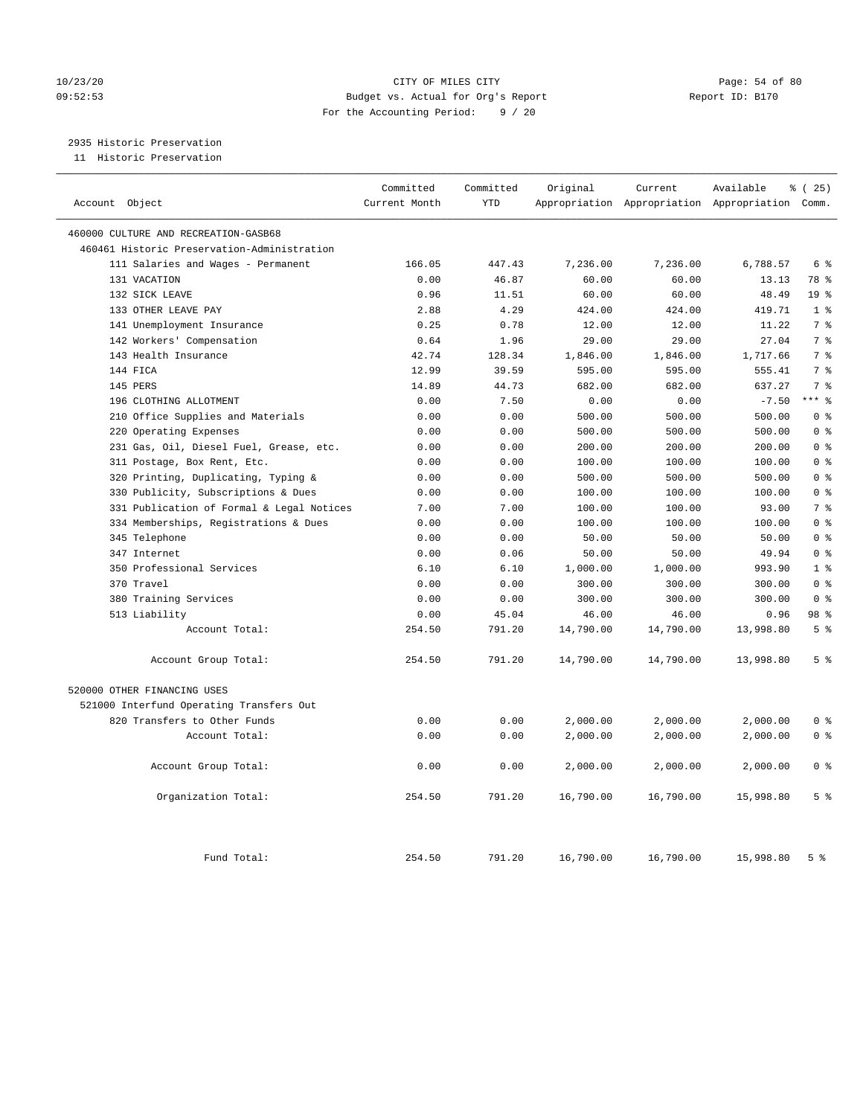## 10/23/20 Page: 54 of 80 09:52:53 Budget vs. Actual for Org's Report Report ID: B170 For the Accounting Period: 9 / 20

2935 Historic Preservation

11 Historic Preservation

| Account Object                              | Committed<br>Current Month | Committed<br><b>YTD</b> | Original  | Current   | Available<br>Appropriation Appropriation Appropriation Comm. | % (25)          |
|---------------------------------------------|----------------------------|-------------------------|-----------|-----------|--------------------------------------------------------------|-----------------|
| 460000 CULTURE AND RECREATION-GASB68        |                            |                         |           |           |                                                              |                 |
| 460461 Historic Preservation-Administration |                            |                         |           |           |                                                              |                 |
| 111 Salaries and Wages - Permanent          | 166.05                     | 447.43                  | 7,236.00  | 7,236.00  | 6,788.57                                                     | 6 %             |
| 131 VACATION                                | 0.00                       | 46.87                   | 60.00     | 60.00     | 13.13                                                        | 78 %            |
| 132 SICK LEAVE                              | 0.96                       | 11.51                   | 60.00     | 60.00     | 48.49                                                        | 19 <sup>°</sup> |
| 133 OTHER LEAVE PAY                         | 2.88                       | 4.29                    | 424.00    | 424.00    | 419.71                                                       | 1 <sup>8</sup>  |
| 141 Unemployment Insurance                  | 0.25                       | 0.78                    | 12.00     | 12.00     | 11.22                                                        | 7 <sup>°</sup>  |
| 142 Workers' Compensation                   | 0.64                       | 1.96                    | 29.00     | 29.00     | 27.04                                                        | 7 <sup>°</sup>  |
| 143 Health Insurance                        | 42.74                      | 128.34                  | 1,846.00  | 1,846.00  | 1,717.66                                                     | 7 <sup>8</sup>  |
| 144 FICA                                    | 12.99                      | 39.59                   | 595.00    | 595.00    | 555.41                                                       | 7 <sup>°</sup>  |
| 145 PERS                                    | 14.89                      | 44.73                   | 682.00    | 682.00    | 637.27                                                       | 7 <sup>°</sup>  |
| 196 CLOTHING ALLOTMENT                      | 0.00                       | 7.50                    | 0.00      | 0.00      | $-7.50$                                                      | $***$ 8         |
| 210 Office Supplies and Materials           | 0.00                       | 0.00                    | 500.00    | 500.00    | 500.00                                                       | 0 <sup>8</sup>  |
| 220 Operating Expenses                      | 0.00                       | 0.00                    | 500.00    | 500.00    | 500.00                                                       | 0 <sup>8</sup>  |
| 231 Gas, Oil, Diesel Fuel, Grease, etc.     | 0.00                       | 0.00                    | 200.00    | 200.00    | 200.00                                                       | 0 <sup>8</sup>  |
| 311 Postage, Box Rent, Etc.                 | 0.00                       | 0.00                    | 100.00    | 100.00    | 100.00                                                       | 0 <sup>8</sup>  |
| 320 Printing, Duplicating, Typing &         | 0.00                       | 0.00                    | 500.00    | 500.00    | 500.00                                                       | 0 <sup>8</sup>  |
| 330 Publicity, Subscriptions & Dues         | 0.00                       | 0.00                    | 100.00    | 100.00    | 100.00                                                       | 0 <sup>8</sup>  |
| 331 Publication of Formal & Legal Notices   | 7.00                       | 7.00                    | 100.00    | 100.00    | 93.00                                                        | 7 <sup>°</sup>  |
| 334 Memberships, Registrations & Dues       | 0.00                       | 0.00                    | 100.00    | 100.00    | 100.00                                                       | 0 <sup>8</sup>  |
| 345 Telephone                               | 0.00                       | 0.00                    | 50.00     | 50.00     | 50.00                                                        | 0 <sup>8</sup>  |
| 347 Internet                                | 0.00                       | 0.06                    | 50.00     | 50.00     | 49.94                                                        | 0 <sup>8</sup>  |
| 350 Professional Services                   | 6.10                       | 6.10                    | 1,000.00  | 1,000.00  | 993.90                                                       | 1 <sup>8</sup>  |
| 370 Travel                                  | 0.00                       | 0.00                    | 300.00    | 300.00    | 300.00                                                       | 0 <sup>8</sup>  |
| 380 Training Services                       | 0.00                       | 0.00                    | 300.00    | 300.00    | 300.00                                                       | 0 <sup>8</sup>  |
| 513 Liability                               | 0.00                       | 45.04                   | 46.00     | 46.00     | 0.96                                                         | 98 %            |
| Account Total:                              | 254.50                     | 791.20                  | 14,790.00 | 14,790.00 | 13,998.80                                                    | 5 <sup>8</sup>  |
| Account Group Total:                        | 254.50                     | 791.20                  | 14,790.00 | 14,790.00 | 13,998.80                                                    | 5 <sup>8</sup>  |
| 520000 OTHER FINANCING USES                 |                            |                         |           |           |                                                              |                 |
| 521000 Interfund Operating Transfers Out    |                            |                         |           |           |                                                              |                 |
| 820 Transfers to Other Funds                | 0.00                       | 0.00                    | 2,000.00  | 2,000.00  | 2,000.00                                                     | 0 <sup>8</sup>  |
| Account Total:                              | 0.00                       | 0.00                    | 2,000.00  | 2,000.00  | 2,000.00                                                     | 0 <sup>8</sup>  |
| Account Group Total:                        | 0.00                       | 0.00                    | 2,000.00  | 2,000.00  | 2,000.00                                                     | 0 <sup>8</sup>  |
| Organization Total:                         | 254.50                     | 791.20                  | 16,790.00 | 16,790.00 | 15,998.80                                                    | 5 <sup>8</sup>  |
| Fund Total:                                 | 254.50                     | 791.20                  | 16,790.00 | 16,790.00 | 15,998.80                                                    | 5 <sup>8</sup>  |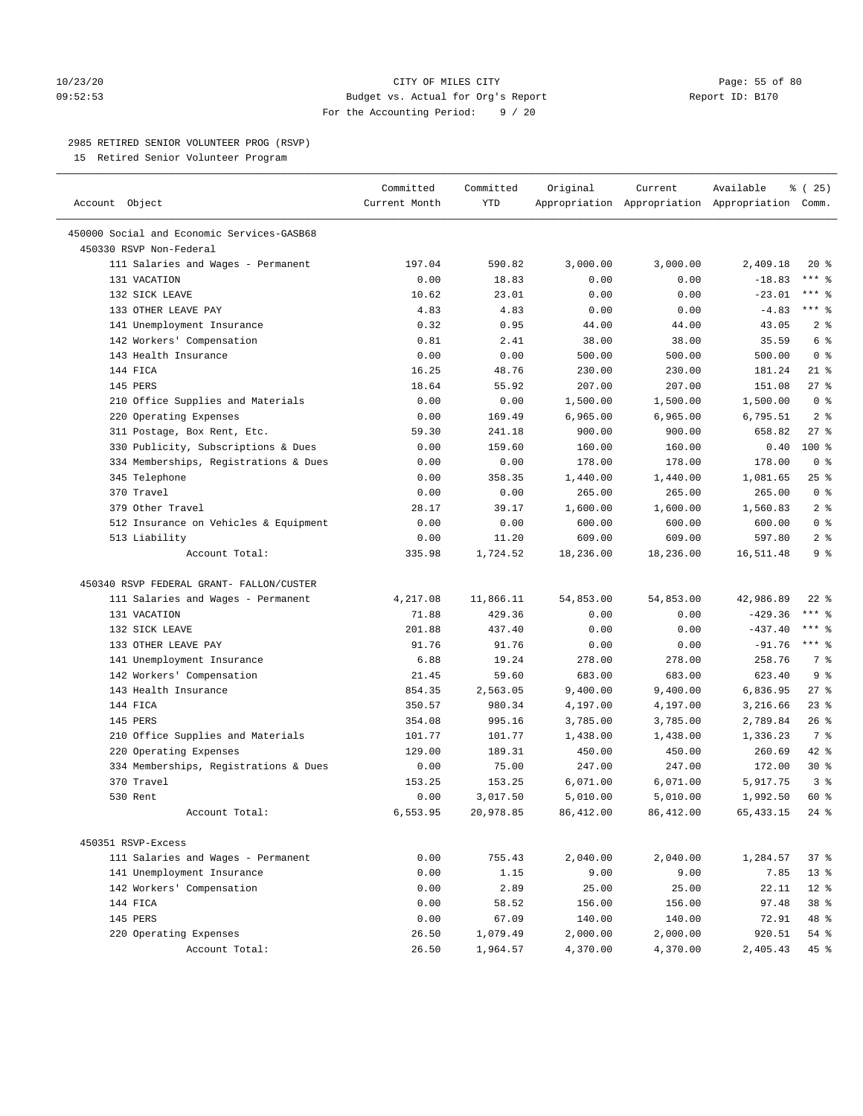#### 10/23/20 Page: 55 of 80 09:52:53 Budget vs. Actual for Org's Report Report ID: B170 For the Accounting Period: 9 / 20

————————————————————————————————————————————————————————————————————————————————————————————————————————————————————————————————————

## 2985 RETIRED SENIOR VOLUNTEER PROG (RSVP)

15 Retired Senior Volunteer Program

|                                            | Committed     | Committed | Original           | Current                                         | Available          | 8 (25)         |
|--------------------------------------------|---------------|-----------|--------------------|-------------------------------------------------|--------------------|----------------|
| Account Object                             | Current Month | YTD       |                    | Appropriation Appropriation Appropriation Comm. |                    |                |
| 450000 Social and Economic Services-GASB68 |               |           |                    |                                                 |                    |                |
| 450330 RSVP Non-Federal                    |               |           |                    |                                                 |                    |                |
| 111 Salaries and Wages - Permanent         | 197.04        | 590.82    | 3,000.00           | 3,000.00                                        | 2,409.18           | $20*$          |
| 131 VACATION                               | 0.00          | 18.83     | 0.00               | 0.00                                            | $-18.83$           | $***$ $8$      |
| 132 SICK LEAVE                             | 10.62         | 23.01     | 0.00               | 0.00                                            | $-23.01$           | *** 응          |
| 133 OTHER LEAVE PAY                        | 4.83          | 4.83      | 0.00               | 0.00                                            | $-4.83$            | $***$ $%$      |
| 141 Unemployment Insurance                 | 0.32          | 0.95      | 44.00              | 44.00                                           | 43.05              | 2 <sub>8</sub> |
| 142 Workers' Compensation                  | 0.81          | 2.41      | 38.00              | 38.00                                           | 35.59              | 6 %            |
| 143 Health Insurance                       | 0.00          | 0.00      | 500.00             | 500.00                                          | 500.00             | 0 <sup>8</sup> |
| 144 FICA                                   | 16.25         | 48.76     | 230.00             | 230.00                                          | 181.24             | $21$ %         |
| 145 PERS                                   | 18.64         | 55.92     | 207.00             | 207.00                                          | 151.08             | $27$ %         |
| 210 Office Supplies and Materials          | 0.00          | 0.00      | 1,500.00           | 1,500.00                                        | 1,500.00           | 0 <sup>8</sup> |
| 220 Operating Expenses                     | 0.00          | 169.49    | 6,965.00           | 6,965.00                                        | 6,795.51           | 2 <sup>8</sup> |
| 311 Postage, Box Rent, Etc.                | 59.30         | 241.18    | 900.00             | 900.00                                          | 658.82             | $27$ %         |
| 330 Publicity, Subscriptions & Dues        | 0.00          | 159.60    | 160.00             | 160.00                                          | 0.40               | $100*$         |
| 334 Memberships, Registrations & Dues      | 0.00          | 0.00      | 178.00             | 178.00                                          | 178.00             | 0 <sup>8</sup> |
|                                            |               |           |                    |                                                 |                    | $25$ %         |
| 345 Telephone<br>370 Travel                | 0.00          | 358.35    | 1,440.00           | 1,440.00                                        | 1,081.65<br>265.00 | 0 <sup>8</sup> |
| 379 Other Travel                           | 0.00<br>28.17 | 0.00      | 265.00<br>1,600.00 | 265.00                                          | 1,560.83           | 2 <sup>8</sup> |
|                                            |               | 39.17     |                    | 1,600.00                                        |                    | 0 <sup>8</sup> |
| 512 Insurance on Vehicles & Equipment      | 0.00          | 0.00      | 600.00             | 600.00                                          | 600.00             |                |
| 513 Liability                              | 0.00          | 11.20     | 609.00             | 609.00                                          | 597.80             | 2 <sup>°</sup> |
| Account Total:                             | 335.98        | 1,724.52  | 18,236.00          | 18,236.00                                       | 16,511.48          | 9 <sup>°</sup> |
| 450340 RSVP FEDERAL GRANT- FALLON/CUSTER   |               |           |                    |                                                 |                    |                |
| 111 Salaries and Wages - Permanent         | 4,217.08      | 11,866.11 | 54,853.00          | 54,853.00                                       | 42,986.89          | $22$ %         |
| 131 VACATION                               | 71.88         | 429.36    | 0.00               | 0.00                                            | $-429.36$          | $***$ $_{8}$   |
| 132 SICK LEAVE                             | 201.88        | 437.40    | 0.00               | 0.00                                            | $-437.40$          | $***$ $_{8}$   |
| 133 OTHER LEAVE PAY                        | 91.76         | 91.76     | 0.00               | 0.00                                            | $-91.76$           | $***$ 8        |
| 141 Unemployment Insurance                 | 6.88          | 19.24     | 278.00             | 278.00                                          | 258.76             | 7%             |
| 142 Workers' Compensation                  | 21.45         | 59.60     | 683.00             | 683.00                                          | 623.40             | 9 <sup>°</sup> |
| 143 Health Insurance                       | 854.35        | 2,563.05  | 9,400.00           | 9,400.00                                        | 6,836.95           | $27$ %         |
| 144 FICA                                   | 350.57        | 980.34    | 4,197.00           | 4,197.00                                        | 3,216.66           | $23$ %         |
| 145 PERS                                   | 354.08        | 995.16    | 3,785.00           | 3,785.00                                        | 2,789.84           | $26$ %         |
| 210 Office Supplies and Materials          | 101.77        | 101.77    | 1,438.00           | 1,438.00                                        | 1,336.23           | 7 %            |
| 220 Operating Expenses                     | 129.00        | 189.31    | 450.00             | 450.00                                          | 260.69             | $42$ %         |
| 334 Memberships, Registrations & Dues      | 0.00          | 75.00     | 247.00             | 247.00                                          | 172.00             | $30*$          |
| 370 Travel                                 | 153.25        | 153.25    | 6,071.00           | 6,071.00                                        | 5,917.75           | 3 <sup>8</sup> |
| 530 Rent                                   | 0.00          | 3,017.50  | 5,010.00           | 5,010.00                                        | 1,992.50           | 60 %           |
| Account Total:                             | 6,553.95      | 20,978.85 | 86,412.00          | 86,412.00                                       | 65, 433. 15        | $24$ %         |
|                                            |               |           |                    |                                                 |                    |                |
| 450351 RSVP-Excess                         |               |           |                    |                                                 |                    |                |
| 111 Salaries and Wages - Permanent         | 0.00          | 755.43    | 2,040.00           | 2,040.00                                        | 1,284.57           | 37%            |
| 141 Unemployment Insurance                 | 0.00          | 1.15      | 9.00               | 9.00                                            | 7.85               | $13*$          |
| 142 Workers' Compensation                  | 0.00          | 2.89      | 25.00              | 25.00                                           | 22.11              | $12*$          |
| 144 FICA                                   | 0.00          | 58.52     | 156.00             | 156.00                                          | 97.48              | 38 %           |
| 145 PERS                                   | 0.00          | 67.09     | 140.00             | 140.00                                          | 72.91              | 48 %           |
| 220 Operating Expenses                     | 26.50         | 1,079.49  | 2,000.00           | 2,000.00                                        | 920.51             | 54 %           |
| Account Total:                             | 26.50         | 1,964.57  | 4,370.00           | 4,370.00                                        | 2,405.43           | $45$ %         |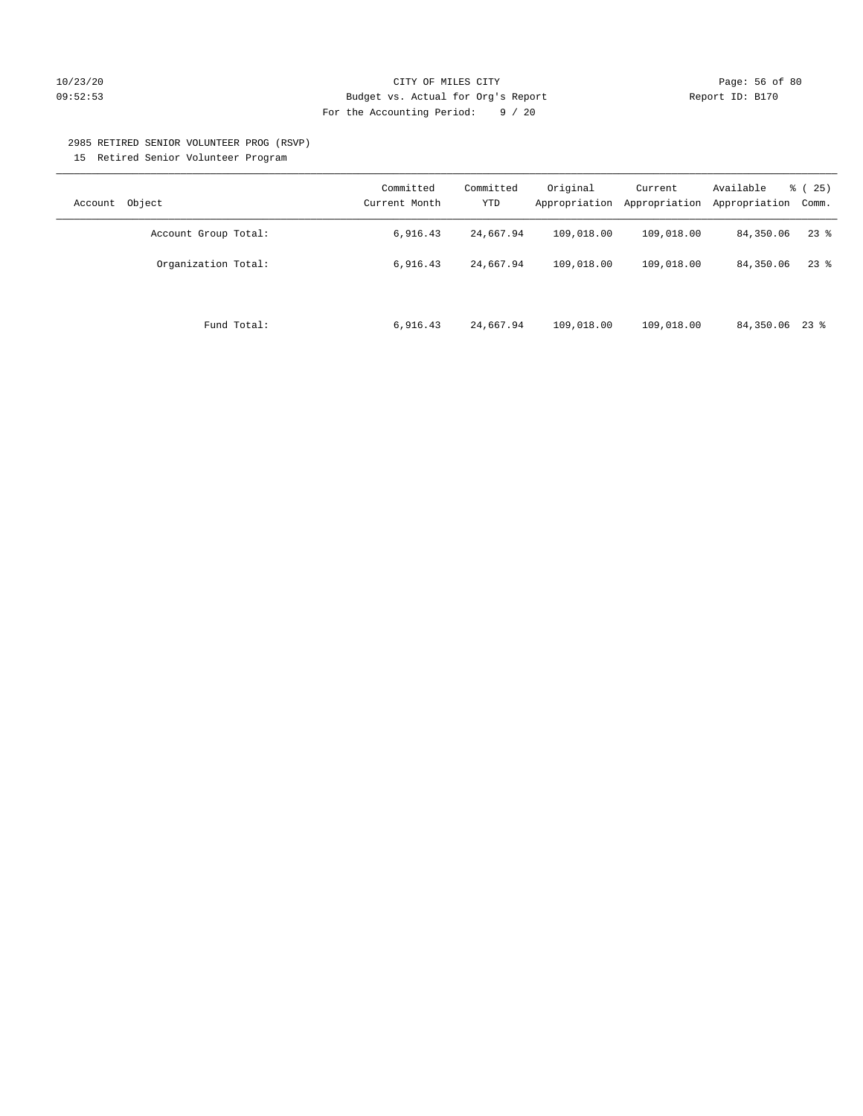## 10/23/20 Page: 56 of 80 09:52:53 Budget vs. Actual for Org's Report Report ID: B170 For the Accounting Period: 9 / 20

#### 2985 RETIRED SENIOR VOLUNTEER PROG (RSVP)

15 Retired Senior Volunteer Program

| Object<br>Account    | Committed<br>Current Month | Committed<br>YTD | Original<br>Appropriation | Current<br>Appropriation | Available<br>Appropriation | % (25)<br>Comm. |
|----------------------|----------------------------|------------------|---------------------------|--------------------------|----------------------------|-----------------|
| Account Group Total: | 6,916.43                   | 24,667.94        | 109,018.00                | 109,018.00               | 84,350.06                  | $23$ %          |
| Organization Total:  | 6,916.43                   | 24,667.94        | 109,018.00                | 109,018.00               | 84,350.06                  | $23$ %          |
| Fund Total:          | 6,916.43                   | 24,667.94        | 109,018.00                | 109,018.00               | 84,350.06 23 %             |                 |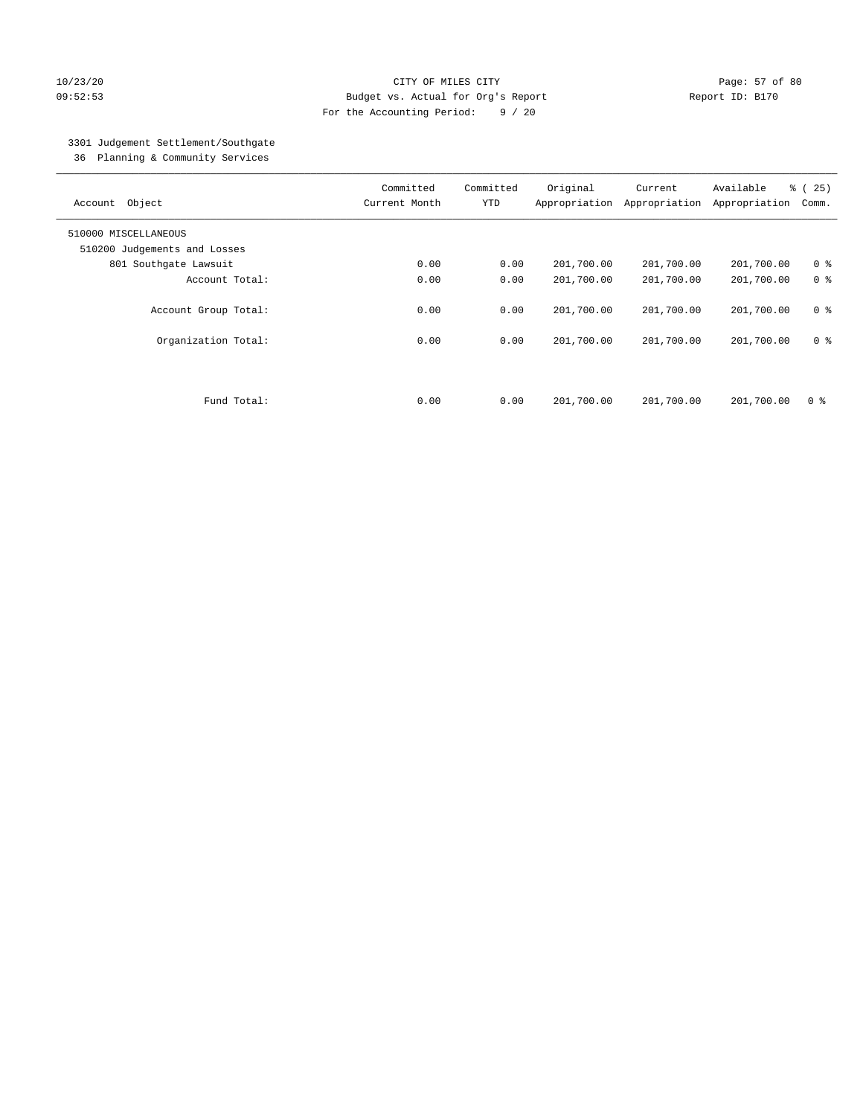## 10/23/20 Page: 57 of 80 09:52:53 Budget vs. Actual for Org's Report Report ID: B170 For the Accounting Period: 9 / 20

## 3301 Judgement Settlement/Southgate

36 Planning & Community Services

| Object<br>Account            | Committed<br>Current Month | Committed<br><b>YTD</b> | Original<br>Appropriation | Current<br>Appropriation | Available<br>Appropriation | % (25)<br>Comm. |
|------------------------------|----------------------------|-------------------------|---------------------------|--------------------------|----------------------------|-----------------|
| 510000 MISCELLANEOUS         |                            |                         |                           |                          |                            |                 |
| 510200 Judgements and Losses |                            |                         |                           |                          |                            |                 |
| 801 Southgate Lawsuit        | 0.00                       | 0.00                    | 201,700.00                | 201,700.00               | 201,700.00                 | 0 <sup>8</sup>  |
| Account Total:               | 0.00                       | 0.00                    | 201,700.00                | 201,700.00               | 201,700.00                 | 0 <sup>8</sup>  |
| Account Group Total:         | 0.00                       | 0.00                    | 201,700.00                | 201,700.00               | 201,700.00                 | 0 <sup>8</sup>  |
| Organization Total:          | 0.00                       | 0.00                    | 201,700.00                | 201,700.00               | 201,700.00                 | 0 <sup>8</sup>  |
| Fund Total:                  | 0.00                       | 0.00                    | 201,700.00                | 201,700.00               | 201,700.00                 | 0 %             |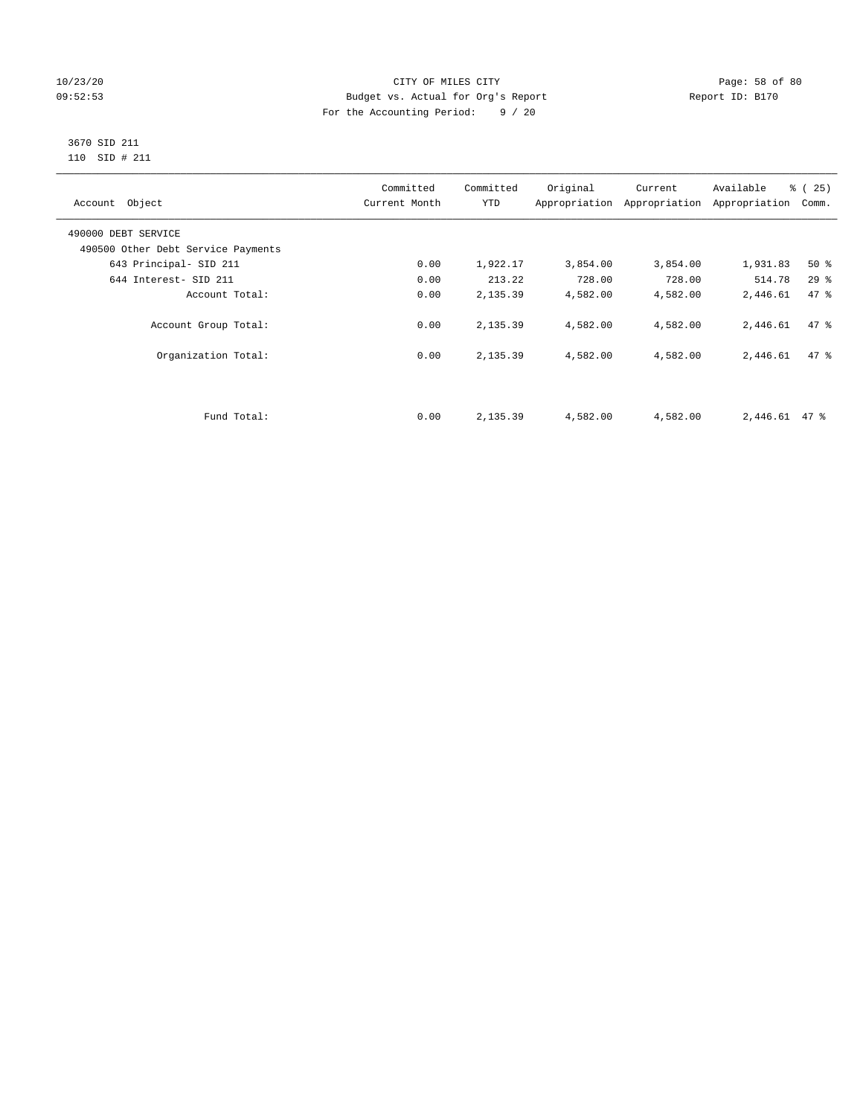## 10/23/20 Page: 58 of 80 09:52:53 Budget vs. Actual for Org's Report Changer Report ID: B170 For the Accounting Period: 9 / 20

## 3670 SID 211 110 SID # 211

| Account Object                     | Committed<br>Current Month | Committed<br><b>YTD</b> | Original | Current<br>Appropriation Appropriation | Available<br>Appropriation | % (25)<br>Comm. |
|------------------------------------|----------------------------|-------------------------|----------|----------------------------------------|----------------------------|-----------------|
| 490000 DEBT SERVICE                |                            |                         |          |                                        |                            |                 |
| 490500 Other Debt Service Payments |                            |                         |          |                                        |                            |                 |
| 643 Principal- SID 211             | 0.00                       | 1,922.17                | 3,854.00 | 3,854.00                               | 1,931.83                   | $50*$           |
| 644 Interest- SID 211              | 0.00                       | 213.22                  | 728.00   | 728.00                                 | 514.78                     | 29%             |
| Account Total:                     | 0.00                       | 2,135.39                | 4,582.00 | 4,582.00                               | 2,446.61                   | 47.8            |
| Account Group Total:               | 0.00                       | 2,135.39                | 4,582.00 | 4,582.00                               | 2,446.61                   | 47.8            |
| Organization Total:                | 0.00                       | 2,135.39                | 4,582.00 | 4,582.00                               | 2,446.61                   | 47.8            |
|                                    |                            |                         |          |                                        |                            |                 |
| Fund Total:                        | 0.00                       | 2,135.39                | 4,582.00 | 4,582.00                               | $2,446.61$ 47 %            |                 |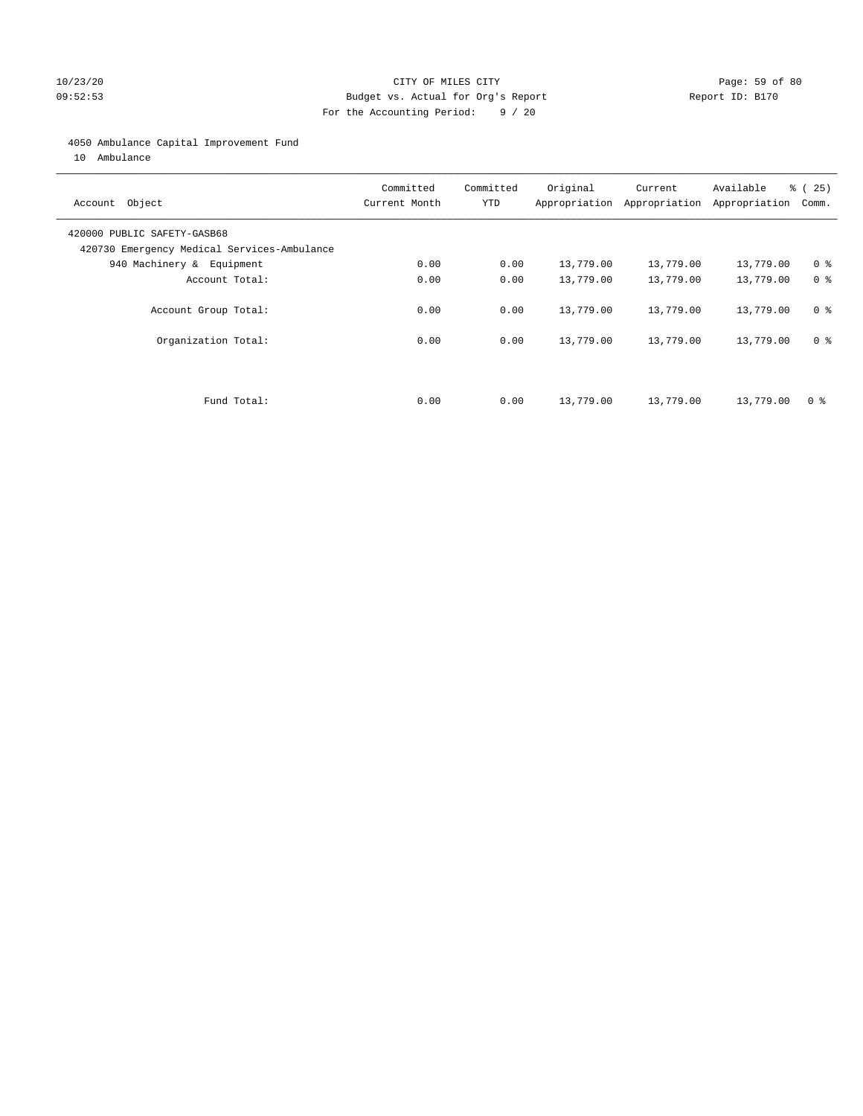## 10/23/20 Page: 59 of 80 09:52:53 Budget vs. Actual for Org's Report Report ID: B170 For the Accounting Period: 9 / 20

## 4050 Ambulance Capital Improvement Fund

10 Ambulance

| Account Object                                                             | Committed<br>Current Month | Committed<br><b>YTD</b> | Original  | Current<br>Appropriation Appropriation | Available<br>Appropriation | % (25)<br>Comm. |
|----------------------------------------------------------------------------|----------------------------|-------------------------|-----------|----------------------------------------|----------------------------|-----------------|
| 420000 PUBLIC SAFETY-GASB68<br>420730 Emergency Medical Services-Ambulance |                            |                         |           |                                        |                            |                 |
| 940 Machinery & Equipment                                                  | 0.00                       | 0.00                    | 13,779.00 | 13,779.00                              | 13,779.00                  | 0 <sup>8</sup>  |
| Account Total:                                                             | 0.00                       | 0.00                    | 13,779.00 | 13,779.00                              | 13,779.00                  | 0 <sup>8</sup>  |
| Account Group Total:                                                       | 0.00                       | 0.00                    | 13,779.00 | 13,779.00                              | 13,779.00                  | 0 <sup>8</sup>  |
| Organization Total:                                                        | 0.00                       | 0.00                    | 13,779.00 | 13,779.00                              | 13,779.00                  | 0 <sup>8</sup>  |
|                                                                            |                            |                         |           |                                        |                            |                 |
| Fund Total:                                                                | 0.00                       | 0.00                    | 13,779.00 | 13,779.00                              | 13,779.00                  | 0 %             |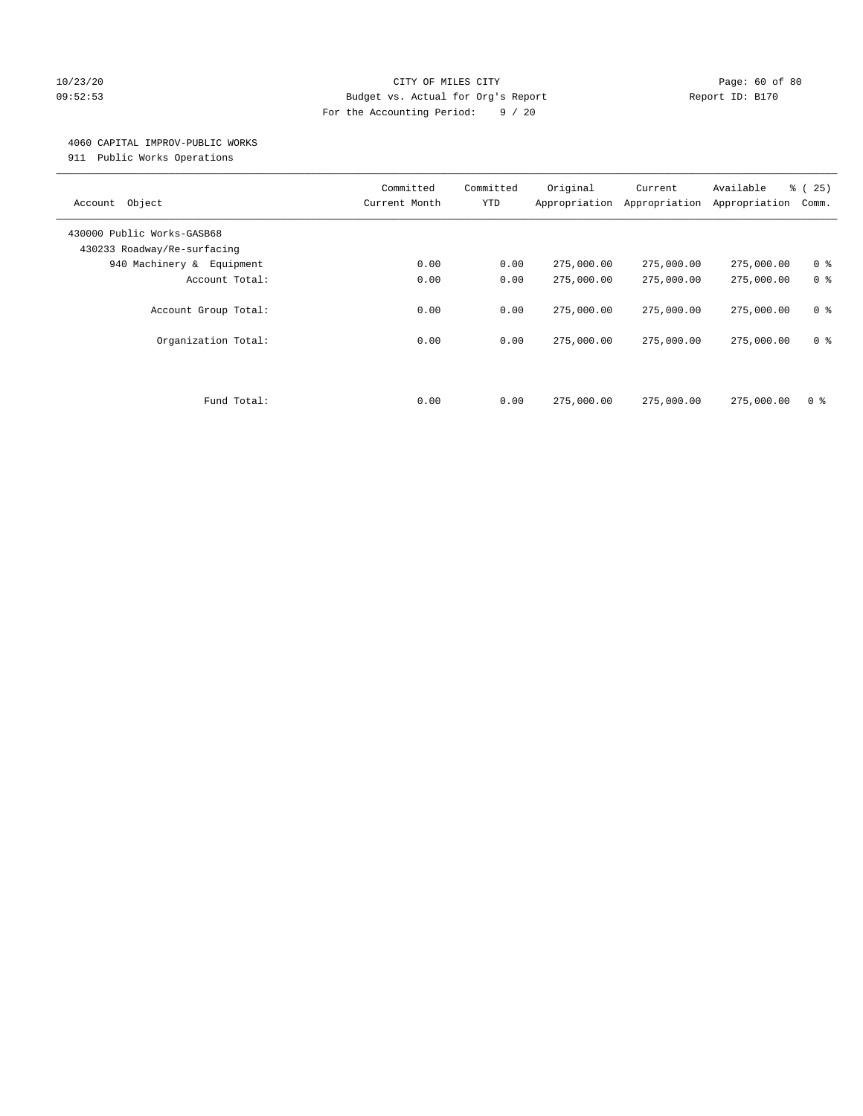## 10/23/20 Page: 60 of 80 09:52:53 Budget vs. Actual for Org's Report Report ID: B170 For the Accounting Period: 9 / 20

#### 4060 CAPITAL IMPROV-PUBLIC WORKS

911 Public Works Operations

| Object<br>Account                                         | Committed<br>Current Month | Committed<br><b>YTD</b> | Original<br>Appropriation | Current<br>Appropriation | Available<br>Appropriation | % (25)<br>Comm. |
|-----------------------------------------------------------|----------------------------|-------------------------|---------------------------|--------------------------|----------------------------|-----------------|
| 430000 Public Works-GASB68<br>430233 Roadway/Re-surfacing |                            |                         |                           |                          |                            |                 |
| 940 Machinery &<br>Equipment                              | 0.00                       | 0.00                    | 275,000.00                | 275,000.00               | 275,000.00                 | 0 <sup>8</sup>  |
| Account Total:                                            | 0.00                       | 0.00                    | 275,000.00                | 275,000.00               | 275,000.00                 | 0 <sup>8</sup>  |
| Account Group Total:                                      | 0.00                       | 0.00                    | 275,000.00                | 275,000.00               | 275,000.00                 | 0 <sup>8</sup>  |
| Organization Total:                                       | 0.00                       | 0.00                    | 275,000.00                | 275,000.00               | 275,000.00                 | 0 <sup>8</sup>  |
|                                                           |                            |                         |                           |                          |                            |                 |
| Fund Total:                                               | 0.00                       | 0.00                    | 275,000.00                | 275,000.00               | 275,000.00                 | 0 %             |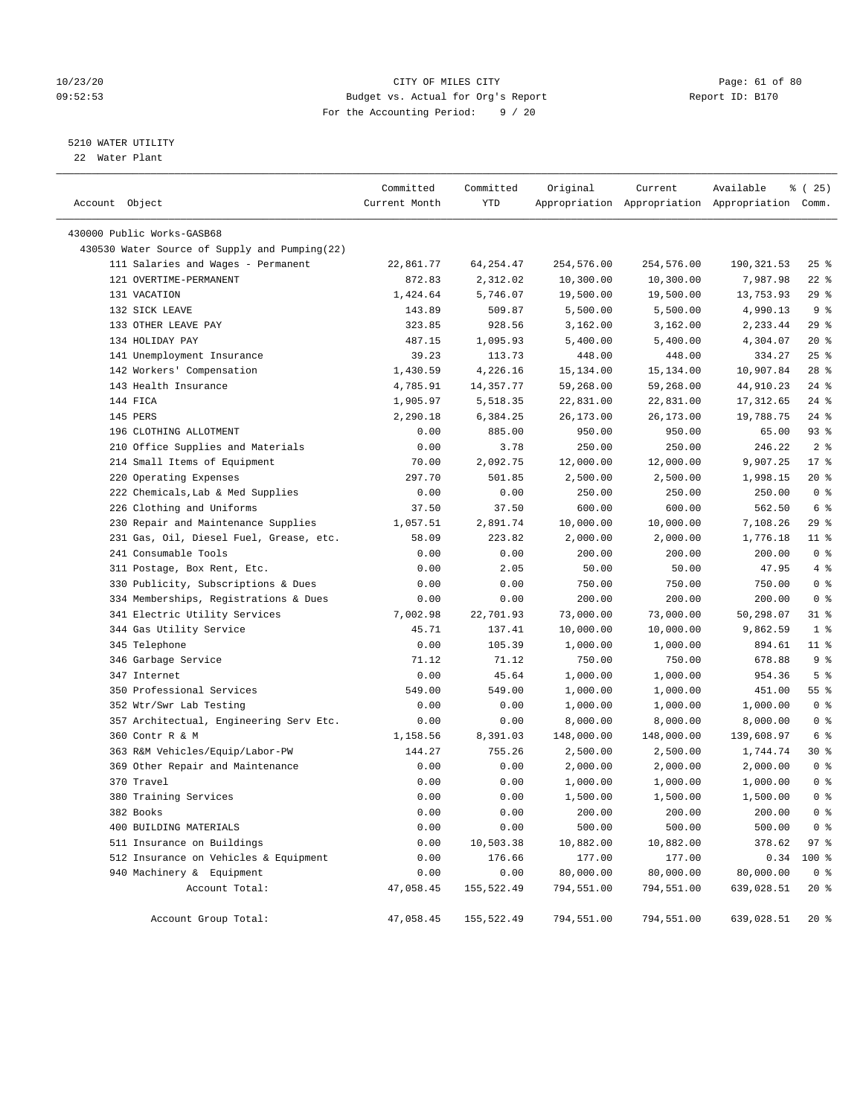## 10/23/20 Page: 61 of 80 09:52:53 Budget vs. Actual for Org's Report Report ID: B170 For the Accounting Period: 9 / 20

————————————————————————————————————————————————————————————————————————————————————————————————————————————————————————————————————

## 5210 WATER UTILITY

22 Water Plant

|                                               | Committed     | Committed  | Original   | Current    | Available                                       | % (25)         |  |
|-----------------------------------------------|---------------|------------|------------|------------|-------------------------------------------------|----------------|--|
| Account Object                                | Current Month | YTD        |            |            | Appropriation Appropriation Appropriation Comm. |                |  |
| 430000 Public Works-GASB68                    |               |            |            |            |                                                 |                |  |
| 430530 Water Source of Supply and Pumping(22) |               |            |            |            |                                                 |                |  |
| 111 Salaries and Wages - Permanent            | 22,861.77     | 64,254.47  | 254,576.00 | 254,576.00 | 190,321.53                                      | $25$ %         |  |
| 121 OVERTIME-PERMANENT                        | 872.83        | 2,312.02   | 10,300.00  | 10,300.00  | 7,987.98                                        | $22$ %         |  |
| 131 VACATION                                  | 1,424.64      | 5,746.07   | 19,500.00  | 19,500.00  | 13,753.93                                       | 29 %           |  |
| 132 SICK LEAVE                                | 143.89        | 509.87     | 5,500.00   | 5,500.00   | 4,990.13                                        | 9%             |  |
| 133 OTHER LEAVE PAY                           | 323.85        | 928.56     | 3,162.00   | 3,162.00   | 2,233.44                                        | $29$ %         |  |
| 134 HOLIDAY PAY                               | 487.15        | 1,095.93   | 5,400.00   | 5,400.00   | 4,304.07                                        | $20*$          |  |
| 141 Unemployment Insurance                    | 39.23         | 113.73     | 448.00     | 448.00     | 334.27                                          | $25$ %         |  |
| 142 Workers' Compensation                     | 1,430.59      | 4,226.16   | 15,134.00  | 15,134.00  | 10,907.84                                       | $28$ %         |  |
| 143 Health Insurance                          | 4,785.91      | 14,357.77  | 59,268.00  | 59,268.00  | 44,910.23                                       | $24$ %         |  |
| 144 FICA                                      | 1,905.97      | 5,518.35   | 22,831.00  | 22,831.00  | 17,312.65                                       | $24$ %         |  |
| 145 PERS                                      | 2,290.18      | 6,384.25   | 26,173.00  | 26,173.00  | 19,788.75                                       | $24$ %         |  |
| 196 CLOTHING ALLOTMENT                        | 0.00          | 885.00     | 950.00     | 950.00     | 65.00                                           | $93$ $%$       |  |
| 210 Office Supplies and Materials             | 0.00          | 3.78       | 250.00     | 250.00     | 246.22                                          | 2 <sup>8</sup> |  |
| 214 Small Items of Equipment                  | 70.00         | 2,092.75   | 12,000.00  | 12,000.00  | 9,907.25                                        | $17*$          |  |
| 220 Operating Expenses                        | 297.70        | 501.85     | 2,500.00   | 2,500.00   | 1,998.15                                        | $20*$          |  |
| 222 Chemicals, Lab & Med Supplies             | 0.00          | 0.00       | 250.00     | 250.00     | 250.00                                          | 0 <sup>8</sup> |  |
| 226 Clothing and Uniforms                     | 37.50         | 37.50      | 600.00     | 600.00     | 562.50                                          | 6 %            |  |
| 230 Repair and Maintenance Supplies           | 1,057.51      | 2,891.74   | 10,000.00  | 10,000.00  | 7,108.26                                        | $29$ %         |  |
| 231 Gas, Oil, Diesel Fuel, Grease, etc.       | 58.09         | 223.82     | 2,000.00   | 2,000.00   | 1,776.18                                        | $11$ %         |  |
| 241 Consumable Tools                          | 0.00          | 0.00       | 200.00     | 200.00     | 200.00                                          | 0 <sup>8</sup> |  |
| 311 Postage, Box Rent, Etc.                   | 0.00          | 2.05       | 50.00      | 50.00      | 47.95                                           | 4%             |  |
| 330 Publicity, Subscriptions & Dues           | 0.00          | 0.00       | 750.00     | 750.00     | 750.00                                          | 0 <sup>8</sup> |  |
| 334 Memberships, Registrations & Dues         | 0.00          | 0.00       | 200.00     | 200.00     | 200.00                                          | 0 <sup>8</sup> |  |
| 341 Electric Utility Services                 | 7,002.98      | 22,701.93  | 73,000.00  | 73,000.00  | 50,298.07                                       | 31 %           |  |
| 344 Gas Utility Service                       | 45.71         | 137.41     | 10,000.00  | 10,000.00  | 9,862.59                                        | 1 <sup>8</sup> |  |
| 345 Telephone                                 | 0.00          | 105.39     | 1,000.00   | 1,000.00   | 894.61                                          | $11$ %         |  |
| 346 Garbage Service                           | 71.12         | 71.12      | 750.00     | 750.00     | 678.88                                          | 9%             |  |
| 347 Internet                                  | 0.00          | 45.64      | 1,000.00   | 1,000.00   | 954.36                                          | 5 <sup>8</sup> |  |
| 350 Professional Services                     | 549.00        | 549.00     | 1,000.00   | 1,000.00   | 451.00                                          | 55 %           |  |
| 352 Wtr/Swr Lab Testing                       | 0.00          | 0.00       | 1,000.00   | 1,000.00   | 1,000.00                                        | 0 <sup>8</sup> |  |
| 357 Architectual, Engineering Serv Etc.       | 0.00          | 0.00       | 8,000.00   | 8,000.00   | 8,000.00                                        | 0 <sup>8</sup> |  |
| 360 Contr R & M                               | 1,158.56      | 8,391.03   | 148,000.00 | 148,000.00 | 139,608.97                                      | 6 %            |  |
| 363 R&M Vehicles/Equip/Labor-PW               | 144.27        | 755.26     | 2,500.00   | 2,500.00   | 1,744.74                                        | 30 %           |  |
| 369 Other Repair and Maintenance              | 0.00          | 0.00       | 2,000.00   | 2,000.00   | 2,000.00                                        | 0 <sup>8</sup> |  |
| 370 Travel                                    | 0.00          | 0.00       | 1,000.00   | 1,000.00   | 1,000.00                                        | 0 <sup>8</sup> |  |
| 380 Training Services                         | 0.00          | 0.00       | 1,500.00   | 1,500.00   | 1,500.00                                        | 0 <sup>8</sup> |  |
| 382 Books                                     | 0.00          | 0.00       | 200.00     | 200.00     | 200.00                                          | 0 <sup>8</sup> |  |
| 400 BUILDING MATERIALS                        | 0.00          | 0.00       | 500.00     | 500.00     | 500.00                                          | 0 <sup>8</sup> |  |
| 511 Insurance on Buildings                    | 0.00          | 10,503.38  | 10,882.00  | 10,882.00  | 378.62                                          | 97%            |  |
| 512 Insurance on Vehicles & Equipment         | 0.00          | 176.66     | 177.00     | 177.00     | 0.34                                            | 100 %          |  |
| 940 Machinery & Equipment                     | 0.00          | 0.00       | 80,000.00  | 80,000.00  | 80,000.00                                       | 0 <sup>8</sup> |  |
| Account Total:                                | 47,058.45     | 155,522.49 | 794,551.00 | 794,551.00 | 639,028.51                                      | $20*$          |  |
| Account Group Total:                          | 47,058.45     | 155,522.49 | 794,551.00 | 794,551.00 | 639,028.51                                      | $20*$          |  |
|                                               |               |            |            |            |                                                 |                |  |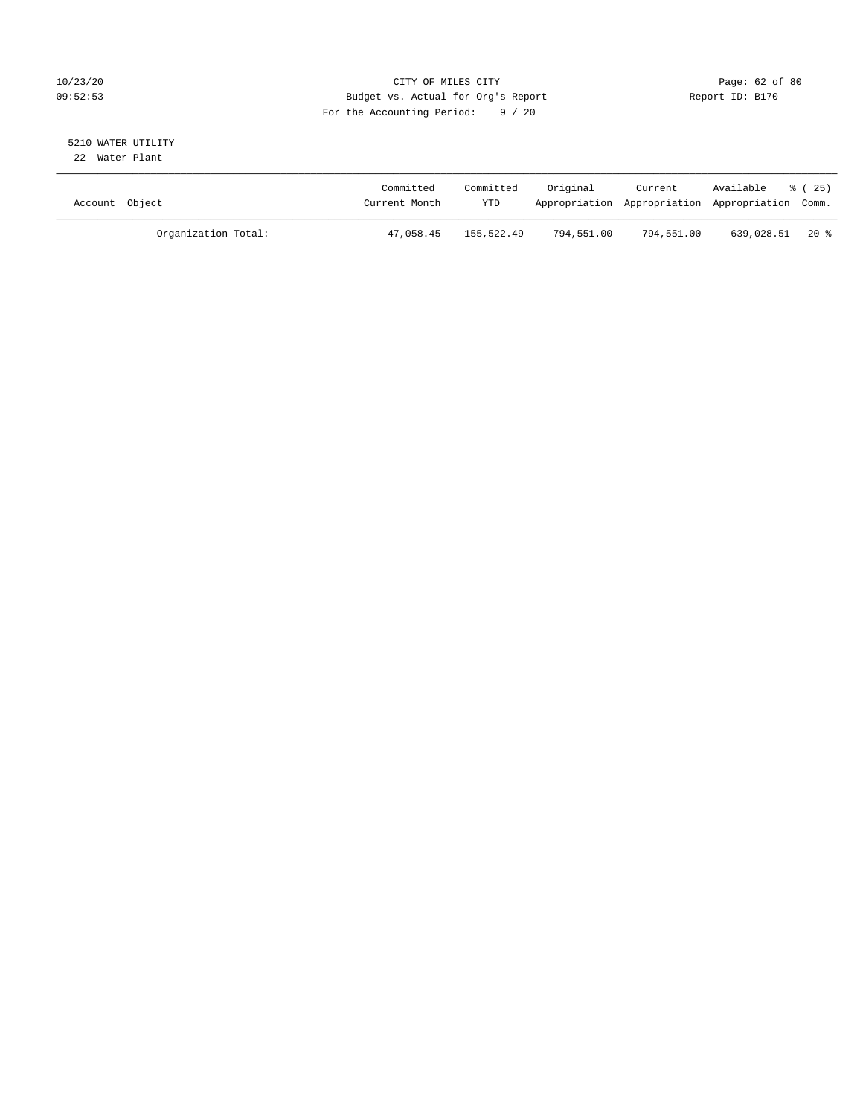## 10/23/20 Page: 62 of 80 09:52:53 Budget vs. Actual for Org's Report Report ID: B170 For the Accounting Period: 9 / 20

#### 5210 WATER UTILITY 22 Water Plant

| Account Object |                     | Committed<br>Current Month | Committed<br><b>YTD</b> | Original   | Current    | Available<br>Appropriation Appropriation Appropriation Comm. | % (25) |
|----------------|---------------------|----------------------------|-------------------------|------------|------------|--------------------------------------------------------------|--------|
|                | Organization Total: | 47,058.45                  | 155,522.49              | 794,551.00 | 794,551.00 | 639,028.51 20 %                                              |        |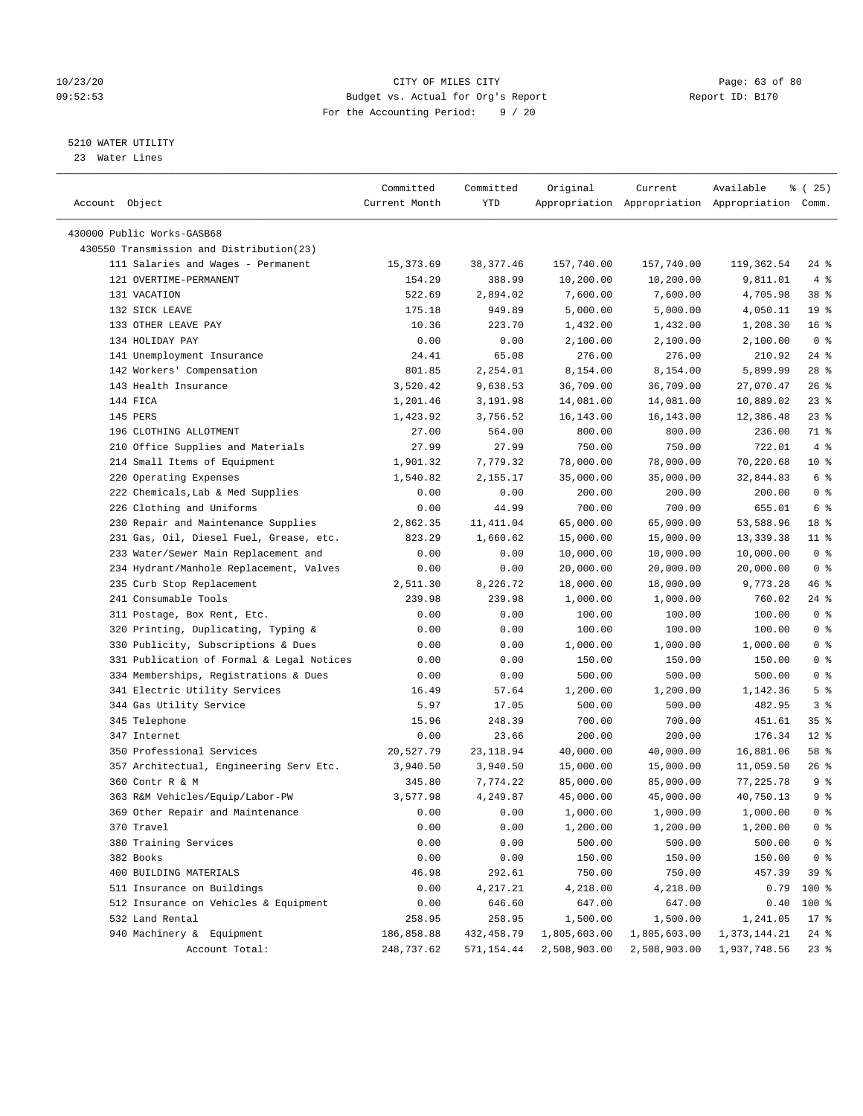#### 10/23/20 Page: 63 of 80 09:52:53 Budget vs. Actual for Org's Report Changer Report ID: B170 For the Accounting Period: 9 / 20

————————————————————————————————————————————————————————————————————————————————————————————————————————————————————————————————————

## 5210 WATER UTILITY

23 Water Lines

|                                           | Committed     | Committed  | Original                | Current                                         | Available                 | 8 (25)          |
|-------------------------------------------|---------------|------------|-------------------------|-------------------------------------------------|---------------------------|-----------------|
| Account Object                            | Current Month | YTD        |                         | Appropriation Appropriation Appropriation Comm. |                           |                 |
|                                           |               |            |                         |                                                 |                           |                 |
| 430000 Public Works-GASB68                |               |            |                         |                                                 |                           |                 |
| 430550 Transmission and Distribution(23)  |               |            |                         |                                                 |                           |                 |
| 111 Salaries and Wages - Permanent        | 15,373.69     | 38,377.46  | 157,740.00              | 157,740.00                                      | 119,362.54                | 24 %            |
| 121 OVERTIME-PERMANENT                    | 154.29        | 388.99     | 10,200.00               | 10,200.00                                       | 9,811.01                  | 4%              |
| 131 VACATION                              | 522.69        | 2,894.02   | 7,600.00                | 7,600.00                                        | 4,705.98                  | 38 %            |
| 132 SICK LEAVE                            | 175.18        | 949.89     | 5,000.00                | 5,000.00                                        | 4,050.11                  | 19 <sup>°</sup> |
| 133 OTHER LEAVE PAY                       | 10.36         | 223.70     | 1,432.00                | 1,432.00                                        | 1,208.30                  | 16 <sup>°</sup> |
| 134 HOLIDAY PAY                           | 0.00          | 0.00       | 2,100.00                | 2,100.00                                        | 2,100.00                  | 0 <sup>8</sup>  |
| 141 Unemployment Insurance                | 24.41         | 65.08      | 276.00                  | 276.00                                          | 210.92                    | 24 %            |
| 142 Workers' Compensation                 | 801.85        | 2,254.01   | 8,154.00                | 8,154.00                                        | 5,899.99                  | $28$ %          |
| 143 Health Insurance                      | 3,520.42      | 9,638.53   | 36,709.00               | 36,709.00                                       | 27,070.47                 | $26$ %          |
| 144 FICA                                  | 1,201.46      | 3,191.98   | 14,081.00               | 14,081.00                                       | 10,889.02                 | $23$ $%$        |
| 145 PERS                                  | 1,423.92      | 3,756.52   | 16,143.00               | 16,143.00                                       | 12,386.48                 | $23$ %          |
| 196 CLOTHING ALLOTMENT                    | 27.00         | 564.00     | 800.00                  | 800.00                                          | 236.00                    | 71 %            |
| 210 Office Supplies and Materials         | 27.99         | 27.99      | 750.00                  | 750.00                                          | 722.01                    | 4%              |
| 214 Small Items of Equipment              | 1,901.32      | 7,779.32   | 78,000.00               | 78,000.00                                       | 70,220.68                 | $10*$           |
| 220 Operating Expenses                    | 1,540.82      | 2,155.17   | 35,000.00               | 35,000.00                                       | 32,844.83                 | 6 %             |
| 222 Chemicals, Lab & Med Supplies         | 0.00          | 0.00       | 200.00                  | 200.00                                          | 200.00                    | 0 <sup>8</sup>  |
| 226 Clothing and Uniforms                 | 0.00          | 44.99      | 700.00                  | 700.00                                          | 655.01                    | 6 %             |
| 230 Repair and Maintenance Supplies       | 2,862.35      | 11,411.04  | 65,000.00               | 65,000.00                                       | 53,588.96                 | 18 %            |
| 231 Gas, Oil, Diesel Fuel, Grease, etc.   | 823.29        | 1,660.62   | 15,000.00               | 15,000.00                                       | 13,339.38                 | $11$ %          |
| 233 Water/Sewer Main Replacement and      | 0.00          | 0.00       | 10,000.00               | 10,000.00                                       | 10,000.00                 | 0 <sup>8</sup>  |
| 234 Hydrant/Manhole Replacement, Valves   | 0.00          | 0.00       | 20,000.00               | 20,000.00                                       | 20,000.00                 | 0 <sup>8</sup>  |
| 235 Curb Stop Replacement                 | 2,511.30      | 8,226.72   | 18,000.00               | 18,000.00                                       | 9,773.28                  | 46 %            |
| 241 Consumable Tools                      | 239.98        | 239.98     | 1,000.00                | 1,000.00                                        | 760.02                    | 24 %            |
| 311 Postage, Box Rent, Etc.               | 0.00          | 0.00       | 100.00                  | 100.00                                          | 100.00                    | 0 <sup>8</sup>  |
| 320 Printing, Duplicating, Typing &       | 0.00          | 0.00       | 100.00                  | 100.00                                          | 100.00                    | 0 <sup>8</sup>  |
| 330 Publicity, Subscriptions & Dues       | 0.00          | 0.00       | 1,000.00                | 1,000.00                                        | 1,000.00                  | 0 <sup>°</sup>  |
| 331 Publication of Formal & Legal Notices | 0.00          | 0.00       | 150.00                  | 150.00                                          | 150.00                    | 0 <sup>8</sup>  |
| 334 Memberships, Registrations & Dues     | 0.00          | 0.00       | 500.00                  | 500.00                                          | 500.00                    | 0 <sup>8</sup>  |
| 341 Electric Utility Services             | 16.49         | 57.64      | 1,200.00                | 1,200.00                                        | 1,142.36                  | 5 <sup>8</sup>  |
| 344 Gas Utility Service                   | 5.97          | 17.05      | 500.00                  | 500.00                                          | 482.95                    | 3 <sup>°</sup>  |
| 345 Telephone                             | 15.96         | 248.39     | 700.00                  | 700.00                                          | 451.61                    | 35%             |
| 347 Internet                              | 0.00          | 23.66      | 200.00                  | 200.00                                          | 176.34                    | $12$ %          |
| 350 Professional Services                 | 20,527.79     | 23,118.94  | 40,000.00               | 40,000.00                                       | 16,881.06                 | 58 %            |
| 357 Architectual, Engineering Serv Etc.   | 3,940.50      | 3,940.50   | 15,000.00               | 15,000.00                                       | 11,059.50                 | $26$ %          |
| 360 Contr R & M                           | 345.80        | 7,774.22   | 85,000.00               | 85,000.00                                       | 77,225.78                 | 9%              |
| 363 R&M Vehicles/Equip/Labor-PW           | 3,577.98      | 4,249.87   | 45,000.00               | 45,000.00                                       | 40,750.13                 | 9 <sup>°</sup>  |
| 369 Other Repair and Maintenance          | 0.00          | 0.00       | 1,000.00                | 1,000.00                                        | 1,000.00                  | 0 <sub>8</sub>  |
| 370 Travel                                | 0.00          | 0.00       | 1,200.00                | 1,200.00                                        | 1,200.00                  | 0 <sup>8</sup>  |
| 380 Training Services                     | 0.00          | 0.00       | 500.00                  | 500.00                                          | 500.00                    | 0 <sup>8</sup>  |
| 382 Books                                 | 0.00          | 0.00       | 150.00                  | 150.00                                          | 150.00                    | 0 <sup>8</sup>  |
| 400 BUILDING MATERIALS                    | 46.98         | 292.61     | 750.00                  | 750.00                                          | 457.39                    | 39%             |
| 511 Insurance on Buildings                | 0.00          | 4,217.21   | 4,218.00                | 4,218.00                                        | 0.79                      | 100 %           |
| 512 Insurance on Vehicles & Equipment     | 0.00          | 646.60     | 647.00                  | 647.00                                          | 0.40                      | 100 %           |
| 532 Land Rental                           | 258.95        | 258.95     | 1,500.00                | 1,500.00                                        | 1,241.05                  | $17$ %          |
| 940 Machinery & Equipment                 | 186,858.88    | 432,458.79 | 1,805,603.00            | 1,805,603.00                                    | 1,373,144.21              | $24$ %          |
| Account Total:                            | 248,737.62    |            | 571,154.44 2,508,903.00 |                                                 | 2,508,903.00 1,937,748.56 | $23*$           |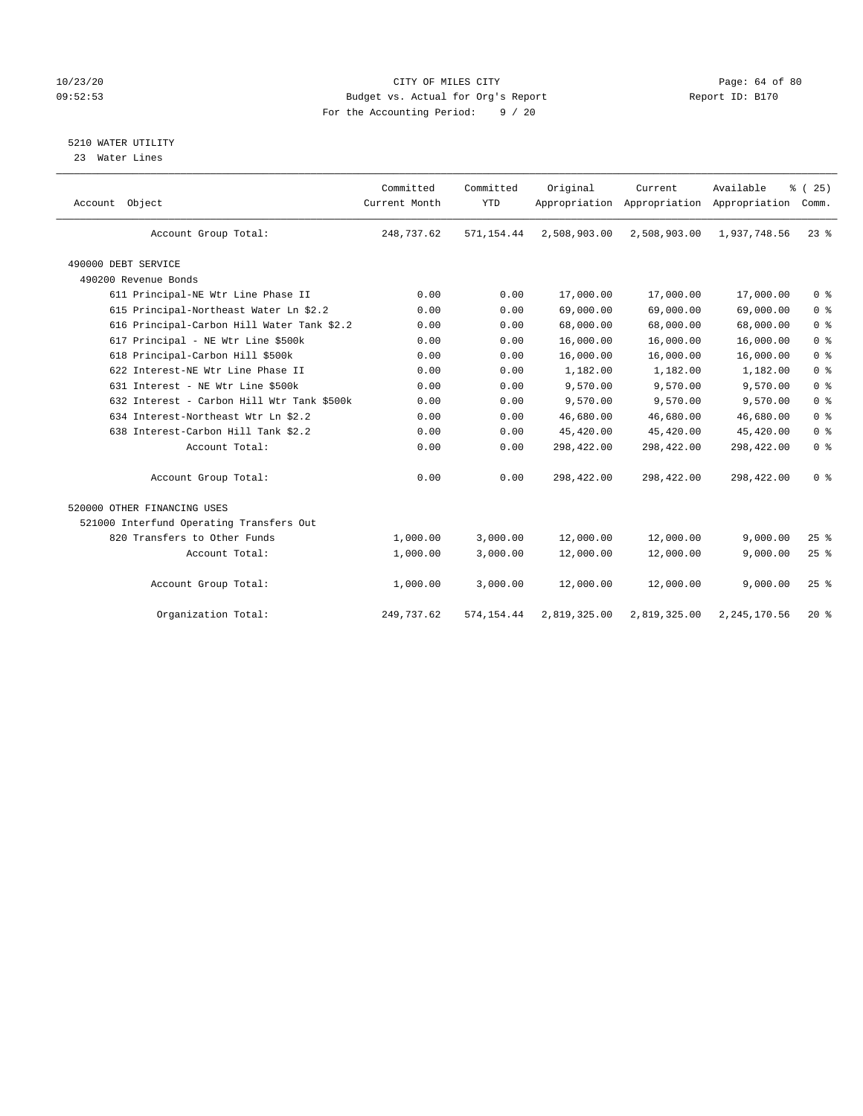## 10/23/20 Page: 64 of 80 09:52:53 Budget vs. Actual for Org's Report Changer Report ID: B170 For the Accounting Period: 9 / 20

## 5210 WATER UTILITY

23 Water Lines

| Account Object                             | Committed<br>Current Month | Committed<br><b>YTD</b> | Original     | Current<br>Appropriation Appropriation Appropriation | Available      | % (25)<br>Comm. |
|--------------------------------------------|----------------------------|-------------------------|--------------|------------------------------------------------------|----------------|-----------------|
| Account Group Total:                       | 248,737.62                 | 571,154.44              | 2,508,903.00 | 2,508,903.00                                         | 1,937,748.56   | $23$ $%$        |
| 490000 DEBT SERVICE                        |                            |                         |              |                                                      |                |                 |
| 490200 Revenue Bonds                       |                            |                         |              |                                                      |                |                 |
| 611 Principal-NE Wtr Line Phase II         | 0.00                       | 0.00                    | 17,000.00    | 17,000.00                                            | 17,000.00      | 0 <sup>8</sup>  |
| 615 Principal-Northeast Water Ln \$2.2     | 0.00                       | 0.00                    | 69,000.00    | 69,000.00                                            | 69,000.00      | 0 <sup>8</sup>  |
| 616 Principal-Carbon Hill Water Tank \$2.2 | 0.00                       | 0.00                    | 68,000.00    | 68,000.00                                            | 68,000.00      | 0 <sup>8</sup>  |
| 617 Principal - NE Wtr Line \$500k         | 0.00                       | 0.00                    | 16,000.00    | 16,000.00                                            | 16,000.00      | 0 <sup>8</sup>  |
| 618 Principal-Carbon Hill \$500k           | 0.00                       | 0.00                    | 16,000.00    | 16,000.00                                            | 16,000.00      | 0 <sup>8</sup>  |
| 622 Interest-NE Wtr Line Phase II          | 0.00                       | 0.00                    | 1,182.00     | 1,182.00                                             | 1,182.00       | 0 <sup>8</sup>  |
| 631 Interest - NE Wtr Line \$500k          | 0.00                       | 0.00                    | 9,570.00     | 9,570.00                                             | 9,570.00       | 0 <sup>8</sup>  |
| 632 Interest - Carbon Hill Wtr Tank \$500k | 0.00                       | 0.00                    | 9,570.00     | 9,570.00                                             | 9,570.00       | 0 <sup>8</sup>  |
| 634 Interest-Northeast Wtr Ln \$2.2        | 0.00                       | 0.00                    | 46,680.00    | 46,680.00                                            | 46,680.00      | 0 <sup>8</sup>  |
| 638 Interest-Carbon Hill Tank \$2.2        | 0.00                       | 0.00                    | 45,420.00    | 45,420.00                                            | 45,420.00      | 0 <sup>8</sup>  |
| Account Total:                             | 0.00                       | 0.00                    | 298,422.00   | 298,422.00                                           | 298,422.00     | 0 <sup>8</sup>  |
| Account Group Total:                       | 0.00                       | 0.00                    | 298,422.00   | 298,422.00                                           | 298,422.00     | 0 <sup>8</sup>  |
| 520000 OTHER FINANCING USES                |                            |                         |              |                                                      |                |                 |
| 521000 Interfund Operating Transfers Out   |                            |                         |              |                                                      |                |                 |
| 820 Transfers to Other Funds               | 1,000.00                   | 3,000.00                | 12,000.00    | 12,000.00                                            | 9,000.00       | 25%             |
| Account Total:                             | 1,000.00                   | 3,000.00                | 12,000.00    | 12,000.00                                            | 9,000.00       | 25%             |
| Account Group Total:                       | 1,000.00                   | 3,000.00                | 12,000.00    | 12,000.00                                            | 9,000.00       | 25%             |
| Organization Total:                        | 249, 737.62                | 574, 154.44             | 2,819,325.00 | 2,819,325.00                                         | 2, 245, 170.56 | $20*$           |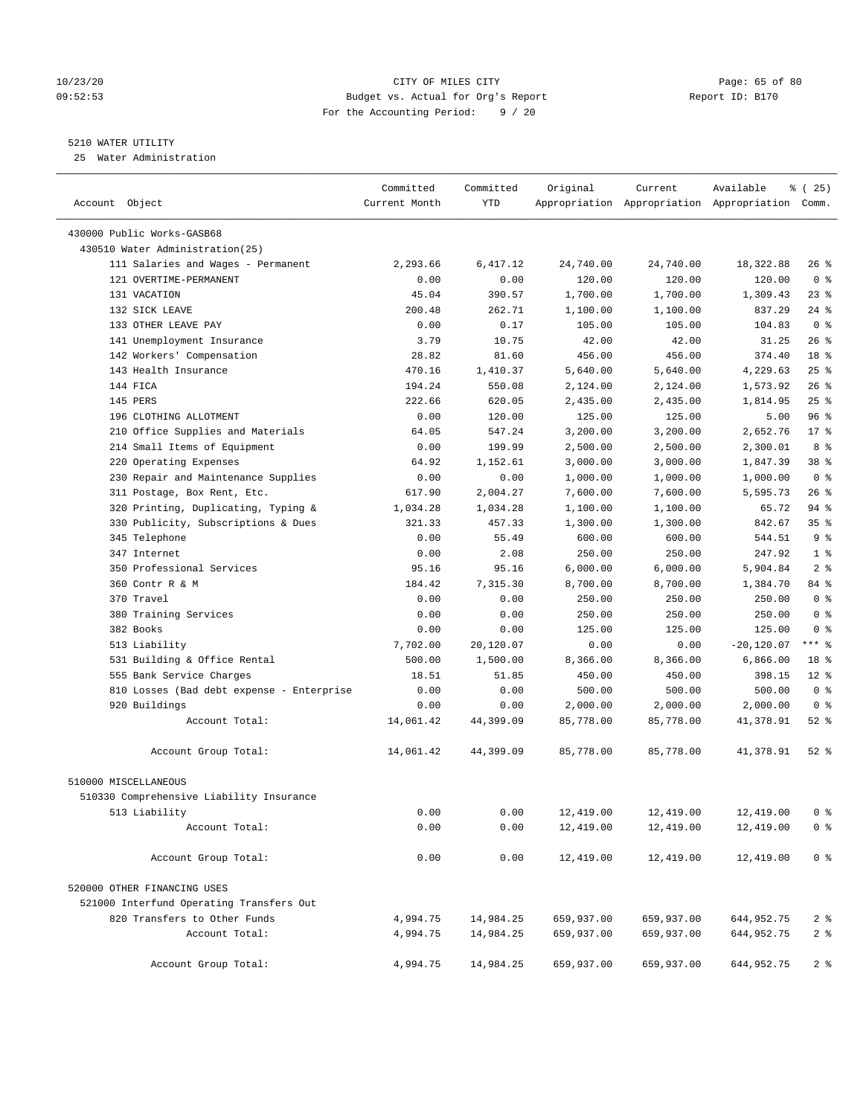## 10/23/20 Page: 65 of 80 09:52:53 Budget vs. Actual for Org's Report Report ID: B170 For the Accounting Period: 9 / 20

————————————————————————————————————————————————————————————————————————————————————————————————————————————————————————————————————

## 5210 WATER UTILITY

25 Water Administration

|                                           | Committed     | Committed    | Original               | Current                | Available                                       | % (25)           |
|-------------------------------------------|---------------|--------------|------------------------|------------------------|-------------------------------------------------|------------------|
| Account Object                            | Current Month | YTD          |                        |                        | Appropriation Appropriation Appropriation Comm. |                  |
| 430000 Public Works-GASB68                |               |              |                        |                        |                                                 |                  |
| 430510 Water Administration(25)           |               |              |                        |                        |                                                 |                  |
| 111 Salaries and Wages - Permanent        | 2,293.66      | 6,417.12     | 24,740.00              | 24,740.00              | 18,322.88                                       | 26 %             |
| 121 OVERTIME-PERMANENT                    | 0.00          | 0.00         | 120.00                 | 120.00                 | 120.00                                          | 0 <sup>8</sup>   |
| 131 VACATION                              | 45.04         | 390.57       | 1,700.00               | 1,700.00               | 1,309.43                                        | $23$ %           |
| 132 SICK LEAVE                            | 200.48        | 262.71       | 1,100.00               | 1,100.00               | 837.29                                          | $24$ %           |
| 133 OTHER LEAVE PAY                       | 0.00          | 0.17         | 105.00                 | 105.00                 | 104.83                                          | 0 <sup>8</sup>   |
| 141 Unemployment Insurance                | 3.79          | 10.75        | 42.00                  | 42.00                  | 31.25                                           | $26$ %           |
| 142 Workers' Compensation                 | 28.82         | 81.60        | 456.00                 | 456.00                 | 374.40                                          | 18 %             |
| 143 Health Insurance                      | 470.16        | 1,410.37     | 5,640.00               | 5,640.00               | 4,229.63                                        | $25$ %           |
| 144 FICA                                  | 194.24        | 550.08       | 2,124.00               | 2,124.00               | 1,573.92                                        | $26$ %           |
| 145 PERS                                  | 222.66        | 620.05       | 2,435.00               | 2,435.00               | 1,814.95                                        | 25%              |
| 196 CLOTHING ALLOTMENT                    | 0.00          | 120.00       | 125.00                 | 125.00                 | 5.00                                            | 96%              |
| 210 Office Supplies and Materials         | 64.05         | 547.24       | 3,200.00               | 3,200.00               | 2,652.76                                        | $17*$            |
| 214 Small Items of Equipment              | 0.00          | 199.99       | 2,500.00               | 2,500.00               | 2,300.01                                        | 8 %              |
| 220 Operating Expenses                    | 64.92         | 1,152.61     | 3,000.00               | 3,000.00               | 1,847.39                                        | $38*$            |
| 230 Repair and Maintenance Supplies       | 0.00          | 0.00         | 1,000.00               | 1,000.00               | 1,000.00                                        | 0 <sup>8</sup>   |
| 311 Postage, Box Rent, Etc.               | 617.90        | 2,004.27     | 7,600.00               | 7,600.00               | 5,595.73                                        | $26$ %           |
| 320 Printing, Duplicating, Typing &       | 1,034.28      | 1,034.28     | 1,100.00               | 1,100.00               | 65.72                                           | $94$ %           |
| 330 Publicity, Subscriptions & Dues       | 321.33        | 457.33       | 1,300.00               | 1,300.00               | 842.67                                          | 35%              |
| 345 Telephone                             | 0.00          | 55.49        | 600.00                 | 600.00                 | 544.51                                          | 9 <sup>°</sup>   |
| 347 Internet                              | 0.00          | 2.08         | 250.00                 | 250.00                 | 247.92                                          | 1 <sup>8</sup>   |
| 350 Professional Services                 | 95.16         | 95.16        | 6,000.00               | 6,000.00               | 5,904.84                                        | 2 <sub>8</sub>   |
| 360 Contr R & M                           | 184.42        | 7,315.30     | 8,700.00               | 8,700.00               | 1,384.70                                        | 84 %             |
| 370 Travel                                | 0.00          | 0.00         | 250.00                 | 250.00                 | 250.00                                          | 0 <sup>8</sup>   |
| 380 Training Services                     | 0.00          | 0.00         | 250.00                 | 250.00                 | 250.00                                          | 0 <sup>8</sup>   |
| 382 Books                                 | 0.00          | 0.00         | 125.00                 | 125.00                 | 125.00                                          | 0 <sup>8</sup>   |
| 513 Liability                             | 7,702.00      | 20,120.07    | 0.00                   | 0.00                   | $-20,120.07$                                    | $***$ $-$        |
| 531 Building & Office Rental              | 500.00        | 1,500.00     | 8,366.00               | 8,366.00               | 6,866.00                                        | 18 %             |
| 555 Bank Service Charges                  | 18.51         | 51.85        | 450.00                 | 450.00                 | 398.15                                          | $12*$            |
| 810 Losses (Bad debt expense - Enterprise | 0.00          | 0.00         | 500.00                 | 500.00                 | 500.00                                          | 0 <sup>8</sup>   |
| 920 Buildings                             | 0.00          | 0.00         | 2,000.00               | 2,000.00               | 2,000.00                                        | 0 <sup>8</sup>   |
| Account Total:                            | 14,061.42     | 44,399.09    | 85,778.00              | 85,778.00              | 41,378.91                                       | 52 %             |
| Account Group Total:                      | 14,061.42     | 44,399.09    | 85,778.00              | 85,778.00              | 41,378.91                                       | 52 $\frac{8}{3}$ |
| 510000 MISCELLANEOUS                      |               |              |                        |                        |                                                 |                  |
| 510330 Comprehensive Liability Insurance  |               |              |                        |                        |                                                 |                  |
| 513 Liability                             |               |              |                        |                        |                                                 | ∩ ജ              |
| Account Total:                            | 0.00          | 0.00<br>0.00 | 12,419.00<br>12,419.00 | 12,419.00<br>12,419.00 | 12,419.00<br>12,419.00                          | 0 <sup>8</sup>   |
|                                           | 0.00          |              |                        |                        |                                                 |                  |
| Account Group Total:                      | 0.00          | 0.00         | 12,419.00              | 12,419.00              | 12,419.00                                       | 0 <sup>8</sup>   |
| 520000 OTHER FINANCING USES               |               |              |                        |                        |                                                 |                  |
| 521000 Interfund Operating Transfers Out  |               |              |                        |                        |                                                 |                  |
| 820 Transfers to Other Funds              | 4,994.75      | 14,984.25    | 659,937.00             | 659,937.00             | 644,952.75                                      | 2 <sup>8</sup>   |
| Account Total:                            | 4,994.75      | 14,984.25    | 659,937.00             | 659,937.00             | 644, 952. 75                                    | 2 <sup>8</sup>   |
| Account Group Total:                      | 4,994.75      | 14,984.25    | 659,937.00             | 659,937.00             | 644,952.75                                      | 2 <sub>8</sub>   |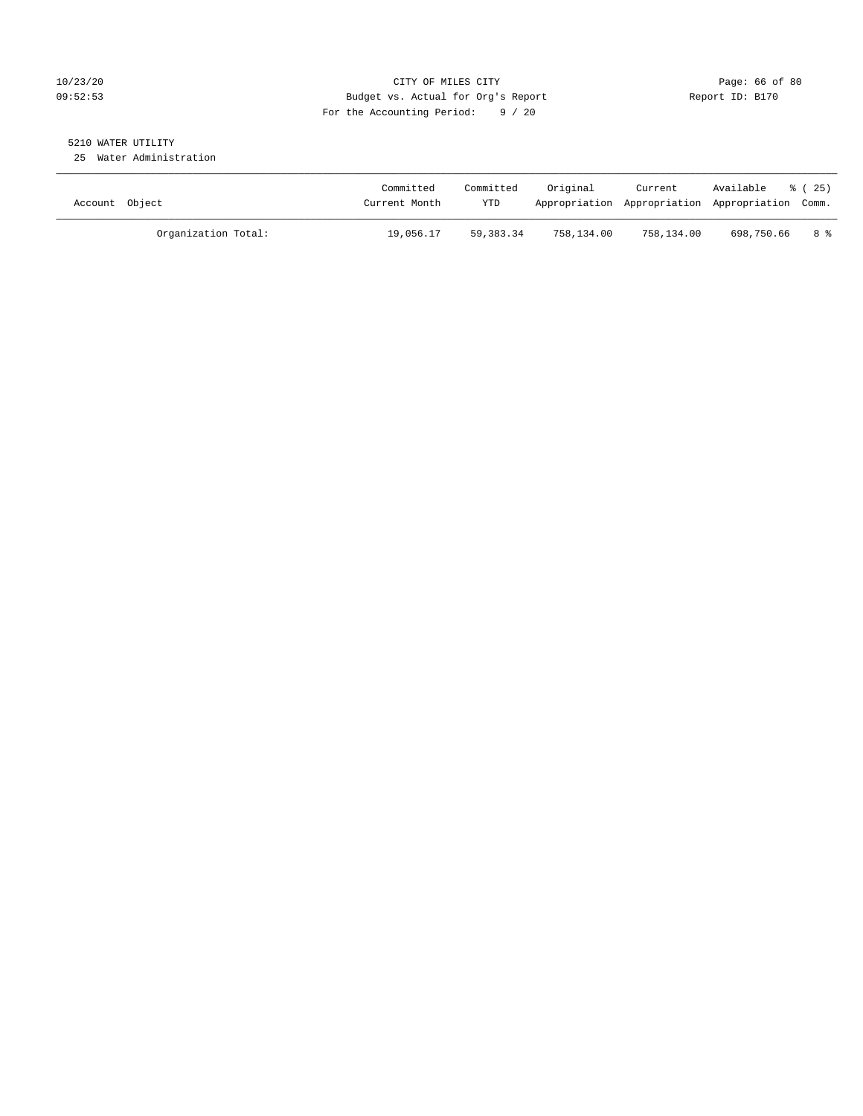## 10/23/20 Page: 66 of 80 09:52:53 Budget vs. Actual for Org's Report Report ID: B170 For the Accounting Period: 9 / 20

## 5210 WATER UTILITY

25 Water Administration

| Account Object      | Committed<br>Current Month | Committed<br>YTD | Original   | Current<br>Appropriation Appropriation Appropriation Comm. | Available  | % (25) |
|---------------------|----------------------------|------------------|------------|------------------------------------------------------------|------------|--------|
| Organization Total: | 19,056.17                  | 59, 383, 34      | 758,134.00 | 758,134.00                                                 | 698,750.66 | 8 දි   |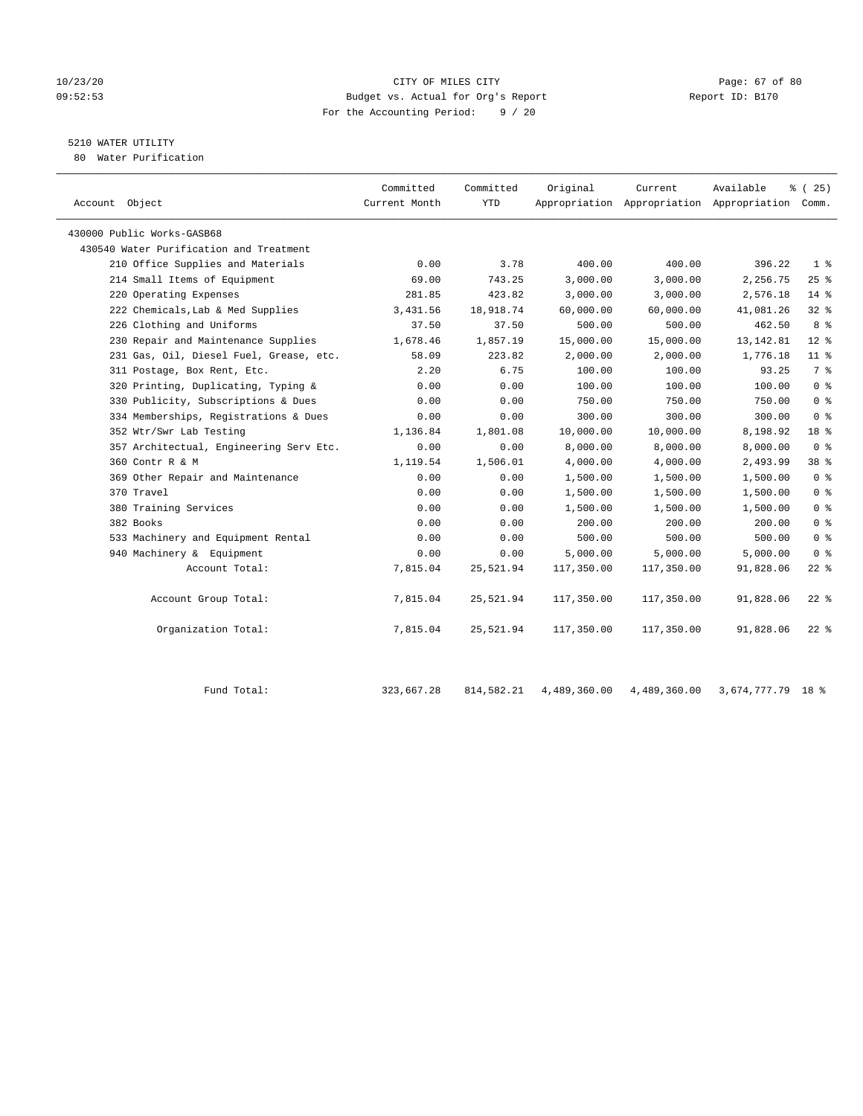## 10/23/20 Page: 67 of 80 09:52:53 Budget vs. Actual for Org's Report Report ID: B170 For the Accounting Period: 9 / 20

## 5210 WATER UTILITY

80 Water Purification

| Account Object                          | Committed<br>Current Month | Committed<br><b>YTD</b> | Original   | Current    | Available<br>Appropriation Appropriation Appropriation Comm. | % (25)          |
|-----------------------------------------|----------------------------|-------------------------|------------|------------|--------------------------------------------------------------|-----------------|
| 430000 Public Works-GASB68              |                            |                         |            |            |                                                              |                 |
| 430540 Water Purification and Treatment |                            |                         |            |            |                                                              |                 |
| 210 Office Supplies and Materials       | 0.00                       | 3.78                    | 400.00     | 400.00     | 396.22                                                       | 1 <sup>°</sup>  |
| 214 Small Items of Equipment            | 69.00                      | 743.25                  | 3,000.00   | 3,000.00   | 2,256.75                                                     | 25%             |
| 220 Operating Expenses                  | 281.85                     | 423.82                  | 3,000.00   | 3,000.00   | 2,576.18                                                     | $14*$           |
| 222 Chemicals, Lab & Med Supplies       | 3,431.56                   | 18,918.74               | 60,000.00  | 60,000.00  | 41,081.26                                                    | 328             |
| 226 Clothing and Uniforms               | 37.50                      | 37.50                   | 500.00     | 500.00     | 462.50                                                       | 8 %             |
| 230 Repair and Maintenance Supplies     | 1,678.46                   | 1,857.19                | 15,000.00  | 15,000.00  | 13, 142.81                                                   | $12*$           |
| 231 Gas, Oil, Diesel Fuel, Grease, etc. | 58.09                      | 223.82                  | 2,000.00   | 2,000.00   | 1,776.18                                                     | $11$ %          |
| 311 Postage, Box Rent, Etc.             | 2.20                       | 6.75                    | 100.00     | 100.00     | 93.25                                                        | 7%              |
| 320 Printing, Duplicating, Typing &     | 0.00                       | 0.00                    | 100.00     | 100.00     | 100.00                                                       | 0 <sup>8</sup>  |
| 330 Publicity, Subscriptions & Dues     | 0.00                       | 0.00                    | 750.00     | 750.00     | 750.00                                                       | 0 <sup>8</sup>  |
| 334 Memberships, Registrations & Dues   | 0.00                       | 0.00                    | 300.00     | 300.00     | 300.00                                                       | 0 <sup>8</sup>  |
| 352 Wtr/Swr Lab Testing                 | 1,136.84                   | 1,801.08                | 10,000.00  | 10,000.00  | 8,198.92                                                     | 18 <sup>8</sup> |
| 357 Architectual, Engineering Serv Etc. | 0.00                       | 0.00                    | 8,000.00   | 8,000.00   | 8,000.00                                                     | 0 <sup>8</sup>  |
| 360 Contr R & M                         | 1,119.54                   | 1,506.01                | 4,000.00   | 4,000.00   | 2,493.99                                                     | 38 %            |
| 369 Other Repair and Maintenance        | 0.00                       | 0.00                    | 1,500.00   | 1,500.00   | 1,500.00                                                     | 0 <sup>8</sup>  |
| 370 Travel                              | 0.00                       | 0.00                    | 1,500.00   | 1,500.00   | 1,500.00                                                     | 0 <sup>8</sup>  |
| 380 Training Services                   | 0.00                       | 0.00                    | 1,500.00   | 1,500.00   | 1,500.00                                                     | 0 <sup>8</sup>  |
| 382 Books                               | 0.00                       | 0.00                    | 200.00     | 200.00     | 200.00                                                       | 0 <sup>8</sup>  |
| 533 Machinery and Equipment Rental      | 0.00                       | 0.00                    | 500.00     | 500.00     | 500.00                                                       | 0 <sup>8</sup>  |
| 940 Machinery & Equipment               | 0.00                       | 0.00                    | 5,000.00   | 5,000.00   | 5,000.00                                                     | 0 <sup>8</sup>  |
| Account Total:                          | 7,815.04                   | 25,521.94               | 117,350.00 | 117,350.00 | 91,828.06                                                    | $22$ %          |
| Account Group Total:                    | 7,815.04                   | 25,521.94               | 117,350.00 | 117,350.00 | 91,828.06                                                    | $22$ %          |
| Organization Total:                     | 7,815.04                   | 25,521.94               | 117,350.00 | 117,350.00 | 91,828.06                                                    | $22$ $%$        |
|                                         |                            |                         |            |            |                                                              |                 |

| d Total.<br>Fund | 323,667.28 814,582.21 | 4,489,360.00  4,489,360.00  3,674,777.79  18 % |  |
|------------------|-----------------------|------------------------------------------------|--|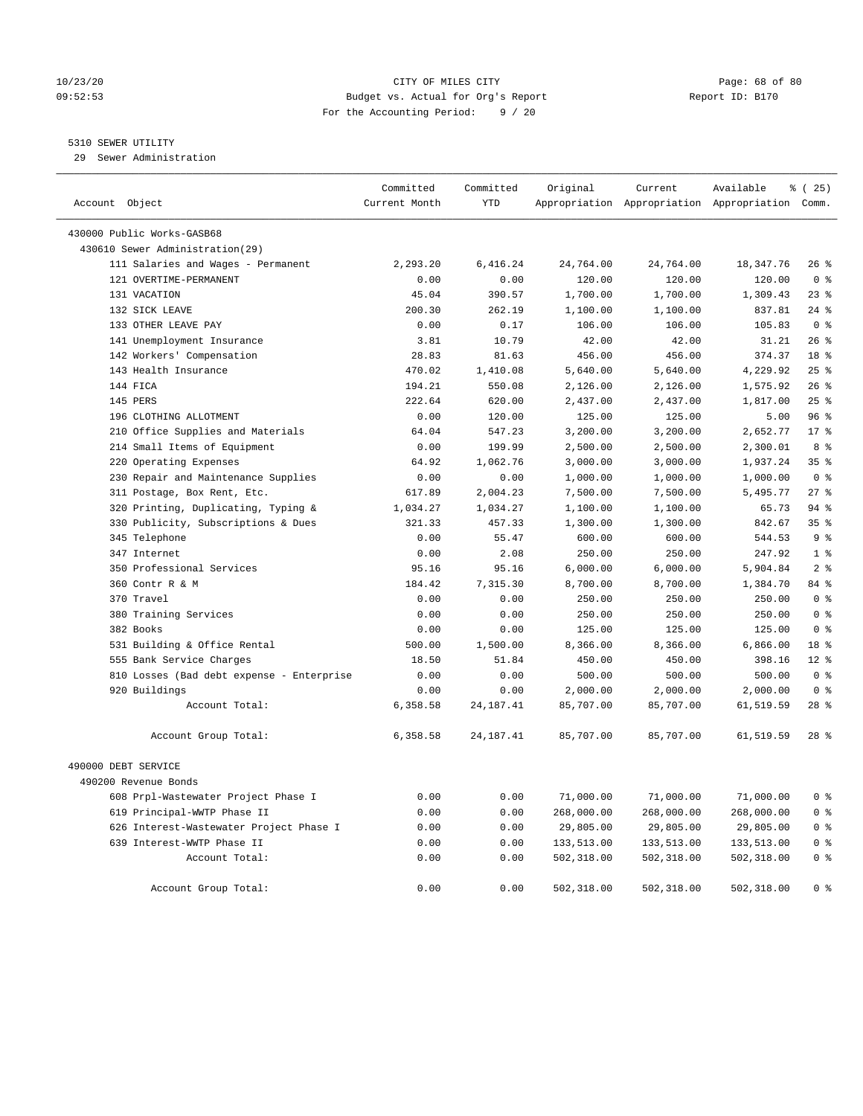## 10/23/20 Page: 68 of 80 09:52:53 Budget vs. Actual for Org's Report Report ID: B170 For the Accounting Period: 9 / 20

## 5310 SEWER UTILITY

29 Sewer Administration

| Account Object                            | Committed<br>Current Month | Committed<br><b>YTD</b> | Original   | Current    | Available<br>Appropriation Appropriation Appropriation Comm. | 8 (25)                  |
|-------------------------------------------|----------------------------|-------------------------|------------|------------|--------------------------------------------------------------|-------------------------|
| 430000 Public Works-GASB68                |                            |                         |            |            |                                                              |                         |
| 430610 Sewer Administration(29)           |                            |                         |            |            |                                                              |                         |
| 111 Salaries and Wages - Permanent        | 2,293.20                   | 6,416.24                | 24,764.00  | 24,764.00  | 18,347.76                                                    | $26$ %                  |
| 121 OVERTIME-PERMANENT                    | 0.00                       | 0.00                    | 120.00     | 120.00     | 120.00                                                       | 0 <sup>8</sup>          |
| 131 VACATION                              | 45.04                      | 390.57                  | 1,700.00   | 1,700.00   | 1,309.43                                                     | 23%                     |
| 132 SICK LEAVE                            | 200.30                     | 262.19                  | 1,100.00   | 1,100.00   | 837.81                                                       | $24$ %                  |
| 133 OTHER LEAVE PAY                       | 0.00                       | 0.17                    | 106.00     | 106.00     | 105.83                                                       | 0 <sup>8</sup>          |
| 141 Unemployment Insurance                | 3.81                       | 10.79                   | 42.00      | 42.00      | 31.21                                                        | 26%                     |
| 142 Workers' Compensation                 | 28.83                      | 81.63                   | 456.00     | 456.00     | 374.37                                                       | 18 <sup>8</sup>         |
| 143 Health Insurance                      | 470.02                     | 1,410.08                | 5,640.00   | 5,640.00   | 4,229.92                                                     | 25%                     |
| 144 FICA                                  | 194.21                     | 550.08                  | 2,126.00   | 2,126.00   | 1,575.92                                                     | 26%                     |
| 145 PERS                                  | 222.64                     | 620.00                  | 2,437.00   | 2,437.00   | 1,817.00                                                     | 25%                     |
| 196 CLOTHING ALLOTMENT                    | 0.00                       | 120.00                  | 125.00     | 125.00     | 5.00                                                         | 96%                     |
| 210 Office Supplies and Materials         | 64.04                      | 547.23                  | 3,200.00   | 3,200.00   | 2,652.77                                                     | $17*$                   |
| 214 Small Items of Equipment              | 0.00                       | 199.99                  | 2,500.00   | 2,500.00   | 2,300.01                                                     | 8 %                     |
| 220 Operating Expenses                    | 64.92                      | 1,062.76                | 3,000.00   | 3,000.00   | 1,937.24                                                     | 35%                     |
| 230 Repair and Maintenance Supplies       | 0.00                       | 0.00                    | 1,000.00   | 1,000.00   | 1,000.00                                                     | 0 <sup>8</sup>          |
| 311 Postage, Box Rent, Etc.               | 617.89                     | 2,004.23                | 7,500.00   | 7,500.00   | 5,495.77                                                     | 278                     |
| 320 Printing, Duplicating, Typing &       | 1,034.27                   | 1,034.27                | 1,100.00   | 1,100.00   | 65.73                                                        | 94%                     |
| 330 Publicity, Subscriptions & Dues       | 321.33                     | 457.33                  | 1,300.00   | 1,300.00   | 842.67                                                       | 35 <sup>8</sup>         |
| 345 Telephone                             | 0.00                       | 55.47                   | 600.00     | 600.00     | 544.53                                                       | 9 <sup>°</sup>          |
| 347 Internet                              | 0.00                       | 2.08                    | 250.00     | 250.00     | 247.92                                                       | 1 <sup>8</sup>          |
| 350 Professional Services                 | 95.16                      | 95.16                   | 6,000.00   | 6,000.00   | 5,904.84                                                     | 2 <sup>°</sup>          |
| 360 Contr R & M                           | 184.42                     | 7,315.30                | 8,700.00   | 8,700.00   | 1,384.70                                                     | 84 %                    |
| 370 Travel                                | 0.00                       | 0.00                    | 250.00     | 250.00     | 250.00                                                       | 0 <sup>8</sup>          |
| 380 Training Services                     | 0.00                       | 0.00                    | 250.00     | 250.00     | 250.00                                                       | $0 \text{ }$ $\text{ }$ |
| 382 Books                                 | 0.00                       | 0.00                    | 125.00     | 125.00     | 125.00                                                       | 0 <sup>8</sup>          |
| 531 Building & Office Rental              | 500.00                     | 1,500.00                | 8,366.00   | 8,366.00   | 6,866.00                                                     | 18 <sup>8</sup>         |
| 555 Bank Service Charges                  | 18.50                      | 51.84                   | 450.00     | 450.00     | 398.16                                                       | $12*$                   |
| 810 Losses (Bad debt expense - Enterprise | 0.00                       | 0.00                    | 500.00     | 500.00     | 500.00                                                       | 0 <sup>8</sup>          |
| 920 Buildings                             | 0.00                       | 0.00                    | 2,000.00   | 2,000.00   | 2,000.00                                                     | 0 <sup>8</sup>          |
| Account Total:                            | 6,358.58                   | 24, 187. 41             | 85,707.00  | 85,707.00  | 61,519.59                                                    | $28$ %                  |
| Account Group Total:                      | 6,358.58                   | 24, 187. 41             | 85,707.00  | 85,707.00  | 61,519.59                                                    | $28$ $%$                |
| 490000 DEBT SERVICE                       |                            |                         |            |            |                                                              |                         |
| 490200 Revenue Bonds                      |                            |                         |            |            |                                                              |                         |
| 608 Prpl-Wastewater Project Phase I       | 0.00                       | 0.00                    | 71,000.00  | 71,000.00  | 71,000.00                                                    | 0 <sup>8</sup>          |
| 619 Principal-WWTP Phase II               | 0.00                       | 0.00                    | 268,000.00 | 268,000.00 | 268,000.00                                                   | 0 <sup>8</sup>          |
| 626 Interest-Wastewater Project Phase I   | 0.00                       | 0.00                    | 29,805.00  | 29,805.00  | 29,805.00                                                    | 0 <sup>8</sup>          |
| 639 Interest-WWTP Phase II                | 0.00                       | 0.00                    | 133,513.00 | 133,513.00 | 133,513.00                                                   | 0 <sup>8</sup>          |
| Account Total:                            | 0.00                       | 0.00                    | 502,318.00 | 502,318.00 | 502,318.00                                                   | 0 <sup>8</sup>          |
| Account Group Total:                      | 0.00                       | 0.00                    | 502,318.00 | 502,318.00 | 502,318.00                                                   | 0 <sup>8</sup>          |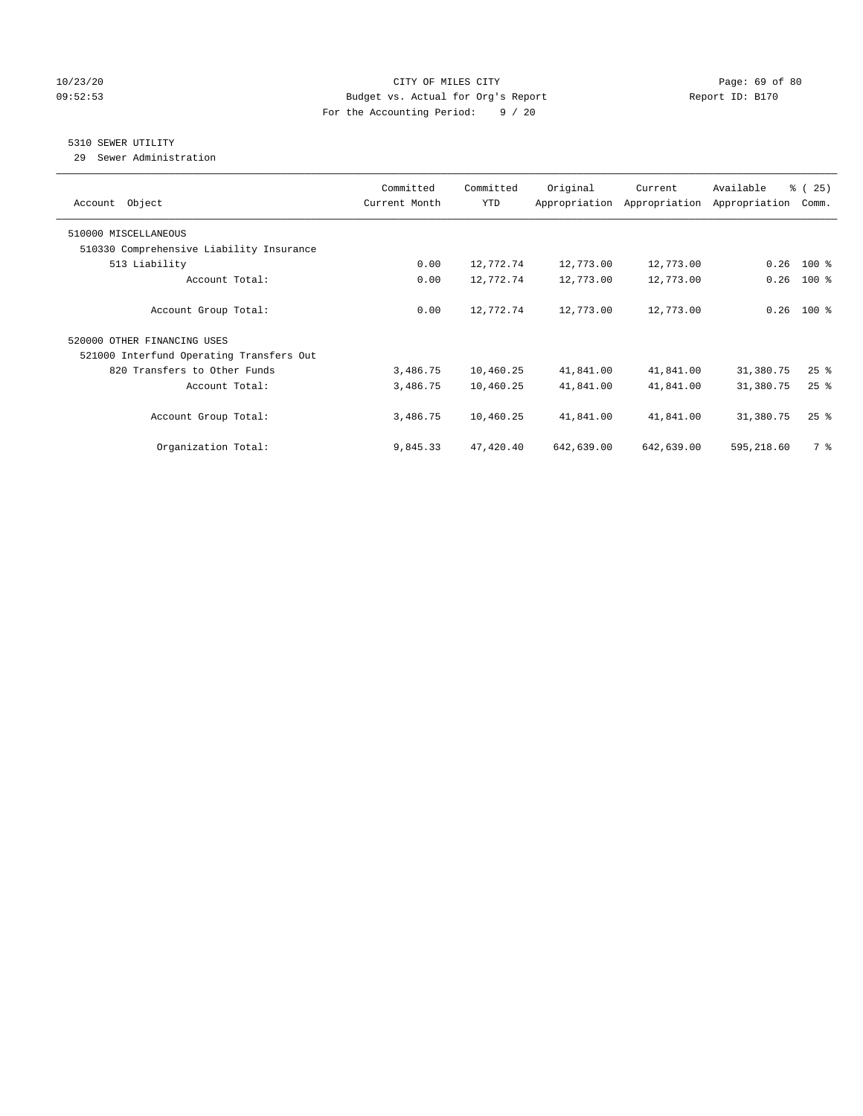## 10/23/20 Page: 69 of 80 09:52:53 Budget vs. Actual for Org's Report Report ID: B170 For the Accounting Period: 9 / 20

## 5310 SEWER UTILITY

29 Sewer Administration

| Object<br>Account                        | Committed<br>Current Month | Committed<br><b>YTD</b> | Original<br>Appropriation | Current<br>Appropriation | Available<br>Appropriation | % (25)<br>Comm. |
|------------------------------------------|----------------------------|-------------------------|---------------------------|--------------------------|----------------------------|-----------------|
| 510000 MISCELLANEOUS                     |                            |                         |                           |                          |                            |                 |
| 510330 Comprehensive Liability Insurance |                            |                         |                           |                          |                            |                 |
| 513 Liability                            | 0.00                       | 12,772.74               | 12,773.00                 | 12,773.00                | 0.26                       | $100$ %         |
| Account Total:                           | 0.00                       | 12,772.74               | 12,773.00                 | 12,773.00                | 0.26                       | $100$ %         |
| Account Group Total:                     | 0.00                       | 12,772.74               | 12,773.00                 | 12,773.00                | 0.26                       | $100$ %         |
| 520000 OTHER FINANCING USES              |                            |                         |                           |                          |                            |                 |
| 521000 Interfund Operating Transfers Out |                            |                         |                           |                          |                            |                 |
| 820 Transfers to Other Funds             | 3,486.75                   | 10,460.25               | 41,841.00                 | 41,841.00                | 31,380.75                  | $25$ $%$        |
| Account Total:                           | 3,486.75                   | 10,460.25               | 41,841.00                 | 41,841.00                | 31,380.75                  | $25$ $%$        |
| Account Group Total:                     | 3,486.75                   | 10,460.25               | 41,841.00                 | 41,841.00                | 31,380.75                  | $25$ $%$        |
| Organization Total:                      | 9,845.33                   | 47,420.40               | 642,639.00                | 642,639.00               | 595,218.60                 | 7 %             |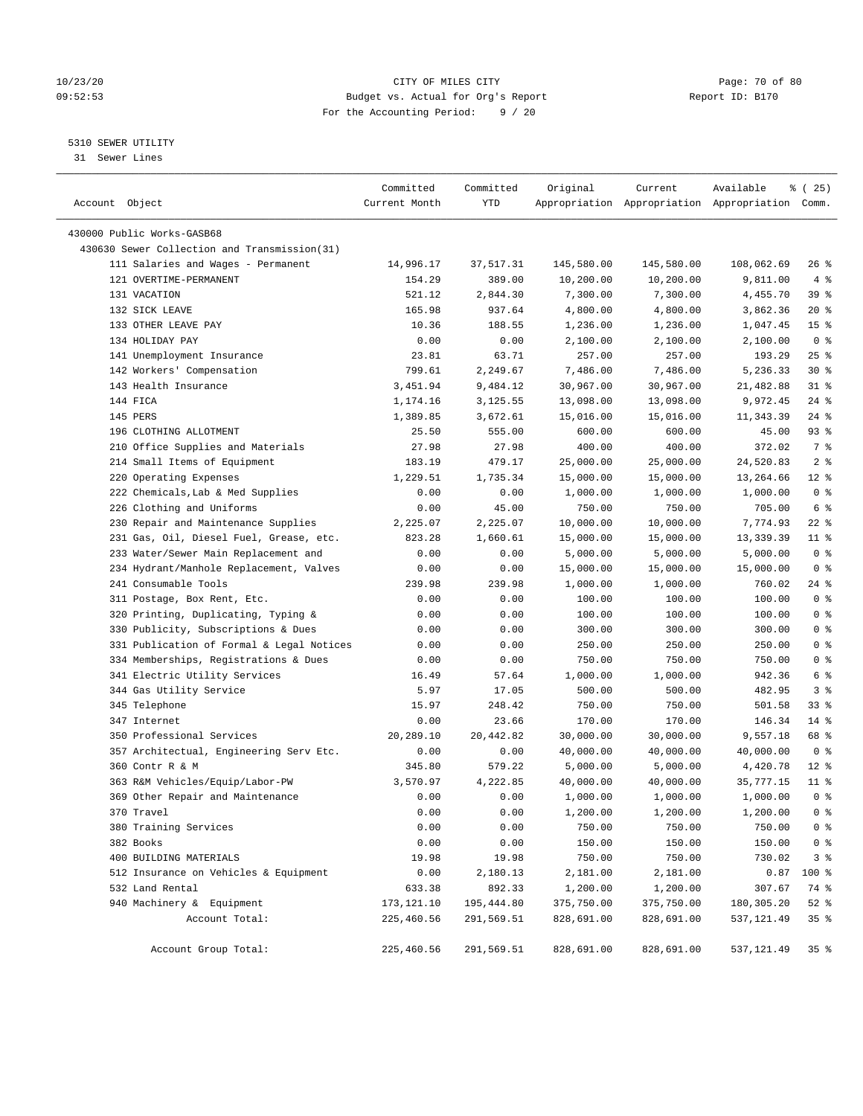## 10/23/20 Page: 70 of 80 09:52:53 Budget vs. Actual for Org's Report Report ID: B170 For the Accounting Period: 9 / 20

————————————————————————————————————————————————————————————————————————————————————————————————————————————————————————————————————

## 5310 SEWER UTILITY

31 Sewer Lines

| Account Object                               | Committed<br>Current Month | Committed<br>YTD | Original   | Current    | Available<br>Appropriation Appropriation Appropriation Comm. | ៖ (25)          |  |
|----------------------------------------------|----------------------------|------------------|------------|------------|--------------------------------------------------------------|-----------------|--|
|                                              |                            |                  |            |            |                                                              |                 |  |
| 430000 Public Works-GASB68                   |                            |                  |            |            |                                                              |                 |  |
| 430630 Sewer Collection and Transmission(31) |                            |                  |            |            |                                                              |                 |  |
| 111 Salaries and Wages - Permanent           | 14,996.17                  | 37,517.31        | 145,580.00 | 145,580.00 | 108,062.69                                                   | $26$ %          |  |
| 121 OVERTIME-PERMANENT                       | 154.29                     | 389.00           | 10,200.00  | 10,200.00  | 9,811.00                                                     | 4%              |  |
| 131 VACATION                                 | 521.12                     | 2,844.30         | 7,300.00   | 7,300.00   | 4,455.70                                                     | 39 %            |  |
| 132 SICK LEAVE                               | 165.98                     | 937.64           | 4,800.00   | 4,800.00   | 3,862.36                                                     | $20*$           |  |
| 133 OTHER LEAVE PAY                          | 10.36                      | 188.55           | 1,236.00   | 1,236.00   | 1,047.45                                                     | 15 <sup>°</sup> |  |
| 134 HOLIDAY PAY                              | 0.00                       | 0.00             | 2,100.00   | 2,100.00   | 2,100.00                                                     | 0 <sup>8</sup>  |  |
| 141 Unemployment Insurance                   | 23.81                      | 63.71            | 257.00     | 257.00     | 193.29                                                       | $25$ %          |  |
| 142 Workers' Compensation                    | 799.61                     | 2,249.67         | 7,486.00   | 7,486.00   | 5,236.33                                                     | $30*$           |  |
| 143 Health Insurance                         | 3,451.94                   | 9,484.12         | 30,967.00  | 30,967.00  | 21,482.88                                                    | $31$ %          |  |
| 144 FICA                                     | 1,174.16                   | 3,125.55         | 13,098.00  | 13,098.00  | 9,972.45                                                     | $24$ %          |  |
| 145 PERS                                     | 1,389.85                   | 3,672.61         | 15,016.00  | 15,016.00  | 11,343.39                                                    | $24$ %          |  |
| 196 CLOTHING ALLOTMENT                       | 25.50                      | 555.00           | 600.00     | 600.00     | 45.00                                                        | 93 %            |  |
| 210 Office Supplies and Materials            | 27.98                      | 27.98            | 400.00     | 400.00     | 372.02                                                       | 7 %             |  |
| 214 Small Items of Equipment                 | 183.19                     | 479.17           | 25,000.00  | 25,000.00  | 24,520.83                                                    | 2 <sub>8</sub>  |  |
| 220 Operating Expenses                       | 1,229.51                   | 1,735.34         | 15,000.00  | 15,000.00  | 13,264.66                                                    | $12*$           |  |
| 222 Chemicals, Lab & Med Supplies            | 0.00                       | 0.00             | 1,000.00   | 1,000.00   | 1,000.00                                                     | 0 <sup>8</sup>  |  |
| 226 Clothing and Uniforms                    | 0.00                       | 45.00            | 750.00     | 750.00     | 705.00                                                       | 6 <sup>°</sup>  |  |
| 230 Repair and Maintenance Supplies          | 2,225.07                   | 2,225.07         | 10,000.00  | 10,000.00  | 7,774.93                                                     | $22$ %          |  |
| 231 Gas, Oil, Diesel Fuel, Grease, etc.      | 823.28                     | 1,660.61         | 15,000.00  | 15,000.00  | 13,339.39                                                    | $11$ %          |  |
| 233 Water/Sewer Main Replacement and         | 0.00                       | 0.00             | 5,000.00   | 5,000.00   | 5,000.00                                                     | 0 <sup>8</sup>  |  |
| 234 Hydrant/Manhole Replacement, Valves      | 0.00                       | 0.00             | 15,000.00  | 15,000.00  | 15,000.00                                                    | 0 <sup>8</sup>  |  |
| 241 Consumable Tools                         | 239.98                     | 239.98           | 1,000.00   | 1,000.00   | 760.02                                                       | 24 %            |  |
| 311 Postage, Box Rent, Etc.                  | 0.00                       | 0.00             | 100.00     | 100.00     | 100.00                                                       | 0 <sup>8</sup>  |  |
| 320 Printing, Duplicating, Typing &          | 0.00                       | 0.00             | 100.00     | 100.00     | 100.00                                                       | 0 <sup>8</sup>  |  |
| 330 Publicity, Subscriptions & Dues          | 0.00                       | 0.00             | 300.00     | 300.00     | 300.00                                                       | 0 <sup>8</sup>  |  |
| 331 Publication of Formal & Legal Notices    | 0.00                       | 0.00             | 250.00     | 250.00     | 250.00                                                       | 0 <sup>°</sup>  |  |
| 334 Memberships, Registrations & Dues        | 0.00                       | 0.00             | 750.00     | 750.00     | 750.00                                                       | 0 <sup>°</sup>  |  |
| 341 Electric Utility Services                | 16.49                      | 57.64            | 1,000.00   | 1,000.00   | 942.36                                                       | 6 <sup>8</sup>  |  |
| 344 Gas Utility Service                      | 5.97                       | 17.05            | 500.00     | 500.00     | 482.95                                                       | 3 <sup>°</sup>  |  |
| 345 Telephone                                | 15.97                      | 248.42           | 750.00     | 750.00     | 501.58                                                       | $33$ $%$        |  |
| 347 Internet                                 | 0.00                       | 23.66            | 170.00     | 170.00     | 146.34                                                       | $14$ %          |  |
| 350 Professional Services                    | 20,289.10                  | 20,442.82        | 30,000.00  | 30,000.00  | 9,557.18                                                     | 68 %            |  |
| 357 Architectual, Engineering Serv Etc.      | 0.00                       | 0.00             | 40,000.00  | 40,000.00  | 40,000.00                                                    | 0 <sup>8</sup>  |  |
| 360 Contr R & M                              | 345.80                     | 579.22           | 5,000.00   | 5,000.00   | 4,420.78                                                     | $12*$           |  |
| 363 R&M Vehicles/Equip/Labor-PW              | 3,570.97                   | 4,222.85         | 40,000.00  | 40,000.00  | 35,777.15                                                    | $11$ %          |  |
| 369 Other Repair and Maintenance             | 0.00                       | 0.00             | 1,000.00   | 1,000.00   | 1,000.00                                                     | 0 <sup>8</sup>  |  |
| 370 Travel                                   | 0.00                       | 0.00             | 1,200.00   | 1,200.00   | 1,200.00                                                     | 0 <sup>8</sup>  |  |
| 380 Training Services                        | 0.00                       | 0.00             | 750.00     | 750.00     | 750.00                                                       | 0 <sup>8</sup>  |  |
| 382 Books                                    | 0.00                       | 0.00             | 150.00     | 150.00     | 150.00                                                       | 0 <sup>8</sup>  |  |
| 400 BUILDING MATERIALS                       | 19.98                      | 19.98            | 750.00     | 750.00     | 730.02                                                       | 3 <sup>°</sup>  |  |
| 512 Insurance on Vehicles & Equipment        | 0.00                       | 2,180.13         | 2,181.00   | 2,181.00   | 0.87                                                         | 100 %           |  |
| 532 Land Rental                              | 633.38                     | 892.33           | 1,200.00   | 1,200.00   | 307.67                                                       | 74 %            |  |
| 940 Machinery & Equipment                    | 173,121.10                 | 195,444.80       | 375,750.00 | 375,750.00 | 180,305.20                                                   | 52 %            |  |
| Account Total:                               | 225,460.56                 | 291,569.51       | 828,691.00 | 828,691.00 | 537,121.49                                                   | 35%             |  |
|                                              |                            |                  |            |            |                                                              |                 |  |
| Account Group Total:                         | 225,460.56                 | 291,569.51       | 828,691.00 | 828,691.00 | 537,121.49                                                   | 35%             |  |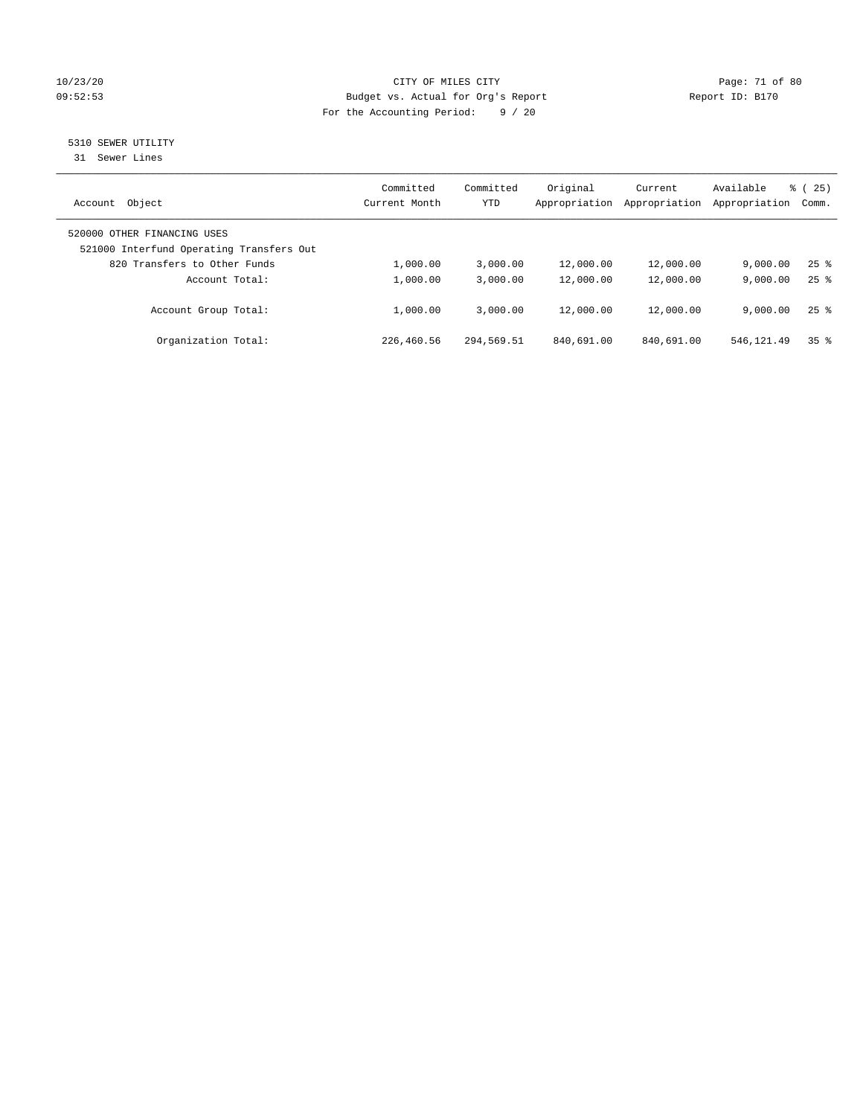## 10/23/20 Page: 71 of 80 09:52:53 Budget vs. Actual for Org's Report Changer Report ID: B170 For the Accounting Period: 9 / 20

# 5310 SEWER UTILITY

31 Sewer Lines

| Object<br>Account                                                       | Committed<br>Current Month | Committed<br><b>YTD</b> | Original<br>Appropriation | Current<br>Appropriation | Available<br>Appropriation | $\frac{25}{25}$<br>Comm. |
|-------------------------------------------------------------------------|----------------------------|-------------------------|---------------------------|--------------------------|----------------------------|--------------------------|
| 520000 OTHER FINANCING USES<br>521000 Interfund Operating Transfers Out |                            |                         |                           |                          |                            |                          |
| 820 Transfers to Other Funds                                            | 1,000.00                   | 3.000.00                | 12,000.00                 | 12,000.00                | 9.000.00                   | $25$ $\frac{6}{5}$       |
| Account Total:                                                          | 1,000.00                   | 3.000.00                | 12,000.00                 | 12,000.00                | 9.000.00                   | $25$ $\frac{6}{5}$       |
| Account Group Total:                                                    | 1,000.00                   | 3,000.00                | 12,000.00                 | 12,000.00                | 9.000.00                   | $25$ $\frac{6}{3}$       |
| Organization Total:                                                     | 226,460.56                 | 294,569.51              | 840,691.00                | 840,691.00               | 546, 121.49                | 35 <sup>8</sup>          |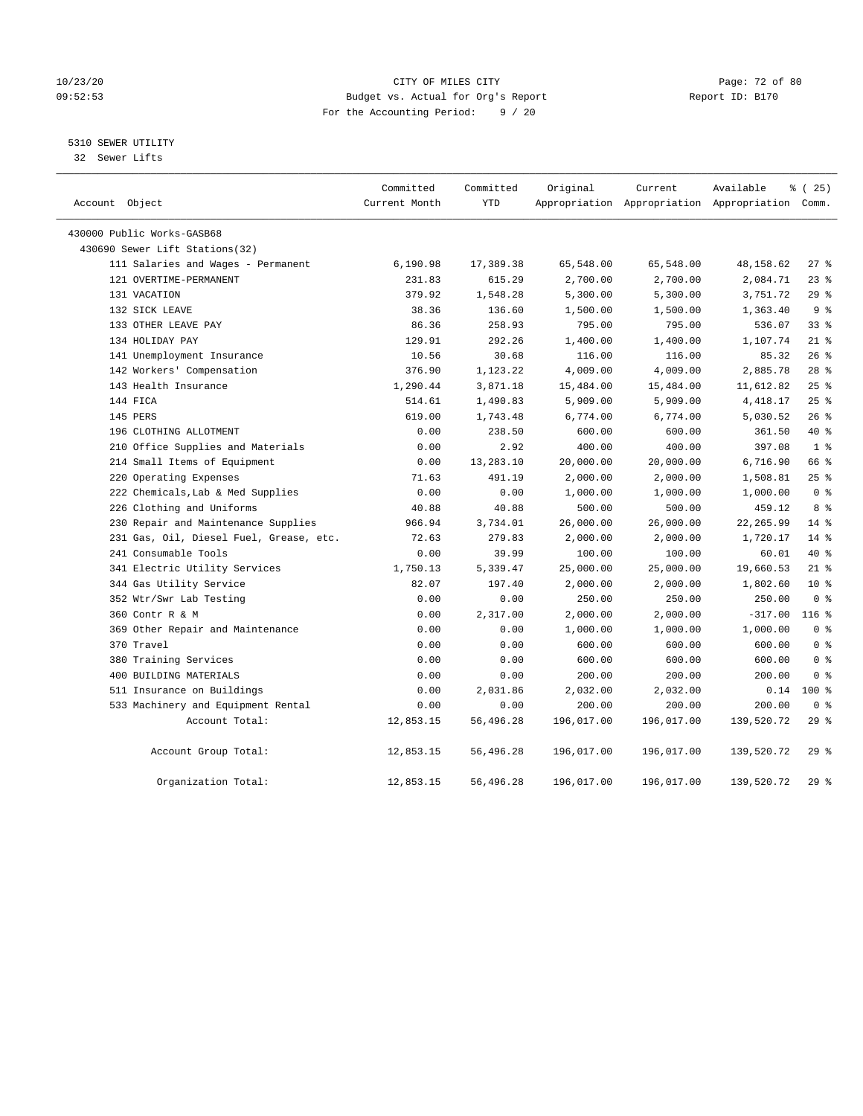## 10/23/20 Page: 72 of 80 09:52:53 Budget vs. Actual for Org's Report Report ID: B170 For the Accounting Period: 9 / 20

## 5310 SEWER UTILITY

32 Sewer Lifts

| Account Object                          | Committed<br>Current Month | Committed<br><b>YTD</b> | Original   | Current    | Available<br>Appropriation Appropriation Appropriation Comm. | 8 (25)         |
|-----------------------------------------|----------------------------|-------------------------|------------|------------|--------------------------------------------------------------|----------------|
| 430000 Public Works-GASB68              |                            |                         |            |            |                                                              |                |
| 430690 Sewer Lift Stations(32)          |                            |                         |            |            |                                                              |                |
| 111 Salaries and Wages - Permanent      | 6,190.98                   | 17,389.38               | 65,548.00  | 65,548.00  | 48,158.62                                                    | 27%            |
| 121 OVERTIME-PERMANENT                  | 231.83                     | 615.29                  | 2,700.00   | 2,700.00   | 2,084.71                                                     | 23%            |
| 131 VACATION                            | 379.92                     | 1,548.28                | 5,300.00   | 5,300.00   | 3,751.72                                                     | 29%            |
| 132 SICK LEAVE                          | 38.36                      | 136.60                  | 1,500.00   | 1,500.00   | 1,363.40                                                     | 9 <sup>°</sup> |
| 133 OTHER LEAVE PAY                     | 86.36                      | 258.93                  | 795.00     | 795.00     | 536.07                                                       | 338            |
| 134 HOLIDAY PAY                         | 129.91                     | 292.26                  | 1,400.00   | 1,400.00   | 1,107.74                                                     | $21$ %         |
| 141 Unemployment Insurance              | 10.56                      | 30.68                   | 116.00     | 116.00     | 85.32                                                        | 26%            |
| 142 Workers' Compensation               | 376.90                     | 1,123.22                | 4,009.00   | 4,009.00   | 2,885.78                                                     | $28$ %         |
| 143 Health Insurance                    | 1,290.44                   | 3,871.18                | 15,484.00  | 15,484.00  | 11,612.82                                                    | 25%            |
| 144 FICA                                | 514.61                     | 1,490.83                | 5,909.00   | 5,909.00   | 4, 418.17                                                    | 25%            |
| 145 PERS                                | 619.00                     | 1,743.48                | 6,774.00   | 6,774.00   | 5,030.52                                                     | 26%            |
| 196 CLOTHING ALLOTMENT                  | 0.00                       | 238.50                  | 600.00     | 600.00     | 361.50                                                       | 40 %           |
| 210 Office Supplies and Materials       | 0.00                       | 2.92                    | 400.00     | 400.00     | 397.08                                                       | 1 <sup>°</sup> |
| 214 Small Items of Equipment            | 0.00                       | 13,283.10               | 20,000.00  | 20,000.00  | 6,716.90                                                     | 66 %           |
| 220 Operating Expenses                  | 71.63                      | 491.19                  | 2,000.00   | 2,000.00   | 1,508.81                                                     | 25%            |
| 222 Chemicals, Lab & Med Supplies       | 0.00                       | 0.00                    | 1,000.00   | 1,000.00   | 1,000.00                                                     | 0 <sup>8</sup> |
| 226 Clothing and Uniforms               | 40.88                      | 40.88                   | 500.00     | 500.00     | 459.12                                                       | 8 %            |
| 230 Repair and Maintenance Supplies     | 966.94                     | 3,734.01                | 26,000.00  | 26,000.00  | 22, 265.99                                                   | $14*$          |
| 231 Gas, Oil, Diesel Fuel, Grease, etc. | 72.63                      | 279.83                  | 2,000.00   | 2,000.00   | 1,720.17                                                     | $14*$          |
| 241 Consumable Tools                    | 0.00                       | 39.99                   | 100.00     | 100.00     | 60.01                                                        | $40*$          |
| 341 Electric Utility Services           | 1,750.13                   | 5,339.47                | 25,000.00  | 25,000.00  | 19,660.53                                                    | $21$ %         |
| 344 Gas Utility Service                 | 82.07                      | 197.40                  | 2,000.00   | 2,000.00   | 1,802.60                                                     | $10*$          |
| 352 Wtr/Swr Lab Testing                 | 0.00                       | 0.00                    | 250.00     | 250.00     | 250.00                                                       | 0 <sup>8</sup> |
| 360 Contr R & M                         | 0.00                       | 2,317.00                | 2,000.00   | 2,000.00   | $-317.00$                                                    | $116$ %        |
| 369 Other Repair and Maintenance        | 0.00                       | 0.00                    | 1,000.00   | 1,000.00   | 1,000.00                                                     | 0 <sup>8</sup> |
| 370 Travel                              | 0.00                       | 0.00                    | 600.00     | 600.00     | 600.00                                                       | 0 <sup>8</sup> |
| 380 Training Services                   | 0.00                       | 0.00                    | 600.00     | 600.00     | 600.00                                                       | 0 <sup>8</sup> |
| 400 BUILDING MATERIALS                  | 0.00                       | 0.00                    | 200.00     | 200.00     | 200.00                                                       | 0 <sup>8</sup> |
| 511 Insurance on Buildings              | 0.00                       | 2,031.86                | 2,032.00   | 2,032.00   | 0.14                                                         | $100*$         |
| 533 Machinery and Equipment Rental      | 0.00                       | 0.00                    | 200.00     | 200.00     | 200.00                                                       | 0 <sup>8</sup> |
| Account Total:                          | 12,853.15                  | 56,496.28               | 196,017.00 | 196,017.00 | 139,520.72                                                   | 29%            |
| Account Group Total:                    | 12,853.15                  | 56,496.28               | 196,017.00 | 196,017.00 | 139,520.72                                                   | 29%            |
| Organization Total:                     | 12,853.15                  | 56,496.28               | 196,017.00 | 196,017.00 | 139,520.72                                                   | 29%            |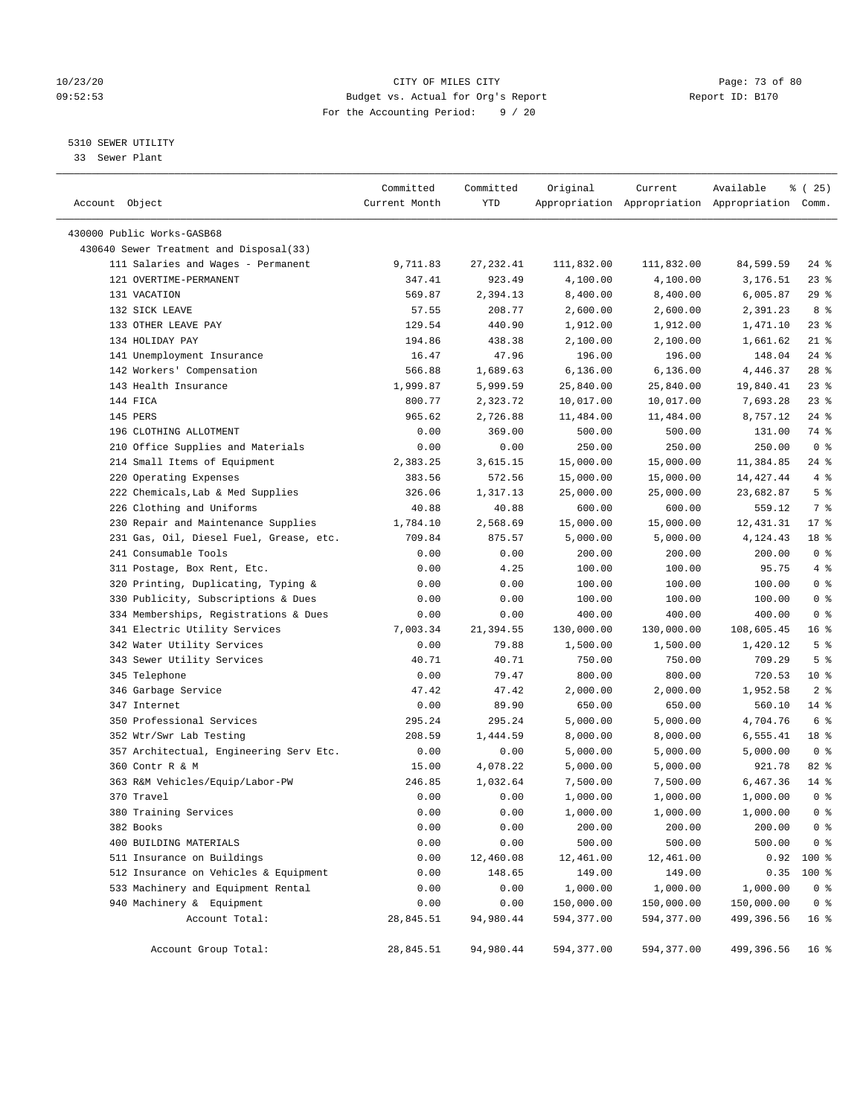## 10/23/20 Page: 73 of 80 09:52:53 Budget vs. Actual for Org's Report Report ID: B170 For the Accounting Period: 9 / 20

————————————————————————————————————————————————————————————————————————————————————————————————————————————————————————————————————

## 5310 SEWER UTILITY

33 Sewer Plant

|                                         | Committed     | Committed  | Original   | Current    | Available                                       | $*(25)$         |
|-----------------------------------------|---------------|------------|------------|------------|-------------------------------------------------|-----------------|
| Account Object                          | Current Month | YTD        |            |            | Appropriation Appropriation Appropriation Comm. |                 |
|                                         |               |            |            |            |                                                 |                 |
| 430000 Public Works-GASB68              |               |            |            |            |                                                 |                 |
| 430640 Sewer Treatment and Disposal(33) |               |            |            |            |                                                 |                 |
| 111 Salaries and Wages - Permanent      | 9,711.83      | 27, 232.41 | 111,832.00 | 111,832.00 | 84,599.59                                       | $24$ %          |
| 121 OVERTIME-PERMANENT                  | 347.41        | 923.49     | 4,100.00   | 4,100.00   | 3,176.51                                        | $23$ %          |
| 131 VACATION                            | 569.87        | 2,394.13   | 8,400.00   | 8,400.00   | 6,005.87                                        | 29%             |
| 132 SICK LEAVE                          | 57.55         | 208.77     | 2,600.00   | 2,600.00   | 2,391.23                                        | 8 %             |
| 133 OTHER LEAVE PAY                     | 129.54        | 440.90     | 1,912.00   | 1,912.00   | 1,471.10                                        | $23$ %          |
| 134 HOLIDAY PAY                         | 194.86        | 438.38     | 2,100.00   | 2,100.00   | 1,661.62                                        | $21$ %          |
| 141 Unemployment Insurance              | 16.47         | 47.96      | 196.00     | 196.00     | 148.04                                          | $24$ %          |
| 142 Workers' Compensation               | 566.88        | 1,689.63   | 6, 136.00  | 6,136.00   | 4,446.37                                        | $28$ %          |
| 143 Health Insurance                    | 1,999.87      | 5,999.59   | 25,840.00  | 25,840.00  | 19,840.41                                       | $23$ %          |
| 144 FICA                                | 800.77        | 2,323.72   | 10,017.00  | 10,017.00  | 7,693.28                                        | 23%             |
| 145 PERS                                | 965.62        | 2,726.88   | 11,484.00  | 11,484.00  | 8,757.12                                        | $24$ %          |
| 196 CLOTHING ALLOTMENT                  | 0.00          | 369.00     | 500.00     | 500.00     | 131.00                                          | 74 %            |
| 210 Office Supplies and Materials       | 0.00          | 0.00       | 250.00     | 250.00     | 250.00                                          | 0 <sup>8</sup>  |
| 214 Small Items of Equipment            | 2,383.25      | 3,615.15   | 15,000.00  | 15,000.00  | 11,384.85                                       | $24$ %          |
| 220 Operating Expenses                  | 383.56        | 572.56     | 15,000.00  | 15,000.00  | 14, 427. 44                                     | 4%              |
| 222 Chemicals, Lab & Med Supplies       | 326.06        | 1,317.13   | 25,000.00  | 25,000.00  | 23,682.87                                       | 5 <sup>°</sup>  |
| 226 Clothing and Uniforms               | 40.88         | 40.88      | 600.00     | 600.00     | 559.12                                          | 7 %             |
| 230 Repair and Maintenance Supplies     | 1,784.10      | 2,568.69   | 15,000.00  | 15,000.00  | 12,431.31                                       | $17*$           |
| 231 Gas, Oil, Diesel Fuel, Grease, etc. | 709.84        | 875.57     | 5,000.00   | 5,000.00   | 4,124.43                                        | 18 %            |
| 241 Consumable Tools                    | 0.00          | 0.00       | 200.00     | 200.00     | 200.00                                          | 0 <sup>8</sup>  |
| 311 Postage, Box Rent, Etc.             | 0.00          | 4.25       | 100.00     | 100.00     | 95.75                                           | 4%              |
| 320 Printing, Duplicating, Typing &     | 0.00          | 0.00       | 100.00     | 100.00     | 100.00                                          | 0 <sup>°</sup>  |
| 330 Publicity, Subscriptions & Dues     | 0.00          | 0.00       | 100.00     | 100.00     | 100.00                                          | 0 <sup>8</sup>  |
| 334 Memberships, Registrations & Dues   | 0.00          | 0.00       | 400.00     | 400.00     | 400.00                                          | 0 <sup>8</sup>  |
| 341 Electric Utility Services           | 7,003.34      | 21,394.55  | 130,000.00 | 130,000.00 | 108,605.45                                      | 16 <sup>°</sup> |
| 342 Water Utility Services              | 0.00          | 79.88      | 1,500.00   | 1,500.00   | 1,420.12                                        | 5 <sup>°</sup>  |
| 343 Sewer Utility Services              | 40.71         | 40.71      | 750.00     | 750.00     | 709.29                                          | 5 <sup>°</sup>  |
| 345 Telephone                           | 0.00          | 79.47      | 800.00     | 800.00     | 720.53                                          | $10*$           |
| 346 Garbage Service                     | 47.42         | 47.42      | 2,000.00   | 2,000.00   | 1,952.58                                        | 2 <sup>°</sup>  |
| 347 Internet                            | 0.00          | 89.90      | 650.00     | 650.00     | 560.10                                          | $14*$           |
| 350 Professional Services               | 295.24        | 295.24     | 5,000.00   | 5,000.00   | 4,704.76                                        | 6 <sup>°</sup>  |
| 352 Wtr/Swr Lab Testing                 | 208.59        | 1,444.59   | 8,000.00   | 8,000.00   | 6,555.41                                        | 18 %            |
| 357 Architectual, Engineering Serv Etc. | 0.00          | 0.00       | 5,000.00   | 5,000.00   | 5,000.00                                        | 0 <sup>8</sup>  |
| 360 Contr R & M                         | 15.00         | 4,078.22   | 5,000.00   | 5,000.00   | 921.78                                          | $82$ $%$        |
| 363 R&M Vehicles/Equip/Labor-PW         | 246.85        | 1,032.64   | 7,500.00   | 7,500.00   | 6,467.36                                        | $14*$           |
| 370 Travel                              | 0.00          | 0.00       | 1,000.00   | 1,000.00   | 1,000.00                                        | 0 <sup>8</sup>  |
| 380 Training Services                   | 0.00          | 0.00       | 1,000.00   | 1,000.00   | 1,000.00                                        | 0 <sup>8</sup>  |
| 382 Books                               | 0.00          | 0.00       | 200.00     | 200.00     | 200.00                                          | 0 <sup>8</sup>  |
| 400 BUILDING MATERIALS                  | 0.00          | 0.00       | 500.00     | 500.00     | 500.00                                          | 0 <sup>8</sup>  |
| 511 Insurance on Buildings              | 0.00          | 12,460.08  | 12,461.00  | 12,461.00  | 0.92                                            | $100$ %         |
| 512 Insurance on Vehicles & Equipment   | 0.00          | 148.65     | 149.00     | 149.00     | 0.35                                            | 100 %           |
| 533 Machinery and Equipment Rental      | 0.00          | 0.00       | 1,000.00   | 1,000.00   | 1,000.00                                        | 0 <sup>8</sup>  |
| 940 Machinery & Equipment               | 0.00          | 0.00       | 150,000.00 | 150,000.00 | 150,000.00                                      | 0 <sup>8</sup>  |
| Account Total:                          | 28,845.51     | 94,980.44  | 594,377.00 | 594,377.00 | 499,396.56                                      | 16 <sup>°</sup> |
|                                         |               |            |            |            |                                                 |                 |
| Account Group Total:                    | 28,845.51     | 94,980.44  | 594,377.00 | 594,377.00 | 499,396.56                                      | 16 <sup>°</sup> |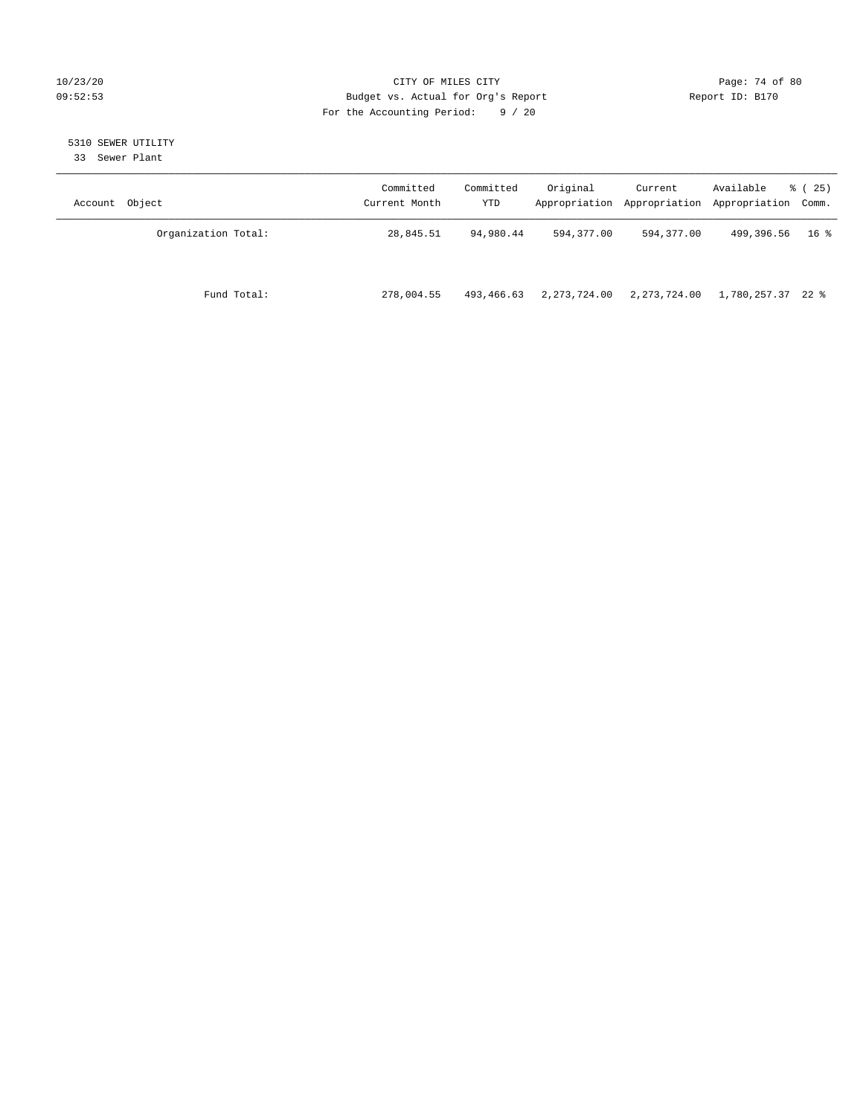## 10/23/20 Page: 74 of 80 09:52:53 Budget vs. Actual for Org's Report Changer Report ID: B170 For the Accounting Period: 9 / 20

# 5310 SEWER UTILITY

33 Sewer Plant

| Account Object      | Committed<br>Current Month | Committed<br>YTD | Original     | Current      | Available<br>Appropriation Appropriation Appropriation Comm. | % (25)          |
|---------------------|----------------------------|------------------|--------------|--------------|--------------------------------------------------------------|-----------------|
| Organization Total: | 28,845.51                  | 94,980.44        | 594,377.00   | 594,377.00   | 499,396.56                                                   | 16 <sup>8</sup> |
| Fund Total:         | 278,004.55                 | 493,466.63       | 2,273,724.00 | 2,273,724.00 | 1,780,257.37 22 %                                            |                 |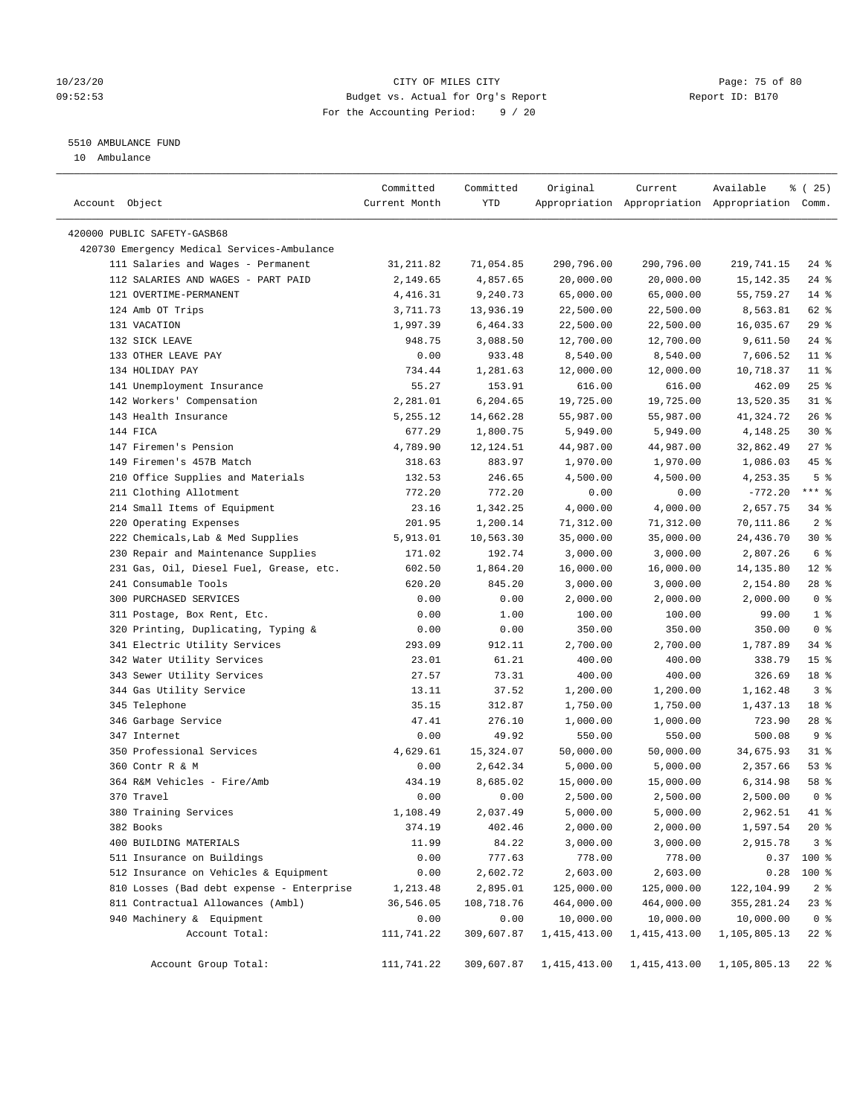## 10/23/20 Page: 75 of 80 09:52:53 Budget vs. Actual for Org's Report Changer Report ID: B170 For the Accounting Period: 9 / 20

————————————————————————————————————————————————————————————————————————————————————————————————————————————————————————————————————

## 5510 AMBULANCE FUND

10 Ambulance

|                                                                          | Committed              | Committed          | Original                | Current                 | Available                                       | 8 (25)          |
|--------------------------------------------------------------------------|------------------------|--------------------|-------------------------|-------------------------|-------------------------------------------------|-----------------|
| Account Object                                                           | Current Month          | YTD                |                         |                         | Appropriation Appropriation Appropriation Comm. |                 |
|                                                                          |                        |                    |                         |                         |                                                 |                 |
| 420000 PUBLIC SAFETY-GASB68                                              |                        |                    |                         |                         |                                                 |                 |
| 420730 Emergency Medical Services-Ambulance                              |                        |                    |                         |                         |                                                 |                 |
| 111 Salaries and Wages - Permanent<br>112 SALARIES AND WAGES - PART PAID | 31, 211.82<br>2,149.65 | 71,054.85          | 290,796.00<br>20,000.00 | 290,796.00<br>20,000.00 | 219,741.15                                      | 24 %<br>$24$ %  |
| 121 OVERTIME-PERMANENT                                                   |                        | 4,857.65           |                         |                         | 15, 142. 35                                     | $14$ %          |
|                                                                          | 4,416.31               | 9,240.73           | 65,000.00               | 65,000.00               | 55,759.27                                       |                 |
| 124 Amb OT Trips                                                         | 3,711.73               | 13,936.19          | 22,500.00               | 22,500.00               | 8,563.81                                        | 62 %<br>$29$ %  |
| 131 VACATION                                                             | 1,997.39               | 6,464.33           | 22,500.00<br>12,700.00  | 22,500.00               | 16,035.67                                       | $24$ %          |
| 132 SICK LEAVE<br>133 OTHER LEAVE PAY                                    | 948.75                 | 3,088.50<br>933.48 | 8,540.00                | 12,700.00               | 9,611.50                                        | $11$ %          |
| 134 HOLIDAY PAY                                                          | 0.00                   |                    |                         | 8,540.00                | 7,606.52                                        |                 |
|                                                                          | 734.44                 | 1,281.63           | 12,000.00               | 12,000.00               | 10,718.37                                       | $11$ %          |
| 141 Unemployment Insurance                                               | 55.27                  | 153.91             | 616.00                  | 616.00                  | 462.09                                          | $25$ %          |
| 142 Workers' Compensation                                                | 2,281.01               | 6,204.65           | 19,725.00               | 19,725.00               | 13,520.35                                       | $31$ %          |
| 143 Health Insurance                                                     | 5,255.12               | 14,662.28          | 55,987.00               | 55,987.00               | 41,324.72                                       | 26%             |
| 144 FICA                                                                 | 677.29                 | 1,800.75           | 5,949.00                | 5,949.00                | 4,148.25                                        | $30*$           |
| 147 Firemen's Pension                                                    | 4,789.90               | 12,124.51          | 44,987.00               | 44,987.00               | 32,862.49                                       | $27$ %          |
| 149 Firemen's 457B Match                                                 | 318.63                 | 883.97             | 1,970.00                | 1,970.00                | 1,086.03                                        | 45 %            |
| 210 Office Supplies and Materials                                        | 132.53                 | 246.65             | 4,500.00                | 4,500.00                | 4,253.35                                        | 5 <sup>°</sup>  |
| 211 Clothing Allotment                                                   | 772.20                 | 772.20             | 0.00                    | 0.00                    | $-772.20$                                       | $***$ $-$       |
| 214 Small Items of Equipment                                             | 23.16                  | 1,342.25           | 4,000.00                | 4,000.00                | 2,657.75                                        | 34 %            |
| 220 Operating Expenses                                                   | 201.95                 | 1,200.14           | 71,312.00               | 71,312.00               | 70,111.86                                       | 2 <sup>8</sup>  |
| 222 Chemicals, Lab & Med Supplies                                        | 5,913.01               | 10,563.30          | 35,000.00               | 35,000.00               | 24,436.70                                       | $30*$           |
| 230 Repair and Maintenance Supplies                                      | 171.02                 | 192.74             | 3,000.00                | 3,000.00                | 2,807.26                                        | 6 <sup>°</sup>  |
| 231 Gas, Oil, Diesel Fuel, Grease, etc.                                  | 602.50                 | 1,864.20           | 16,000.00               | 16,000.00               | 14,135.80                                       | $12*$           |
| 241 Consumable Tools                                                     | 620.20                 | 845.20             | 3,000.00                | 3,000.00                | 2,154.80                                        | $28$ %          |
| 300 PURCHASED SERVICES                                                   | 0.00                   | 0.00               | 2,000.00                | 2,000.00                | 2,000.00                                        | 0 <sup>8</sup>  |
| 311 Postage, Box Rent, Etc.                                              | 0.00                   | 1.00               | 100.00                  | 100.00                  | 99.00                                           | 1 <sup>8</sup>  |
| 320 Printing, Duplicating, Typing &                                      | 0.00                   | 0.00               | 350.00                  | 350.00                  | 350.00                                          | 0 <sup>8</sup>  |
| 341 Electric Utility Services                                            | 293.09                 | 912.11             | 2,700.00                | 2,700.00                | 1,787.89                                        | $34$ $%$        |
| 342 Water Utility Services                                               | 23.01                  | 61.21              | 400.00                  | 400.00                  | 338.79                                          | 15 <sup>°</sup> |
| 343 Sewer Utility Services                                               | 27.57                  | 73.31              | 400.00                  | 400.00                  | 326.69                                          | 18 %            |
| 344 Gas Utility Service                                                  | 13.11                  | 37.52              | 1,200.00                | 1,200.00                | 1,162.48                                        | 3 <sup>8</sup>  |
| 345 Telephone                                                            | 35.15                  | 312.87             | 1,750.00                | 1,750.00                | 1,437.13                                        | 18 %            |
| 346 Garbage Service                                                      | 47.41                  | 276.10             | 1,000.00                | 1,000.00                | 723.90                                          | $28$ %          |
| 347 Internet                                                             | 0.00                   | 49.92              | 550.00                  | 550.00                  | 500.08                                          | 9 <sub>8</sub>  |
| 350 Professional Services                                                | 4,629.61               | 15,324.07          | 50,000.00               | 50,000.00               | 34,675.93                                       | $31$ %          |
| 360 Contr R & M                                                          | 0.00                   | 2,642.34           | 5,000.00                | 5,000.00                | 2,357.66                                        | 53%             |
| 364 R&M Vehicles - Fire/Amb                                              | 434.19                 | 8,685.02           | 15,000.00               | 15,000.00               | 6,314.98                                        | 58 %            |
| 370 Travel                                                               | 0.00                   | 0.00               | 2,500.00                | 2,500.00                | 2,500.00                                        | 0 <sup>8</sup>  |
| 380 Training Services                                                    | 1,108.49               | 2,037.49           | 5,000.00                | 5,000.00                | 2,962.51                                        | 41 %            |
| 382 Books                                                                | 374.19                 | 402.46             | 2,000.00                | 2,000.00                | 1,597.54                                        | $20*$           |
| 400 BUILDING MATERIALS                                                   | 11.99                  | 84.22              | 3,000.00                | 3,000.00                | 2,915.78                                        | 3 <sup>8</sup>  |
| 511 Insurance on Buildings                                               | 0.00                   | 777.63             | 778.00                  | 778.00                  |                                                 | $0.37$ 100 %    |
| 512 Insurance on Vehicles & Equipment                                    | 0.00                   | 2,602.72           | 2,603.00                | 2,603.00                | 0.28                                            | 100 %           |
| 810 Losses (Bad debt expense - Enterprise                                | 1,213.48               | 2,895.01           | 125,000.00              | 125,000.00              | 122,104.99                                      | 2 <sup>8</sup>  |
| 811 Contractual Allowances (Ambl)                                        | 36,546.05              | 108,718.76         | 464,000.00              | 464,000.00              | 355, 281.24                                     | $23$ %          |
| 940 Machinery & Equipment                                                | 0.00                   | 0.00               | 10,000.00               | 10,000.00               | 10,000.00                                       | 0 <sup>8</sup>  |
| Account Total:                                                           | 111,741.22             | 309,607.87         | 1,415,413.00            | 1, 415, 413.00          | 1,105,805.13                                    | $22$ %          |
| Account Group Total:                                                     | 111,741.22             | 309,607.87         | 1,415,413.00            | 1,415,413.00            | 1,105,805.13                                    | $22$ %          |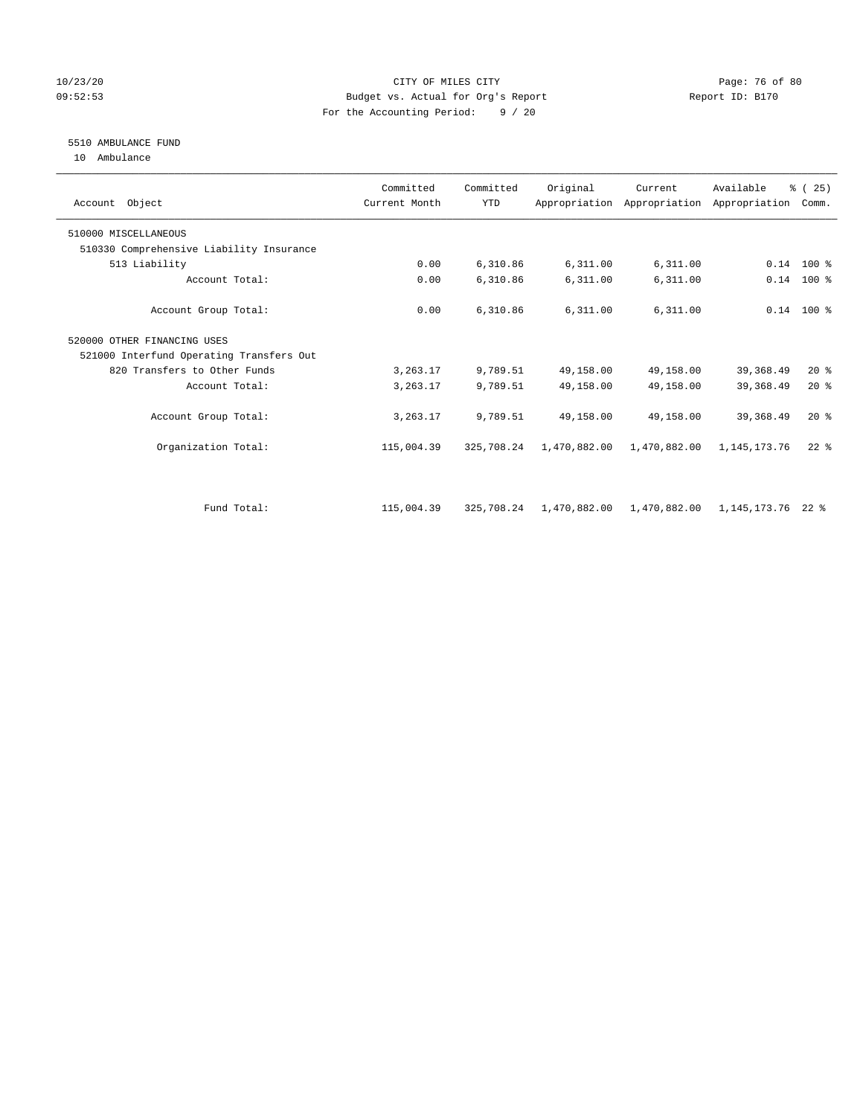## 10/23/20 Page: 76 of 80 09:52:53 Budget vs. Actual for Org's Report Changer Report ID: B170 For the Accounting Period: 9 / 20

## 5510 AMBULANCE FUND

10 Ambulance

| Account Object                           | Committed<br>Current Month | Committed<br><b>YTD</b> | Original     | Current      | Available<br>Appropriation Appropriation Appropriation | % (25)<br>Comm. |  |
|------------------------------------------|----------------------------|-------------------------|--------------|--------------|--------------------------------------------------------|-----------------|--|
| 510000 MISCELLANEOUS                     |                            |                         |              |              |                                                        |                 |  |
| 510330 Comprehensive Liability Insurance |                            |                         |              |              |                                                        |                 |  |
| 513 Liability                            | 0.00                       | 6,310.86                | 6,311.00     | 6,311.00     |                                                        | $0.14$ 100 %    |  |
| Account Total:                           | 0.00                       | 6,310.86                | 6,311.00     | 6,311.00     | 0.14                                                   | 100 %           |  |
| Account Group Total:                     | 0.00                       | 6,310.86                | 6,311.00     | 6,311.00     |                                                        | $0.14$ 100 %    |  |
| 520000 OTHER FINANCING USES              |                            |                         |              |              |                                                        |                 |  |
| 521000 Interfund Operating Transfers Out |                            |                         |              |              |                                                        |                 |  |
| 820 Transfers to Other Funds             | 3,263.17                   | 9,789.51                | 49,158.00    | 49,158.00    | 39, 368.49                                             | 20%             |  |
| Account Total:                           | 3,263.17                   | 9,789.51                | 49,158.00    | 49,158.00    | 39, 368.49                                             | 20%             |  |
| Account Group Total:                     | 3,263.17                   | 9,789.51                | 49,158.00    | 49,158.00    | 39, 368.49                                             | 20%             |  |
| Organization Total:                      | 115,004.39                 | 325,708.24              | 1,470,882.00 | 1,470,882.00 | 1,145,173.76                                           | $22$ $%$        |  |
|                                          |                            |                         |              |              |                                                        |                 |  |
| Fund Total:                              | 115,004.39                 | 325,708.24              | 1,470,882.00 | 1,470,882.00 | 1,145,173.76                                           | $22$ %          |  |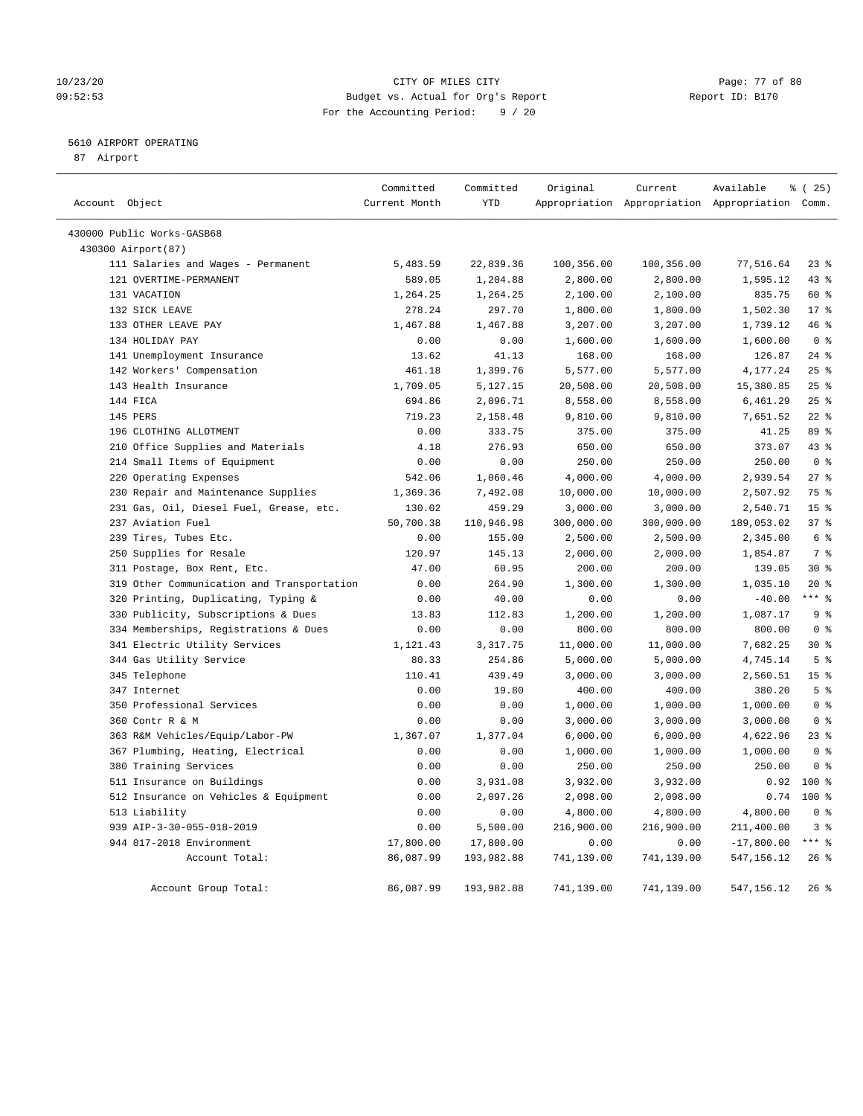#### 10/23/20 Page: 77 of 80 09:52:53 Budget vs. Actual for Org's Report Changer Report ID: B170 For the Accounting Period: 9 / 20

## 5610 AIRPORT OPERATING

87 Airport

| Account Object                             | Committed<br>Current Month | Committed<br><b>YTD</b> | Original   | Current    | Available<br>Appropriation Appropriation Appropriation Comm. | 8 (25)          |
|--------------------------------------------|----------------------------|-------------------------|------------|------------|--------------------------------------------------------------|-----------------|
|                                            |                            |                         |            |            |                                                              |                 |
| 430000 Public Works-GASB68                 |                            |                         |            |            |                                                              |                 |
| 430300 Airport(87)                         |                            |                         |            |            |                                                              |                 |
| 111 Salaries and Wages - Permanent         | 5,483.59                   | 22,839.36               | 100,356.00 | 100,356.00 | 77,516.64                                                    | $23$ $%$        |
| 121 OVERTIME-PERMANENT                     | 589.05                     | 1,204.88                | 2,800.00   | 2,800.00   | 1,595.12                                                     | 43 %            |
| 131 VACATION                               | 1,264.25                   | 1,264.25                | 2,100.00   | 2,100.00   | 835.75                                                       | 60 %            |
| 132 SICK LEAVE                             | 278.24                     | 297.70                  | 1,800.00   | 1,800.00   | 1,502.30                                                     | 17 <sup>°</sup> |
| 133 OTHER LEAVE PAY                        | 1,467.88                   | 1,467.88                | 3,207.00   | 3,207.00   | 1,739.12                                                     | 46 %            |
| 134 HOLIDAY PAY                            | 0.00                       | 0.00                    | 1,600.00   | 1,600.00   | 1,600.00                                                     | 0 <sup>8</sup>  |
| 141 Unemployment Insurance                 | 13.62                      | 41.13                   | 168.00     | 168.00     | 126.87                                                       | $24$ %          |
| 142 Workers' Compensation                  | 461.18                     | 1,399.76                | 5,577.00   | 5,577.00   | 4,177.24                                                     | 25%             |
| 143 Health Insurance                       | 1,709.05                   | 5,127.15                | 20,508.00  | 20,508.00  | 15,380.85                                                    | 25%             |
| 144 FICA                                   | 694.86                     | 2,096.71                | 8,558.00   | 8,558.00   | 6,461.29                                                     | 25%             |
| 145 PERS                                   | 719.23                     | 2,158.48                | 9,810.00   | 9,810.00   | 7,651.52                                                     | $22$ %          |
| 196 CLOTHING ALLOTMENT                     | 0.00                       | 333.75                  | 375.00     | 375.00     | 41.25                                                        | 89 %            |
| 210 Office Supplies and Materials          | 4.18                       | 276.93                  | 650.00     | 650.00     | 373.07                                                       | 43 %            |
| 214 Small Items of Equipment               | 0.00                       | 0.00                    | 250.00     | 250.00     | 250.00                                                       | 0 <sup>8</sup>  |
| 220 Operating Expenses                     | 542.06                     | 1,060.46                | 4,000.00   | 4,000.00   | 2,939.54                                                     | 278             |
| 230 Repair and Maintenance Supplies        | 1,369.36                   | 7,492.08                | 10,000.00  | 10,000.00  | 2,507.92                                                     | 75 %            |
| 231 Gas, Oil, Diesel Fuel, Grease, etc.    | 130.02                     | 459.29                  | 3,000.00   | 3,000.00   | 2,540.71                                                     | 15 <sup>8</sup> |
| 237 Aviation Fuel                          | 50,700.38                  | 110,946.98              | 300,000.00 | 300,000.00 | 189,053.02                                                   | 37%             |
| 239 Tires, Tubes Etc.                      | 0.00                       | 155.00                  | 2,500.00   | 2,500.00   | 2,345.00                                                     | 6 %             |
| 250 Supplies for Resale                    | 120.97                     | 145.13                  | 2,000.00   | 2,000.00   | 1,854.87                                                     | 7 <sup>°</sup>  |
| 311 Postage, Box Rent, Etc.                | 47.00                      | 60.95                   | 200.00     | 200.00     | 139.05                                                       | $30*$           |
| 319 Other Communication and Transportation | 0.00                       | 264.90                  | 1,300.00   | 1,300.00   | 1,035.10                                                     | $20*$           |
| 320 Printing, Duplicating, Typing &        | 0.00                       | 40.00                   | 0.00       | 0.00       | $-40.00$                                                     | $***$ $%$       |
| 330 Publicity, Subscriptions & Dues        | 13.83                      | 112.83                  | 1,200.00   | 1,200.00   | 1,087.17                                                     | 9 <sup>°</sup>  |
| 334 Memberships, Registrations & Dues      | 0.00                       | 0.00                    | 800.00     | 800.00     | 800.00                                                       | 0 <sup>8</sup>  |
| 341 Electric Utility Services              | 1,121.43                   | 3, 317.75               | 11,000.00  | 11,000.00  | 7,682.25                                                     | $30*$           |
| 344 Gas Utility Service                    | 80.33                      | 254.86                  | 5,000.00   | 5,000.00   | 4,745.14                                                     | 5 <sup>°</sup>  |
| 345 Telephone                              | 110.41                     | 439.49                  | 3,000.00   | 3,000.00   | 2,560.51                                                     | 15 <sup>°</sup> |
| 347 Internet                               | 0.00                       | 19.80                   | 400.00     | 400.00     | 380.20                                                       | 5 <sup>°</sup>  |
| 350 Professional Services                  | 0.00                       | 0.00                    | 1,000.00   | 1,000.00   | 1,000.00                                                     | 0 <sup>8</sup>  |
| 360 Contr R & M                            | 0.00                       | 0.00                    | 3,000.00   | 3,000.00   | 3,000.00                                                     | 0 <sup>8</sup>  |
| 363 R&M Vehicles/Equip/Labor-PW            | 1,367.07                   | 1,377.04                | 6,000.00   | 6,000.00   | 4,622.96                                                     | 23%             |
| 367 Plumbing, Heating, Electrical          | 0.00                       | 0.00                    | 1,000.00   | 1,000.00   | 1,000.00                                                     | 0 <sup>8</sup>  |
| 380 Training Services                      | 0.00                       | 0.00                    | 250.00     | 250.00     | 250.00                                                       | 0 <sup>8</sup>  |
| 511 Insurance on Buildings                 | 0.00                       | 3,931.08                | 3,932.00   | 3,932.00   | 0.92                                                         | $100*$          |
| 512 Insurance on Vehicles & Equipment      | 0.00                       | 2,097.26                | 2,098.00   | 2,098.00   | 0.74                                                         | $100*$          |
| 513 Liability                              | 0.00                       | 0.00                    | 4,800.00   | 4,800.00   | 4,800.00                                                     | 0 <sup>8</sup>  |
| 939 AIP-3-30-055-018-2019                  | 0.00                       | 5,500.00                | 216,900.00 | 216,900.00 | 211,400.00                                                   | 3%              |
| 944 017-2018 Environment                   | 17,800.00                  | 17,800.00               | 0.00       | 0.00       | $-17,800.00$                                                 | $***$ $_{8}$    |
| Account Total:                             | 86,087.99                  | 193,982.88              | 741,139.00 | 741,139.00 | 547,156.12                                                   | 26%             |
|                                            |                            |                         |            |            |                                                              |                 |
| Account Group Total:                       | 86,087.99                  | 193,982.88              | 741,139.00 | 741,139.00 | 547, 156. 12                                                 | 26%             |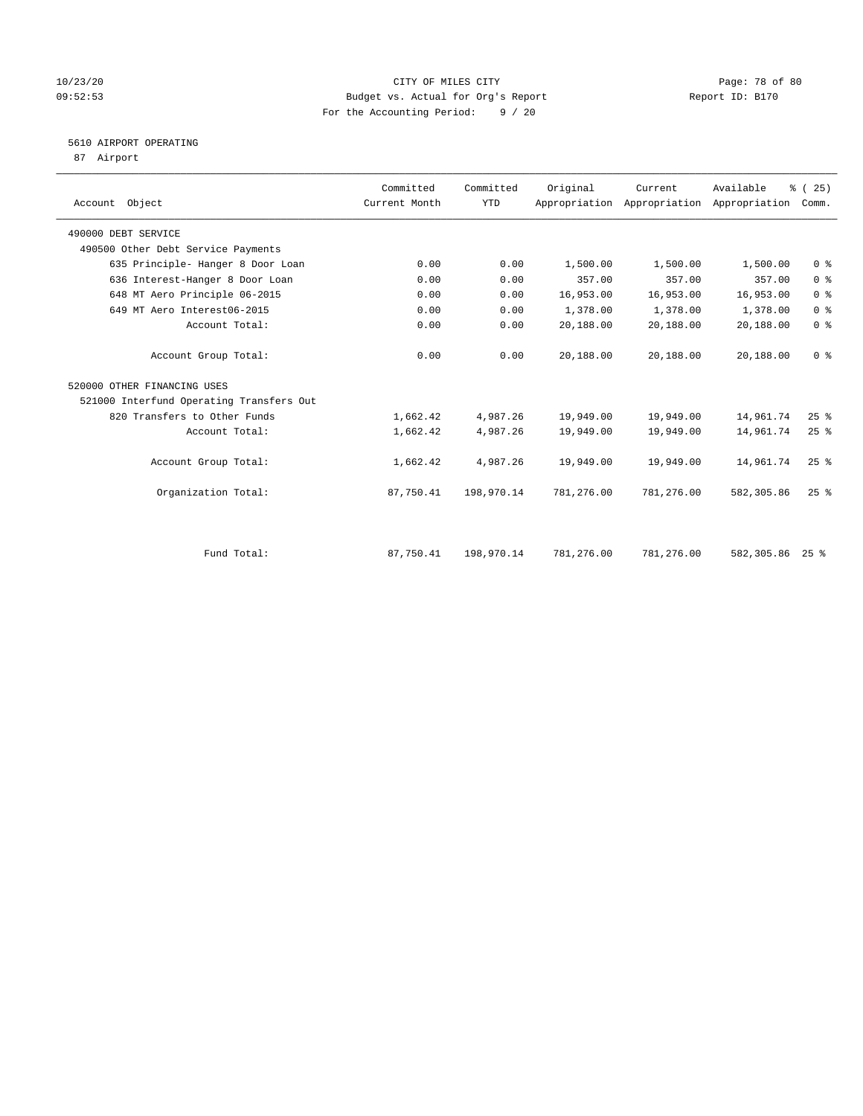## 10/23/20 Page: 78 of 80 09:52:53 Budget vs. Actual for Org's Report Changer Report ID: B170 For the Accounting Period: 9 / 20

## 5610 AIRPORT OPERATING

87 Airport

| Account Object                           | Committed<br>Current Month | Committed<br>YTD | Original   | Current    | Available<br>Appropriation Appropriation Appropriation | % (25)<br>Comm.    |
|------------------------------------------|----------------------------|------------------|------------|------------|--------------------------------------------------------|--------------------|
| 490000 DEBT SERVICE                      |                            |                  |            |            |                                                        |                    |
| 490500 Other Debt Service Payments       |                            |                  |            |            |                                                        |                    |
| 635 Principle- Hanger 8 Door Loan        | 0.00                       | 0.00             | 1,500.00   | 1,500.00   | 1,500.00                                               | 0 <sup>8</sup>     |
| 636 Interest-Hanger 8 Door Loan          | 0.00                       | 0.00             | 357.00     | 357.00     | 357.00                                                 | 0 <sup>8</sup>     |
| 648 MT Aero Principle 06-2015            | 0.00                       | 0.00             | 16,953.00  | 16,953.00  | 16,953.00                                              | 0 <sup>8</sup>     |
| 649 MT Aero Interest06-2015              | 0.00                       | 0.00             | 1,378.00   | 1,378.00   | 1,378.00                                               | 0 <sup>8</sup>     |
| Account Total:                           | 0.00                       | 0.00             | 20,188.00  | 20,188.00  | 20,188.00                                              | 0 <sup>8</sup>     |
| Account Group Total:                     | 0.00                       | 0.00             | 20,188.00  | 20,188.00  | 20,188.00                                              | 0 <sup>8</sup>     |
| 520000 OTHER FINANCING USES              |                            |                  |            |            |                                                        |                    |
| 521000 Interfund Operating Transfers Out |                            |                  |            |            |                                                        |                    |
| 820 Transfers to Other Funds             | 1,662.42                   | 4,987.26         | 19,949.00  | 19,949.00  | 14,961.74                                              | 25%                |
| Account Total:                           | 1,662.42                   | 4,987.26         | 19,949.00  | 19,949.00  | 14,961.74                                              | 25%                |
| Account Group Total:                     | 1,662.42                   | 4,987.26         | 19,949.00  | 19,949.00  | 14,961.74                                              | 25%                |
| Organization Total:                      | 87,750.41                  | 198,970.14       | 781,276.00 | 781,276.00 | 582, 305.86                                            | $25$ $%$           |
|                                          |                            |                  |            |            |                                                        |                    |
| Fund Total:                              | 87,750.41                  | 198,970.14       | 781,276.00 | 781,276.00 | 582,305.86                                             | $25$ $\frac{6}{3}$ |